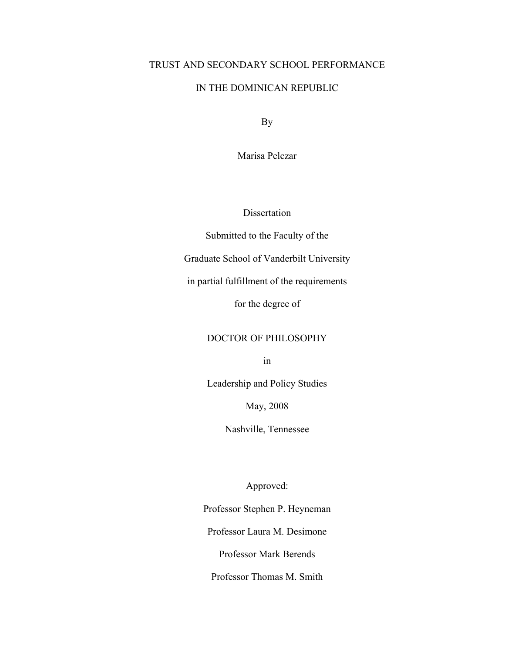# TRUST AND SECONDARY SCHOOL PERFORMANCE

# IN THE DOMINICAN REPUBLIC

By

Marisa Pelczar

Dissertation

Submitted to the Faculty of the

Graduate School of Vanderbilt University

in partial fulfillment of the requirements

for the degree of

# DOCTOR OF PHILOSOPHY

in

Leadership and Policy Studies

May, 2008

Nashville, Tennessee

Approved:

Professor Stephen P. Heyneman

Professor Laura M. Desimone

Professor Mark Berends

Professor Thomas M. Smith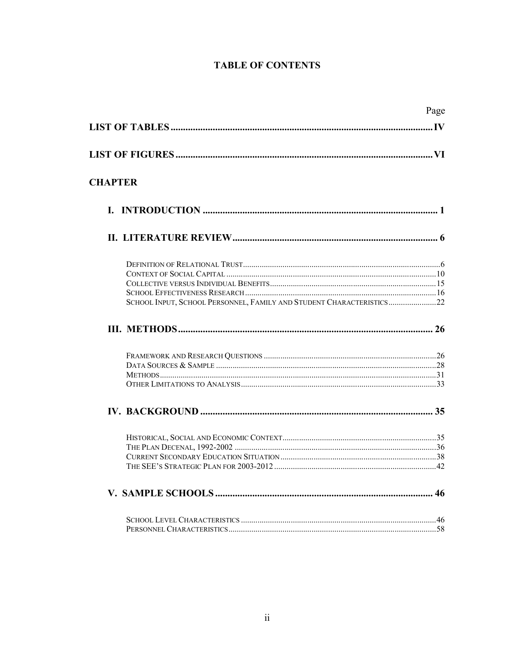# **TABLE OF CONTENTS**

|                                                                      | Page |
|----------------------------------------------------------------------|------|
|                                                                      |      |
|                                                                      |      |
| <b>CHAPTER</b>                                                       |      |
|                                                                      |      |
|                                                                      |      |
|                                                                      |      |
|                                                                      |      |
|                                                                      |      |
| SCHOOL INPUT, SCHOOL PERSONNEL, FAMILY AND STUDENT CHARACTERISTICS22 |      |
|                                                                      |      |
|                                                                      |      |
|                                                                      |      |
|                                                                      |      |
|                                                                      |      |
|                                                                      |      |
|                                                                      |      |
|                                                                      |      |
|                                                                      |      |
|                                                                      |      |
|                                                                      |      |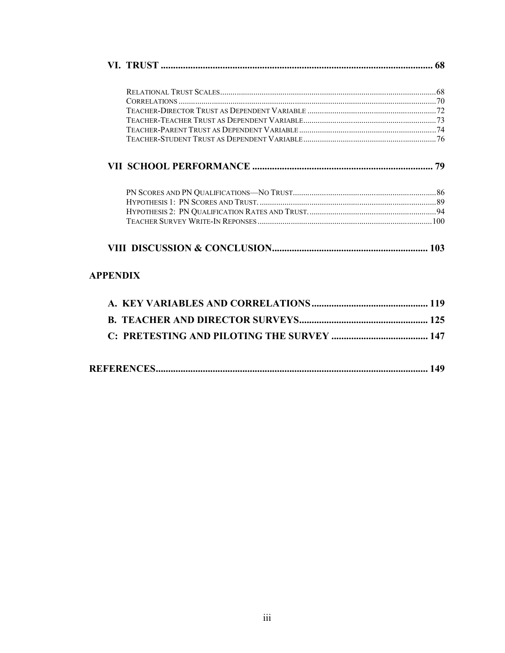|                 | 68 |
|-----------------|----|
|                 |    |
|                 |    |
|                 |    |
|                 |    |
|                 |    |
|                 |    |
|                 | 79 |
|                 |    |
|                 |    |
|                 |    |
|                 |    |
|                 |    |
| <b>APPENDIX</b> |    |

|--|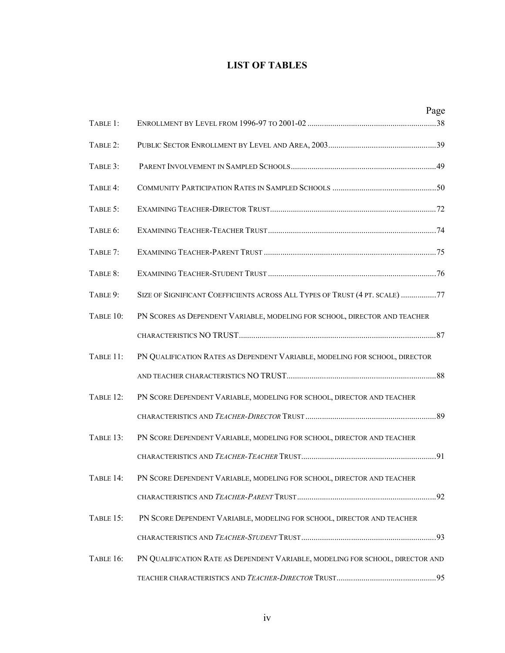# **LIST OF TABLES**

|           |                                                                                | Page |
|-----------|--------------------------------------------------------------------------------|------|
| TABLE 1:  |                                                                                |      |
| TABLE 2:  |                                                                                |      |
| TABLE 3:  |                                                                                |      |
| TABLE 4:  |                                                                                |      |
| TABLE 5:  |                                                                                |      |
| TABLE 6:  |                                                                                |      |
| TABLE 7:  |                                                                                |      |
| TABLE 8:  |                                                                                |      |
| TABLE 9:  | SIZE OF SIGNIFICANT COEFFICIENTS ACROSS ALL TYPES OF TRUST (4 PT. SCALE) 77    |      |
| TABLE 10: | PN SCORES AS DEPENDENT VARIABLE, MODELING FOR SCHOOL, DIRECTOR AND TEACHER     |      |
|           |                                                                                |      |
| TABLE 11: | PN QUALIFICATION RATES AS DEPENDENT VARIABLE, MODELING FOR SCHOOL, DIRECTOR    |      |
|           |                                                                                |      |
| TABLE 12: | PN SCORE DEPENDENT VARIABLE, MODELING FOR SCHOOL, DIRECTOR AND TEACHER         |      |
|           |                                                                                |      |
| TABLE 13: | PN SCORE DEPENDENT VARIABLE, MODELING FOR SCHOOL, DIRECTOR AND TEACHER         |      |
|           |                                                                                |      |
| TABLE 14: | PN SCORE DEPENDENT VARIABLE, MODELING FOR SCHOOL, DIRECTOR AND TEACHER         |      |
|           |                                                                                |      |
| TABLE 15: | PN SCORE DEPENDENT VARIABLE, MODELING FOR SCHOOL, DIRECTOR AND TEACHER         |      |
|           |                                                                                |      |
| TABLE 16: | PN QUALIFICATION RATE AS DEPENDENT VARIABLE, MODELING FOR SCHOOL, DIRECTOR AND |      |
|           |                                                                                |      |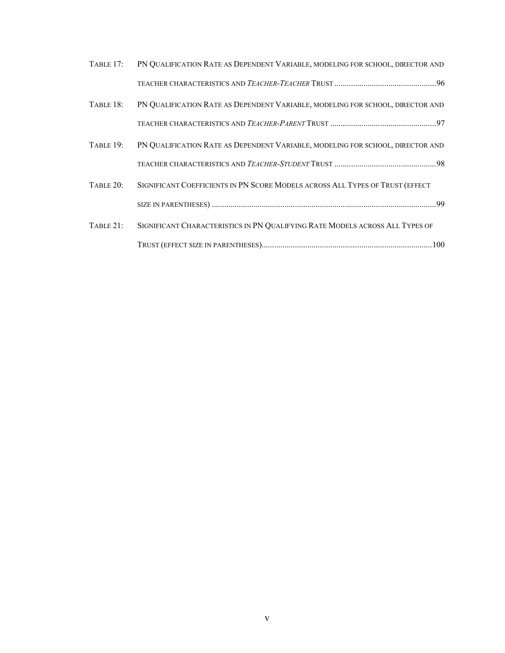| TABLE 17: | PN QUALIFICATION RATE AS DEPENDENT VARIABLE, MODELING FOR SCHOOL, DIRECTOR AND |  |
|-----------|--------------------------------------------------------------------------------|--|
|           |                                                                                |  |
| TABLE 18: | PN QUALIFICATION RATE AS DEPENDENT VARIABLE, MODELING FOR SCHOOL, DIRECTOR AND |  |
|           |                                                                                |  |
| TABLE 19: | PN QUALIFICATION RATE AS DEPENDENT VARIABLE, MODELING FOR SCHOOL, DIRECTOR AND |  |
|           |                                                                                |  |
| TABLE 20: | SIGNIFICANT COEFFICIENTS IN PN SCORE MODELS ACROSS ALL TYPES OF TRUST (EFFECT  |  |
|           |                                                                                |  |
| TABLE 21: | SIGNIFICANT CHARACTERISTICS IN PN QUALIFYING RATE MODELS ACROSS ALL TYPES OF   |  |
|           |                                                                                |  |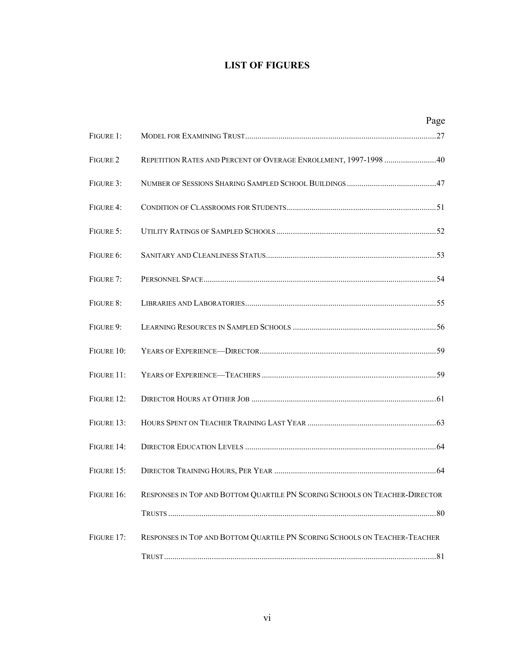# **LIST OF FIGURES**

|            |                                                                             | Page |
|------------|-----------------------------------------------------------------------------|------|
| FIGURE 1:  |                                                                             |      |
| FIGURE 2   | REPETITION RATES AND PERCENT OF OVERAGE ENROLLMENT, 1997-1998  40           |      |
| FIGURE 3:  |                                                                             |      |
| FIGURE 4:  |                                                                             |      |
| FIGURE 5:  |                                                                             |      |
| FIGURE 6:  |                                                                             |      |
| FIGURE 7:  |                                                                             |      |
| FIGURE 8:  |                                                                             |      |
| FIGURE 9:  |                                                                             |      |
| FIGURE 10: |                                                                             |      |
| FIGURE 11: |                                                                             |      |
| FIGURE 12: |                                                                             |      |
| FIGURE 13: |                                                                             |      |
| FIGURE 14: |                                                                             |      |
| FIGURE 15: |                                                                             |      |
| FIGURE 16: | RESPONSES IN TOP AND BOTTOM QUARTILE PN SCORING SCHOOLS ON TEACHER-DIRECTOR |      |
|            |                                                                             |      |
| FIGURE 17: | RESPONSES IN TOP AND BOTTOM QUARTILE PN SCORING SCHOOLS ON TEACHER-TEACHER  |      |
|            |                                                                             |      |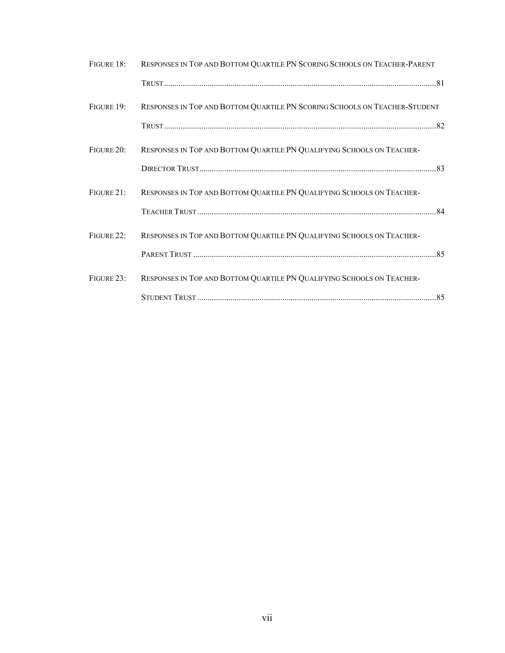| FIGURE 18:    | RESPONSES IN TOP AND BOTTOM QUARTILE PN SCORING SCHOOLS ON TEACHER-PARENT  |  |
|---------------|----------------------------------------------------------------------------|--|
|               |                                                                            |  |
| FIGURE 19:    | RESPONSES IN TOP AND BOTTOM QUARTILE PN SCORING SCHOOLS ON TEACHER-STUDENT |  |
|               |                                                                            |  |
| FIGURE 20:    | RESPONSES IN TOP AND BOTTOM QUARTILE PN QUALIFYING SCHOOLS ON TEACHER-     |  |
|               |                                                                            |  |
| $FIGURE 21$ : | RESPONSES IN TOP AND BOTTOM QUARTILE PN QUALIFYING SCHOOLS ON TEACHER-     |  |
|               |                                                                            |  |
| FIGURE 22:    | RESPONSES IN TOP AND BOTTOM QUARTILE PN QUALIFYING SCHOOLS ON TEACHER-     |  |
|               |                                                                            |  |
| FIGURE 23:    | RESPONSES IN TOP AND BOTTOM QUARTILE PN QUALIFYING SCHOOLS ON TEACHER-     |  |
|               |                                                                            |  |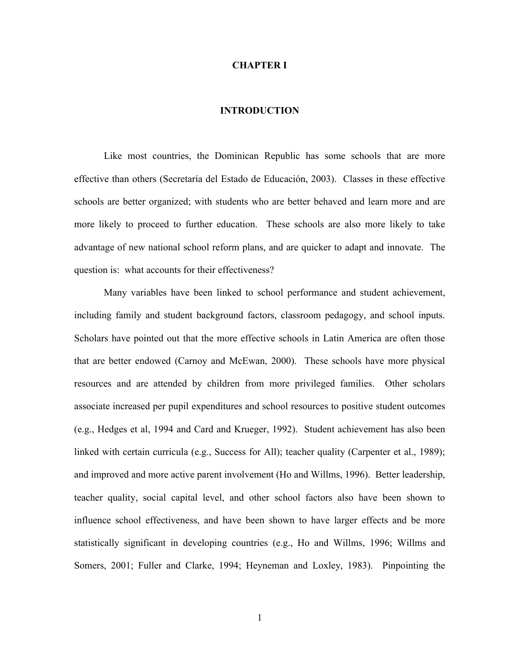#### **CHAPTER I**

# **INTRODUCTION**

Like most countries, the Dominican Republic has some schools that are more effective than others (Secretaría del Estado de Educación, 2003). Classes in these effective schools are better organized; with students who are better behaved and learn more and are more likely to proceed to further education. These schools are also more likely to take advantage of new national school reform plans, and are quicker to adapt and innovate. The question is: what accounts for their effectiveness?

Many variables have been linked to school performance and student achievement, including family and student background factors, classroom pedagogy, and school inputs. Scholars have pointed out that the more effective schools in Latin America are often those that are better endowed (Carnoy and McEwan, 2000). These schools have more physical resources and are attended by children from more privileged families. Other scholars associate increased per pupil expenditures and school resources to positive student outcomes (e.g., Hedges et al, 1994 and Card and Krueger, 1992). Student achievement has also been linked with certain curricula (e.g., Success for All); teacher quality (Carpenter et al., 1989); and improved and more active parent involvement (Ho and Willms, 1996). Better leadership, teacher quality, social capital level, and other school factors also have been shown to influence school effectiveness, and have been shown to have larger effects and be more statistically significant in developing countries (e.g., Ho and Willms, 1996; Willms and Somers, 2001; Fuller and Clarke, 1994; Heyneman and Loxley, 1983). Pinpointing the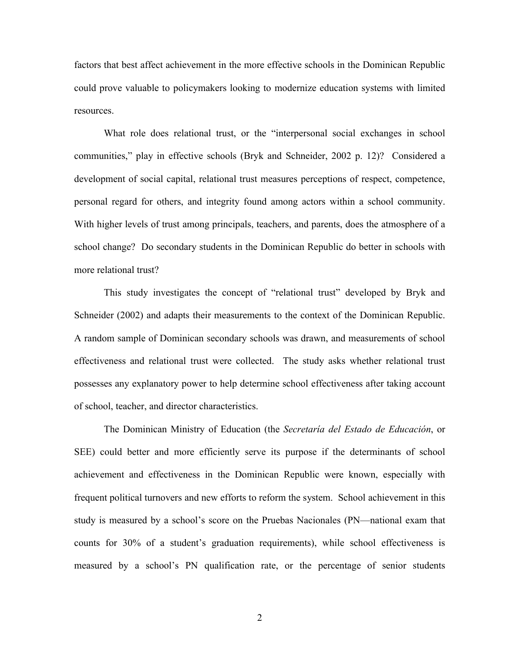factors that best affect achievement in the more effective schools in the Dominican Republic could prove valuable to policymakers looking to modernize education systems with limited resources.

What role does relational trust, or the "interpersonal social exchanges in school communities," play in effective schools (Bryk and Schneider, 2002 p. 12)? Considered a development of social capital, relational trust measures perceptions of respect, competence, personal regard for others, and integrity found among actors within a school community. With higher levels of trust among principals, teachers, and parents, does the atmosphere of a school change? Do secondary students in the Dominican Republic do better in schools with more relational trust?

This study investigates the concept of "relational trust" developed by Bryk and Schneider (2002) and adapts their measurements to the context of the Dominican Republic. A random sample of Dominican secondary schools was drawn, and measurements of school effectiveness and relational trust were collected. The study asks whether relational trust possesses any explanatory power to help determine school effectiveness after taking account of school, teacher, and director characteristics.

The Dominican Ministry of Education (the *Secretaría del Estado de Educación*, or SEE) could better and more efficiently serve its purpose if the determinants of school achievement and effectiveness in the Dominican Republic were known, especially with frequent political turnovers and new efforts to reform the system. School achievement in this study is measured by a school's score on the Pruebas Nacionales (PN—national exam that counts for 30% of a student's graduation requirements), while school effectiveness is measured by a school's PN qualification rate, or the percentage of senior students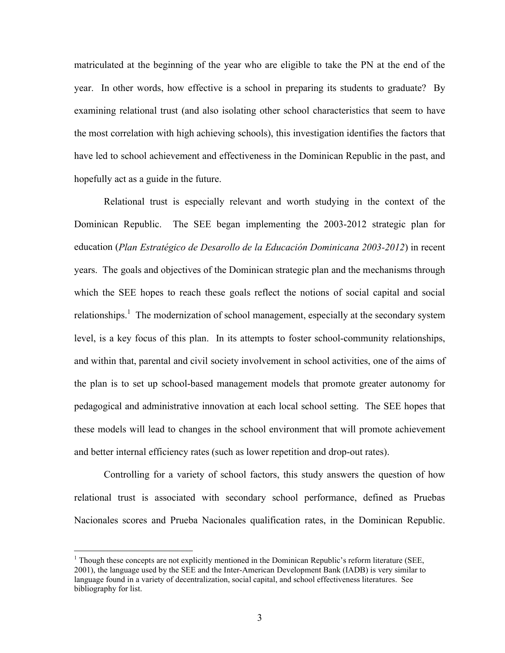matriculated at the beginning of the year who are eligible to take the PN at the end of the year. In other words, how effective is a school in preparing its students to graduate? By examining relational trust (and also isolating other school characteristics that seem to have the most correlation with high achieving schools), this investigation identifies the factors that have led to school achievement and effectiveness in the Dominican Republic in the past, and hopefully act as a guide in the future.

Relational trust is especially relevant and worth studying in the context of the Dominican Republic. The SEE began implementing the 2003-2012 strategic plan for education (*Plan Estratégico de Desarollo de la Educación Dominicana 2003-2012*) in recent years. The goals and objectives of the Dominican strategic plan and the mechanisms through which the SEE hopes to reach these goals reflect the notions of social capital and social relationships.<sup>1</sup> The modernization of school management, especially at the secondary system level, is a key focus of this plan. In its attempts to foster school-community relationships, and within that, parental and civil society involvement in school activities, one of the aims of the plan is to set up school-based management models that promote greater autonomy for pedagogical and administrative innovation at each local school setting. The SEE hopes that these models will lead to changes in the school environment that will promote achievement and better internal efficiency rates (such as lower repetition and drop-out rates).

Controlling for a variety of school factors, this study answers the question of how relational trust is associated with secondary school performance, defined as Pruebas Nacionales scores and Prueba Nacionales qualification rates, in the Dominican Republic.

 $\overline{a}$ 

<sup>&</sup>lt;sup>1</sup> Though these concepts are not explicitly mentioned in the Dominican Republic's reform literature (SEE, 2001), the language used by the SEE and the Inter-American Development Bank (IADB) is very similar to language found in a variety of decentralization, social capital, and school effectiveness literatures. See bibliography for list.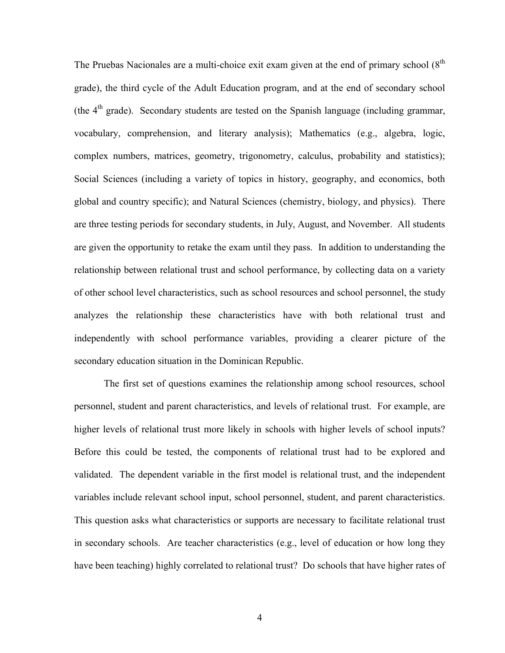The Pruebas Nacionales are a multi-choice exit exam given at the end of primary school  $(8<sup>th</sup>$ grade), the third cycle of the Adult Education program, and at the end of secondary school (the  $4<sup>th</sup>$  grade). Secondary students are tested on the Spanish language (including grammar, vocabulary, comprehension, and literary analysis); Mathematics (e.g., algebra, logic, complex numbers, matrices, geometry, trigonometry, calculus, probability and statistics); Social Sciences (including a variety of topics in history, geography, and economics, both global and country specific); and Natural Sciences (chemistry, biology, and physics). There are three testing periods for secondary students, in July, August, and November. All students are given the opportunity to retake the exam until they pass. In addition to understanding the relationship between relational trust and school performance, by collecting data on a variety of other school level characteristics, such as school resources and school personnel, the study analyzes the relationship these characteristics have with both relational trust and independently with school performance variables, providing a clearer picture of the secondary education situation in the Dominican Republic.

The first set of questions examines the relationship among school resources, school personnel, student and parent characteristics, and levels of relational trust. For example, are higher levels of relational trust more likely in schools with higher levels of school inputs? Before this could be tested, the components of relational trust had to be explored and validated. The dependent variable in the first model is relational trust, and the independent variables include relevant school input, school personnel, student, and parent characteristics. This question asks what characteristics or supports are necessary to facilitate relational trust in secondary schools. Are teacher characteristics (e.g., level of education or how long they have been teaching) highly correlated to relational trust? Do schools that have higher rates of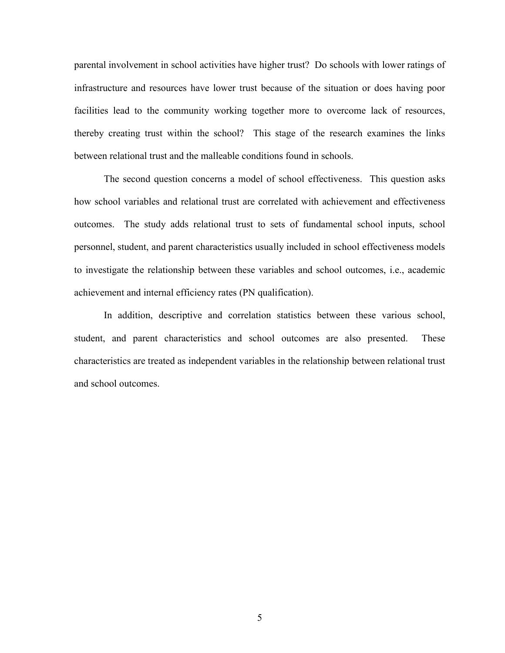parental involvement in school activities have higher trust? Do schools with lower ratings of infrastructure and resources have lower trust because of the situation or does having poor facilities lead to the community working together more to overcome lack of resources, thereby creating trust within the school? This stage of the research examines the links between relational trust and the malleable conditions found in schools.

The second question concerns a model of school effectiveness. This question asks how school variables and relational trust are correlated with achievement and effectiveness outcomes. The study adds relational trust to sets of fundamental school inputs, school personnel, student, and parent characteristics usually included in school effectiveness models to investigate the relationship between these variables and school outcomes, i.e., academic achievement and internal efficiency rates (PN qualification).

In addition, descriptive and correlation statistics between these various school, student, and parent characteristics and school outcomes are also presented. These characteristics are treated as independent variables in the relationship between relational trust and school outcomes.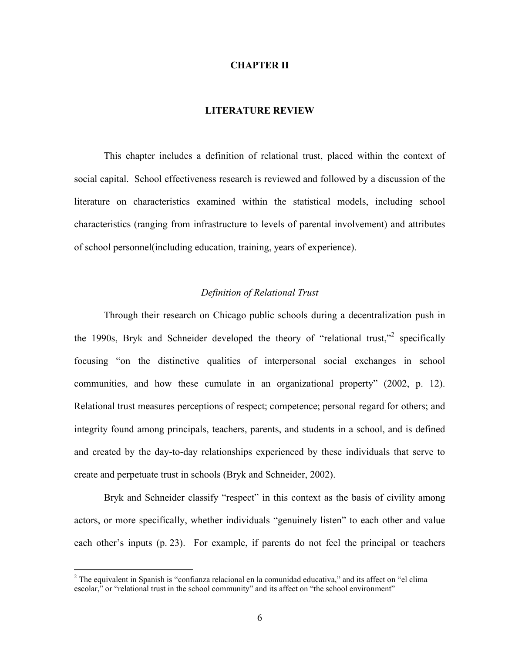#### **CHAPTER II**

# **LITERATURE REVIEW**

This chapter includes a definition of relational trust, placed within the context of social capital. School effectiveness research is reviewed and followed by a discussion of the literature on characteristics examined within the statistical models, including school characteristics (ranging from infrastructure to levels of parental involvement) and attributes of school personnel(including education, training, years of experience).

# *Definition of Relational Trust*

Through their research on Chicago public schools during a decentralization push in the 1990s, Bryk and Schneider developed the theory of "relational trust,"<sup>2</sup> specifically focusing "on the distinctive qualities of interpersonal social exchanges in school communities, and how these cumulate in an organizational property" (2002, p. 12). Relational trust measures perceptions of respect; competence; personal regard for others; and integrity found among principals, teachers, parents, and students in a school, and is defined and created by the day-to-day relationships experienced by these individuals that serve to create and perpetuate trust in schools (Bryk and Schneider, 2002).

Bryk and Schneider classify "respect" in this context as the basis of civility among actors, or more specifically, whether individuals "genuinely listen" to each other and value each other's inputs (p. 23). For example, if parents do not feel the principal or teachers

 $2$  The equivalent in Spanish is "confianza relacional en la comunidad educativa," and its affect on "el clima" escolar," or "relational trust in the school community" and its affect on "the school environment"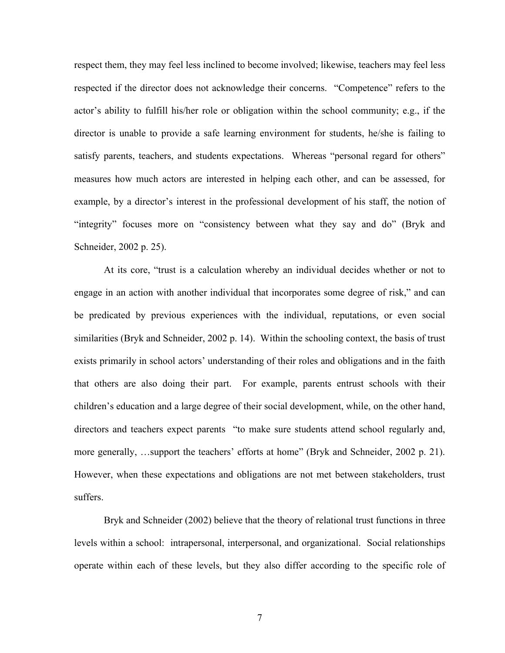respect them, they may feel less inclined to become involved; likewise, teachers may feel less respected if the director does not acknowledge their concerns. "Competence" refers to the actor's ability to fulfill his/her role or obligation within the school community; e.g., if the director is unable to provide a safe learning environment for students, he/she is failing to satisfy parents, teachers, and students expectations. Whereas "personal regard for others" measures how much actors are interested in helping each other, and can be assessed, for example, by a director's interest in the professional development of his staff, the notion of "integrity" focuses more on "consistency between what they say and do" (Bryk and Schneider, 2002 p. 25).

At its core, "trust is a calculation whereby an individual decides whether or not to engage in an action with another individual that incorporates some degree of risk," and can be predicated by previous experiences with the individual, reputations, or even social similarities (Bryk and Schneider, 2002 p. 14). Within the schooling context, the basis of trust exists primarily in school actors' understanding of their roles and obligations and in the faith that others are also doing their part. For example, parents entrust schools with their children's education and a large degree of their social development, while, on the other hand, directors and teachers expect parents "to make sure students attend school regularly and, more generally, …support the teachers' efforts at home" (Bryk and Schneider, 2002 p. 21). However, when these expectations and obligations are not met between stakeholders, trust suffers.

Bryk and Schneider (2002) believe that the theory of relational trust functions in three levels within a school: intrapersonal, interpersonal, and organizational. Social relationships operate within each of these levels, but they also differ according to the specific role of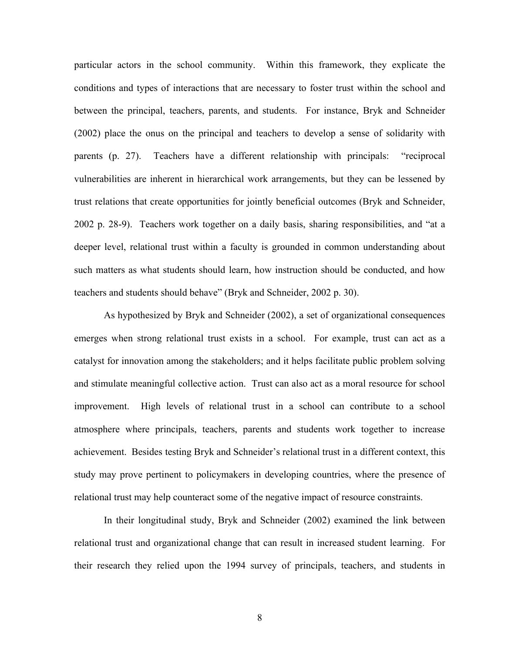particular actors in the school community. Within this framework, they explicate the conditions and types of interactions that are necessary to foster trust within the school and between the principal, teachers, parents, and students. For instance, Bryk and Schneider (2002) place the onus on the principal and teachers to develop a sense of solidarity with parents (p. 27). Teachers have a different relationship with principals: "reciprocal vulnerabilities are inherent in hierarchical work arrangements, but they can be lessened by trust relations that create opportunities for jointly beneficial outcomes (Bryk and Schneider, 2002 p. 28-9). Teachers work together on a daily basis, sharing responsibilities, and "at a deeper level, relational trust within a faculty is grounded in common understanding about such matters as what students should learn, how instruction should be conducted, and how teachers and students should behave" (Bryk and Schneider, 2002 p. 30).

As hypothesized by Bryk and Schneider (2002), a set of organizational consequences emerges when strong relational trust exists in a school. For example, trust can act as a catalyst for innovation among the stakeholders; and it helps facilitate public problem solving and stimulate meaningful collective action. Trust can also act as a moral resource for school improvement. High levels of relational trust in a school can contribute to a school atmosphere where principals, teachers, parents and students work together to increase achievement. Besides testing Bryk and Schneider's relational trust in a different context, this study may prove pertinent to policymakers in developing countries, where the presence of relational trust may help counteract some of the negative impact of resource constraints.

In their longitudinal study, Bryk and Schneider (2002) examined the link between relational trust and organizational change that can result in increased student learning. For their research they relied upon the 1994 survey of principals, teachers, and students in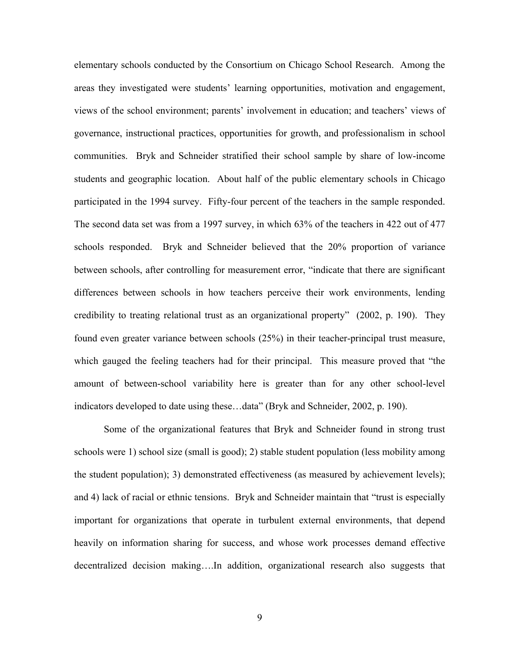elementary schools conducted by the Consortium on Chicago School Research. Among the areas they investigated were students' learning opportunities, motivation and engagement, views of the school environment; parents' involvement in education; and teachers' views of governance, instructional practices, opportunities for growth, and professionalism in school communities. Bryk and Schneider stratified their school sample by share of low-income students and geographic location. About half of the public elementary schools in Chicago participated in the 1994 survey. Fifty-four percent of the teachers in the sample responded. The second data set was from a 1997 survey, in which 63% of the teachers in 422 out of 477 schools responded. Bryk and Schneider believed that the 20% proportion of variance between schools, after controlling for measurement error, "indicate that there are significant differences between schools in how teachers perceive their work environments, lending credibility to treating relational trust as an organizational property" (2002, p. 190). They found even greater variance between schools (25%) in their teacher-principal trust measure, which gauged the feeling teachers had for their principal. This measure proved that "the amount of between-school variability here is greater than for any other school-level indicators developed to date using these…data" (Bryk and Schneider, 2002, p. 190).

Some of the organizational features that Bryk and Schneider found in strong trust schools were 1) school size (small is good); 2) stable student population (less mobility among the student population); 3) demonstrated effectiveness (as measured by achievement levels); and 4) lack of racial or ethnic tensions. Bryk and Schneider maintain that "trust is especially important for organizations that operate in turbulent external environments, that depend heavily on information sharing for success, and whose work processes demand effective decentralized decision making….In addition, organizational research also suggests that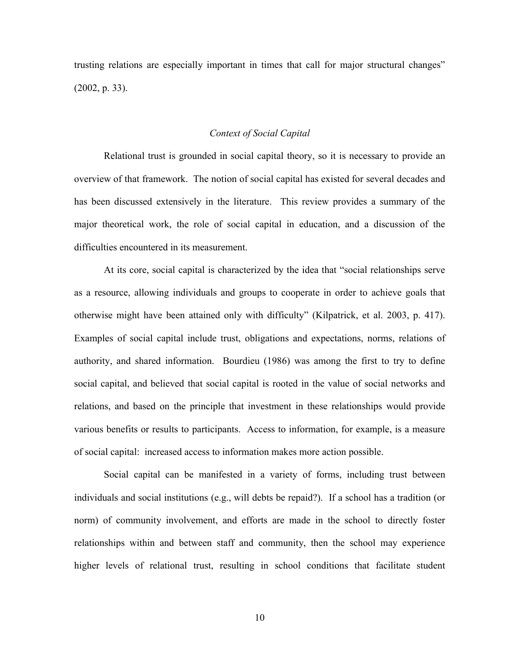trusting relations are especially important in times that call for major structural changes" (2002, p. 33).

### *Context of Social Capital*

Relational trust is grounded in social capital theory, so it is necessary to provide an overview of that framework. The notion of social capital has existed for several decades and has been discussed extensively in the literature. This review provides a summary of the major theoretical work, the role of social capital in education, and a discussion of the difficulties encountered in its measurement.

At its core, social capital is characterized by the idea that "social relationships serve as a resource, allowing individuals and groups to cooperate in order to achieve goals that otherwise might have been attained only with difficulty" (Kilpatrick, et al. 2003, p. 417). Examples of social capital include trust, obligations and expectations, norms, relations of authority, and shared information. Bourdieu (1986) was among the first to try to define social capital, and believed that social capital is rooted in the value of social networks and relations, and based on the principle that investment in these relationships would provide various benefits or results to participants. Access to information, for example, is a measure of social capital: increased access to information makes more action possible.

Social capital can be manifested in a variety of forms, including trust between individuals and social institutions (e.g., will debts be repaid?). If a school has a tradition (or norm) of community involvement, and efforts are made in the school to directly foster relationships within and between staff and community, then the school may experience higher levels of relational trust, resulting in school conditions that facilitate student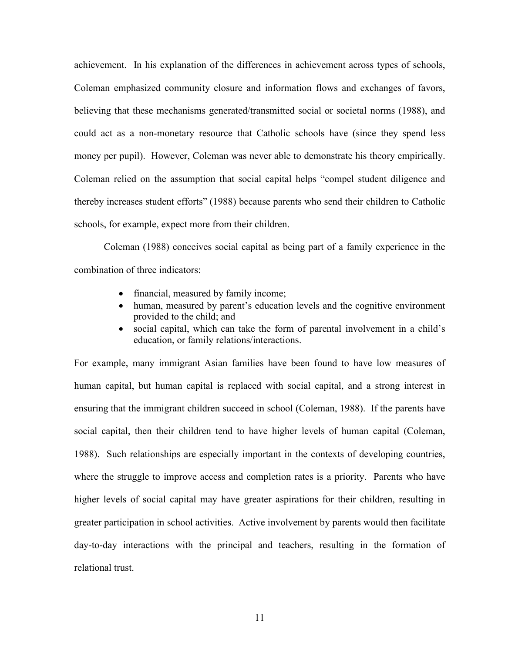achievement. In his explanation of the differences in achievement across types of schools, Coleman emphasized community closure and information flows and exchanges of favors, believing that these mechanisms generated/transmitted social or societal norms (1988), and could act as a non-monetary resource that Catholic schools have (since they spend less money per pupil). However, Coleman was never able to demonstrate his theory empirically. Coleman relied on the assumption that social capital helps "compel student diligence and thereby increases student efforts" (1988) because parents who send their children to Catholic schools, for example, expect more from their children.

Coleman (1988) conceives social capital as being part of a family experience in the combination of three indicators:

- financial, measured by family income;
- human, measured by parent's education levels and the cognitive environment provided to the child; and
- social capital, which can take the form of parental involvement in a child's education, or family relations/interactions.

For example, many immigrant Asian families have been found to have low measures of human capital, but human capital is replaced with social capital, and a strong interest in ensuring that the immigrant children succeed in school (Coleman, 1988). If the parents have social capital, then their children tend to have higher levels of human capital (Coleman, 1988). Such relationships are especially important in the contexts of developing countries, where the struggle to improve access and completion rates is a priority. Parents who have higher levels of social capital may have greater aspirations for their children, resulting in greater participation in school activities. Active involvement by parents would then facilitate day-to-day interactions with the principal and teachers, resulting in the formation of relational trust.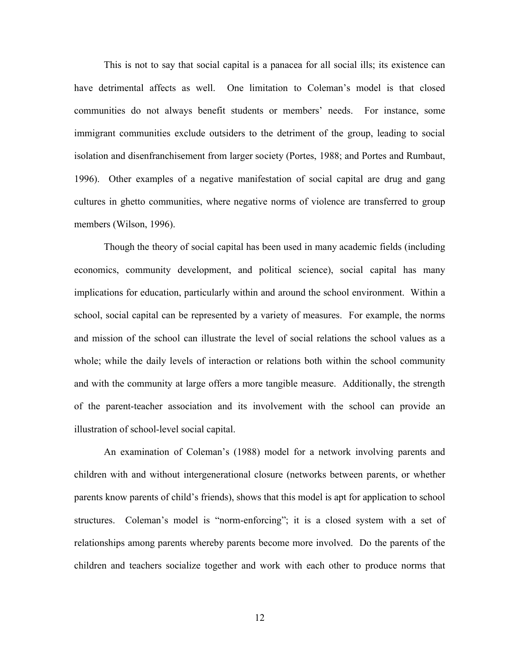This is not to say that social capital is a panacea for all social ills; its existence can have detrimental affects as well. One limitation to Coleman's model is that closed communities do not always benefit students or members' needs. For instance, some immigrant communities exclude outsiders to the detriment of the group, leading to social isolation and disenfranchisement from larger society (Portes, 1988; and Portes and Rumbaut, 1996). Other examples of a negative manifestation of social capital are drug and gang cultures in ghetto communities, where negative norms of violence are transferred to group members (Wilson, 1996).

Though the theory of social capital has been used in many academic fields (including economics, community development, and political science), social capital has many implications for education, particularly within and around the school environment. Within a school, social capital can be represented by a variety of measures. For example, the norms and mission of the school can illustrate the level of social relations the school values as a whole; while the daily levels of interaction or relations both within the school community and with the community at large offers a more tangible measure. Additionally, the strength of the parent-teacher association and its involvement with the school can provide an illustration of school-level social capital.

An examination of Coleman's (1988) model for a network involving parents and children with and without intergenerational closure (networks between parents, or whether parents know parents of child's friends), shows that this model is apt for application to school structures. Coleman's model is "norm-enforcing"; it is a closed system with a set of relationships among parents whereby parents become more involved. Do the parents of the children and teachers socialize together and work with each other to produce norms that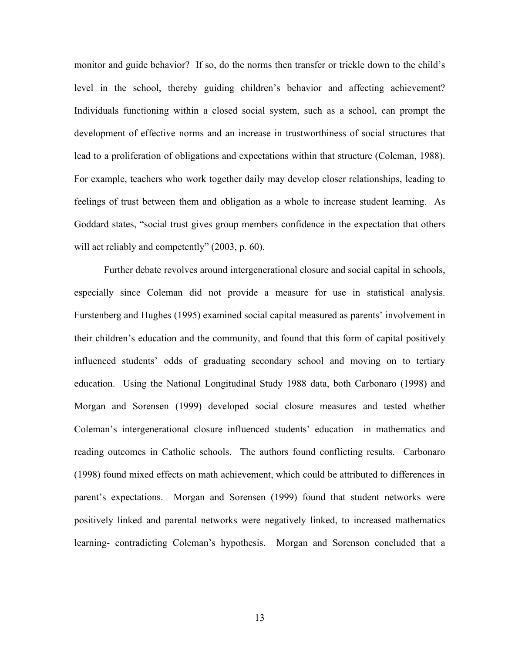monitor and guide behavior? If so, do the norms then transfer or trickle down to the child's level in the school, thereby guiding children's behavior and affecting achievement? Individuals functioning within a closed social system, such as a school, can prompt the development of effective norms and an increase in trustworthiness of social structures that lead to a proliferation of obligations and expectations within that structure (Coleman, 1988). For example, teachers who work together daily may develop closer relationships, leading to feelings of trust between them and obligation as a whole to increase student learning. As Goddard states, "social trust gives group members confidence in the expectation that others will act reliably and competently" (2003, p. 60).

Further debate revolves around intergenerational closure and social capital in schools, especially since Coleman did not provide a measure for use in statistical analysis. Furstenberg and Hughes (1995) examined social capital measured as parents' involvement in their children's education and the community, and found that this form of capital positively influenced students' odds of graduating secondary school and moving on to tertiary education. Using the National Longitudinal Study 1988 data, both Carbonaro (1998) and Morgan and Sorensen (1999) developed social closure measures and tested whether Coleman's intergenerational closure influenced students' education in mathematics and reading outcomes in Catholic schools. The authors found conflicting results. Carbonaro (1998) found mixed effects on math achievement, which could be attributed to differences in parent's expectations. Morgan and Sorensen (1999) found that student networks were positively linked and parental networks were negatively linked, to increased mathematics learning- contradicting Coleman's hypothesis. Morgan and Sorenson concluded that a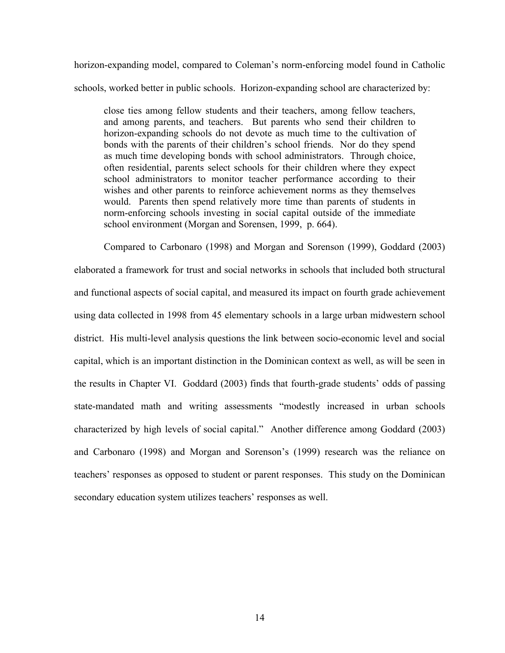horizon-expanding model, compared to Coleman's norm-enforcing model found in Catholic schools, worked better in public schools. Horizon-expanding school are characterized by:

close ties among fellow students and their teachers, among fellow teachers, and among parents, and teachers. But parents who send their children to horizon-expanding schools do not devote as much time to the cultivation of bonds with the parents of their children's school friends. Nor do they spend as much time developing bonds with school administrators. Through choice, often residential, parents select schools for their children where they expect school administrators to monitor teacher performance according to their wishes and other parents to reinforce achievement norms as they themselves would. Parents then spend relatively more time than parents of students in norm-enforcing schools investing in social capital outside of the immediate school environment (Morgan and Sorensen, 1999, p. 664).

Compared to Carbonaro (1998) and Morgan and Sorenson (1999), Goddard (2003) elaborated a framework for trust and social networks in schools that included both structural and functional aspects of social capital, and measured its impact on fourth grade achievement using data collected in 1998 from 45 elementary schools in a large urban midwestern school district. His multi-level analysis questions the link between socio-economic level and social capital, which is an important distinction in the Dominican context as well, as will be seen in the results in Chapter VI. Goddard (2003) finds that fourth-grade students' odds of passing state-mandated math and writing assessments "modestly increased in urban schools characterized by high levels of social capital." Another difference among Goddard (2003) and Carbonaro (1998) and Morgan and Sorenson's (1999) research was the reliance on teachers' responses as opposed to student or parent responses. This study on the Dominican secondary education system utilizes teachers' responses as well.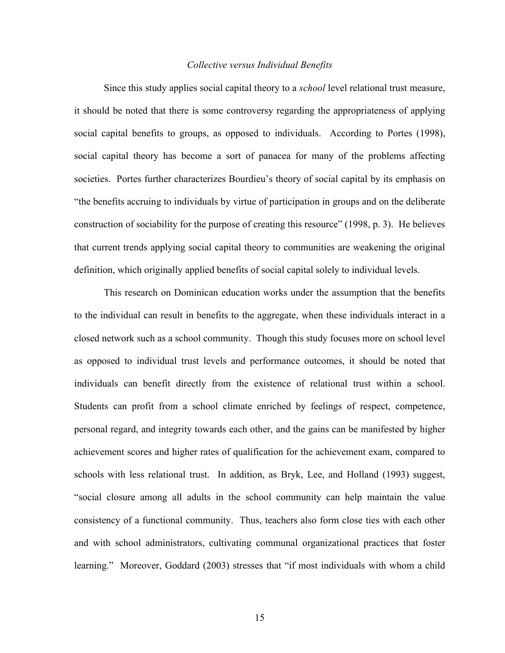### *Collective versus Individual Benefits*

Since this study applies social capital theory to a *school* level relational trust measure, it should be noted that there is some controversy regarding the appropriateness of applying social capital benefits to groups, as opposed to individuals. According to Portes (1998), social capital theory has become a sort of panacea for many of the problems affecting societies. Portes further characterizes Bourdieu's theory of social capital by its emphasis on "the benefits accruing to individuals by virtue of participation in groups and on the deliberate construction of sociability for the purpose of creating this resource" (1998, p. 3). He believes that current trends applying social capital theory to communities are weakening the original definition, which originally applied benefits of social capital solely to individual levels.

This research on Dominican education works under the assumption that the benefits to the individual can result in benefits to the aggregate, when these individuals interact in a closed network such as a school community. Though this study focuses more on school level as opposed to individual trust levels and performance outcomes, it should be noted that individuals can benefit directly from the existence of relational trust within a school. Students can profit from a school climate enriched by feelings of respect, competence, personal regard, and integrity towards each other, and the gains can be manifested by higher achievement scores and higher rates of qualification for the achievement exam, compared to schools with less relational trust. In addition, as Bryk, Lee, and Holland (1993) suggest, "social closure among all adults in the school community can help maintain the value consistency of a functional community. Thus, teachers also form close ties with each other and with school administrators, cultivating communal organizational practices that foster learning." Moreover, Goddard (2003) stresses that "if most individuals with whom a child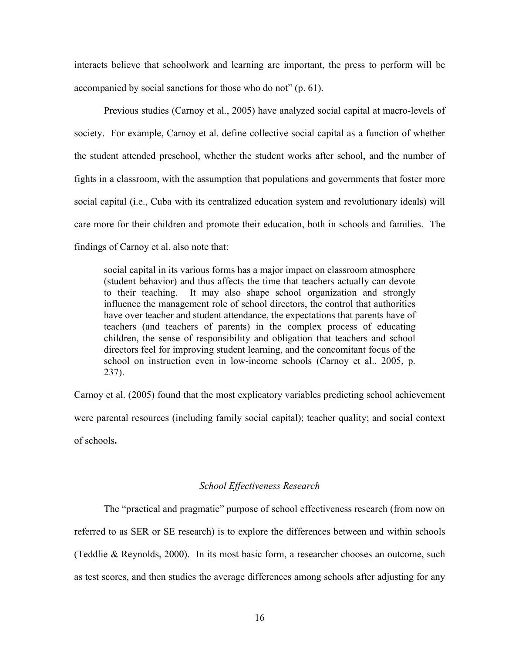interacts believe that schoolwork and learning are important, the press to perform will be accompanied by social sanctions for those who do not" (p. 61).

Previous studies (Carnoy et al., 2005) have analyzed social capital at macro-levels of society. For example, Carnoy et al. define collective social capital as a function of whether the student attended preschool, whether the student works after school, and the number of fights in a classroom, with the assumption that populations and governments that foster more social capital (i.e., Cuba with its centralized education system and revolutionary ideals) will care more for their children and promote their education, both in schools and families. The findings of Carnoy et al. also note that:

social capital in its various forms has a major impact on classroom atmosphere (student behavior) and thus affects the time that teachers actually can devote to their teaching. It may also shape school organization and strongly influence the management role of school directors, the control that authorities have over teacher and student attendance, the expectations that parents have of teachers (and teachers of parents) in the complex process of educating children, the sense of responsibility and obligation that teachers and school directors feel for improving student learning, and the concomitant focus of the school on instruction even in low-income schools (Carnoy et al., 2005, p. 237).

Carnoy et al. (2005) found that the most explicatory variables predicting school achievement were parental resources (including family social capital); teacher quality; and social context of schools**.** 

# *School Effectiveness Research*

The "practical and pragmatic" purpose of school effectiveness research (from now on referred to as SER or SE research) is to explore the differences between and within schools (Teddlie & Reynolds, 2000). In its most basic form, a researcher chooses an outcome, such as test scores, and then studies the average differences among schools after adjusting for any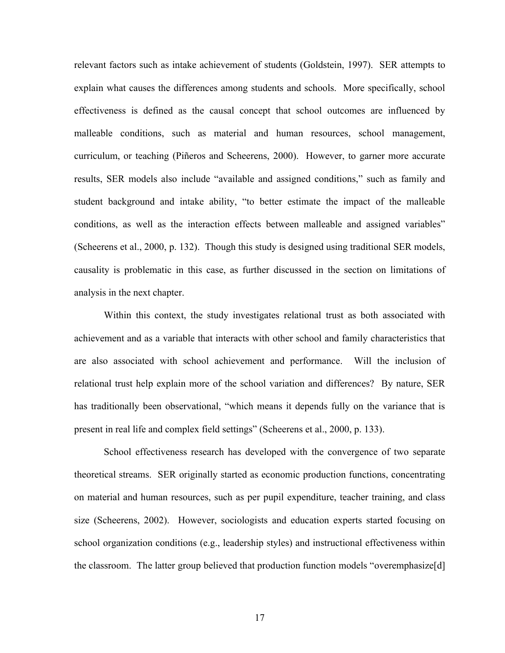relevant factors such as intake achievement of students (Goldstein, 1997). SER attempts to explain what causes the differences among students and schools. More specifically, school effectiveness is defined as the causal concept that school outcomes are influenced by malleable conditions, such as material and human resources, school management, curriculum, or teaching (Piñeros and Scheerens, 2000). However, to garner more accurate results, SER models also include "available and assigned conditions," such as family and student background and intake ability, "to better estimate the impact of the malleable conditions, as well as the interaction effects between malleable and assigned variables" (Scheerens et al., 2000, p. 132). Though this study is designed using traditional SER models, causality is problematic in this case, as further discussed in the section on limitations of analysis in the next chapter.

Within this context, the study investigates relational trust as both associated with achievement and as a variable that interacts with other school and family characteristics that are also associated with school achievement and performance. Will the inclusion of relational trust help explain more of the school variation and differences? By nature, SER has traditionally been observational, "which means it depends fully on the variance that is present in real life and complex field settings" (Scheerens et al., 2000, p. 133).

School effectiveness research has developed with the convergence of two separate theoretical streams. SER originally started as economic production functions, concentrating on material and human resources, such as per pupil expenditure, teacher training, and class size (Scheerens, 2002). However, sociologists and education experts started focusing on school organization conditions (e.g., leadership styles) and instructional effectiveness within the classroom. The latter group believed that production function models "overemphasize[d]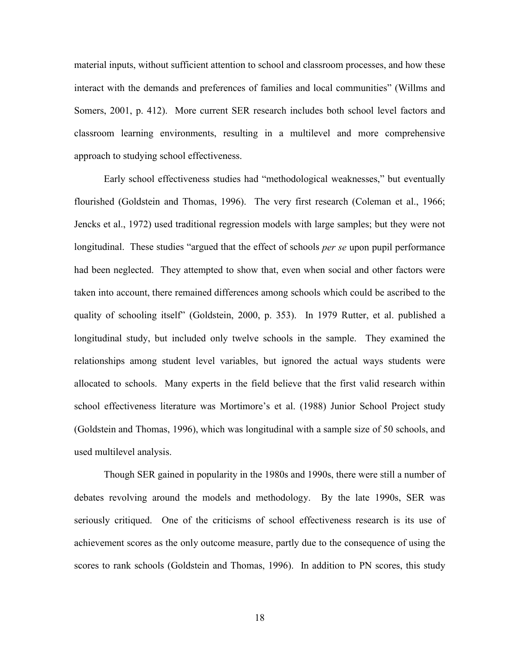material inputs, without sufficient attention to school and classroom processes, and how these interact with the demands and preferences of families and local communities" (Willms and Somers, 2001, p. 412). More current SER research includes both school level factors and classroom learning environments, resulting in a multilevel and more comprehensive approach to studying school effectiveness.

Early school effectiveness studies had "methodological weaknesses," but eventually flourished (Goldstein and Thomas, 1996). The very first research (Coleman et al., 1966; Jencks et al., 1972) used traditional regression models with large samples; but they were not longitudinal. These studies "argued that the effect of schools *per se* upon pupil performance had been neglected. They attempted to show that, even when social and other factors were taken into account, there remained differences among schools which could be ascribed to the quality of schooling itself" (Goldstein, 2000, p. 353). In 1979 Rutter, et al. published a longitudinal study, but included only twelve schools in the sample. They examined the relationships among student level variables, but ignored the actual ways students were allocated to schools. Many experts in the field believe that the first valid research within school effectiveness literature was Mortimore's et al. (1988) Junior School Project study (Goldstein and Thomas, 1996), which was longitudinal with a sample size of 50 schools, and used multilevel analysis.

Though SER gained in popularity in the 1980s and 1990s, there were still a number of debates revolving around the models and methodology. By the late 1990s, SER was seriously critiqued. One of the criticisms of school effectiveness research is its use of achievement scores as the only outcome measure, partly due to the consequence of using the scores to rank schools (Goldstein and Thomas, 1996). In addition to PN scores, this study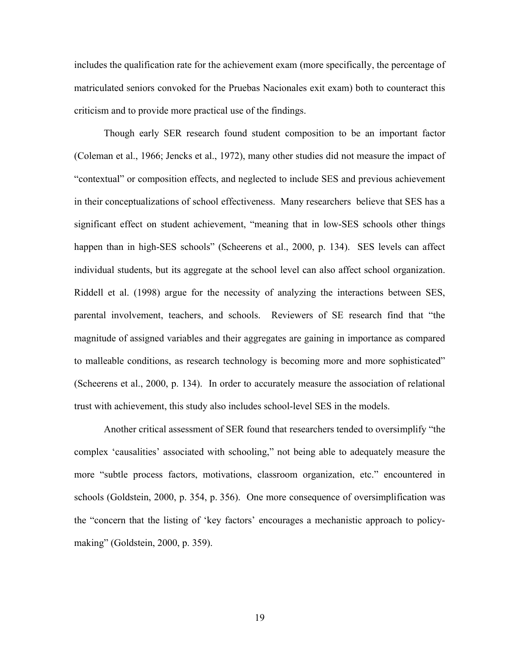includes the qualification rate for the achievement exam (more specifically, the percentage of matriculated seniors convoked for the Pruebas Nacionales exit exam) both to counteract this criticism and to provide more practical use of the findings.

Though early SER research found student composition to be an important factor (Coleman et al., 1966; Jencks et al., 1972), many other studies did not measure the impact of "contextual" or composition effects, and neglected to include SES and previous achievement in their conceptualizations of school effectiveness. Many researchers believe that SES has a significant effect on student achievement, "meaning that in low-SES schools other things happen than in high-SES schools" (Scheerens et al., 2000, p. 134). SES levels can affect individual students, but its aggregate at the school level can also affect school organization. Riddell et al. (1998) argue for the necessity of analyzing the interactions between SES, parental involvement, teachers, and schools. Reviewers of SE research find that "the magnitude of assigned variables and their aggregates are gaining in importance as compared to malleable conditions, as research technology is becoming more and more sophisticated" (Scheerens et al., 2000, p. 134). In order to accurately measure the association of relational trust with achievement, this study also includes school-level SES in the models.

Another critical assessment of SER found that researchers tended to oversimplify "the complex 'causalities' associated with schooling," not being able to adequately measure the more "subtle process factors, motivations, classroom organization, etc." encountered in schools (Goldstein, 2000, p. 354, p. 356). One more consequence of oversimplification was the "concern that the listing of 'key factors' encourages a mechanistic approach to policymaking" (Goldstein, 2000, p. 359).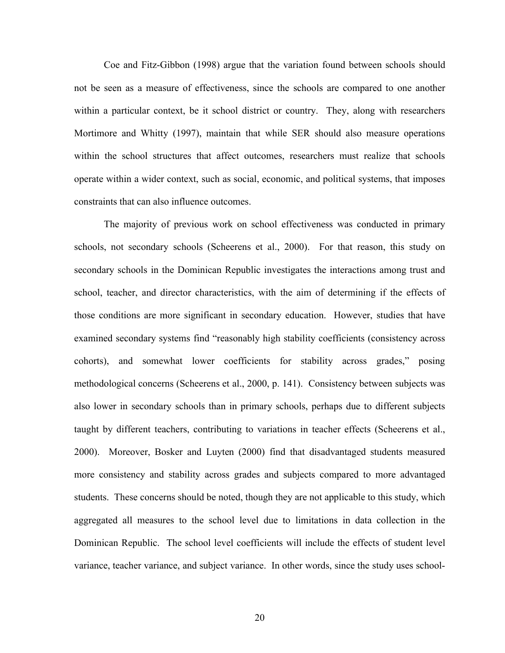Coe and Fitz-Gibbon (1998) argue that the variation found between schools should not be seen as a measure of effectiveness, since the schools are compared to one another within a particular context, be it school district or country. They, along with researchers Mortimore and Whitty (1997), maintain that while SER should also measure operations within the school structures that affect outcomes, researchers must realize that schools operate within a wider context, such as social, economic, and political systems, that imposes constraints that can also influence outcomes.

The majority of previous work on school effectiveness was conducted in primary schools, not secondary schools (Scheerens et al., 2000). For that reason, this study on secondary schools in the Dominican Republic investigates the interactions among trust and school, teacher, and director characteristics, with the aim of determining if the effects of those conditions are more significant in secondary education. However, studies that have examined secondary systems find "reasonably high stability coefficients (consistency across cohorts), and somewhat lower coefficients for stability across grades," posing methodological concerns (Scheerens et al., 2000, p. 141). Consistency between subjects was also lower in secondary schools than in primary schools, perhaps due to different subjects taught by different teachers, contributing to variations in teacher effects (Scheerens et al., 2000). Moreover, Bosker and Luyten (2000) find that disadvantaged students measured more consistency and stability across grades and subjects compared to more advantaged students. These concerns should be noted, though they are not applicable to this study, which aggregated all measures to the school level due to limitations in data collection in the Dominican Republic. The school level coefficients will include the effects of student level variance, teacher variance, and subject variance. In other words, since the study uses school-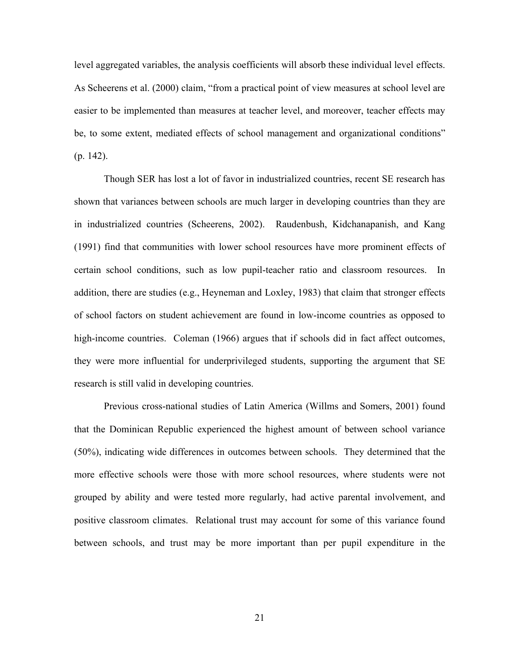level aggregated variables, the analysis coefficients will absorb these individual level effects. As Scheerens et al. (2000) claim, "from a practical point of view measures at school level are easier to be implemented than measures at teacher level, and moreover, teacher effects may be, to some extent, mediated effects of school management and organizational conditions" (p. 142).

Though SER has lost a lot of favor in industrialized countries, recent SE research has shown that variances between schools are much larger in developing countries than they are in industrialized countries (Scheerens, 2002). Raudenbush, Kidchanapanish, and Kang (1991) find that communities with lower school resources have more prominent effects of certain school conditions, such as low pupil-teacher ratio and classroom resources. In addition, there are studies (e.g., Heyneman and Loxley, 1983) that claim that stronger effects of school factors on student achievement are found in low-income countries as opposed to high-income countries. Coleman (1966) argues that if schools did in fact affect outcomes, they were more influential for underprivileged students, supporting the argument that SE research is still valid in developing countries.

Previous cross-national studies of Latin America (Willms and Somers, 2001) found that the Dominican Republic experienced the highest amount of between school variance (50%), indicating wide differences in outcomes between schools. They determined that the more effective schools were those with more school resources, where students were not grouped by ability and were tested more regularly, had active parental involvement, and positive classroom climates. Relational trust may account for some of this variance found between schools, and trust may be more important than per pupil expenditure in the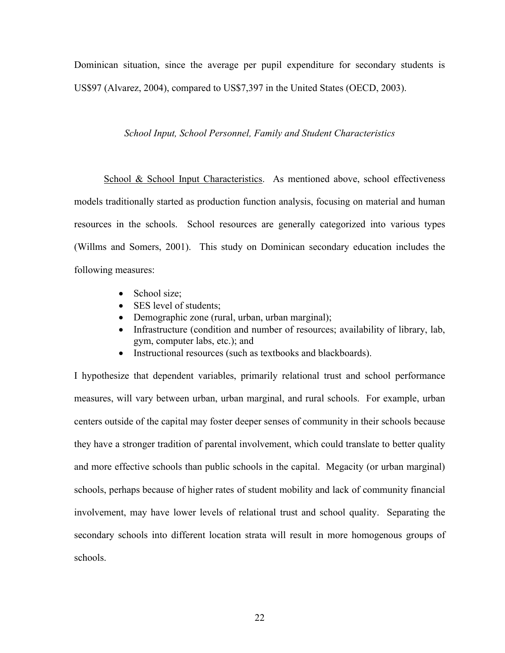Dominican situation, since the average per pupil expenditure for secondary students is US\$97 (Alvarez, 2004), compared to US\$7,397 in the United States (OECD, 2003).

# *School Input, School Personnel, Family and Student Characteristics*

School & School Input Characteristics. As mentioned above, school effectiveness models traditionally started as production function analysis, focusing on material and human resources in the schools. School resources are generally categorized into various types (Willms and Somers, 2001). This study on Dominican secondary education includes the following measures:

- School size;
- SES level of students;
- Demographic zone (rural, urban, urban marginal);
- Infrastructure (condition and number of resources; availability of library, lab, gym, computer labs, etc.); and
- Instructional resources (such as textbooks and blackboards).

I hypothesize that dependent variables, primarily relational trust and school performance measures, will vary between urban, urban marginal, and rural schools. For example, urban centers outside of the capital may foster deeper senses of community in their schools because they have a stronger tradition of parental involvement, which could translate to better quality and more effective schools than public schools in the capital. Megacity (or urban marginal) schools, perhaps because of higher rates of student mobility and lack of community financial involvement, may have lower levels of relational trust and school quality. Separating the secondary schools into different location strata will result in more homogenous groups of schools.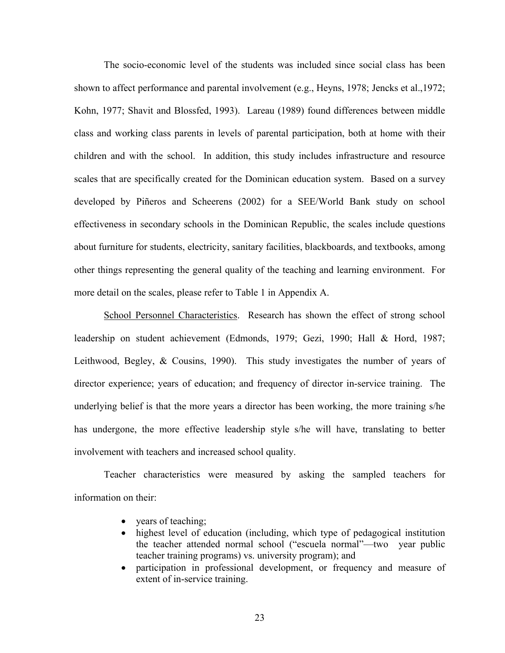The socio-economic level of the students was included since social class has been shown to affect performance and parental involvement (e.g., Heyns, 1978; Jencks et al.,1972; Kohn, 1977; Shavit and Blossfed, 1993). Lareau (1989) found differences between middle class and working class parents in levels of parental participation, both at home with their children and with the school. In addition, this study includes infrastructure and resource scales that are specifically created for the Dominican education system. Based on a survey developed by Piñeros and Scheerens (2002) for a SEE/World Bank study on school effectiveness in secondary schools in the Dominican Republic, the scales include questions about furniture for students, electricity, sanitary facilities, blackboards, and textbooks, among other things representing the general quality of the teaching and learning environment. For more detail on the scales, please refer to Table 1 in Appendix A.

School Personnel Characteristics. Research has shown the effect of strong school leadership on student achievement (Edmonds, 1979; Gezi, 1990; Hall & Hord, 1987; Leithwood, Begley, & Cousins, 1990). This study investigates the number of years of director experience; years of education; and frequency of director in-service training. The underlying belief is that the more years a director has been working, the more training s/he has undergone, the more effective leadership style s/he will have, translating to better involvement with teachers and increased school quality.

Teacher characteristics were measured by asking the sampled teachers for information on their:

- years of teaching;
- highest level of education (including, which type of pedagogical institution the teacher attended normal school ("escuela normal"—two year public teacher training programs) vs. university program); and
- participation in professional development, or frequency and measure of extent of in-service training.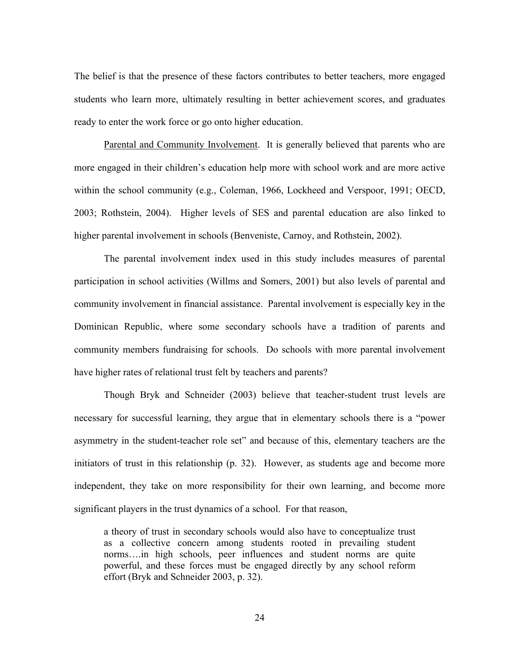The belief is that the presence of these factors contributes to better teachers, more engaged students who learn more, ultimately resulting in better achievement scores, and graduates ready to enter the work force or go onto higher education.

Parental and Community Involvement. It is generally believed that parents who are more engaged in their children's education help more with school work and are more active within the school community (e.g., Coleman, 1966, Lockheed and Verspoor, 1991; OECD, 2003; Rothstein, 2004). Higher levels of SES and parental education are also linked to higher parental involvement in schools (Benveniste, Carnoy, and Rothstein, 2002).

The parental involvement index used in this study includes measures of parental participation in school activities (Willms and Somers, 2001) but also levels of parental and community involvement in financial assistance. Parental involvement is especially key in the Dominican Republic, where some secondary schools have a tradition of parents and community members fundraising for schools. Do schools with more parental involvement have higher rates of relational trust felt by teachers and parents?

Though Bryk and Schneider (2003) believe that teacher-student trust levels are necessary for successful learning, they argue that in elementary schools there is a "power asymmetry in the student-teacher role set" and because of this, elementary teachers are the initiators of trust in this relationship (p. 32). However, as students age and become more independent, they take on more responsibility for their own learning, and become more significant players in the trust dynamics of a school. For that reason,

a theory of trust in secondary schools would also have to conceptualize trust as a collective concern among students rooted in prevailing student norms….in high schools, peer influences and student norms are quite powerful, and these forces must be engaged directly by any school reform effort (Bryk and Schneider 2003, p. 32).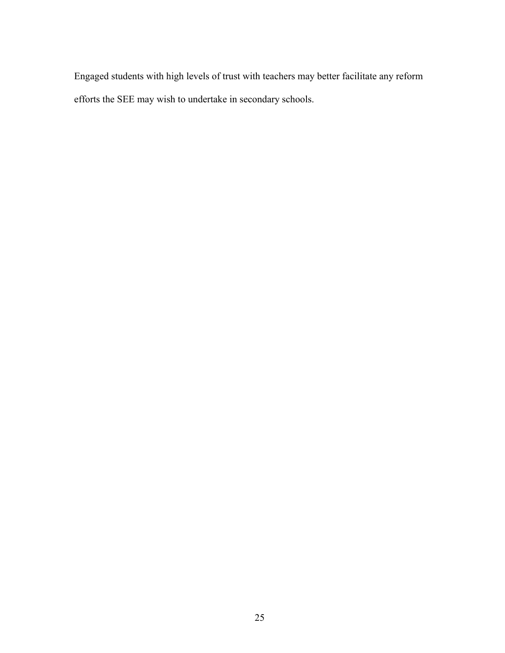Engaged students with high levels of trust with teachers may better facilitate any reform efforts the SEE may wish to undertake in secondary schools.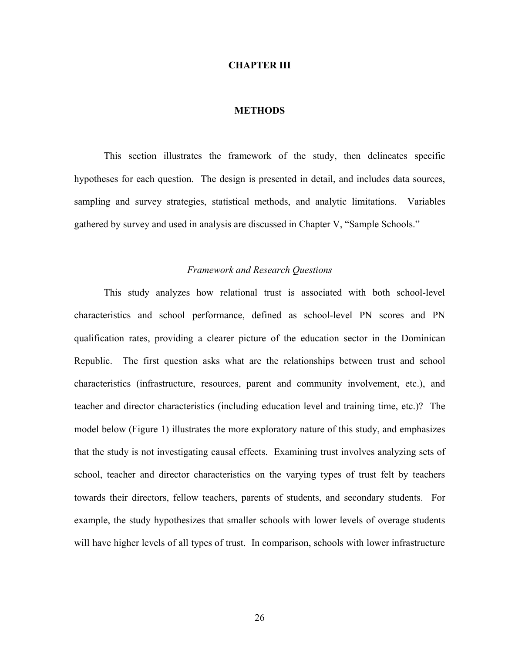### **CHAPTER III**

# **METHODS**

This section illustrates the framework of the study, then delineates specific hypotheses for each question. The design is presented in detail, and includes data sources, sampling and survey strategies, statistical methods, and analytic limitations. Variables gathered by survey and used in analysis are discussed in Chapter V, "Sample Schools."

# *Framework and Research Questions*

This study analyzes how relational trust is associated with both school-level characteristics and school performance, defined as school-level PN scores and PN qualification rates, providing a clearer picture of the education sector in the Dominican Republic. The first question asks what are the relationships between trust and school characteristics (infrastructure, resources, parent and community involvement, etc.), and teacher and director characteristics (including education level and training time, etc.)? The model below (Figure 1) illustrates the more exploratory nature of this study, and emphasizes that the study is not investigating causal effects. Examining trust involves analyzing sets of school, teacher and director characteristics on the varying types of trust felt by teachers towards their directors, fellow teachers, parents of students, and secondary students. For example, the study hypothesizes that smaller schools with lower levels of overage students will have higher levels of all types of trust. In comparison, schools with lower infrastructure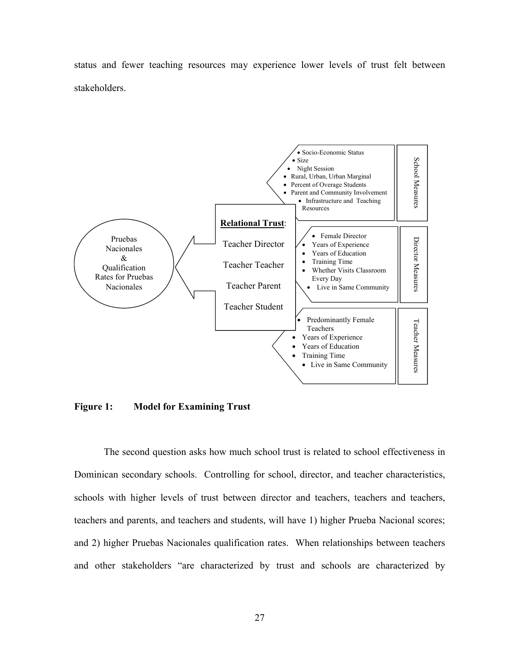status and fewer teaching resources may experience lower levels of trust felt between stakeholders.



**Figure 1: Model for Examining Trust**

The second question asks how much school trust is related to school effectiveness in Dominican secondary schools. Controlling for school, director, and teacher characteristics, schools with higher levels of trust between director and teachers, teachers and teachers, teachers and parents, and teachers and students, will have 1) higher Prueba Nacional scores; and 2) higher Pruebas Nacionales qualification rates. When relationships between teachers and other stakeholders "are characterized by trust and schools are characterized by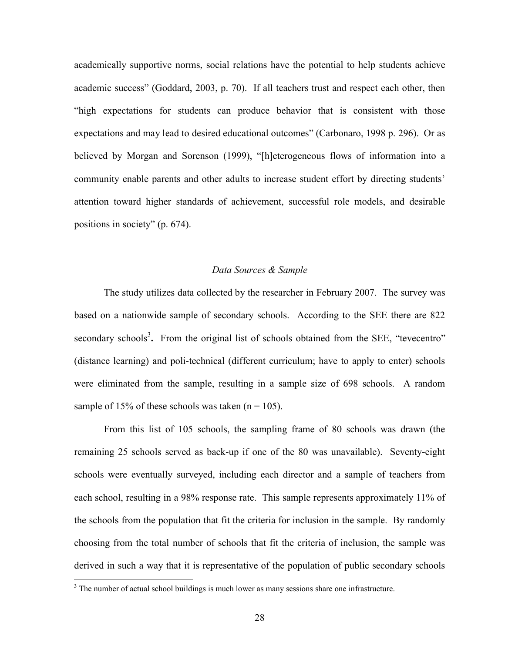academically supportive norms, social relations have the potential to help students achieve academic success" (Goddard, 2003, p. 70). If all teachers trust and respect each other, then "high expectations for students can produce behavior that is consistent with those expectations and may lead to desired educational outcomes" (Carbonaro, 1998 p. 296). Or as believed by Morgan and Sorenson (1999), "[h]eterogeneous flows of information into a community enable parents and other adults to increase student effort by directing students' attention toward higher standards of achievement, successful role models, and desirable positions in society" (p. 674).

### *Data Sources & Sample*

The study utilizes data collected by the researcher in February 2007. The survey was based on a nationwide sample of secondary schools. According to the SEE there are 822 secondary schools<sup>3</sup>. From the original list of schools obtained from the SEE, "tevecentro" (distance learning) and poli-technical (different curriculum; have to apply to enter) schools were eliminated from the sample, resulting in a sample size of 698 schools. A random sample of 15% of these schools was taken  $(n = 105)$ .

From this list of 105 schools, the sampling frame of 80 schools was drawn (the remaining 25 schools served as back-up if one of the 80 was unavailable). Seventy-eight schools were eventually surveyed, including each director and a sample of teachers from each school, resulting in a 98% response rate. This sample represents approximately 11% of the schools from the population that fit the criteria for inclusion in the sample. By randomly choosing from the total number of schools that fit the criteria of inclusion, the sample was derived in such a way that it is representative of the population of public secondary schools

 $\overline{a}$ 

 $3$  The number of actual school buildings is much lower as many sessions share one infrastructure.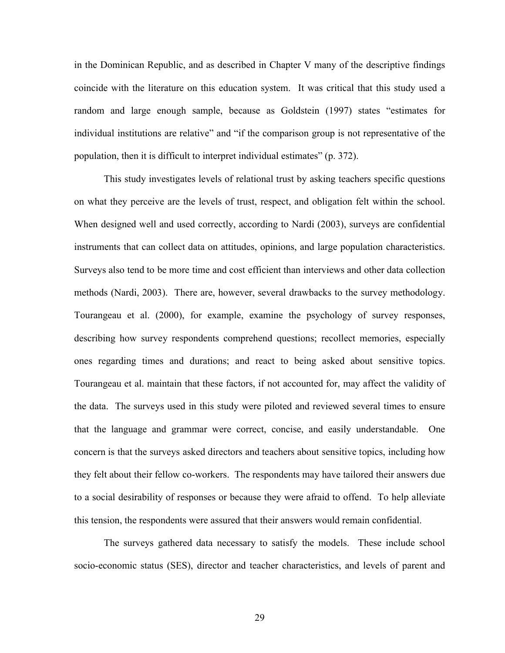in the Dominican Republic, and as described in Chapter V many of the descriptive findings coincide with the literature on this education system. It was critical that this study used a random and large enough sample, because as Goldstein (1997) states "estimates for individual institutions are relative" and "if the comparison group is not representative of the population, then it is difficult to interpret individual estimates" (p. 372).

This study investigates levels of relational trust by asking teachers specific questions on what they perceive are the levels of trust, respect, and obligation felt within the school. When designed well and used correctly, according to Nardi (2003), surveys are confidential instruments that can collect data on attitudes, opinions, and large population characteristics. Surveys also tend to be more time and cost efficient than interviews and other data collection methods (Nardi, 2003). There are, however, several drawbacks to the survey methodology. Tourangeau et al. (2000), for example, examine the psychology of survey responses, describing how survey respondents comprehend questions; recollect memories, especially ones regarding times and durations; and react to being asked about sensitive topics. Tourangeau et al. maintain that these factors, if not accounted for, may affect the validity of the data. The surveys used in this study were piloted and reviewed several times to ensure that the language and grammar were correct, concise, and easily understandable. One concern is that the surveys asked directors and teachers about sensitive topics, including how they felt about their fellow co-workers. The respondents may have tailored their answers due to a social desirability of responses or because they were afraid to offend. To help alleviate this tension, the respondents were assured that their answers would remain confidential.

The surveys gathered data necessary to satisfy the models. These include school socio-economic status (SES), director and teacher characteristics, and levels of parent and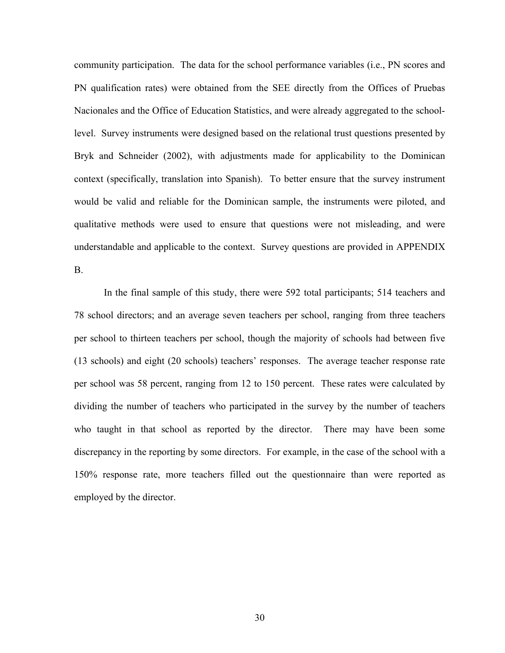community participation. The data for the school performance variables (i.e., PN scores and PN qualification rates) were obtained from the SEE directly from the Offices of Pruebas Nacionales and the Office of Education Statistics, and were already aggregated to the schoollevel. Survey instruments were designed based on the relational trust questions presented by Bryk and Schneider (2002), with adjustments made for applicability to the Dominican context (specifically, translation into Spanish). To better ensure that the survey instrument would be valid and reliable for the Dominican sample, the instruments were piloted, and qualitative methods were used to ensure that questions were not misleading, and were understandable and applicable to the context. Survey questions are provided in APPENDIX B.

In the final sample of this study, there were 592 total participants; 514 teachers and 78 school directors; and an average seven teachers per school, ranging from three teachers per school to thirteen teachers per school, though the majority of schools had between five (13 schools) and eight (20 schools) teachers' responses. The average teacher response rate per school was 58 percent, ranging from 12 to 150 percent. These rates were calculated by dividing the number of teachers who participated in the survey by the number of teachers who taught in that school as reported by the director. There may have been some discrepancy in the reporting by some directors. For example, in the case of the school with a 150% response rate, more teachers filled out the questionnaire than were reported as employed by the director.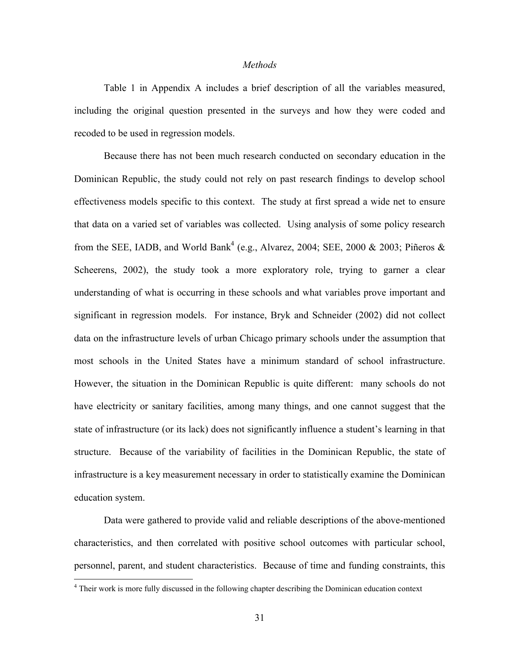## *Methods*

Table 1 in Appendix A includes a brief description of all the variables measured, including the original question presented in the surveys and how they were coded and recoded to be used in regression models.

Because there has not been much research conducted on secondary education in the Dominican Republic, the study could not rely on past research findings to develop school effectiveness models specific to this context. The study at first spread a wide net to ensure that data on a varied set of variables was collected. Using analysis of some policy research from the SEE, IADB, and World Bank<sup>4</sup> (e.g., Alvarez, 2004; SEE, 2000 & 2003; Piñeros & Scheerens, 2002), the study took a more exploratory role, trying to garner a clear understanding of what is occurring in these schools and what variables prove important and significant in regression models. For instance, Bryk and Schneider (2002) did not collect data on the infrastructure levels of urban Chicago primary schools under the assumption that most schools in the United States have a minimum standard of school infrastructure. However, the situation in the Dominican Republic is quite different: many schools do not have electricity or sanitary facilities, among many things, and one cannot suggest that the state of infrastructure (or its lack) does not significantly influence a student's learning in that structure. Because of the variability of facilities in the Dominican Republic, the state of infrastructure is a key measurement necessary in order to statistically examine the Dominican education system.

Data were gathered to provide valid and reliable descriptions of the above-mentioned characteristics, and then correlated with positive school outcomes with particular school, personnel, parent, and student characteristics. Because of time and funding constraints, this

1

<sup>&</sup>lt;sup>4</sup> Their work is more fully discussed in the following chapter describing the Dominican education context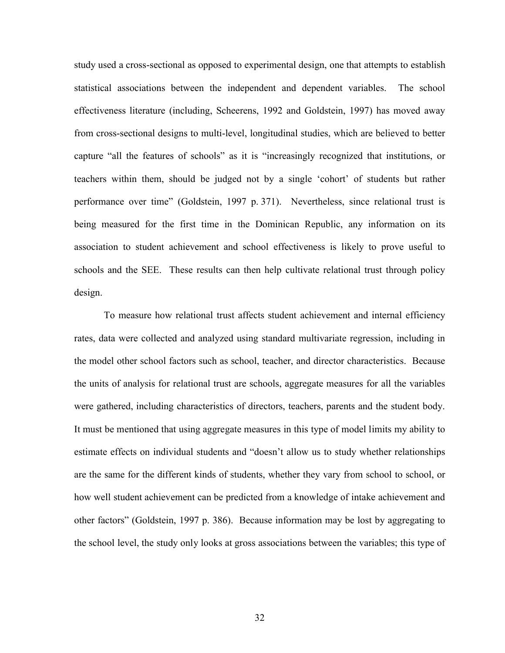study used a cross-sectional as opposed to experimental design, one that attempts to establish statistical associations between the independent and dependent variables. The school effectiveness literature (including, Scheerens, 1992 and Goldstein, 1997) has moved away from cross-sectional designs to multi-level, longitudinal studies, which are believed to better capture "all the features of schools" as it is "increasingly recognized that institutions, or teachers within them, should be judged not by a single 'cohort' of students but rather performance over time" (Goldstein, 1997 p. 371). Nevertheless, since relational trust is being measured for the first time in the Dominican Republic, any information on its association to student achievement and school effectiveness is likely to prove useful to schools and the SEE. These results can then help cultivate relational trust through policy design.

To measure how relational trust affects student achievement and internal efficiency rates, data were collected and analyzed using standard multivariate regression, including in the model other school factors such as school, teacher, and director characteristics. Because the units of analysis for relational trust are schools, aggregate measures for all the variables were gathered, including characteristics of directors, teachers, parents and the student body. It must be mentioned that using aggregate measures in this type of model limits my ability to estimate effects on individual students and "doesn't allow us to study whether relationships are the same for the different kinds of students, whether they vary from school to school, or how well student achievement can be predicted from a knowledge of intake achievement and other factors" (Goldstein, 1997 p. 386). Because information may be lost by aggregating to the school level, the study only looks at gross associations between the variables; this type of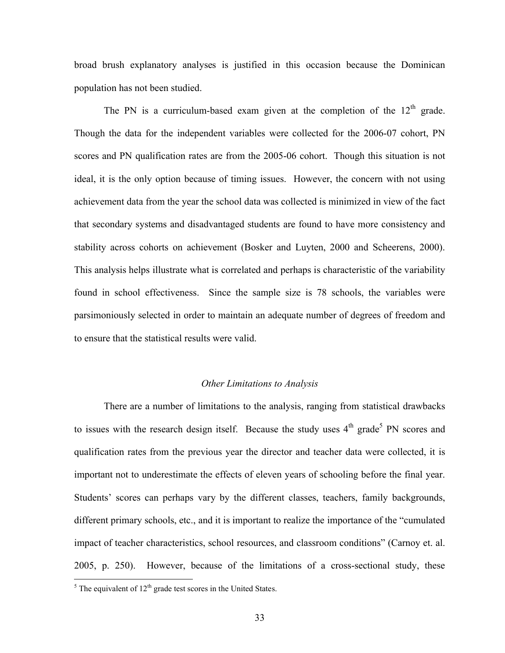broad brush explanatory analyses is justified in this occasion because the Dominican population has not been studied.

The PN is a curriculum-based exam given at the completion of the  $12<sup>th</sup>$  grade. Though the data for the independent variables were collected for the 2006-07 cohort, PN scores and PN qualification rates are from the 2005-06 cohort. Though this situation is not ideal, it is the only option because of timing issues. However, the concern with not using achievement data from the year the school data was collected is minimized in view of the fact that secondary systems and disadvantaged students are found to have more consistency and stability across cohorts on achievement (Bosker and Luyten, 2000 and Scheerens, 2000). This analysis helps illustrate what is correlated and perhaps is characteristic of the variability found in school effectiveness. Since the sample size is 78 schools, the variables were parsimoniously selected in order to maintain an adequate number of degrees of freedom and to ensure that the statistical results were valid.

## *Other Limitations to Analysis*

There are a number of limitations to the analysis, ranging from statistical drawbacks to issues with the research design itself. Because the study uses  $4<sup>th</sup>$  grade<sup>5</sup> PN scores and qualification rates from the previous year the director and teacher data were collected, it is important not to underestimate the effects of eleven years of schooling before the final year. Students' scores can perhaps vary by the different classes, teachers, family backgrounds, different primary schools, etc., and it is important to realize the importance of the "cumulated impact of teacher characteristics, school resources, and classroom conditions" (Carnoy et. al. 2005, p. 250). However, because of the limitations of a cross-sectional study, these

 $\overline{a}$ 

 $<sup>5</sup>$  The equivalent of 12<sup>th</sup> grade test scores in the United States.</sup>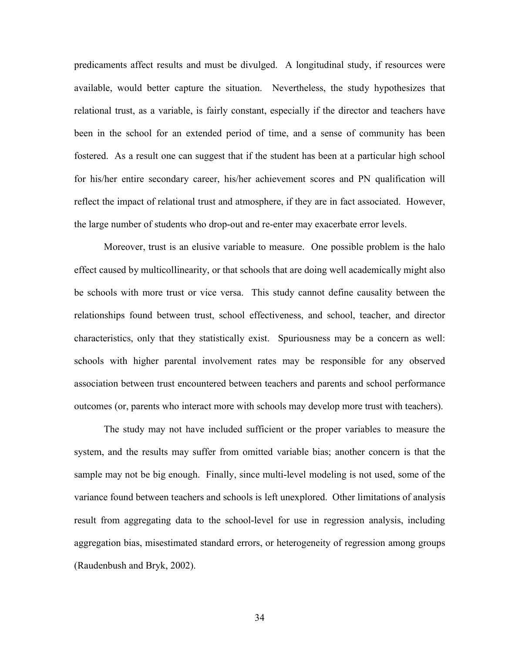predicaments affect results and must be divulged. A longitudinal study, if resources were available, would better capture the situation. Nevertheless, the study hypothesizes that relational trust, as a variable, is fairly constant, especially if the director and teachers have been in the school for an extended period of time, and a sense of community has been fostered. As a result one can suggest that if the student has been at a particular high school for his/her entire secondary career, his/her achievement scores and PN qualification will reflect the impact of relational trust and atmosphere, if they are in fact associated. However, the large number of students who drop-out and re-enter may exacerbate error levels.

Moreover, trust is an elusive variable to measure. One possible problem is the halo effect caused by multicollinearity, or that schools that are doing well academically might also be schools with more trust or vice versa. This study cannot define causality between the relationships found between trust, school effectiveness, and school, teacher, and director characteristics, only that they statistically exist. Spuriousness may be a concern as well: schools with higher parental involvement rates may be responsible for any observed association between trust encountered between teachers and parents and school performance outcomes (or, parents who interact more with schools may develop more trust with teachers).

The study may not have included sufficient or the proper variables to measure the system, and the results may suffer from omitted variable bias; another concern is that the sample may not be big enough. Finally, since multi-level modeling is not used, some of the variance found between teachers and schools is left unexplored. Other limitations of analysis result from aggregating data to the school-level for use in regression analysis, including aggregation bias, misestimated standard errors, or heterogeneity of regression among groups (Raudenbush and Bryk, 2002).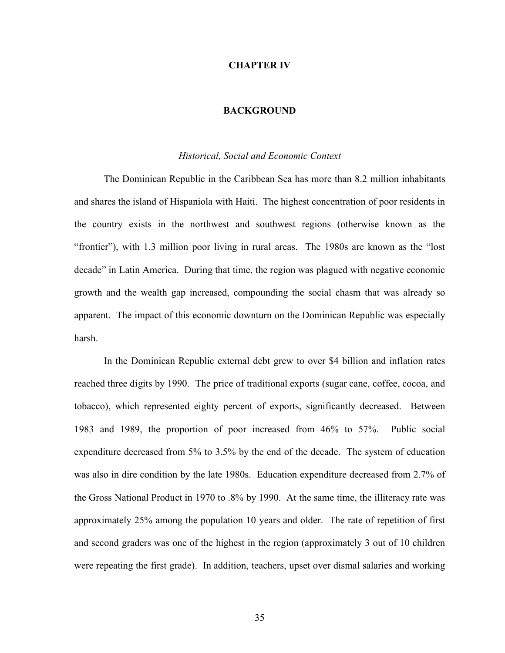## **CHAPTER IV**

# **BACKGROUND**

## *Historical, Social and Economic Context*

The Dominican Republic in the Caribbean Sea has more than 8.2 million inhabitants and shares the island of Hispaniola with Haiti. The highest concentration of poor residents in the country exists in the northwest and southwest regions (otherwise known as the "frontier"), with 1.3 million poor living in rural areas. The 1980s are known as the "lost decade" in Latin America. During that time, the region was plagued with negative economic growth and the wealth gap increased, compounding the social chasm that was already so apparent. The impact of this economic downturn on the Dominican Republic was especially harsh.

In the Dominican Republic external debt grew to over \$4 billion and inflation rates reached three digits by 1990. The price of traditional exports (sugar cane, coffee, cocoa, and tobacco), which represented eighty percent of exports, significantly decreased. Between 1983 and 1989, the proportion of poor increased from 46% to 57%. Public social expenditure decreased from 5% to 3.5% by the end of the decade. The system of education was also in dire condition by the late 1980s. Education expenditure decreased from 2.7% of the Gross National Product in 1970 to .8% by 1990. At the same time, the illiteracy rate was approximately 25% among the population 10 years and older. The rate of repetition of first and second graders was one of the highest in the region (approximately 3 out of 10 children were repeating the first grade). In addition, teachers, upset over dismal salaries and working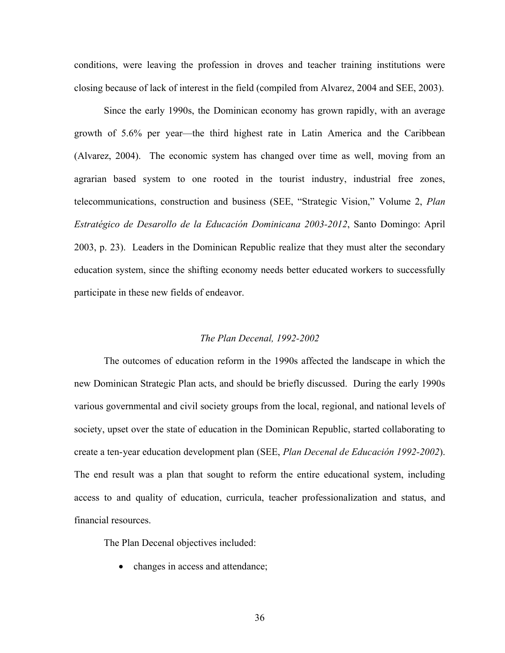conditions, were leaving the profession in droves and teacher training institutions were closing because of lack of interest in the field (compiled from Alvarez, 2004 and SEE, 2003).

Since the early 1990s, the Dominican economy has grown rapidly, with an average growth of 5.6% per year—the third highest rate in Latin America and the Caribbean (Alvarez, 2004). The economic system has changed over time as well, moving from an agrarian based system to one rooted in the tourist industry, industrial free zones, telecommunications, construction and business (SEE, "Strategic Vision," Volume 2, *Plan Estratégico de Desarollo de la Educación Dominicana 2003-2012*, Santo Domingo: April 2003, p. 23). Leaders in the Dominican Republic realize that they must alter the secondary education system, since the shifting economy needs better educated workers to successfully participate in these new fields of endeavor.

## *The Plan Decenal, 1992-2002*

The outcomes of education reform in the 1990s affected the landscape in which the new Dominican Strategic Plan acts, and should be briefly discussed. During the early 1990s various governmental and civil society groups from the local, regional, and national levels of society, upset over the state of education in the Dominican Republic, started collaborating to create a ten-year education development plan (SEE, *Plan Decenal de Educación 1992-2002*). The end result was a plan that sought to reform the entire educational system, including access to and quality of education, curricula, teacher professionalization and status, and financial resources.

The Plan Decenal objectives included:

• changes in access and attendance;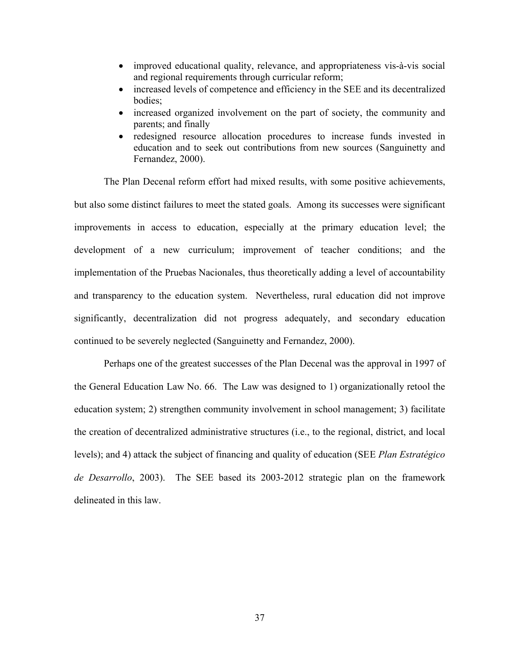- improved educational quality, relevance, and appropriateness vis-à-vis social and regional requirements through curricular reform;
- increased levels of competence and efficiency in the SEE and its decentralized bodies;
- increased organized involvement on the part of society, the community and parents; and finally
- redesigned resource allocation procedures to increase funds invested in education and to seek out contributions from new sources (Sanguinetty and Fernandez, 2000).

The Plan Decenal reform effort had mixed results, with some positive achievements, but also some distinct failures to meet the stated goals. Among its successes were significant improvements in access to education, especially at the primary education level; the development of a new curriculum; improvement of teacher conditions; and the implementation of the Pruebas Nacionales, thus theoretically adding a level of accountability and transparency to the education system. Nevertheless, rural education did not improve significantly, decentralization did not progress adequately, and secondary education continued to be severely neglected (Sanguinetty and Fernandez, 2000).

Perhaps one of the greatest successes of the Plan Decenal was the approval in 1997 of the General Education Law No. 66. The Law was designed to 1) organizationally retool the education system; 2) strengthen community involvement in school management; 3) facilitate the creation of decentralized administrative structures (i.e., to the regional, district, and local levels); and 4) attack the subject of financing and quality of education (SEE *Plan Estratégico de Desarrollo*, 2003). The SEE based its 2003-2012 strategic plan on the framework delineated in this law.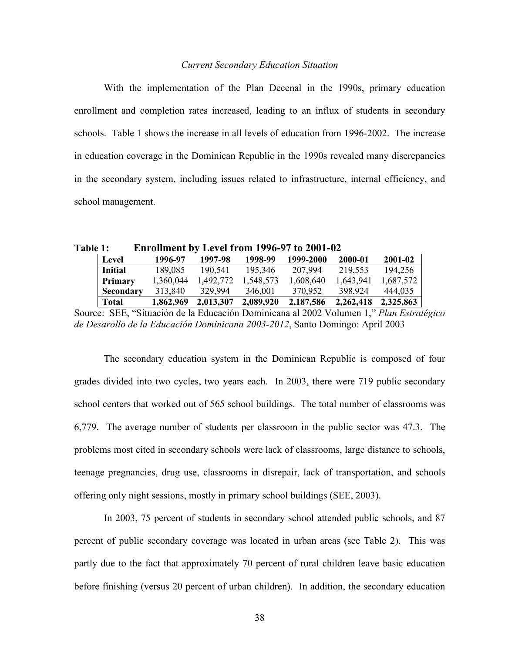## *Current Secondary Education Situation*

With the implementation of the Plan Decenal in the 1990s, primary education enrollment and completion rates increased, leading to an influx of students in secondary schools. Table 1 shows the increase in all levels of education from 1996-2002. The increase in education coverage in the Dominican Republic in the 1990s revealed many discrepancies in the secondary system, including issues related to infrastructure, internal efficiency, and school management.

**Table 1: Enrollment by Level from 1996-97 to 2001-02**

| Level          | 1996-97   | 1997-98   | 1998-99   | 1999-2000 | 2000-01   | 2001-02   |
|----------------|-----------|-----------|-----------|-----------|-----------|-----------|
| <b>Initial</b> | 189,085   | 190.541   | 195.346   | 207.994   | 219,553   | 194.256   |
| Primary        | 1,360,044 | .492.772  | 1.548.573 | 1,608,640 | 1,643,941 | 1.687.572 |
| Secondary      | 313.840   | 329.994   | 346,001   | 370.952   | 398.924   | 444.035   |
| Total          | 1,862,969 | 2,013,307 | 2,089,920 | 2,187,586 | 2.262.418 | 2,325,863 |

Source: SEE, "Situación de la Educación Dominicana al 2002 Volumen 1," *Plan Estratégico de Desarollo de la Educación Dominicana 2003-2012*, Santo Domingo: April 2003

The secondary education system in the Dominican Republic is composed of four grades divided into two cycles, two years each. In 2003, there were 719 public secondary school centers that worked out of 565 school buildings. The total number of classrooms was 6,779. The average number of students per classroom in the public sector was 47.3. The problems most cited in secondary schools were lack of classrooms, large distance to schools, teenage pregnancies, drug use, classrooms in disrepair, lack of transportation, and schools offering only night sessions, mostly in primary school buildings (SEE, 2003).

In 2003, 75 percent of students in secondary school attended public schools, and 87 percent of public secondary coverage was located in urban areas (see Table 2). This was partly due to the fact that approximately 70 percent of rural children leave basic education before finishing (versus 20 percent of urban children). In addition, the secondary education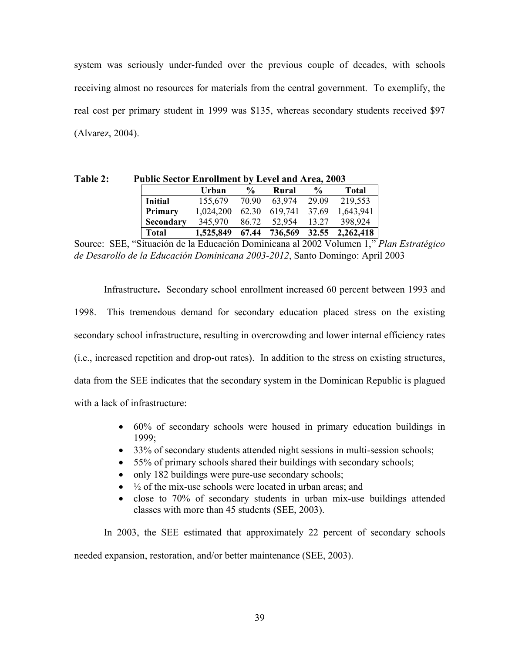system was seriously under-funded over the previous couple of decades, with schools receiving almost no resources for materials from the central government. To exemplify, the real cost per primary student in 1999 was \$135, whereas secondary students received \$97 (Alvarez, 2004).

| <b>Table 2:</b> |                | <b>Public Sector Enrollment by Level and Area, 2003</b> |               |       |               |                               |  |
|-----------------|----------------|---------------------------------------------------------|---------------|-------|---------------|-------------------------------|--|
|                 |                | Urban                                                   | $\frac{6}{9}$ | Rural | $\frac{6}{9}$ | Total                         |  |
|                 | <b>Initial</b> | 155,679 70.90 63,974 29.09                              |               |       |               | 219,553                       |  |
|                 | Primary        | 1,024,200                                               |               |       |               | 62.30 619,741 37.69 1,643,941 |  |
|                 | Secondary      | 345,970                                                 |               |       |               | 86.72 52,954 13.27 398,924    |  |
|                 | Total          | 1,525,849                                               |               |       |               | 67.44 736,569 32.55 2,262,418 |  |

Source: SEE, "Situación de la Educación Dominicana al 2002 Volumen 1," *Plan Estratégico de Desarollo de la Educación Dominicana 2003-2012*, Santo Domingo: April 2003

Infrastructure**.** Secondary school enrollment increased 60 percent between 1993 and 1998. This tremendous demand for secondary education placed stress on the existing secondary school infrastructure, resulting in overcrowding and lower internal efficiency rates (i.e., increased repetition and drop-out rates). In addition to the stress on existing structures, data from the SEE indicates that the secondary system in the Dominican Republic is plagued with a lack of infrastructure:

- 60% of secondary schools were housed in primary education buildings in 1999;
- 33% of secondary students attended night sessions in multi-session schools;
- 55% of primary schools shared their buildings with secondary schools;
- only 182 buildings were pure-use secondary schools;
- $\bullet$   $\frac{1}{2}$  of the mix-use schools were located in urban areas; and
- close to 70% of secondary students in urban mix-use buildings attended classes with more than 45 students (SEE, 2003).

In 2003, the SEE estimated that approximately 22 percent of secondary schools needed expansion, restoration, and/or better maintenance (SEE, 2003).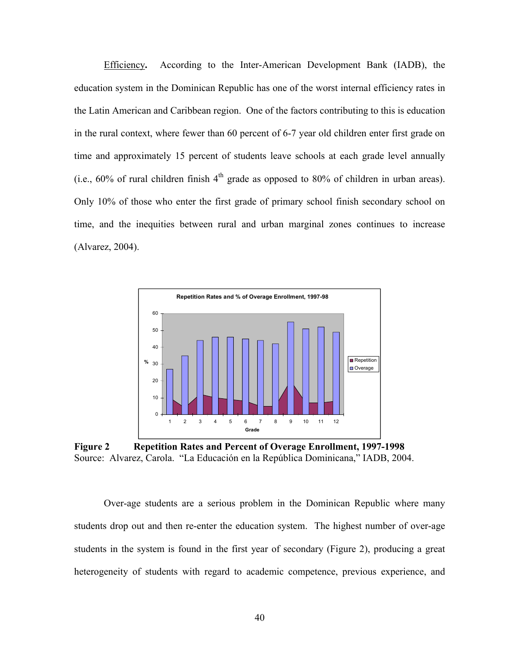Efficiency**.** According to the Inter-American Development Bank (IADB), the education system in the Dominican Republic has one of the worst internal efficiency rates in the Latin American and Caribbean region. One of the factors contributing to this is education in the rural context, where fewer than 60 percent of 6-7 year old children enter first grade on time and approximately 15 percent of students leave schools at each grade level annually (i.e.,  $60\%$  of rural children finish  $4<sup>th</sup>$  grade as opposed to 80% of children in urban areas). Only 10% of those who enter the first grade of primary school finish secondary school on time, and the inequities between rural and urban marginal zones continues to increase (Alvarez, 2004).



**Figure 2 Repetition Rates and Percent of Overage Enrollment, 1997-1998** Source: Alvarez, Carola. "La Educación en la República Dominicana," IADB, 2004.

Over-age students are a serious problem in the Dominican Republic where many students drop out and then re-enter the education system. The highest number of over-age students in the system is found in the first year of secondary (Figure 2), producing a great heterogeneity of students with regard to academic competence, previous experience, and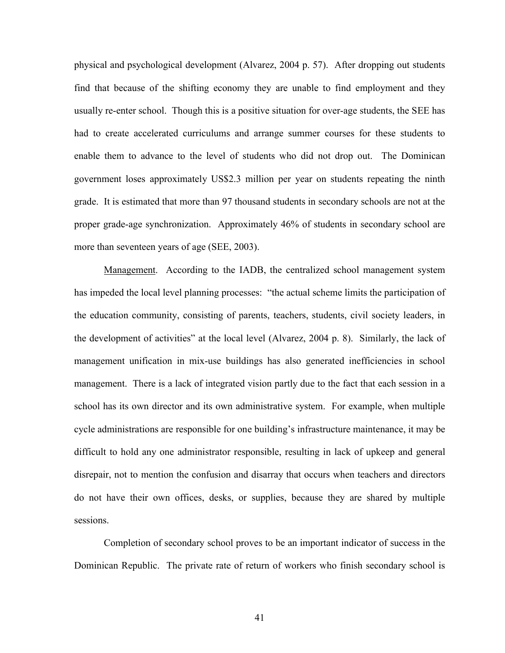physical and psychological development (Alvarez, 2004 p. 57). After dropping out students find that because of the shifting economy they are unable to find employment and they usually re-enter school. Though this is a positive situation for over-age students, the SEE has had to create accelerated curriculums and arrange summer courses for these students to enable them to advance to the level of students who did not drop out. The Dominican government loses approximately US\$2.3 million per year on students repeating the ninth grade. It is estimated that more than 97 thousand students in secondary schools are not at the proper grade-age synchronization. Approximately 46% of students in secondary school are more than seventeen years of age (SEE, 2003).

Management. According to the IADB, the centralized school management system has impeded the local level planning processes: "the actual scheme limits the participation of the education community, consisting of parents, teachers, students, civil society leaders, in the development of activities" at the local level (Alvarez, 2004 p. 8). Similarly, the lack of management unification in mix-use buildings has also generated inefficiencies in school management. There is a lack of integrated vision partly due to the fact that each session in a school has its own director and its own administrative system. For example, when multiple cycle administrations are responsible for one building's infrastructure maintenance, it may be difficult to hold any one administrator responsible, resulting in lack of upkeep and general disrepair, not to mention the confusion and disarray that occurs when teachers and directors do not have their own offices, desks, or supplies, because they are shared by multiple sessions.

Completion of secondary school proves to be an important indicator of success in the Dominican Republic. The private rate of return of workers who finish secondary school is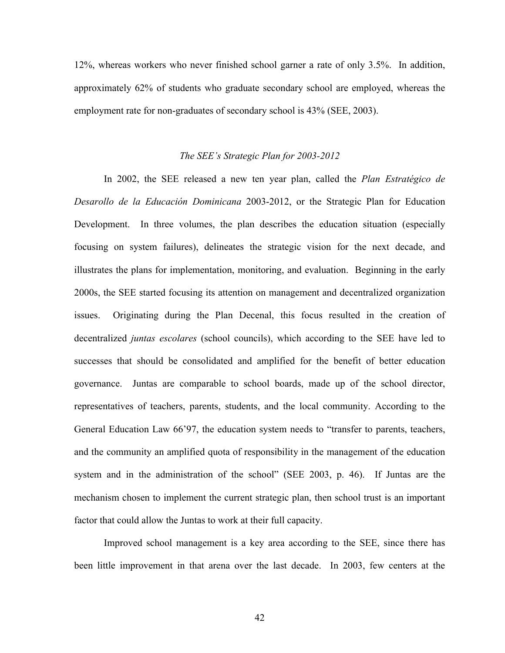12%, whereas workers who never finished school garner a rate of only 3.5%. In addition, approximately 62% of students who graduate secondary school are employed, whereas the employment rate for non-graduates of secondary school is 43% (SEE, 2003).

## *The SEE's Strategic Plan for 2003-2012*

In 2002, the SEE released a new ten year plan, called the *Plan Estratégico de Desarollo de la Educación Dominicana* 2003-2012, or the Strategic Plan for Education Development. In three volumes, the plan describes the education situation (especially focusing on system failures), delineates the strategic vision for the next decade, and illustrates the plans for implementation, monitoring, and evaluation. Beginning in the early 2000s, the SEE started focusing its attention on management and decentralized organization issues. Originating during the Plan Decenal, this focus resulted in the creation of decentralized *juntas escolares* (school councils), which according to the SEE have led to successes that should be consolidated and amplified for the benefit of better education governance. Juntas are comparable to school boards, made up of the school director, representatives of teachers, parents, students, and the local community. According to the General Education Law 66'97, the education system needs to "transfer to parents, teachers, and the community an amplified quota of responsibility in the management of the education system and in the administration of the school" (SEE 2003, p. 46). If Juntas are the mechanism chosen to implement the current strategic plan, then school trust is an important factor that could allow the Juntas to work at their full capacity.

Improved school management is a key area according to the SEE, since there has been little improvement in that arena over the last decade. In 2003, few centers at the

42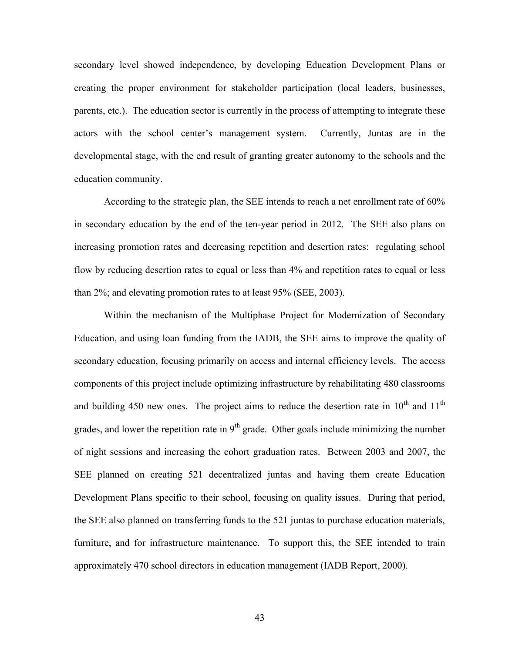secondary level showed independence, by developing Education Development Plans or creating the proper environment for stakeholder participation (local leaders, businesses, parents, etc.). The education sector is currently in the process of attempting to integrate these actors with the school center's management system. Currently, Juntas are in the developmental stage, with the end result of granting greater autonomy to the schools and the education community.

According to the strategic plan, the SEE intends to reach a net enrollment rate of 60% in secondary education by the end of the ten-year period in 2012. The SEE also plans on increasing promotion rates and decreasing repetition and desertion rates: regulating school flow by reducing desertion rates to equal or less than 4% and repetition rates to equal or less than 2%; and elevating promotion rates to at least 95% (SEE, 2003).

Within the mechanism of the Multiphase Project for Modernization of Secondary Education, and using loan funding from the IADB, the SEE aims to improve the quality of secondary education, focusing primarily on access and internal efficiency levels. The access components of this project include optimizing infrastructure by rehabilitating 480 classrooms and building 450 new ones. The project aims to reduce the desertion rate in  $10^{th}$  and  $11^{th}$ grades, and lower the repetition rate in  $9<sup>th</sup>$  grade. Other goals include minimizing the number of night sessions and increasing the cohort graduation rates. Between 2003 and 2007, the SEE planned on creating 521 decentralized juntas and having them create Education Development Plans specific to their school, focusing on quality issues. During that period, the SEE also planned on transferring funds to the 521 juntas to purchase education materials, furniture, and for infrastructure maintenance. To support this, the SEE intended to train approximately 470 school directors in education management (IADB Report, 2000).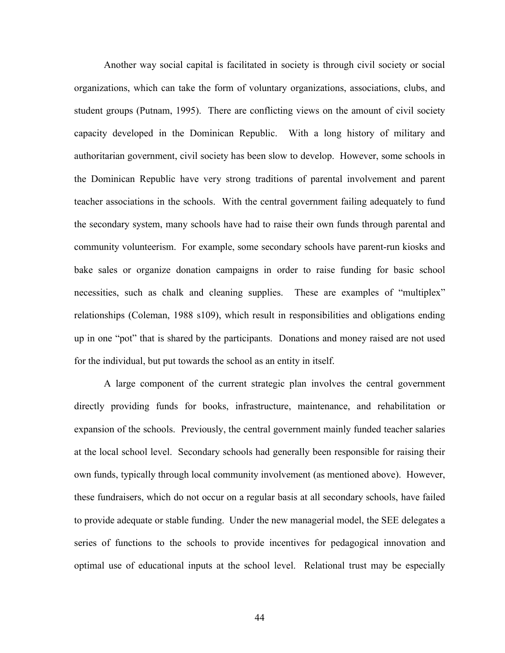Another way social capital is facilitated in society is through civil society or social organizations, which can take the form of voluntary organizations, associations, clubs, and student groups (Putnam, 1995). There are conflicting views on the amount of civil society capacity developed in the Dominican Republic. With a long history of military and authoritarian government, civil society has been slow to develop. However, some schools in the Dominican Republic have very strong traditions of parental involvement and parent teacher associations in the schools. With the central government failing adequately to fund the secondary system, many schools have had to raise their own funds through parental and community volunteerism. For example, some secondary schools have parent-run kiosks and bake sales or organize donation campaigns in order to raise funding for basic school necessities, such as chalk and cleaning supplies. These are examples of "multiplex" relationships (Coleman, 1988 s109), which result in responsibilities and obligations ending up in one "pot" that is shared by the participants. Donations and money raised are not used for the individual, but put towards the school as an entity in itself.

A large component of the current strategic plan involves the central government directly providing funds for books, infrastructure, maintenance, and rehabilitation or expansion of the schools. Previously, the central government mainly funded teacher salaries at the local school level. Secondary schools had generally been responsible for raising their own funds, typically through local community involvement (as mentioned above). However, these fundraisers, which do not occur on a regular basis at all secondary schools, have failed to provide adequate or stable funding. Under the new managerial model, the SEE delegates a series of functions to the schools to provide incentives for pedagogical innovation and optimal use of educational inputs at the school level. Relational trust may be especially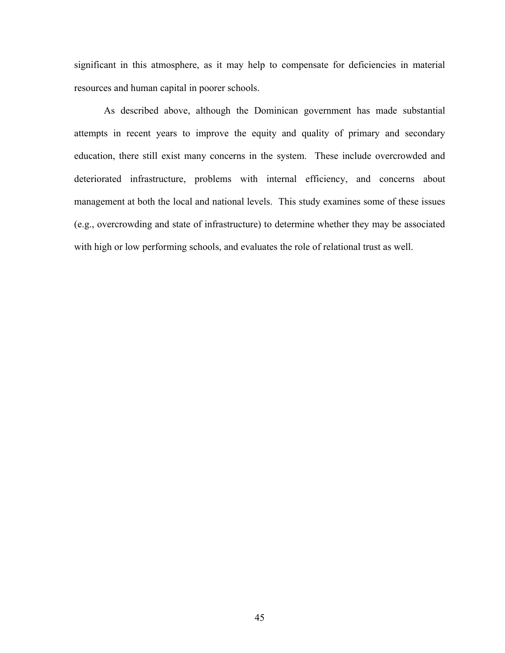significant in this atmosphere, as it may help to compensate for deficiencies in material resources and human capital in poorer schools.

As described above, although the Dominican government has made substantial attempts in recent years to improve the equity and quality of primary and secondary education, there still exist many concerns in the system. These include overcrowded and deteriorated infrastructure, problems with internal efficiency, and concerns about management at both the local and national levels. This study examines some of these issues (e.g., overcrowding and state of infrastructure) to determine whether they may be associated with high or low performing schools, and evaluates the role of relational trust as well.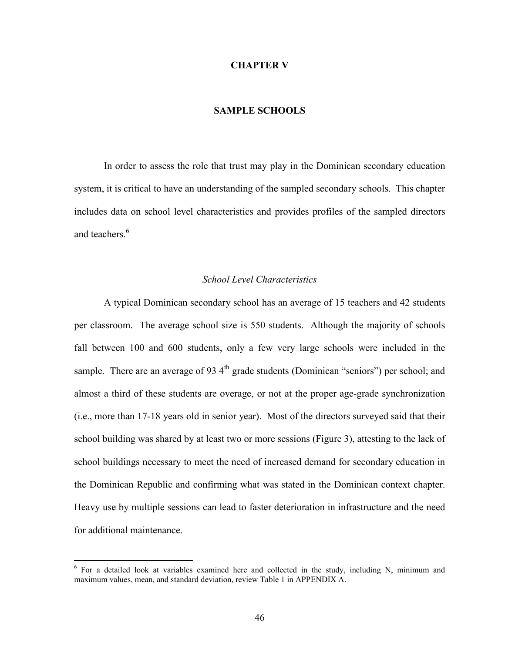## **CHAPTER V**

# **SAMPLE SCHOOLS**

In order to assess the role that trust may play in the Dominican secondary education system, it is critical to have an understanding of the sampled secondary schools. This chapter includes data on school level characteristics and provides profiles of the sampled directors and teachers.<sup>6</sup>

## *School Level Characteristics*

A typical Dominican secondary school has an average of 15 teachers and 42 students per classroom. The average school size is 550 students. Although the majority of schools fall between 100 and 600 students, only a few very large schools were included in the sample. There are an average of 93 $4<sup>th</sup>$  grade students (Dominican "seniors") per school; and almost a third of these students are overage, or not at the proper age-grade synchronization (i.e., more than 17-18 years old in senior year). Most of the directors surveyed said that their school building was shared by at least two or more sessions (Figure 3), attesting to the lack of school buildings necessary to meet the need of increased demand for secondary education in the Dominican Republic and confirming what was stated in the Dominican context chapter. Heavy use by multiple sessions can lead to faster deterioration in infrastructure and the need for additional maintenance.

1

 $6$  For a detailed look at variables examined here and collected in the study, including N, minimum and maximum values, mean, and standard deviation, review Table 1 in APPENDIX A.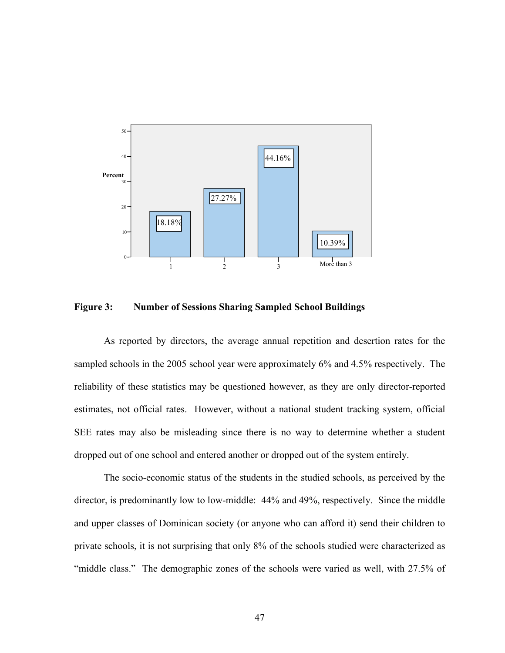

**Figure 3: Number of Sessions Sharing Sampled School Buildings** 

As reported by directors, the average annual repetition and desertion rates for the sampled schools in the 2005 school year were approximately 6% and 4.5% respectively. The reliability of these statistics may be questioned however, as they are only director-reported estimates, not official rates. However, without a national student tracking system, official SEE rates may also be misleading since there is no way to determine whether a student dropped out of one school and entered another or dropped out of the system entirely.

The socio-economic status of the students in the studied schools, as perceived by the director, is predominantly low to low-middle: 44% and 49%, respectively. Since the middle and upper classes of Dominican society (or anyone who can afford it) send their children to private schools, it is not surprising that only 8% of the schools studied were characterized as "middle class." The demographic zones of the schools were varied as well, with 27.5% of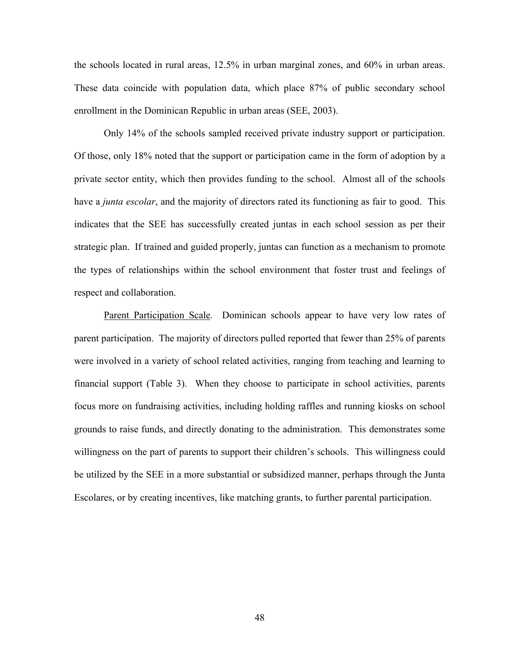the schools located in rural areas, 12.5% in urban marginal zones, and 60% in urban areas. These data coincide with population data, which place 87% of public secondary school enrollment in the Dominican Republic in urban areas (SEE, 2003).

Only 14% of the schools sampled received private industry support or participation. Of those, only 18% noted that the support or participation came in the form of adoption by a private sector entity, which then provides funding to the school. Almost all of the schools have a *junta escolar*, and the majority of directors rated its functioning as fair to good. This indicates that the SEE has successfully created juntas in each school session as per their strategic plan. If trained and guided properly, juntas can function as a mechanism to promote the types of relationships within the school environment that foster trust and feelings of respect and collaboration.

Parent Participation Scale*.* Dominican schools appear to have very low rates of parent participation. The majority of directors pulled reported that fewer than 25% of parents were involved in a variety of school related activities, ranging from teaching and learning to financial support (Table 3). When they choose to participate in school activities, parents focus more on fundraising activities, including holding raffles and running kiosks on school grounds to raise funds, and directly donating to the administration. This demonstrates some willingness on the part of parents to support their children's schools. This willingness could be utilized by the SEE in a more substantial or subsidized manner, perhaps through the Junta Escolares, or by creating incentives, like matching grants, to further parental participation.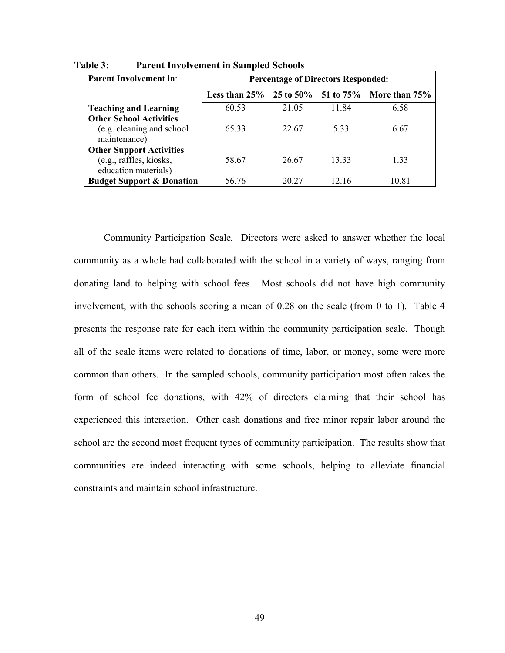| <b>Parent Involvement in:</b>        | <b>Percentage of Directors Responded:</b> |       |       |                                                             |
|--------------------------------------|-------------------------------------------|-------|-------|-------------------------------------------------------------|
|                                      |                                           |       |       | Less than $25\%$ 25 to $50\%$ 51 to $75\%$ More than $75\%$ |
| <b>Teaching and Learning</b>         | 60.53                                     | 21.05 | 11.84 | 6.58                                                        |
| <b>Other School Activities</b>       |                                           |       |       |                                                             |
| (e.g. cleaning and school            | 65.33                                     | 22.67 | 5.33  | 6.67                                                        |
| maintenance)                         |                                           |       |       |                                                             |
| <b>Other Support Activities</b>      |                                           |       |       |                                                             |
| (e.g., raffles, kiosks,              | 58.67                                     | 26.67 | 13.33 | 1.33                                                        |
| education materials)                 |                                           |       |       |                                                             |
| <b>Budget Support &amp; Donation</b> | 56.76                                     | 20 27 | 12.16 | 10.81                                                       |

**Table 3: Parent Involvement in Sampled Schools**

Community Participation Scale*.* Directors were asked to answer whether the local community as a whole had collaborated with the school in a variety of ways, ranging from donating land to helping with school fees. Most schools did not have high community involvement, with the schools scoring a mean of 0.28 on the scale (from 0 to 1). Table 4 presents the response rate for each item within the community participation scale. Though all of the scale items were related to donations of time, labor, or money, some were more common than others. In the sampled schools, community participation most often takes the form of school fee donations, with 42% of directors claiming that their school has experienced this interaction. Other cash donations and free minor repair labor around the school are the second most frequent types of community participation. The results show that communities are indeed interacting with some schools, helping to alleviate financial constraints and maintain school infrastructure.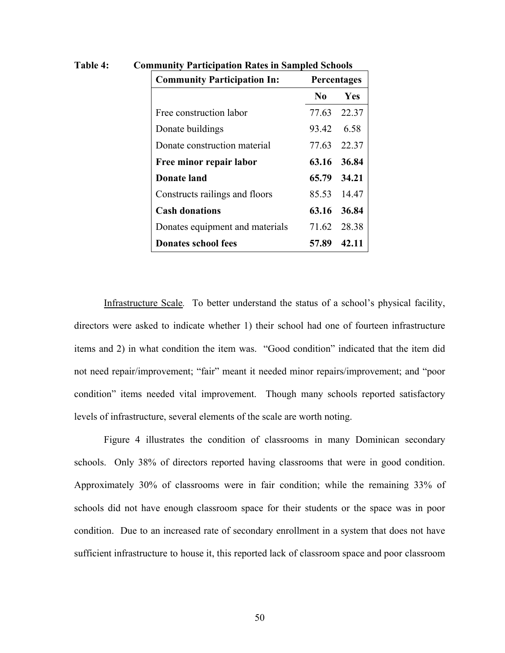| <b>Community Participation In:</b><br>Percentages |             |             |
|---------------------------------------------------|-------------|-------------|
|                                                   | No.         | <b>Yes</b>  |
| Free construction labor                           |             | 77.63 22.37 |
| Donate buildings                                  | 93.42 6.58  |             |
| Donate construction material                      | 77.63 22.37 |             |
| Free minor repair labor                           |             | 63.16 36.84 |
| Donate land                                       | 65.79 34.21 |             |
| Constructs railings and floors                    |             | 85.53 14.47 |
| <b>Cash donations</b>                             |             | 63.16 36.84 |
| Donates equipment and materials                   | 71.62 28.38 |             |
| <b>Donates school fees</b>                        | 57.89       | 42.11       |

**Table 4: Community Participation Rates in Sampled Schools**

Infrastructure Scale*.* To better understand the status of a school's physical facility, directors were asked to indicate whether 1) their school had one of fourteen infrastructure items and 2) in what condition the item was. "Good condition" indicated that the item did not need repair/improvement; "fair" meant it needed minor repairs/improvement; and "poor condition" items needed vital improvement. Though many schools reported satisfactory levels of infrastructure, several elements of the scale are worth noting.

Figure 4 illustrates the condition of classrooms in many Dominican secondary schools. Only 38% of directors reported having classrooms that were in good condition. Approximately 30% of classrooms were in fair condition; while the remaining 33% of schools did not have enough classroom space for their students or the space was in poor condition. Due to an increased rate of secondary enrollment in a system that does not have sufficient infrastructure to house it, this reported lack of classroom space and poor classroom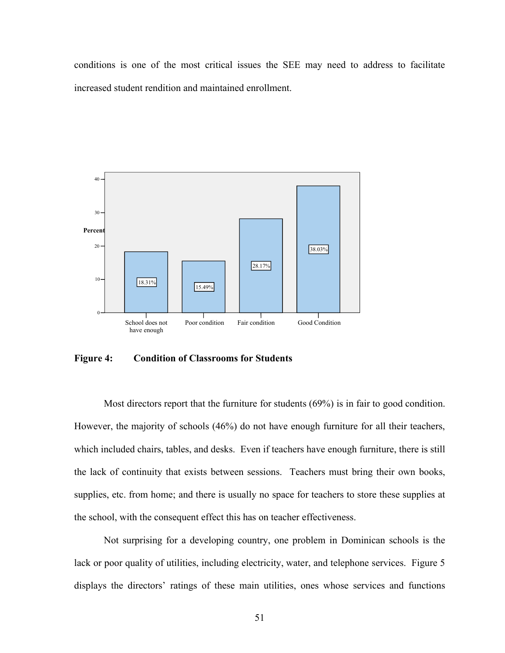conditions is one of the most critical issues the SEE may need to address to facilitate increased student rendition and maintained enrollment.



**Figure 4: Condition of Classrooms for Students**

Most directors report that the furniture for students (69%) is in fair to good condition. However, the majority of schools (46%) do not have enough furniture for all their teachers, which included chairs, tables, and desks. Even if teachers have enough furniture, there is still the lack of continuity that exists between sessions. Teachers must bring their own books, supplies, etc. from home; and there is usually no space for teachers to store these supplies at the school, with the consequent effect this has on teacher effectiveness.

Not surprising for a developing country, one problem in Dominican schools is the lack or poor quality of utilities, including electricity, water, and telephone services. Figure 5 displays the directors' ratings of these main utilities, ones whose services and functions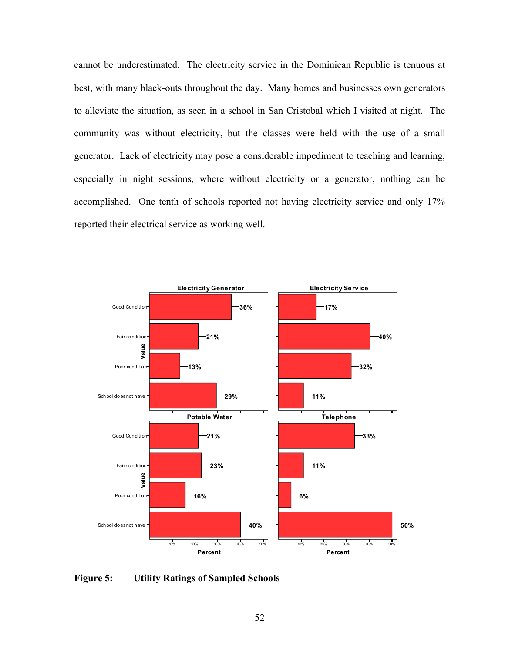cannot be underestimated. The electricity service in the Dominican Republic is tenuous at best, with many black-outs throughout the day. Many homes and businesses own generators to alleviate the situation, as seen in a school in San Cristobal which I visited at night. The community was without electricity, but the classes were held with the use of a small generator. Lack of electricity may pose a considerable impediment to teaching and learning, especially in night sessions, where without electricity or a generator, nothing can be accomplished. One tenth of schools reported not having electricity service and only 17% reported their electrical service as working well.



**Figure 5: Utility Ratings of Sampled Schools**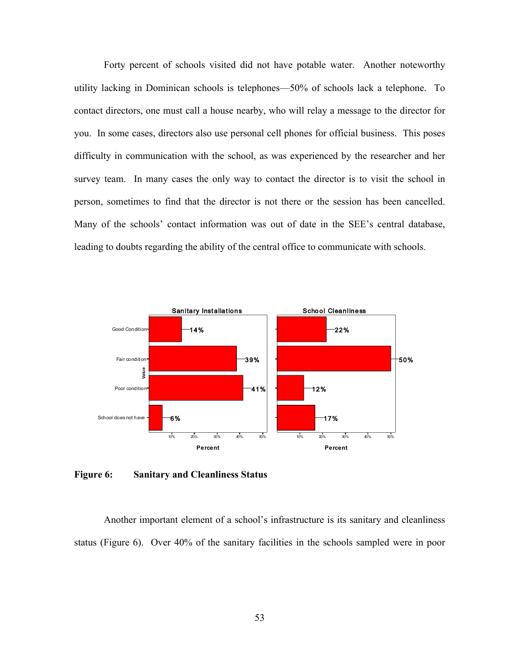Forty percent of schools visited did not have potable water. Another noteworthy utility lacking in Dominican schools is telephones—50% of schools lack a telephone. To contact directors, one must call a house nearby, who will relay a message to the director for you. In some cases, directors also use personal cell phones for official business. This poses difficulty in communication with the school, as was experienced by the researcher and her survey team. In many cases the only way to contact the director is to visit the school in person, sometimes to find that the director is not there or the session has been cancelled. Many of the schools' contact information was out of date in the SEE's central database, leading to doubts regarding the ability of the central office to communicate with schools.



**Figure 6: Sanitary and Cleanliness Status**

Another important element of a school's infrastructure is its sanitary and cleanliness status (Figure 6). Over 40% of the sanitary facilities in the schools sampled were in poor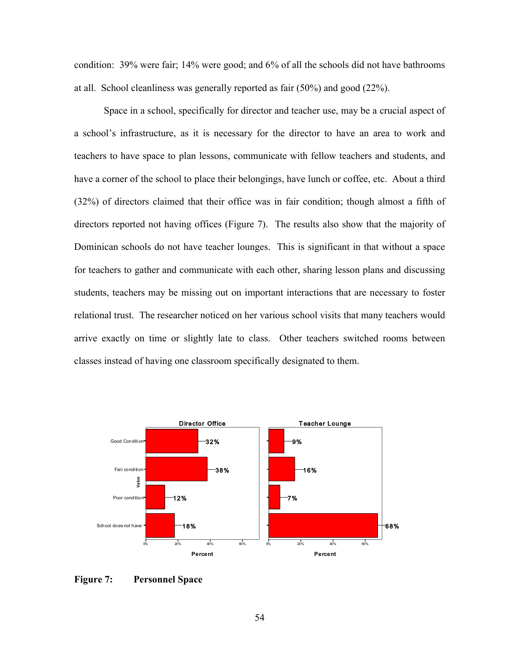condition: 39% were fair; 14% were good; and 6% of all the schools did not have bathrooms at all. School cleanliness was generally reported as fair (50%) and good (22%).

Space in a school, specifically for director and teacher use, may be a crucial aspect of a school's infrastructure, as it is necessary for the director to have an area to work and teachers to have space to plan lessons, communicate with fellow teachers and students, and have a corner of the school to place their belongings, have lunch or coffee, etc. About a third (32%) of directors claimed that their office was in fair condition; though almost a fifth of directors reported not having offices (Figure 7). The results also show that the majority of Dominican schools do not have teacher lounges. This is significant in that without a space for teachers to gather and communicate with each other, sharing lesson plans and discussing students, teachers may be missing out on important interactions that are necessary to foster relational trust. The researcher noticed on her various school visits that many teachers would arrive exactly on time or slightly late to class. Other teachers switched rooms between classes instead of having one classroom specifically designated to them.



**Figure 7: Personnel Space**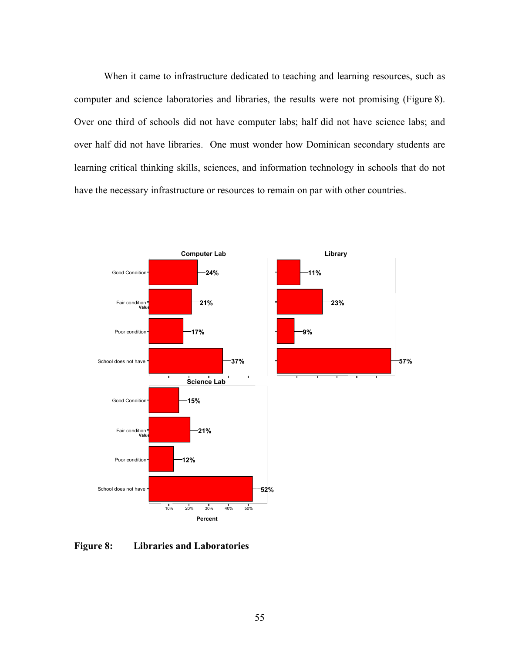When it came to infrastructure dedicated to teaching and learning resources, such as computer and science laboratories and libraries, the results were not promising (Figure 8). Over one third of schools did not have computer labs; half did not have science labs; and over half did not have libraries. One must wonder how Dominican secondary students are learning critical thinking skills, sciences, and information technology in schools that do not have the necessary infrastructure or resources to remain on par with other countries.



**Figure 8: Libraries and Laboratories**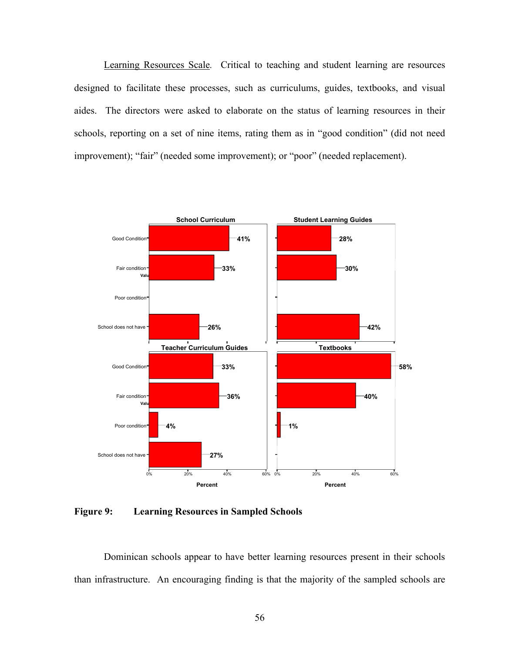Learning Resources Scale*.* Critical to teaching and student learning are resources designed to facilitate these processes, such as curriculums, guides, textbooks, and visual aides. The directors were asked to elaborate on the status of learning resources in their schools, reporting on a set of nine items, rating them as in "good condition" (did not need improvement); "fair" (needed some improvement); or "poor" (needed replacement).



**Figure 9: Learning Resources in Sampled Schools**

Dominican schools appear to have better learning resources present in their schools than infrastructure. An encouraging finding is that the majority of the sampled schools are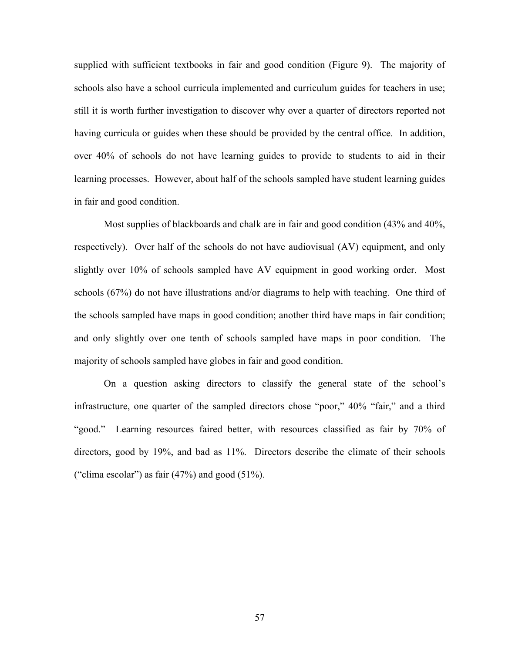supplied with sufficient textbooks in fair and good condition (Figure 9). The majority of schools also have a school curricula implemented and curriculum guides for teachers in use; still it is worth further investigation to discover why over a quarter of directors reported not having curricula or guides when these should be provided by the central office. In addition, over 40% of schools do not have learning guides to provide to students to aid in their learning processes. However, about half of the schools sampled have student learning guides in fair and good condition.

Most supplies of blackboards and chalk are in fair and good condition (43% and 40%, respectively). Over half of the schools do not have audiovisual (AV) equipment, and only slightly over 10% of schools sampled have AV equipment in good working order. Most schools (67%) do not have illustrations and/or diagrams to help with teaching. One third of the schools sampled have maps in good condition; another third have maps in fair condition; and only slightly over one tenth of schools sampled have maps in poor condition. The majority of schools sampled have globes in fair and good condition.

On a question asking directors to classify the general state of the school's infrastructure, one quarter of the sampled directors chose "poor," 40% "fair," and a third "good." Learning resources faired better, with resources classified as fair by 70% of directors, good by 19%, and bad as 11%. Directors describe the climate of their schools ("clima escolar") as fair  $(47%)$  and good  $(51%)$ .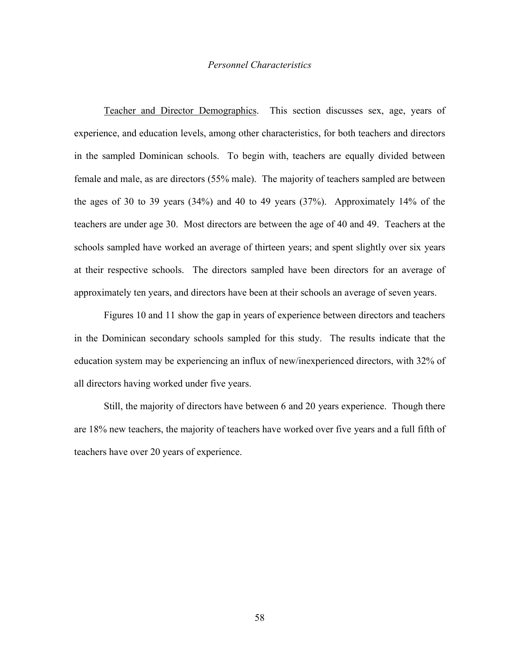# *Personnel Characteristics*

Teacher and Director Demographics.This section discusses sex, age, years of experience, and education levels, among other characteristics, for both teachers and directors in the sampled Dominican schools. To begin with, teachers are equally divided between female and male, as are directors (55% male). The majority of teachers sampled are between the ages of 30 to 39 years (34%) and 40 to 49 years (37%). Approximately 14% of the teachers are under age 30. Most directors are between the age of 40 and 49. Teachers at the schools sampled have worked an average of thirteen years; and spent slightly over six years at their respective schools. The directors sampled have been directors for an average of approximately ten years, and directors have been at their schools an average of seven years.

Figures 10 and 11 show the gap in years of experience between directors and teachers in the Dominican secondary schools sampled for this study. The results indicate that the education system may be experiencing an influx of new/inexperienced directors, with 32% of all directors having worked under five years.

Still, the majority of directors have between 6 and 20 years experience. Though there are 18% new teachers, the majority of teachers have worked over five years and a full fifth of teachers have over 20 years of experience.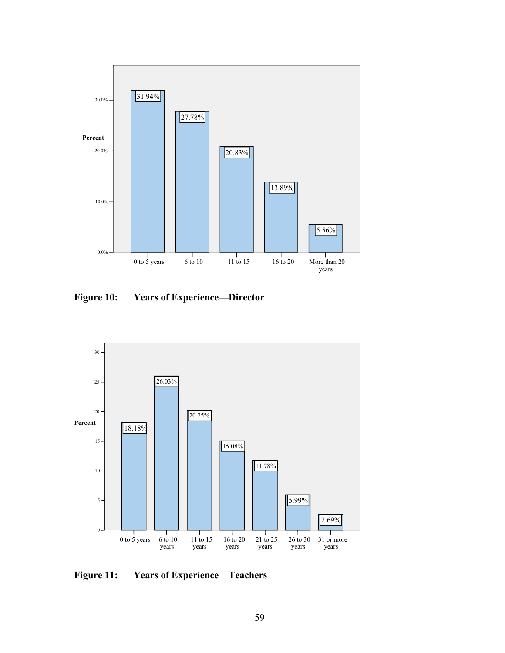

**Figure 10: Years of Experience—Director**



**Figure 11: Years of Experience—Teachers**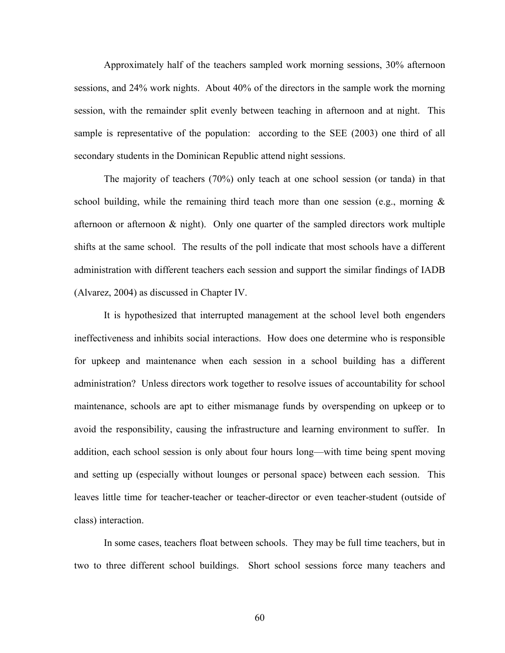Approximately half of the teachers sampled work morning sessions, 30% afternoon sessions, and 24% work nights. About 40% of the directors in the sample work the morning session, with the remainder split evenly between teaching in afternoon and at night. This sample is representative of the population: according to the SEE (2003) one third of all secondary students in the Dominican Republic attend night sessions.

The majority of teachers (70%) only teach at one school session (or tanda) in that school building, while the remaining third teach more than one session (e.g., morning  $\&$ afternoon or afternoon & night). Only one quarter of the sampled directors work multiple shifts at the same school. The results of the poll indicate that most schools have a different administration with different teachers each session and support the similar findings of IADB (Alvarez, 2004) as discussed in Chapter IV.

It is hypothesized that interrupted management at the school level both engenders ineffectiveness and inhibits social interactions. How does one determine who is responsible for upkeep and maintenance when each session in a school building has a different administration? Unless directors work together to resolve issues of accountability for school maintenance, schools are apt to either mismanage funds by overspending on upkeep or to avoid the responsibility, causing the infrastructure and learning environment to suffer. In addition, each school session is only about four hours long—with time being spent moving and setting up (especially without lounges or personal space) between each session. This leaves little time for teacher-teacher or teacher-director or even teacher-student (outside of class) interaction.

In some cases, teachers float between schools. They may be full time teachers, but in two to three different school buildings. Short school sessions force many teachers and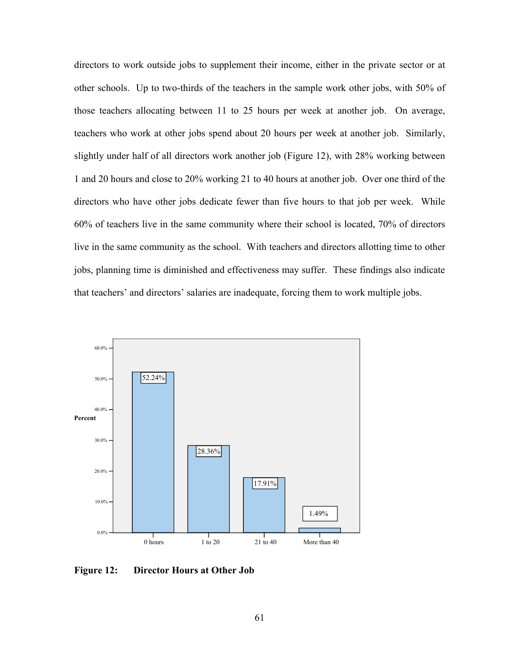directors to work outside jobs to supplement their income, either in the private sector or at other schools. Up to two-thirds of the teachers in the sample work other jobs, with 50% of those teachers allocating between 11 to 25 hours per week at another job. On average, teachers who work at other jobs spend about 20 hours per week at another job. Similarly, slightly under half of all directors work another job (Figure 12), with 28% working between 1 and 20 hours and close to 20% working 21 to 40 hours at another job. Over one third of the directors who have other jobs dedicate fewer than five hours to that job per week. While 60% of teachers live in the same community where their school is located, 70% of directors live in the same community as the school. With teachers and directors allotting time to other jobs, planning time is diminished and effectiveness may suffer. These findings also indicate that teachers' and directors' salaries are inadequate, forcing them to work multiple jobs.



**Figure 12: Director Hours at Other Job**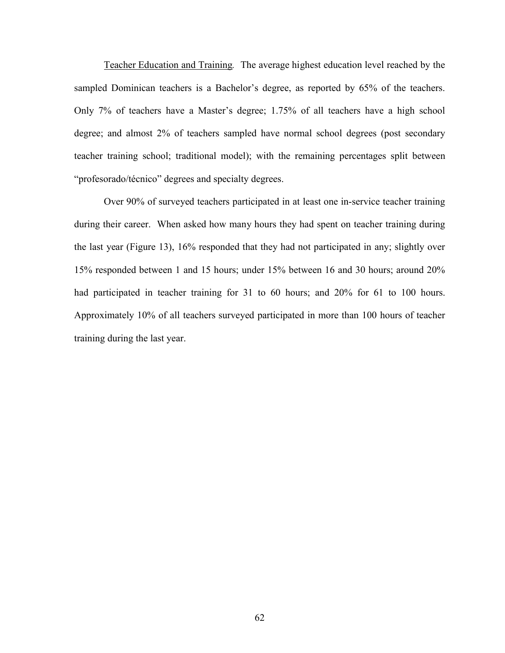Teacher Education and Training*.* The average highest education level reached by the sampled Dominican teachers is a Bachelor's degree, as reported by 65% of the teachers. Only 7% of teachers have a Master's degree; 1.75% of all teachers have a high school degree; and almost 2% of teachers sampled have normal school degrees (post secondary teacher training school; traditional model); with the remaining percentages split between "profesorado/técnico" degrees and specialty degrees.

Over 90% of surveyed teachers participated in at least one in-service teacher training during their career. When asked how many hours they had spent on teacher training during the last year (Figure 13), 16% responded that they had not participated in any; slightly over 15% responded between 1 and 15 hours; under 15% between 16 and 30 hours; around 20% had participated in teacher training for 31 to 60 hours; and 20% for 61 to 100 hours. Approximately 10% of all teachers surveyed participated in more than 100 hours of teacher training during the last year.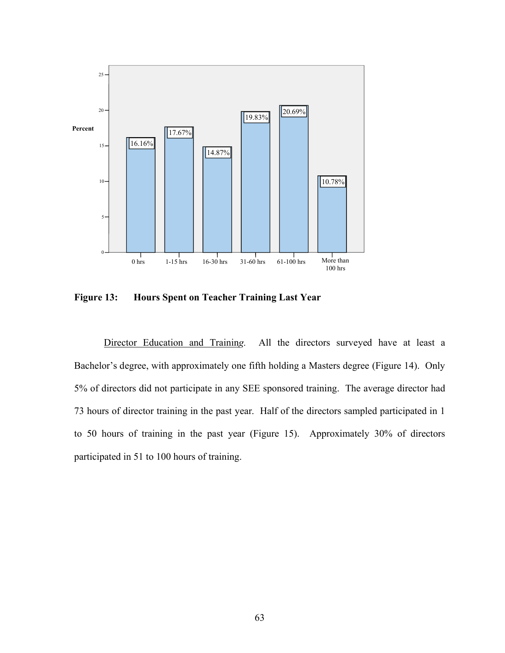

**Figure 13: Hours Spent on Teacher Training Last Year**

Director Education and Trainin*g.* All the directors surveyed have at least a Bachelor's degree, with approximately one fifth holding a Masters degree (Figure 14). Only 5% of directors did not participate in any SEE sponsored training. The average director had 73 hours of director training in the past year.Half of the directors sampled participated in 1 to 50 hours of training in the past year (Figure 15). Approximately 30% of directors participated in 51 to 100 hours of training.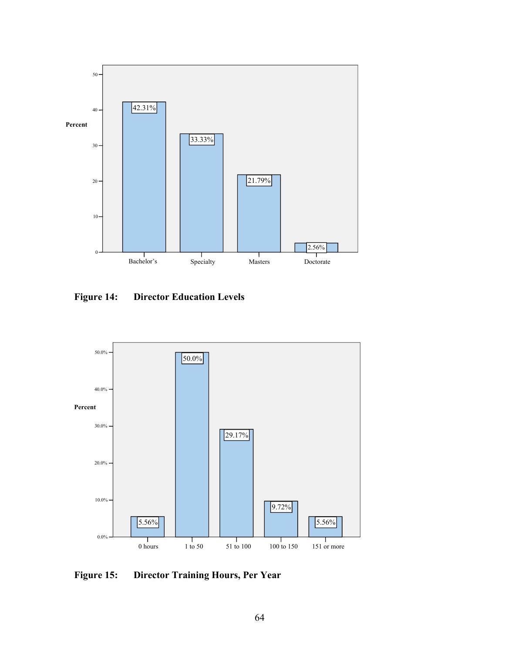

**Figure 14: Director Education Levels** 



**Figure 15: Director Training Hours, Per Year**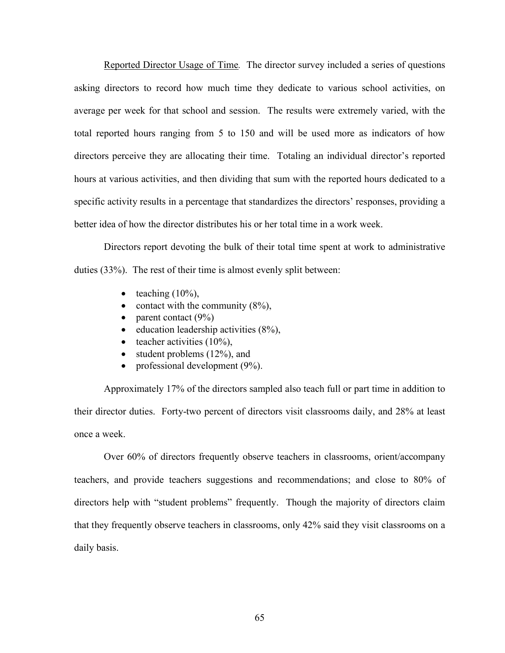Reported Director Usage of Time*.* The director survey included a series of questions asking directors to record how much time they dedicate to various school activities, on average per week for that school and session. The results were extremely varied, with the total reported hours ranging from 5 to 150 and will be used more as indicators of how directors perceive they are allocating their time. Totaling an individual director's reported hours at various activities, and then dividing that sum with the reported hours dedicated to a specific activity results in a percentage that standardizes the directors' responses, providing a better idea of how the director distributes his or her total time in a work week.

Directors report devoting the bulk of their total time spent at work to administrative duties (33%). The rest of their time is almost evenly split between:

- $\bullet$  teaching (10%),
- contact with the community  $(8\%)$ ,
- parent contact  $(9\%)$
- $\bullet$  education leadership activities (8%),
- $\bullet$  teacher activities (10%).
- student problems  $(12\%)$ , and
- professional development  $(9\%)$ .

Approximately 17% of the directors sampled also teach full or part time in addition to their director duties. Forty-two percent of directors visit classrooms daily, and 28% at least once a week.

Over 60% of directors frequently observe teachers in classrooms, orient/accompany teachers, and provide teachers suggestions and recommendations; and close to 80% of directors help with "student problems" frequently. Though the majority of directors claim that they frequently observe teachers in classrooms, only 42% said they visit classrooms on a daily basis.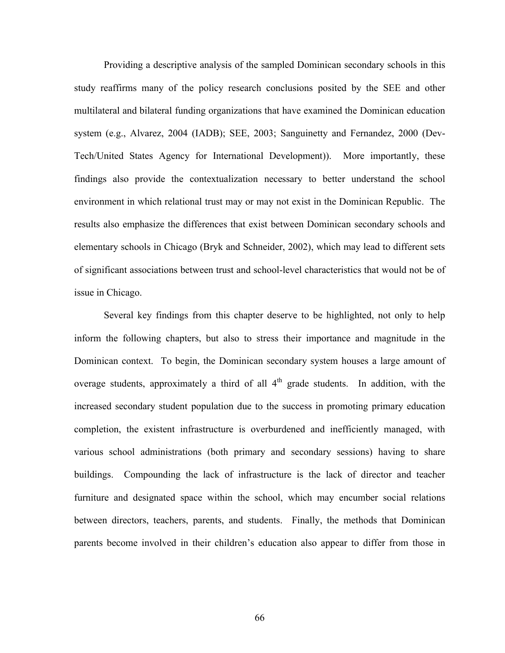Providing a descriptive analysis of the sampled Dominican secondary schools in this study reaffirms many of the policy research conclusions posited by the SEE and other multilateral and bilateral funding organizations that have examined the Dominican education system (e.g., Alvarez, 2004 (IADB); SEE, 2003; Sanguinetty and Fernandez, 2000 (Dev-Tech/United States Agency for International Development)). More importantly, these findings also provide the contextualization necessary to better understand the school environment in which relational trust may or may not exist in the Dominican Republic. The results also emphasize the differences that exist between Dominican secondary schools and elementary schools in Chicago (Bryk and Schneider, 2002), which may lead to different sets of significant associations between trust and school-level characteristics that would not be of issue in Chicago.

Several key findings from this chapter deserve to be highlighted, not only to help inform the following chapters, but also to stress their importance and magnitude in the Dominican context. To begin, the Dominican secondary system houses a large amount of overage students, approximately a third of all  $4<sup>th</sup>$  grade students. In addition, with the increased secondary student population due to the success in promoting primary education completion, the existent infrastructure is overburdened and inefficiently managed, with various school administrations (both primary and secondary sessions) having to share buildings. Compounding the lack of infrastructure is the lack of director and teacher furniture and designated space within the school, which may encumber social relations between directors, teachers, parents, and students. Finally, the methods that Dominican parents become involved in their children's education also appear to differ from those in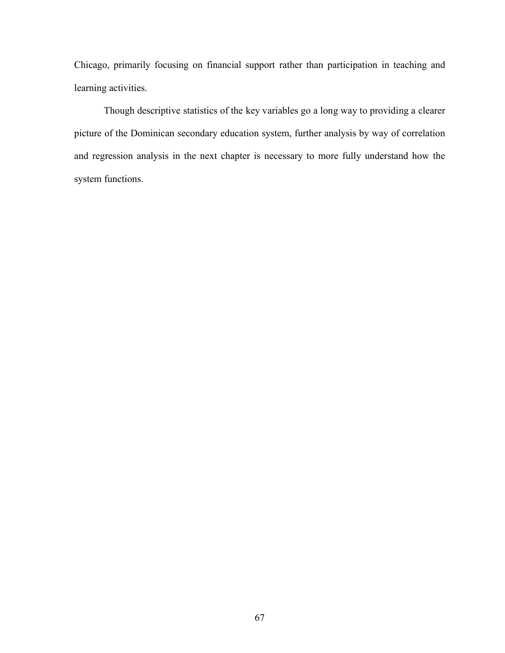Chicago, primarily focusing on financial support rather than participation in teaching and learning activities.

Though descriptive statistics of the key variables go a long way to providing a clearer picture of the Dominican secondary education system, further analysis by way of correlation and regression analysis in the next chapter is necessary to more fully understand how the system functions.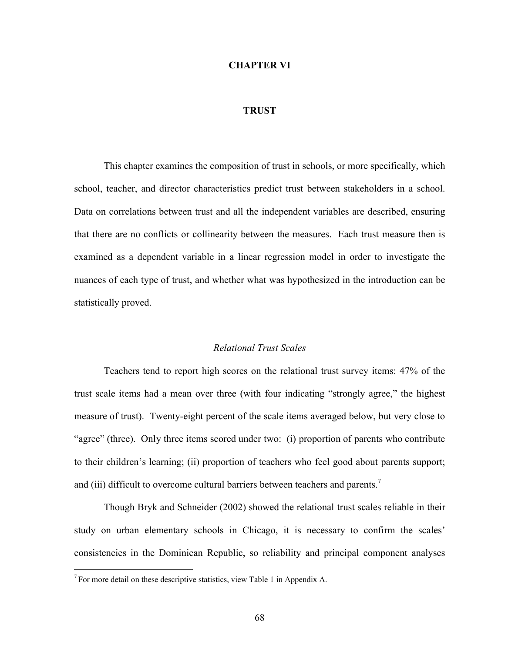### **CHAPTER VI**

### **TRUST**

This chapter examines the composition of trust in schools, or more specifically, which school, teacher, and director characteristics predict trust between stakeholders in a school. Data on correlations between trust and all the independent variables are described, ensuring that there are no conflicts or collinearity between the measures. Each trust measure then is examined as a dependent variable in a linear regression model in order to investigate the nuances of each type of trust, and whether what was hypothesized in the introduction can be statistically proved.

#### *Relational Trust Scales*

Teachers tend to report high scores on the relational trust survey items: 47% of the trust scale items had a mean over three (with four indicating "strongly agree," the highest measure of trust). Twenty-eight percent of the scale items averaged below, but very close to "agree" (three). Only three items scored under two: (i) proportion of parents who contribute to their children's learning; (ii) proportion of teachers who feel good about parents support; and (iii) difficult to overcome cultural barriers between teachers and parents.<sup>7</sup>

Though Bryk and Schneider (2002) showed the relational trust scales reliable in their study on urban elementary schools in Chicago, it is necessary to confirm the scales' consistencies in the Dominican Republic, so reliability and principal component analyses

 $\overline{a}$ 

 $7$  For more detail on these descriptive statistics, view Table 1 in Appendix A.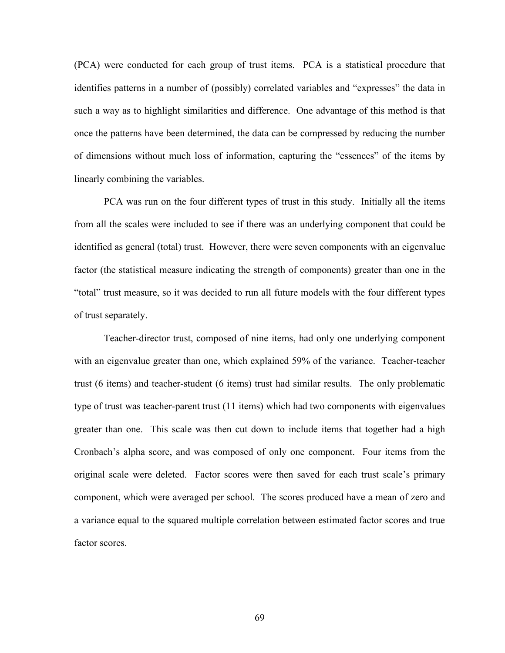(PCA) were conducted for each group of trust items. PCA is a statistical procedure that identifies patterns in a number of (possibly) correlated variables and "expresses" the data in such a way as to highlight similarities and difference. One advantage of this method is that once the patterns have been determined, the data can be compressed by reducing the number of dimensions without much loss of information, capturing the "essences" of the items by linearly combining the variables.

PCA was run on the four different types of trust in this study. Initially all the items from all the scales were included to see if there was an underlying component that could be identified as general (total) trust. However, there were seven components with an eigenvalue factor (the statistical measure indicating the strength of components) greater than one in the "total" trust measure, so it was decided to run all future models with the four different types of trust separately.

Teacher-director trust, composed of nine items, had only one underlying component with an eigenvalue greater than one, which explained 59% of the variance. Teacher-teacher trust (6 items) and teacher-student (6 items) trust had similar results. The only problematic type of trust was teacher-parent trust (11 items) which had two components with eigenvalues greater than one. This scale was then cut down to include items that together had a high Cronbach's alpha score, and was composed of only one component. Four items from the original scale were deleted. Factor scores were then saved for each trust scale's primary component, which were averaged per school. The scores produced have a mean of zero and a variance equal to the squared multiple correlation between estimated factor scores and true factor scores.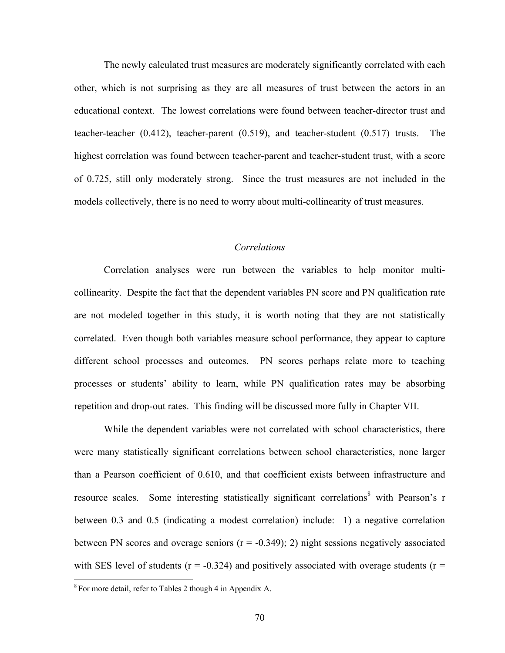The newly calculated trust measures are moderately significantly correlated with each other, which is not surprising as they are all measures of trust between the actors in an educational context. The lowest correlations were found between teacher-director trust and teacher-teacher (0.412), teacher-parent (0.519), and teacher-student (0.517) trusts. The highest correlation was found between teacher-parent and teacher-student trust, with a score of 0.725, still only moderately strong. Since the trust measures are not included in the models collectively, there is no need to worry about multi-collinearity of trust measures.

# *Correlations*

Correlation analyses were run between the variables to help monitor multicollinearity. Despite the fact that the dependent variables PN score and PN qualification rate are not modeled together in this study, it is worth noting that they are not statistically correlated. Even though both variables measure school performance, they appear to capture different school processes and outcomes. PN scores perhaps relate more to teaching processes or students' ability to learn, while PN qualification rates may be absorbing repetition and drop-out rates. This finding will be discussed more fully in Chapter VII.

While the dependent variables were not correlated with school characteristics, there were many statistically significant correlations between school characteristics, none larger than a Pearson coefficient of 0.610, and that coefficient exists between infrastructure and resource scales. Some interesting statistically significant correlations<sup>8</sup> with Pearson's r between 0.3 and 0.5 (indicating a modest correlation) include: 1) a negative correlation between PN scores and overage seniors  $(r = -0.349)$ ; 2) night sessions negatively associated with SES level of students ( $r = -0.324$ ) and positively associated with overage students ( $r =$ 

 $\overline{a}$ 

<sup>8</sup> For more detail, refer to Tables 2 though 4 in Appendix A.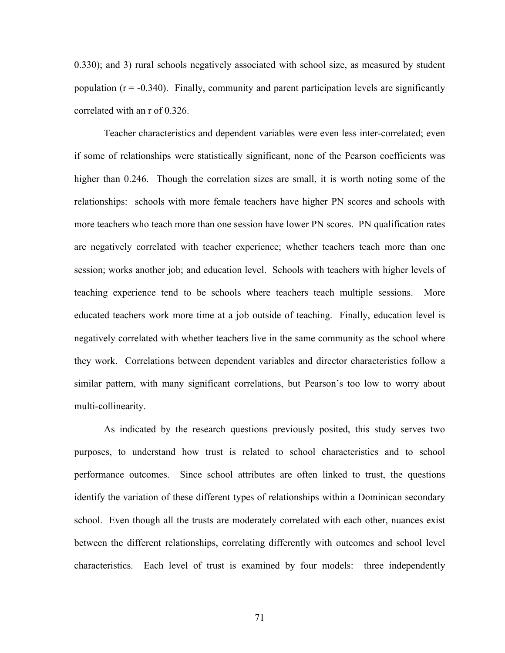0.330); and 3) rural schools negatively associated with school size, as measured by student population  $(r = -0.340)$ . Finally, community and parent participation levels are significantly correlated with an r of 0.326.

Teacher characteristics and dependent variables were even less inter-correlated; even if some of relationships were statistically significant, none of the Pearson coefficients was higher than 0.246. Though the correlation sizes are small, it is worth noting some of the relationships: schools with more female teachers have higher PN scores and schools with more teachers who teach more than one session have lower PN scores. PN qualification rates are negatively correlated with teacher experience; whether teachers teach more than one session; works another job; and education level. Schools with teachers with higher levels of teaching experience tend to be schools where teachers teach multiple sessions. More educated teachers work more time at a job outside of teaching. Finally, education level is negatively correlated with whether teachers live in the same community as the school where they work. Correlations between dependent variables and director characteristics follow a similar pattern, with many significant correlations, but Pearson's too low to worry about multi-collinearity.

As indicated by the research questions previously posited, this study serves two purposes, to understand how trust is related to school characteristics and to school performance outcomes. Since school attributes are often linked to trust, the questions identify the variation of these different types of relationships within a Dominican secondary school. Even though all the trusts are moderately correlated with each other, nuances exist between the different relationships, correlating differently with outcomes and school level characteristics. Each level of trust is examined by four models: three independently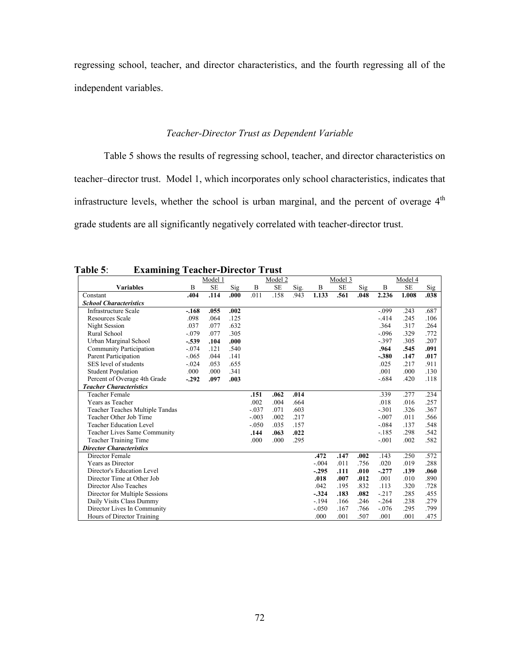regressing school, teacher, and director characteristics, and the fourth regressing all of the independent variables.

# *Teacher-Director Trust as Dependent Variable*

Table 5 shows the results of regressing school, teacher, and director characteristics on teacher–director trust. Model 1, which incorporates only school characteristics, indicates that infrastructure levels, whether the school is urban marginal, and the percent of overage 4<sup>th</sup> grade students are all significantly negatively correlated with teacher-director trust.

**Table 5**: **Examining Teacher-Director Trust** 

|                                     |         | Model 1   |      |             | Model 2   |      |              | Model 3 |      |         | Model 4   |      |
|-------------------------------------|---------|-----------|------|-------------|-----------|------|--------------|---------|------|---------|-----------|------|
| <b>Variables</b>                    | B       | <b>SE</b> | Sig  | $\mathbf B$ | <b>SE</b> | Sig. | $\, {\bf B}$ | SE      | Sig  | B       | <b>SE</b> | Sig  |
| Constant                            | .404    | .114      | .000 | .011        | .158      | .943 | 1.133        | .561    | .048 | 2.236   | 1.008     | .038 |
| <b>School Characteristics</b>       |         |           |      |             |           |      |              |         |      |         |           |      |
| <b>Infrastructure Scale</b>         | $-.168$ | .055      | .002 |             |           |      |              |         |      | $-.099$ | .243      | .687 |
| <b>Resources Scale</b>              | .098    | .064      | .125 |             |           |      |              |         |      | $-414$  | .245      | .106 |
| Night Session                       | .037    | .077      | .632 |             |           |      |              |         |      | .364    | .317      | .264 |
| Rural School                        | $-.079$ | .077      | .305 |             |           |      |              |         |      | $-.096$ | .329      | .772 |
| Urban Marginal School               | $-.539$ | .104      | .000 |             |           |      |              |         |      | $-.397$ | .305      | .207 |
| Community Participation             | $-.074$ | .121      | .540 |             |           |      |              |         |      | .964    | .545      | .091 |
| Parent Participation                | $-.065$ | .044      | .141 |             |           |      |              |         |      | $-.380$ | .147      | .017 |
| SES level of students               | $-.024$ | .053      | .655 |             |           |      |              |         |      | .025    | .217      | .911 |
| <b>Student Population</b>           | .000    | .000      | .341 |             |           |      |              |         |      | .001    | .000      | .130 |
| Percent of Overage 4th Grade        | $-.292$ | .097      | .003 |             |           |      |              |         |      | $-.684$ | .420      | .118 |
| <b>Teacher Characteristics</b>      |         |           |      |             |           |      |              |         |      |         |           |      |
| <b>Teacher Female</b>               |         |           |      | .151        | .062      | .014 |              |         |      | .339    | .277      | .234 |
| Years as Teacher                    |         |           |      | .002        | .004      | .664 |              |         |      | .018    | .016      | .257 |
| Teacher Teaches Multiple Tandas     |         |           |      | $-.037$     | .071      | .603 |              |         |      | $-.301$ | .326      | .367 |
| Teacher Other Job Time              |         |           |      | $-.003$     | .002      | .217 |              |         |      | $-.007$ | .011      | .566 |
| <b>Teacher Education Level</b>      |         |           |      | $-.050$     | .035      | .157 |              |         |      | $-.084$ | .137      | .548 |
| <b>Teacher Lives Same Community</b> |         |           |      | .144        | .063      | .022 |              |         |      | $-.185$ | .298      | .542 |
| <b>Teacher Training Time</b>        |         |           |      | .000        | .000      | .295 |              |         |      | $-.001$ | .002      | .582 |
| <b>Director Characteristics</b>     |         |           |      |             |           |      |              |         |      |         |           |      |
| Director Female                     |         |           |      |             |           |      | .472         | .147    | .002 | .143    | .250      | .572 |
| Years as Director                   |         |           |      |             |           |      | $-.004$      | .011    | .756 | .020    | .019      | .288 |
| Director's Education Level          |         |           |      |             |           |      | $-.295$      | .111    | .010 | $-.277$ | .139      | .060 |
| Director Time at Other Job          |         |           |      |             |           |      | .018         | .007    | .012 | .001    | .010      | .890 |
| Director Also Teaches               |         |           |      |             |           |      | .042         | .195    | .832 | .113    | .320      | .728 |
| Director for Multiple Sessions      |         |           |      |             |           |      | $-.324$      | .183    | .082 | $-217$  | .285      | .455 |
| Daily Visits Class Dummy            |         |           |      |             |           |      | $-194$       | .166    | .246 | $-.264$ | .238      | .279 |
| Director Lives In Community         |         |           |      |             |           |      | $-.050$      | .167    | .766 | $-.076$ | .295      | .799 |
| Hours of Director Training          |         |           |      |             |           |      | .000         | .001    | .507 | .001    | .001      | .475 |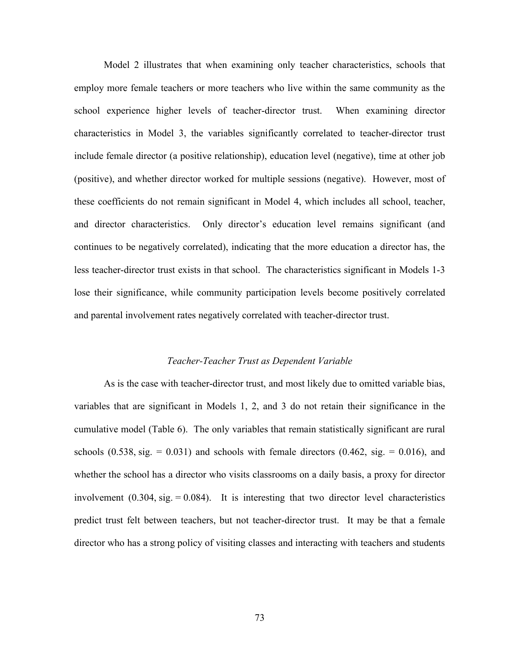Model 2 illustrates that when examining only teacher characteristics, schools that employ more female teachers or more teachers who live within the same community as the school experience higher levels of teacher-director trust. When examining director characteristics in Model 3, the variables significantly correlated to teacher-director trust include female director (a positive relationship), education level (negative), time at other job (positive), and whether director worked for multiple sessions (negative). However, most of these coefficients do not remain significant in Model 4, which includes all school, teacher, and director characteristics. Only director's education level remains significant (and continues to be negatively correlated), indicating that the more education a director has, the less teacher-director trust exists in that school. The characteristics significant in Models 1-3 lose their significance, while community participation levels become positively correlated and parental involvement rates negatively correlated with teacher-director trust.

#### *Teacher-Teacher Trust as Dependent Variable*

As is the case with teacher-director trust, and most likely due to omitted variable bias, variables that are significant in Models 1, 2, and 3 do not retain their significance in the cumulative model (Table 6). The only variables that remain statistically significant are rural schools  $(0.538, \text{sig.} = 0.031)$  and schools with female directors  $(0.462, \text{sig.} = 0.016)$ , and whether the school has a director who visits classrooms on a daily basis, a proxy for director involvement  $(0.304, \text{sig.} = 0.084)$ . It is interesting that two director level characteristics predict trust felt between teachers, but not teacher-director trust. It may be that a female director who has a strong policy of visiting classes and interacting with teachers and students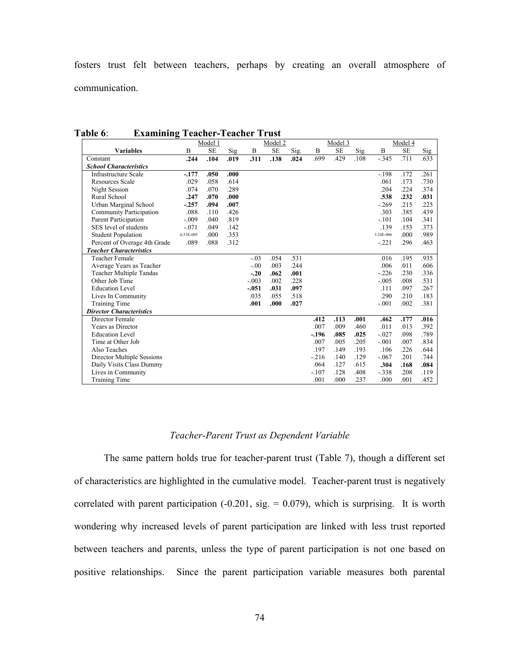fosters trust felt between teachers, perhaps by creating an overall atmosphere of communication.

|                                 |                | Model 1   |      |         | Model 2   |      |         | Model 3   |      |           | Model 4   |      |
|---------------------------------|----------------|-----------|------|---------|-----------|------|---------|-----------|------|-----------|-----------|------|
| <b>Variables</b>                | B              | <b>SE</b> | Sig  | B       | <b>SE</b> | Sig. | B       | <b>SE</b> | Sig  | B         | <b>SE</b> | Sig  |
| Constant                        | .244           | .104      | .019 | .311    | .138      | .024 | .699    | .429      | .108 | $-.345$   | .711      | .633 |
| <b>School Characteristics</b>   |                |           |      |         |           |      |         |           |      |           |           |      |
| <b>Infrastructure Scale</b>     | $-.177$        | .050      | .000 |         |           |      |         |           |      | $-.198$   | .172      | .261 |
| <b>Resources Scale</b>          | .029           | .058      | .614 |         |           |      |         |           |      | .061      | .173      | .730 |
| Night Session                   | .074           | .070      | .289 |         |           |      |         |           |      | .204      | .224      | .374 |
| Rural School                    | .247           | .070      | .000 |         |           |      |         |           |      | .538      | .232      | .031 |
| Urban Marginal School           | $-.257$        | .094      | .007 |         |           |      |         |           |      | $-.269$   | .215      | .225 |
| Community Participation         | .088           | .110      | .426 |         |           |      |         |           |      | .303      | .385      | .439 |
| Parent Participation            | $-.009$        | .040      | .819 |         |           |      |         |           |      | $-.101$   | .104      | .341 |
| SES level of students           | $-.071$        | .049      | .142 |         |           |      |         |           |      | .139      | .153      | .373 |
| <b>Student Population</b>       | $-6.53E - 005$ | .000      | .353 |         |           |      |         |           |      | 3.24E-006 | .000      | .989 |
| Percent of Overage 4th Grade    | .089           | .088      | .312 |         |           |      |         |           |      | $-.221$   | .296      | .463 |
| <b>Teacher Characteristics</b>  |                |           |      |         |           |      |         |           |      |           |           |      |
| <b>Teacher Female</b>           |                |           |      | $-.03$  | .054      | .531 |         |           |      | .016      | .195      | .935 |
| Average Years as Teacher        |                |           |      | $-.00$  | .003      | .244 |         |           |      | .006      | .011      | .606 |
| Teacher Multiple Tandas         |                |           |      | $-.20$  | .062      | .001 |         |           |      | $-.226$   | .230      | .336 |
| Other Job Time                  |                |           |      | $-.003$ | .002      | .228 |         |           |      | $-.005$   | .008      | .531 |
| <b>Education Level</b>          |                |           |      | $-.051$ | .031      | .097 |         |           |      | .111      | .097      | .267 |
| Lives In Community              |                |           |      | .035    | .055      | .518 |         |           |      | .290      | .210      | .183 |
| Training Time                   |                |           |      | .001    | .000      | .027 |         |           |      | $-.001$   | .002      | .381 |
| <b>Director Characteristics</b> |                |           |      |         |           |      |         |           |      |           |           |      |
| Director Female                 |                |           |      |         |           |      | .412    | .113      | .001 | .462      | .177      | .016 |
| Years as Director               |                |           |      |         |           |      | .007    | .009      | .460 | .011      | .013      | .392 |
| <b>Education Level</b>          |                |           |      |         |           |      | $-196$  | .085      | .025 | $-.027$   | .098      | .789 |
| Time at Other Job               |                |           |      |         |           |      | .007    | .005      | .205 | $-.001$   | .007      | .834 |
| Also Teaches                    |                |           |      |         |           |      | .197    | .149      | .193 | .106      | .226      | .644 |
| Director Multiple Sessions      |                |           |      |         |           |      | $-216$  | .140      | .129 | $-.067$   | .201      | .744 |
| Daily Visits Class Dummy        |                |           |      |         |           |      | .064    | .127      | .615 | .304      | .168      | .084 |
| Lives in Community              |                |           |      |         |           |      | $-.107$ | .128      | .408 | $-.338$   | .208      | .119 |
| <b>Training Time</b>            |                |           |      |         |           |      | .001    | .000      | .237 | .000      | .001      | .452 |

**Table 6**: **Examining Teacher-Teacher Trust** 

### *Teacher-Parent Trust as Dependent Variable*

The same pattern holds true for teacher-parent trust (Table 7), though a different set of characteristics are highlighted in the cumulative model. Teacher-parent trust is negatively correlated with parent participation  $(-0.201, \text{sig.} = 0.079)$ , which is surprising. It is worth wondering why increased levels of parent participation are linked with less trust reported between teachers and parents, unless the type of parent participation is not one based on positive relationships. Since the parent participation variable measures both parental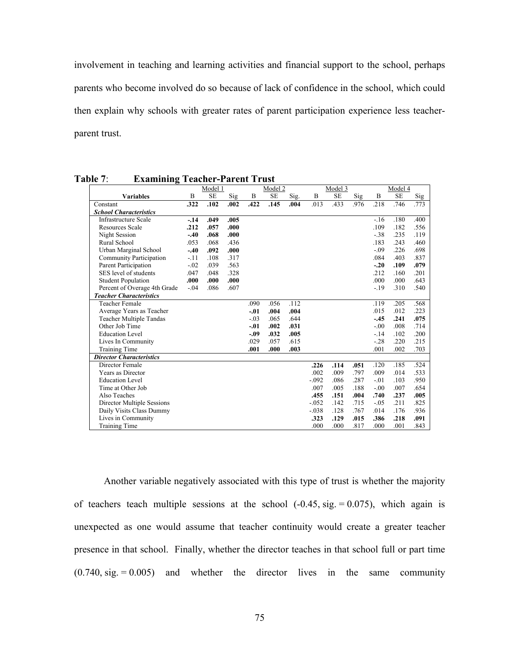involvement in teaching and learning activities and financial support to the school, perhaps parents who become involved do so because of lack of confidence in the school, which could then explain why schools with greater rates of parent participation experience less teacherparent trust.

|                                 |        | Model 1   |      |        | Model 2   |      |         | Model 3   |      |        | Model 4   |      |
|---------------------------------|--------|-----------|------|--------|-----------|------|---------|-----------|------|--------|-----------|------|
| <b>Variables</b>                | B      | <b>SE</b> | Sig  | B      | <b>SE</b> | Sig. | B       | <b>SE</b> | Sig  | B      | <b>SE</b> | Sig  |
| Constant                        | .322   | .102      | .002 | .422   | .145      | .004 | .013    | .433      | .976 | .218   | .746      | .773 |
| <b>School Characteristics</b>   |        |           |      |        |           |      |         |           |      |        |           |      |
| <b>Infrastructure Scale</b>     | $-14$  | .049      | .005 |        |           |      |         |           |      | $-16$  | .180      | .400 |
| <b>Resources Scale</b>          | .212   | .057      | .000 |        |           |      |         |           |      | .109   | .182      | .556 |
| Night Session                   | $-.40$ | .068      | .000 |        |           |      |         |           |      | $-38$  | .235      | .119 |
| Rural School                    | .053   | .068      | .436 |        |           |      |         |           |      | .183   | .243      | .460 |
| Urban Marginal School           | $-.40$ | .092      | .000 |        |           |      |         |           |      | $-.09$ | .226      | .698 |
| Community Participation         | $-.11$ | .108      | .317 |        |           |      |         |           |      | .084   | .403      | .837 |
| Parent Participation            | $-.02$ | .039      | .563 |        |           |      |         |           |      | $-.20$ | .109      | .079 |
| SES level of students           | .047   | .048      | .328 |        |           |      |         |           |      | .212   | .160      | .201 |
| <b>Student Population</b>       | .000   | .000      | .000 |        |           |      |         |           |      | .000   | .000      | .643 |
| Percent of Overage 4th Grade    | $-.04$ | .086      | .607 |        |           |      |         |           |      | $-19$  | .310      | .540 |
| <b>Teacher Characteristics</b>  |        |           |      |        |           |      |         |           |      |        |           |      |
| <b>Teacher Female</b>           |        |           |      | .090   | .056      | .112 |         |           |      | .119   | .205      | .568 |
| Average Years as Teacher        |        |           |      | $-.01$ | .004      | .004 |         |           |      | .015   | .012      | .223 |
| <b>Teacher Multiple Tandas</b>  |        |           |      | $-.03$ | .065      | .644 |         |           |      | $-.45$ | .241      | .075 |
| Other Job Time                  |        |           |      | $-.01$ | .002      | .031 |         |           |      | $-.00$ | .008      | .714 |
| <b>Education Level</b>          |        |           |      | $-.09$ | .032      | .005 |         |           |      | $-.14$ | .102      | .200 |
| Lives In Community              |        |           |      | .029   | .057      | .615 |         |           |      | $-28$  | .220      | .215 |
| Training Time                   |        |           |      | .001   | .000      | .003 |         |           |      | .001   | .002      | .703 |
| <b>Director Characteristics</b> |        |           |      |        |           |      |         |           |      |        |           |      |
| Director Female                 |        |           |      |        |           |      | .226    | .114      | .051 | .120   | .185      | .524 |
| Years as Director               |        |           |      |        |           |      | .002    | .009      | .797 | .009   | .014      | .533 |
| <b>Education Level</b>          |        |           |      |        |           |      | $-.092$ | .086      | .287 | $-.01$ | .103      | .950 |
| Time at Other Job               |        |           |      |        |           |      | .007    | .005      | .188 | $-.00$ | .007      | .654 |
| Also Teaches                    |        |           |      |        |           |      | .455    | .151      | .004 | .740   | .237      | .005 |
| Director Multiple Sessions      |        |           |      |        |           |      | $-.052$ | .142      | .715 | $-.05$ | .211      | .825 |
| Daily Visits Class Dummy        |        |           |      |        |           |      | $-.038$ | .128      | .767 | .014   | .176      | .936 |
| Lives in Community              |        |           |      |        |           |      | .323    | .129      | .015 | .386   | .218      | .091 |
| Training Time                   |        |           |      |        |           |      | .000    | .000      | .817 | .000   | .001      | .843 |

**Table 7**: **Examining Teacher-Parent Trust** 

Another variable negatively associated with this type of trust is whether the majority of teachers teach multiple sessions at the school  $(-0.45, \text{sig.} = 0.075)$ , which again is unexpected as one would assume that teacher continuity would create a greater teacher presence in that school. Finally, whether the director teaches in that school full or part time  $(0.740, \text{sig.} = 0.005)$  and whether the director lives in the same community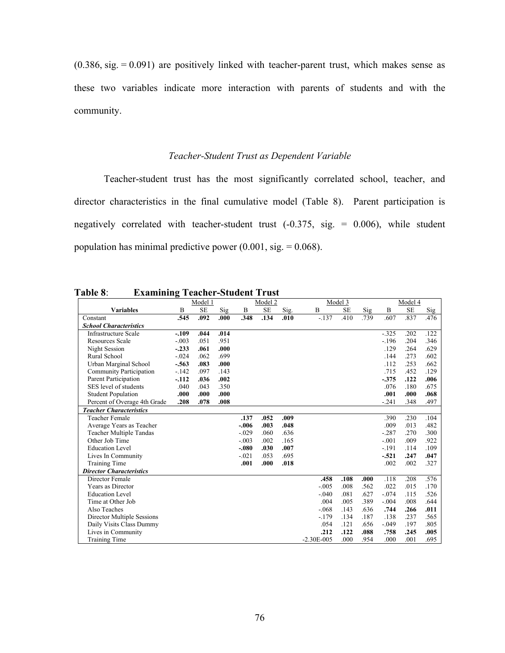$(0.386, \text{sig.} = 0.091)$  are positively linked with teacher-parent trust, which makes sense as these two variables indicate more interaction with parents of students and with the community.

# *Teacher-Student Trust as Dependent Variable*

Teacher-student trust has the most significantly correlated school, teacher, and director characteristics in the final cumulative model (Table 8). Parent participation is negatively correlated with teacher-student trust  $(-0.375, sig. = 0.006)$ , while student population has minimal predictive power  $(0.001, \text{sig.} = 0.068)$ .

|                                 |         | Model 1   |      |         | Model 2   |      |                | Model 3   |      |         | Model 4   |      |
|---------------------------------|---------|-----------|------|---------|-----------|------|----------------|-----------|------|---------|-----------|------|
| <b>Variables</b>                | B       | <b>SE</b> | Sig  | B       | <b>SE</b> | Sig. | B              | <b>SE</b> | Sig  | B       | <b>SE</b> | Sig  |
| Constant                        | .545    | .092      | .000 | .348    | .134      | .010 | $-137$         | .410      | .739 | .607    | .837      | .476 |
| <b>School Characteristics</b>   |         |           |      |         |           |      |                |           |      |         |           |      |
| Infrastructure Scale            | $-.109$ | .044      | .014 |         |           |      |                |           |      | $-.325$ | .202      | .122 |
| <b>Resources Scale</b>          | $-.003$ | .051      | .951 |         |           |      |                |           |      | $-.196$ | .204      | .346 |
| Night Session                   | $-.233$ | .061      | .000 |         |           |      |                |           |      | .129    | .264      | .629 |
| Rural School                    | $-.024$ | .062      | .699 |         |           |      |                |           |      | .144    | .273      | .602 |
| Urban Marginal School           | $-.563$ | .083      | .000 |         |           |      |                |           |      | .112    | .253      | .662 |
| <b>Community Participation</b>  | $-142$  | .097      | .143 |         |           |      |                |           |      | .715    | .452      | .129 |
| Parent Participation            | $-112$  | .036      | .002 |         |           |      |                |           |      | $-.375$ | .122      | .006 |
| SES level of students           | .040    | .043      | .350 |         |           |      |                |           |      | .076    | .180      | .675 |
| <b>Student Population</b>       | .000    | .000      | .000 |         |           |      |                |           |      | .001    | .000      | .068 |
| Percent of Overage 4th Grade    | .208    | .078      | .008 |         |           |      |                |           |      | $-.241$ | .348      | .497 |
| <b>Teacher Characteristics</b>  |         |           |      |         |           |      |                |           |      |         |           |      |
| <b>Teacher Female</b>           |         |           |      | .137    | .052      | .009 |                |           |      | .390    | .230      | .104 |
| Average Years as Teacher        |         |           |      | $-.006$ | .003      | .048 |                |           |      | .009    | .013      | .482 |
| <b>Teacher Multiple Tandas</b>  |         |           |      | $-.029$ | .060      | .636 |                |           |      | $-.287$ | .270      | .300 |
| Other Job Time                  |         |           |      | $-.003$ | .002      | .165 |                |           |      | $-.001$ | .009      | .922 |
| <b>Education Level</b>          |         |           |      | $-.080$ | .030      | .007 |                |           |      | $-191$  | .114      | .109 |
| Lives In Community              |         |           |      | $-.021$ | .053      | .695 |                |           |      | $-.521$ | .247      | .047 |
| <b>Training Time</b>            |         |           |      | .001    | .000      | .018 |                |           |      | .002    | .002      | .327 |
| <b>Director Characteristics</b> |         |           |      |         |           |      |                |           |      |         |           |      |
| Director Female                 |         |           |      |         |           |      | .458           | .108      | .000 | .118    | .208      | .576 |
| Years as Director               |         |           |      |         |           |      | $-.005$        | .008      | .562 | .022    | .015      | .170 |
| <b>Education Level</b>          |         |           |      |         |           |      | $-.040$        | .081      | .627 | $-.074$ | .115      | .526 |
| Time at Other Job               |         |           |      |         |           |      | .004           | .005      | .389 | $-.004$ | .008      | .644 |
| Also Teaches                    |         |           |      |         |           |      | $-.068$        | .143      | .636 | .744    | .266      | .011 |
| Director Multiple Sessions      |         |           |      |         |           |      | $-179$         | .134      | .187 | .138    | .237      | .565 |
| Daily Visits Class Dummy        |         |           |      |         |           |      | .054           | .121      | .656 | $-.049$ | .197      | .805 |
| Lives in Community              |         |           |      |         |           |      | .212           | .122      | .088 | .758    | .245      | .005 |
| Training Time                   |         |           |      |         |           |      | $-2.30E - 005$ | .000      | .954 | .000    | .001      | .695 |

**Table 8**: **Examining Teacher-Student Trust**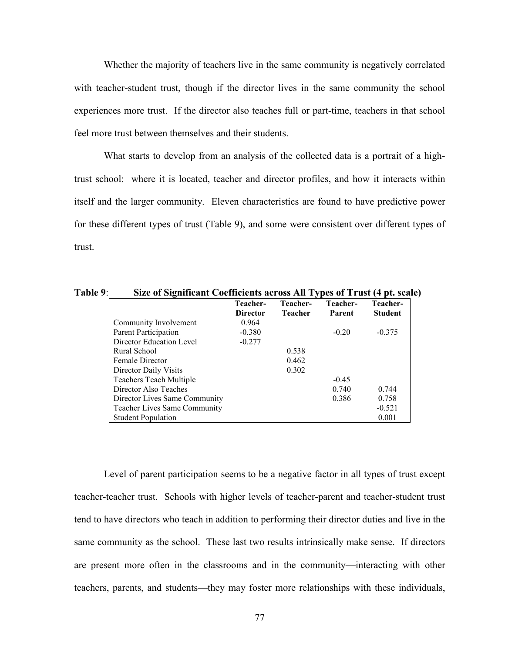Whether the majority of teachers live in the same community is negatively correlated with teacher-student trust, though if the director lives in the same community the school experiences more trust. If the director also teaches full or part-time, teachers in that school feel more trust between themselves and their students.

What starts to develop from an analysis of the collected data is a portrait of a hightrust school: where it is located, teacher and director profiles, and how it interacts within itself and the larger community. Eleven characteristics are found to have predictive power for these different types of trust (Table 9), and some were consistent over different types of trust.

|                                     | Teacher-<br><b>Director</b> | Teacher-<br><b>Teacher</b> | Teacher-<br>Parent | Teacher-<br><b>Student</b> |
|-------------------------------------|-----------------------------|----------------------------|--------------------|----------------------------|
| Community Involvement               | 0.964                       |                            |                    |                            |
| Parent Participation                | $-0.380$                    |                            | $-0.20$            | $-0.375$                   |
| Director Education Level            | $-0.277$                    |                            |                    |                            |
| Rural School                        |                             | 0.538                      |                    |                            |
| <b>Female Director</b>              |                             | 0.462                      |                    |                            |
| Director Daily Visits               |                             | 0.302                      |                    |                            |
| <b>Teachers Teach Multiple</b>      |                             |                            | $-0.45$            |                            |
| Director Also Teaches               |                             |                            | 0.740              | 0.744                      |
| Director Lives Same Community       |                             |                            | 0.386              | 0.758                      |
| <b>Teacher Lives Same Community</b> |                             |                            |                    | $-0.521$                   |
| <b>Student Population</b>           |                             |                            |                    | 0.001                      |

**Table 9**: **Size of Significant Coefficients across All Types of Trust (4 pt. scale)**

Level of parent participation seems to be a negative factor in all types of trust except teacher-teacher trust. Schools with higher levels of teacher-parent and teacher-student trust tend to have directors who teach in addition to performing their director duties and live in the same community as the school. These last two results intrinsically make sense. If directors are present more often in the classrooms and in the community—interacting with other teachers, parents, and students—they may foster more relationships with these individuals,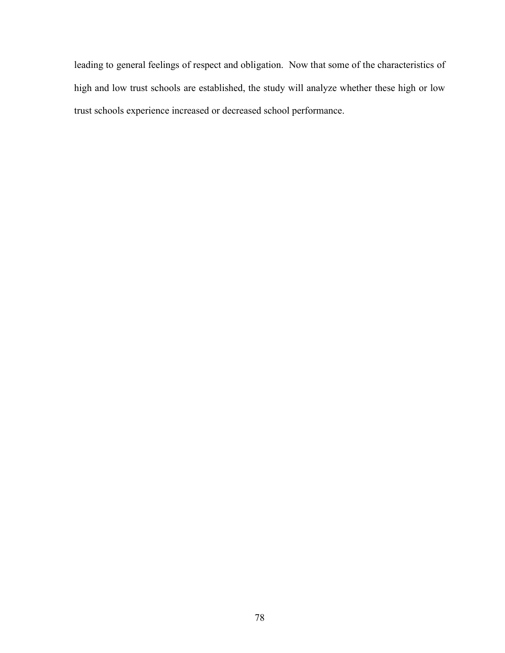leading to general feelings of respect and obligation. Now that some of the characteristics of high and low trust schools are established, the study will analyze whether these high or low trust schools experience increased or decreased school performance.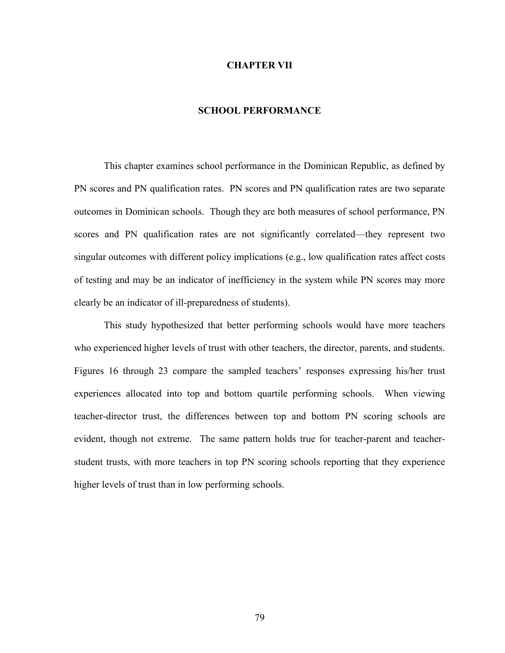### **CHAPTER VII**

### **SCHOOL PERFORMANCE**

This chapter examines school performance in the Dominican Republic, as defined by PN scores and PN qualification rates. PN scores and PN qualification rates are two separate outcomes in Dominican schools. Though they are both measures of school performance, PN scores and PN qualification rates are not significantly correlated—they represent two singular outcomes with different policy implications (e.g., low qualification rates affect costs of testing and may be an indicator of inefficiency in the system while PN scores may more clearly be an indicator of ill-preparedness of students).

This study hypothesized that better performing schools would have more teachers who experienced higher levels of trust with other teachers, the director, parents, and students. Figures 16 through 23 compare the sampled teachers' responses expressing his/her trust experiences allocated into top and bottom quartile performing schools. When viewing teacher-director trust, the differences between top and bottom PN scoring schools are evident, though not extreme. The same pattern holds true for teacher-parent and teacherstudent trusts, with more teachers in top PN scoring schools reporting that they experience higher levels of trust than in low performing schools.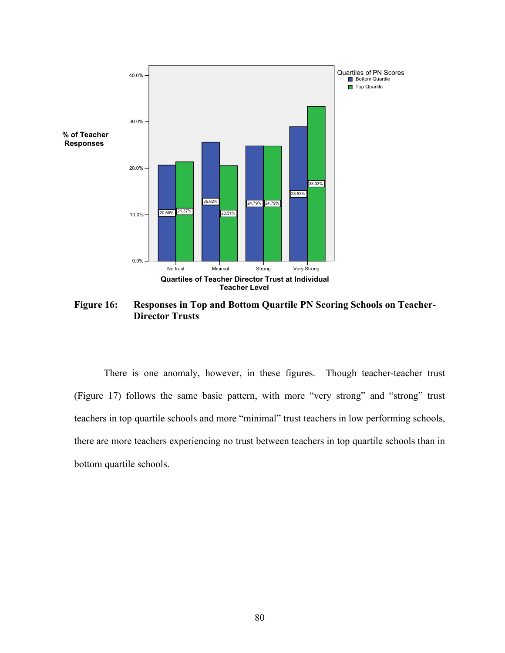

**Figure 16: Responses in Top and Bottom Quartile PN Scoring Schools on Teacher-Director Trusts**

There is one anomaly, however, in these figures. Though teacher-teacher trust (Figure 17) follows the same basic pattern, with more "very strong" and "strong" trust teachers in top quartile schools and more "minimal" trust teachers in low performing schools, there are more teachers experiencing no trust between teachers in top quartile schools than in bottom quartile schools.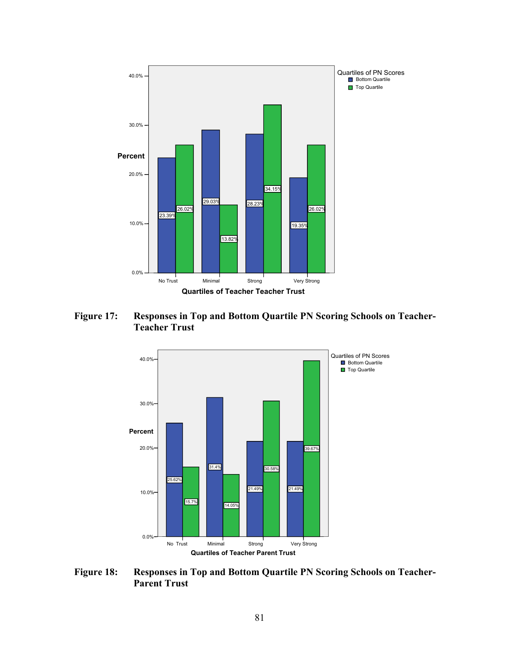

**Figure 17: Responses in Top and Bottom Quartile PN Scoring Schools on Teacher-Teacher Trust**



**Figure 18: Responses in Top and Bottom Quartile PN Scoring Schools on Teacher-Parent Trust**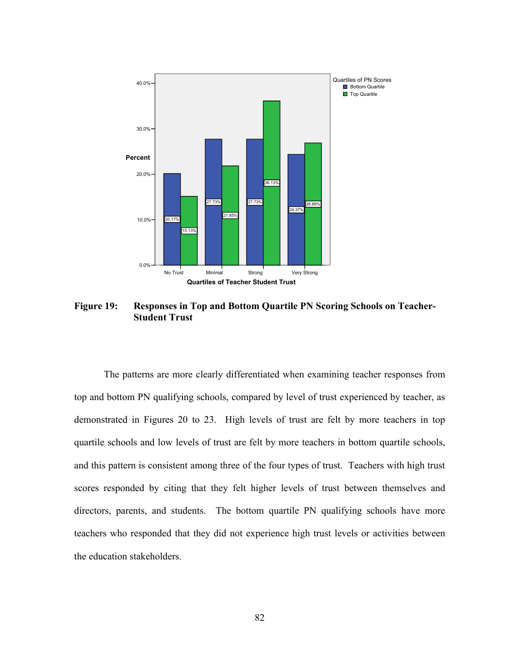

**Figure 19: Responses in Top and Bottom Quartile PN Scoring Schools on Teacher-Student Trust**

The patterns are more clearly differentiated when examining teacher responses from top and bottom PN qualifying schools, compared by level of trust experienced by teacher, as demonstrated in Figures 20 to 23. High levels of trust are felt by more teachers in top quartile schools and low levels of trust are felt by more teachers in bottom quartile schools, and this pattern is consistent among three of the four types of trust. Teachers with high trust scores responded by citing that they felt higher levels of trust between themselves and directors, parents, and students. The bottom quartile PN qualifying schools have more teachers who responded that they did not experience high trust levels or activities between the education stakeholders.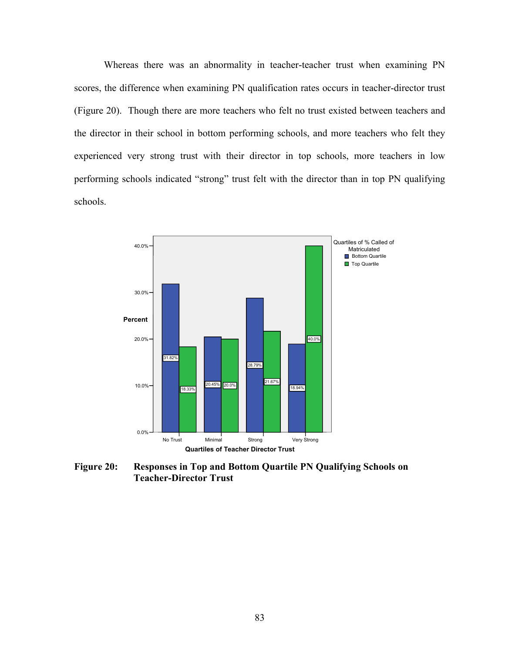Whereas there was an abnormality in teacher-teacher trust when examining PN scores, the difference when examining PN qualification rates occurs in teacher-director trust (Figure 20). Though there are more teachers who felt no trust existed between teachers and the director in their school in bottom performing schools, and more teachers who felt they experienced very strong trust with their director in top schools, more teachers in low performing schools indicated "strong" trust felt with the director than in top PN qualifying schools.



**Figure 20: Responses in Top and Bottom Quartile PN Qualifying Schools on Teacher-Director Trust**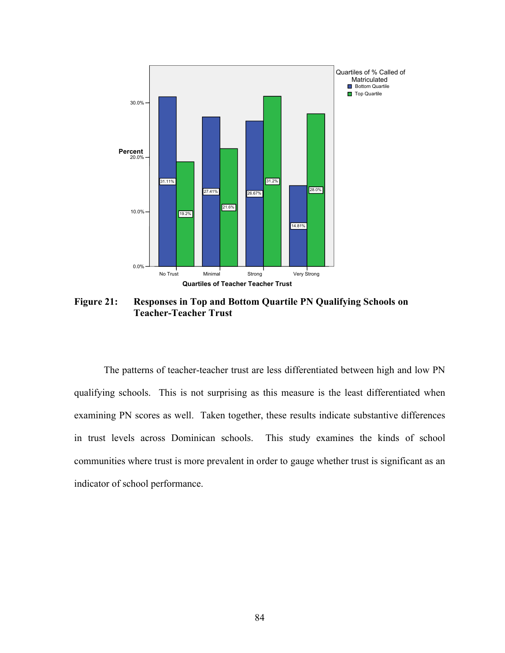

**Figure 21: Responses in Top and Bottom Quartile PN Qualifying Schools on Teacher-Teacher Trust**

The patterns of teacher-teacher trust are less differentiated between high and low PN qualifying schools. This is not surprising as this measure is the least differentiated when examining PN scores as well. Taken together, these results indicate substantive differences in trust levels across Dominican schools. This study examines the kinds of school communities where trust is more prevalent in order to gauge whether trust is significant as an indicator of school performance.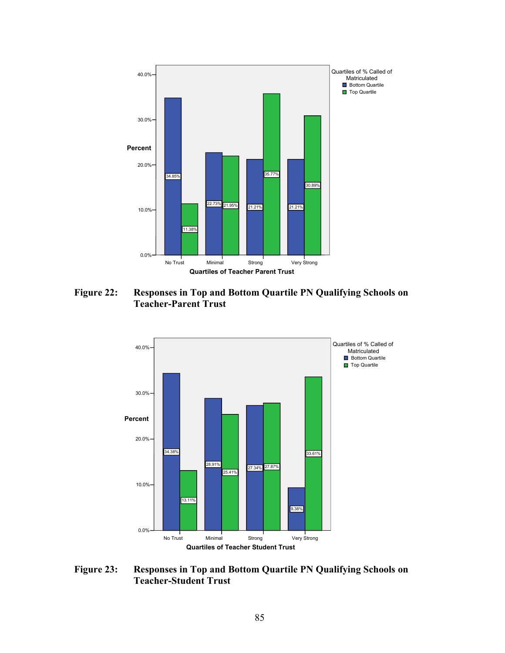

**Figure 22: Responses in Top and Bottom Quartile PN Qualifying Schools on Teacher-Parent Trust**



**Figure 23: Responses in Top and Bottom Quartile PN Qualifying Schools on Teacher-Student Trust**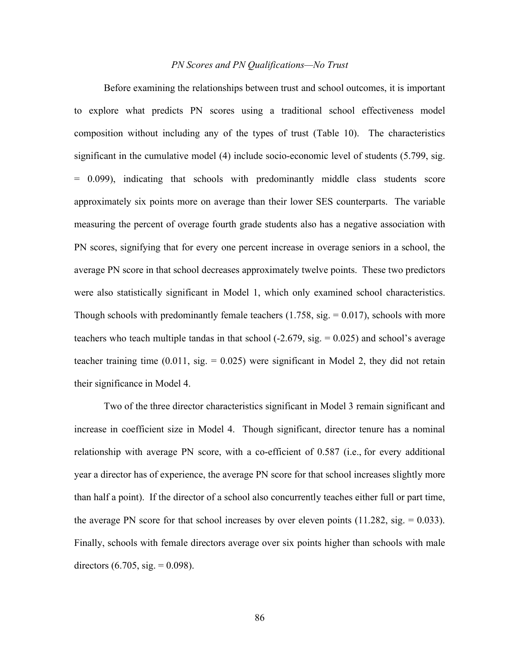### *PN Scores and PN Qualifications—No Trust*

Before examining the relationships between trust and school outcomes, it is important to explore what predicts PN scores using a traditional school effectiveness model composition without including any of the types of trust (Table 10). The characteristics significant in the cumulative model (4) include socio-economic level of students (5.799, sig. = 0.099), indicating that schools with predominantly middle class students score approximately six points more on average than their lower SES counterparts. The variable measuring the percent of overage fourth grade students also has a negative association with PN scores, signifying that for every one percent increase in overage seniors in a school, the average PN score in that school decreases approximately twelve points. These two predictors were also statistically significant in Model 1, which only examined school characteristics. Though schools with predominantly female teachers  $(1.758, sig. = 0.017)$ , schools with more teachers who teach multiple tandas in that school  $(-2.679, sig. = 0.025)$  and school's average teacher training time  $(0.011, \text{sig.} = 0.025)$  were significant in Model 2, they did not retain their significance in Model 4.

Two of the three director characteristics significant in Model 3 remain significant and increase in coefficient size in Model 4. Though significant, director tenure has a nominal relationship with average PN score, with a co-efficient of 0.587 (i.e., for every additional year a director has of experience, the average PN score for that school increases slightly more than half a point). If the director of a school also concurrently teaches either full or part time, the average PN score for that school increases by over eleven points  $(11.282, sig. = 0.033)$ . Finally, schools with female directors average over six points higher than schools with male directors  $(6.705, sig. = 0.098)$ .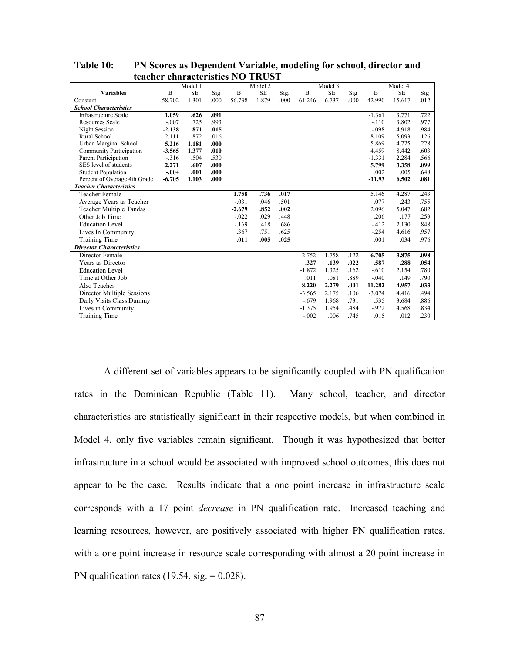|                                 |          | Model 1   |      |          | Model 2   |      |          | Model 3   |      |          | Model 4   |      |
|---------------------------------|----------|-----------|------|----------|-----------|------|----------|-----------|------|----------|-----------|------|
| <b>Variables</b>                | B        | <b>SE</b> | Sig  | B        | <b>SE</b> | Sig. | B        | <b>SE</b> | Sig  | B        | <b>SE</b> | Sig  |
| Constant                        | 58.702   | 1.301     | .000 | 56.738   | 1.879     | .000 | 61.246   | 6.737     | .000 | 42.990   | 15.617    | .012 |
| <b>School Characteristics</b>   |          |           |      |          |           |      |          |           |      |          |           |      |
| <b>Infrastructure Scale</b>     | 1.059    | .626      | .091 |          |           |      |          |           |      | $-1.361$ | 3.771     | .722 |
| <b>Resources Scale</b>          | $-.007$  | .725      | .993 |          |           |      |          |           |      | $-.110$  | 3.802     | .977 |
| Night Session                   | $-2.138$ | .871      | .015 |          |           |      |          |           |      | $-.098$  | 4.918     | .984 |
| Rural School                    | 2.111    | .872      | .016 |          |           |      |          |           |      | 8.109    | 5.093     | .126 |
| Urban Marginal School           | 5.216    | 1.181     | .000 |          |           |      |          |           |      | 5.869    | 4.725     | .228 |
| Community Participation         | $-3.565$ | 1.377     | .010 |          |           |      |          |           |      | 4.459    | 8.442     | .603 |
| Parent Participation            | $-316$   | .504      | .530 |          |           |      |          |           |      | $-1.331$ | 2.284     | .566 |
| SES level of students           | 2.271    | .607      | .000 |          |           |      |          |           |      | 5.799    | 3.358     | .099 |
| <b>Student Population</b>       | $-.004$  | .001      | .000 |          |           |      |          |           |      | .002     | .005      | .648 |
| Percent of Overage 4th Grade    | $-6.705$ | 1.103     | .000 |          |           |      |          |           |      | $-11.93$ | 6.502     | .081 |
| <b>Teacher Characteristics</b>  |          |           |      |          |           |      |          |           |      |          |           |      |
| Teacher Female                  |          |           |      | 1.758    | .736      | .017 |          |           |      | 5.146    | 4.287     | .243 |
| Average Years as Teacher        |          |           |      | $-.031$  | .046      | .501 |          |           |      | .077     | .243      | .755 |
| Teacher Multiple Tandas         |          |           |      | $-2.679$ | .852      | .002 |          |           |      | 2.096    | 5.047     | .682 |
| Other Job Time                  |          |           |      | $-0.022$ | .029      | .448 |          |           |      | .206     | .177      | .259 |
| <b>Education Level</b>          |          |           |      | $-169$   | .418      | .686 |          |           |      | $-412$   | 2.130     | .848 |
| Lives In Community              |          |           |      | .367     | .751      | .625 |          |           |      | $-.254$  | 4.616     | .957 |
| Training Time                   |          |           |      | .011     | .005      | .025 |          |           |      | .001     | .034      | .976 |
| <b>Director Characteristics</b> |          |           |      |          |           |      |          |           |      |          |           |      |
| Director Female                 |          |           |      |          |           |      | 2.752    | 1.758     | .122 | 6.705    | 3.875     | .098 |
| Years as Director               |          |           |      |          |           |      | .327     | .139      | .022 | .587     | .288      | .054 |
| <b>Education Level</b>          |          |           |      |          |           |      | $-1.872$ | 1.325     | .162 | $-.610$  | 2.154     | .780 |
| Time at Other Job               |          |           |      |          |           |      | .011     | .081      | .889 | $-.040$  | .149      | .790 |
| Also Teaches                    |          |           |      |          |           |      | 8.220    | 2.279     | .001 | 11.282   | 4.957     | .033 |
| Director Multiple Sessions      |          |           |      |          |           |      | $-3.565$ | 2.175     | .106 | $-3.074$ | 4.416     | .494 |
| Daily Visits Class Dummy        |          |           |      |          |           |      | $-.679$  | 1.968     | .731 | .535     | 3.684     | .886 |
| Lives in Community              |          |           |      |          |           |      | $-1.375$ | 1.954     | .484 | $-0.972$ | 4.568     | .834 |
| <b>Training Time</b>            |          |           |      |          |           |      | $-.002$  | .006      | .745 | .015     | .012      | .230 |

**Table 10: PN Scores as Dependent Variable, modeling for school, director and teacher characteristics NO TRUST**

A different set of variables appears to be significantly coupled with PN qualification rates in the Dominican Republic (Table 11). Many school, teacher, and director characteristics are statistically significant in their respective models, but when combined in Model 4, only five variables remain significant. Though it was hypothesized that better infrastructure in a school would be associated with improved school outcomes, this does not appear to be the case. Results indicate that a one point increase in infrastructure scale corresponds with a 17 point *decrease* in PN qualification rate. Increased teaching and learning resources, however, are positively associated with higher PN qualification rates, with a one point increase in resource scale corresponding with almost a 20 point increase in PN qualification rates  $(19.54, \text{sig.} = 0.028)$ .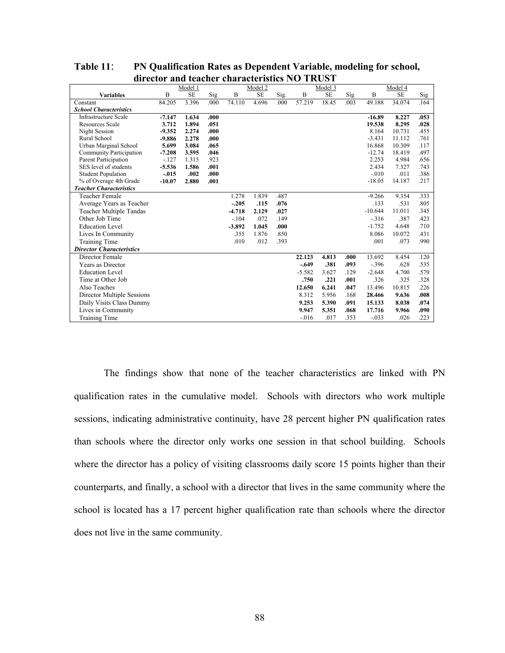|                                 |          | Model 1 |      |          | Model 2 |      |          | Model 3   |      |           | Model 4 |      |
|---------------------------------|----------|---------|------|----------|---------|------|----------|-----------|------|-----------|---------|------|
| <b>Variables</b>                | B        | SE      | Sig  | B        | SE      | Sig. | B        | <b>SE</b> | Sig  | B         | SE      | Sig  |
| Constant                        | 84.205   | 3.396   | .000 | 74.110   | 4.696   | .000 | 57.219   | 18.45     | .003 | 49.188    | 34.074  | .164 |
| <b>School Characteristics</b>   |          |         |      |          |         |      |          |           |      |           |         |      |
| Infrastructure Scale            | $-7.147$ | 1.634   | .000 |          |         |      |          |           |      | $-16.89$  | 8.227   | .053 |
| <b>Resources Scale</b>          | 3.712    | 1.894   | .051 |          |         |      |          |           |      | 19.538    | 8.295   | .028 |
| Night Session                   | $-9.352$ | 2.274   | .000 |          |         |      |          |           |      | 8.164     | 10.731  | .455 |
| Rural School                    | $-9.886$ | 2.278   | .000 |          |         |      |          |           |      | $-3.431$  | 11.112  | .761 |
| Urban Marginal School           | 5.699    | 3.084   | .065 |          |         |      |          |           |      | 16.868    | 10.309  | .117 |
| <b>Community Participation</b>  | $-7.208$ | 3.595   | .046 |          |         |      |          |           |      | $-12.74$  | 18.419  | .497 |
| Parent Participation            | $-127$   | 1.315   | .923 |          |         |      |          |           |      | 2.253     | 4.984   | .656 |
| SES level of students           | $-5.536$ | 1.586   | .001 |          |         |      |          |           |      | 2.434     | 7.327   | .743 |
| <b>Student Population</b>       | $-.015$  | .002    | .000 |          |         |      |          |           |      | $-.010$   | .011    | .386 |
| % of Overage 4th Grade          | $-10.07$ | 2.880   | .001 |          |         |      |          |           |      | $-18.05$  | 14.187  | .217 |
| <b>Teacher Characteristics</b>  |          |         |      |          |         |      |          |           |      |           |         |      |
| <b>Teacher Female</b>           |          |         |      | 1.278    | 1.839   | .487 |          |           |      | $-9.266$  | 9.354   | .333 |
| Average Years as Teacher        |          |         |      | $-.205$  | .115    | .076 |          |           |      | .133      | .531    | .805 |
| Teacher Multiple Tandas         |          |         |      | $-4.718$ | 2.129   | .027 |          |           |      | $-10.644$ | 11.011  | .345 |
| Other Job Time                  |          |         |      | $-.104$  | .072    | .149 |          |           |      | $-316$    | .387    | .423 |
| <b>Education Level</b>          |          |         |      | $-3.892$ | 1.045   | .000 |          |           |      | $-1.752$  | 4.648   | .710 |
| Lives In Community              |          |         |      | .355     | 1.876   | .850 |          |           |      | 8.086     | 10.072  | .431 |
| Training Time                   |          |         |      | .010     | .012    | .393 |          |           |      | .001      | .073    | .990 |
| <b>Director Characteristics</b> |          |         |      |          |         |      |          |           |      |           |         |      |
| Director Female                 |          |         |      |          |         |      | 22.123   | 4.813     | .000 | 13.692    | 8.454   | .120 |
| Years as Director               |          |         |      |          |         |      | $-.649$  | .381      | .093 | $-.396$   | .628    | .535 |
| <b>Education Level</b>          |          |         |      |          |         |      | $-5.582$ | 3.627     | .129 | $-2.648$  | 4.700   | .579 |
| Time at Other Job               |          |         |      |          |         |      | .750     | .221      | .001 | .326      | .325    | .328 |
| Also Teaches                    |          |         |      |          |         |      | 12.650   | 6.241     | .047 | 13.496    | 10.815  | .226 |
| Director Multiple Sessions      |          |         |      |          |         |      | 8.312    | 5.956     | .168 | 28.466    | 9.636   | .008 |
| Daily Visits Class Dummy        |          |         |      |          |         |      | 9.253    | 5.390     | .091 | 15.133    | 8.038   | .074 |
| Lives in Community              |          |         |      |          |         |      | 9.947    | 5.351     | .068 | 17.716    | 9.966   | .090 |
| <b>Training Time</b>            |          |         |      |          |         |      | $-0.016$ | .017      | .353 | $-.033$   | .026    | .223 |

**Table 11**: **PN Qualification Rates as Dependent Variable, modeling for school, director and teacher characteristics NO TRUST**

The findings show that none of the teacher characteristics are linked with PN qualification rates in the cumulative model. Schools with directors who work multiple sessions, indicating administrative continuity, have 28 percent higher PN qualification rates than schools where the director only works one session in that school building. Schools where the director has a policy of visiting classrooms daily score 15 points higher than their counterparts, and finally, a school with a director that lives in the same community where the school is located has a 17 percent higher qualification rate than schools where the director does not live in the same community.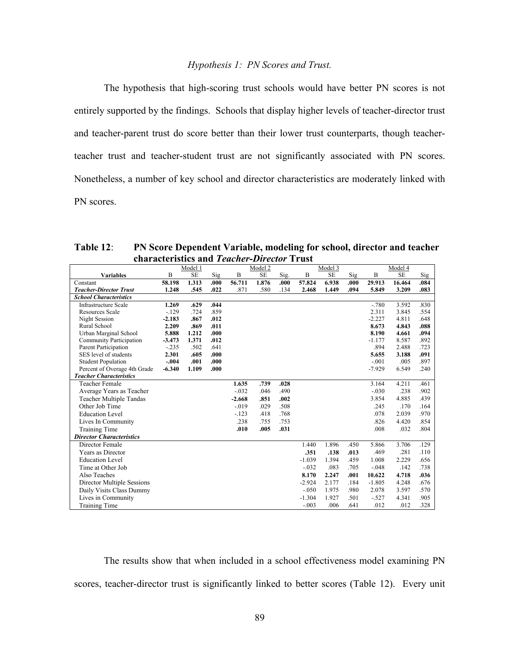### *Hypothesis 1: PN Scores and Trust.*

The hypothesis that high-scoring trust schools would have better PN scores is not entirely supported by the findings. Schools that display higher levels of teacher-director trust and teacher-parent trust do score better than their lower trust counterparts, though teacherteacher trust and teacher-student trust are not significantly associated with PN scores. Nonetheless, a number of key school and director characteristics are moderately linked with PN scores.

**Table 12**: **PN Score Dependent Variable, modeling for school, director and teacher characteristics and** *Teacher-Director* **Trust**

|                                 |          | Model 1   |      |          | Model 2   |      |          | Model 3   |       |          | Model 4   |      |
|---------------------------------|----------|-----------|------|----------|-----------|------|----------|-----------|-------|----------|-----------|------|
| <b>Variables</b>                | B        | <b>SE</b> | Sig  | B        | <b>SE</b> | Sig. | B        | <b>SE</b> | Sig   | B        | <b>SE</b> | Sig  |
| Constant                        | 58.198   | 1.313     | .000 | 56.711   | 1.876     | .000 | 57.824   | 6.938     | .000. | 29.913   | 16.464    | .084 |
| <b>Teacher-Director Trust</b>   | 1.248    | .545      | .022 | .871     | .580      | .134 | 2.468    | 1.449     | .094  | 5.849    | 3.209     | .083 |
| <b>School Characteristics</b>   |          |           |      |          |           |      |          |           |       |          |           |      |
| <b>Infrastructure Scale</b>     | 1.269    | .629      | .044 |          |           |      |          |           |       | $-.780$  | 3.592     | .830 |
| <b>Resources Scale</b>          | $-129$   | .724      | .859 |          |           |      |          |           |       | 2.311    | 3.845     | .554 |
| Night Session                   | $-2.183$ | .867      | .012 |          |           |      |          |           |       | $-2.227$ | 4.811     | .648 |
| Rural School                    | 2.209    | .869      | .011 |          |           |      |          |           |       | 8.673    | 4.843     | .088 |
| Urban Marginal School           | 5.888    | 1.212     | .000 |          |           |      |          |           |       | 8.190    | 4.661     | .094 |
| Community Participation         | $-3.473$ | 1.371     | .012 |          |           |      |          |           |       | $-1.177$ | 8.587     | .892 |
| Parent Participation            | $-.235$  | .502      | .641 |          |           |      |          |           |       | .894     | 2.488     | .723 |
| SES level of students           | 2.301    | .605      | .000 |          |           |      |          |           |       | 5.655    | 3.188     | .091 |
| <b>Student Population</b>       | $-.004$  | .001      | .000 |          |           |      |          |           |       | $-.001$  | .005      | .897 |
| Percent of Overage 4th Grade    | $-6.340$ | 1.109     | .000 |          |           |      |          |           |       | $-7.929$ | 6.549     | .240 |
| <b>Teacher Characteristics</b>  |          |           |      |          |           |      |          |           |       |          |           |      |
| Teacher Female                  |          |           |      | 1.635    | .739      | .028 |          |           |       | 3.164    | 4.211     | .461 |
| Average Years as Teacher        |          |           |      | $-.032$  | .046      | .490 |          |           |       | $-.030$  | .238      | .902 |
| Teacher Multiple Tandas         |          |           |      | $-2.668$ | .851      | .002 |          |           |       | 3.854    | 4.885     | .439 |
| Other Job Time                  |          |           |      | $-0.019$ | .029      | .508 |          |           |       | .245     | .170      | .164 |
| <b>Education Level</b>          |          |           |      | $-123$   | .418      | .768 |          |           |       | .078     | 2.039     | .970 |
| Lives In Community              |          |           |      | .238     | .755      | .753 |          |           |       | .826     | 4.420     | .854 |
| <b>Training Time</b>            |          |           |      | .010     | .005      | .031 |          |           |       | .008     | .032      | .804 |
| <b>Director Characteristics</b> |          |           |      |          |           |      |          |           |       |          |           |      |
| Director Female                 |          |           |      |          |           |      | 1.440    | 1.896     | .450  | 5.866    | 3.706     | .129 |
| Years as Director               |          |           |      |          |           |      | .351     | .138      | .013  | .469     | .281      | .110 |
| <b>Education Level</b>          |          |           |      |          |           |      | $-1.039$ | 1.394     | .459  | 1.008    | 2.229     | .656 |
| Time at Other Job               |          |           |      |          |           |      | $-.032$  | .083      | .705  | $-.048$  | .142      | .738 |
| Also Teaches                    |          |           |      |          |           |      | 8.170    | 2.247     | .001  | 10.622   | 4.718     | .036 |
| Director Multiple Sessions      |          |           |      |          |           |      | $-2.924$ | 2.177     | .184  | $-1.805$ | 4.248     | .676 |
| Daily Visits Class Dummy        |          |           |      |          |           |      | $-.050$  | 1.975     | .980  | 2.078    | 3.597     | .570 |
| Lives in Community              |          |           |      |          |           |      | $-1.304$ | 1.927     | .501  | $-.527$  | 4.341     | .905 |
| <b>Training Time</b>            |          |           |      |          |           |      | $-.003$  | .006      | .641  | .012     | .012      | .328 |

The results show that when included in a school effectiveness model examining PN scores, teacher-director trust is significantly linked to better scores (Table 12). Every unit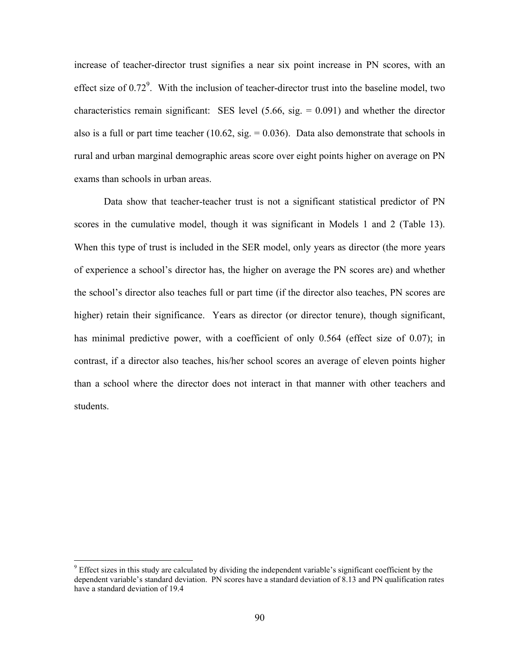increase of teacher-director trust signifies a near six point increase in PN scores, with an effect size of  $0.72^9$ . With the inclusion of teacher-director trust into the baseline model, two characteristics remain significant: SES level  $(5.66, sig. = 0.091)$  and whether the director also is a full or part time teacher  $(10.62, \text{sig.} = 0.036)$ . Data also demonstrate that schools in rural and urban marginal demographic areas score over eight points higher on average on PN exams than schools in urban areas.

Data show that teacher-teacher trust is not a significant statistical predictor of PN scores in the cumulative model, though it was significant in Models 1 and 2 (Table 13). When this type of trust is included in the SER model, only years as director (the more years of experience a school's director has, the higher on average the PN scores are) and whether the school's director also teaches full or part time (if the director also teaches, PN scores are higher) retain their significance. Years as director (or director tenure), though significant, has minimal predictive power, with a coefficient of only 0.564 (effect size of 0.07); in contrast, if a director also teaches, his/her school scores an average of eleven points higher than a school where the director does not interact in that manner with other teachers and students.

 $\overline{a}$ 

 $9$  Effect sizes in this study are calculated by dividing the independent variable's significant coefficient by the dependent variable's standard deviation. PN scores have a standard deviation of 8.13 and PN qualification rates have a standard deviation of 19.4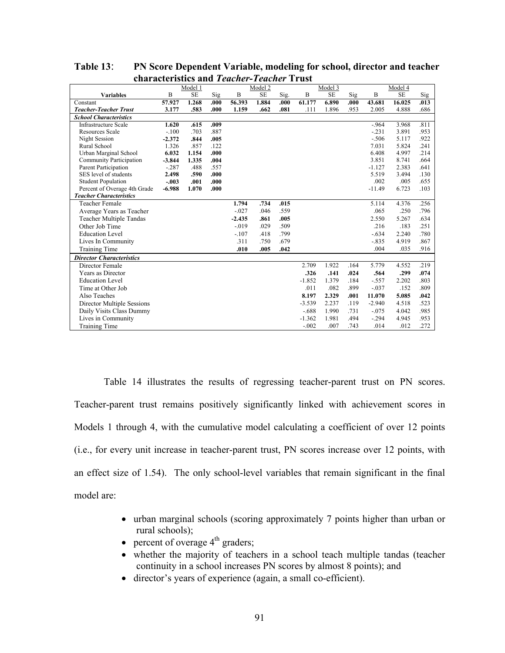|                                 |          | Model 1   |      |          | Model 2   |      |          | Model 3   |      |          | Model 4   |      |
|---------------------------------|----------|-----------|------|----------|-----------|------|----------|-----------|------|----------|-----------|------|
| <b>Variables</b>                | B        | <b>SE</b> | Sig  | B        | <b>SE</b> | Sig. | B        | <b>SE</b> | Sig  | B        | <b>SE</b> | Sig  |
| Constant                        | 57.927   | 1.268     | .000 | 56.393   | 1.884     | .000 | 61.177   | 6.890     | .000 | 43.681   | 16.025    | .013 |
| <b>Teacher-Teacher Trust</b>    | 3.177    | .583      | .000 | 1.159    | .662      | .081 | .111     | 1.896     | .953 | 2.005    | 4.888     | .686 |
| <b>School Characteristics</b>   |          |           |      |          |           |      |          |           |      |          |           |      |
| <b>Infrastructure Scale</b>     | 1.620    | .615      | .009 |          |           |      |          |           |      | $-964$   | 3.968     | .811 |
| <b>Resources Scale</b>          | $-.100$  | .703      | .887 |          |           |      |          |           |      | $-.231$  | 3.891     | .953 |
| Night Session                   | $-2.372$ | .844      | .005 |          |           |      |          |           |      | $-.506$  | 5.117     | .922 |
| Rural School                    | 1.326    | .857      | .122 |          |           |      |          |           |      | 7.031    | 5.824     | .241 |
| Urban Marginal School           | 6.032    | 1.154     | .000 |          |           |      |          |           |      | 6.408    | 4.997     | .214 |
| Community Participation         | $-3.844$ | 1.335     | .004 |          |           |      |          |           |      | 3.851    | 8.741     | .664 |
| Parent Participation            | $-.287$  | .488      | .557 |          |           |      |          |           |      | $-1.127$ | 2.383     | .641 |
| SES level of students           | 2.498    | .590      | .000 |          |           |      |          |           |      | 5.519    | 3.494     | .130 |
| <b>Student Population</b>       | $-.003$  | .001      | .000 |          |           |      |          |           |      | .002     | .005      | .655 |
| Percent of Overage 4th Grade    | $-6.988$ | 1.070     | .000 |          |           |      |          |           |      | $-11.49$ | 6.723     | .103 |
| <b>Teacher Characteristics</b>  |          |           |      |          |           |      |          |           |      |          |           |      |
| <b>Teacher Female</b>           |          |           |      | 1.794    | .734      | .015 |          |           |      | 5.114    | 4.376     | .256 |
| Average Years as Teacher        |          |           |      | $-.027$  | .046      | .559 |          |           |      | .065     | .250      | .796 |
| <b>Teacher Multiple Tandas</b>  |          |           |      | $-2.435$ | .861      | .005 |          |           |      | 2.550    | 5.267     | .634 |
| Other Job Time                  |          |           |      | $-.019$  | .029      | .509 |          |           |      | .216     | .183      | .251 |
| <b>Education Level</b>          |          |           |      | $-.107$  | .418      | .799 |          |           |      | $-.634$  | 2.240     | .780 |
| Lives In Community              |          |           |      | .311     | .750      | .679 |          |           |      | $-.835$  | 4.919     | .867 |
| Training Time                   |          |           |      | .010     | .005      | .042 |          |           |      | .004     | .035      | .916 |
| <b>Director Characteristics</b> |          |           |      |          |           |      |          |           |      |          |           |      |
| Director Female                 |          |           |      |          |           |      | 2.709    | 1.922     | .164 | 5.779    | 4.552     | .219 |
| Years as Director               |          |           |      |          |           |      | .326     | .141      | .024 | .564     | .299      | .074 |
| <b>Education Level</b>          |          |           |      |          |           |      | $-1.852$ | 1.379     | .184 | $-.557$  | 2.202     | .803 |
| Time at Other Job               |          |           |      |          |           |      | .011     | .082      | .899 | $-.037$  | .152      | .809 |
| Also Teaches                    |          |           |      |          |           |      | 8.197    | 2.329     | .001 | 11.070   | 5.085     | .042 |
| Director Multiple Sessions      |          |           |      |          |           |      | $-3.539$ | 2.237     | .119 | $-2.940$ | 4.518     | .523 |
| Daily Visits Class Dummy        |          |           |      |          |           |      | $-.688$  | 1.990     | .731 | $-.075$  | 4.042     | .985 |
| Lives in Community              |          |           |      |          |           |      | $-1.362$ | 1.981     | .494 | $-.294$  | 4.945     | .953 |
| Training Time                   |          |           |      |          |           |      | $-.002$  | .007      | .743 | .014     | .012      | 272  |

**Table 13**: **PN Score Dependent Variable, modeling for school, director and teacher characteristics and** *Teacher-Teacher* **Trust**

Table 14 illustrates the results of regressing teacher-parent trust on PN scores. Teacher-parent trust remains positively significantly linked with achievement scores in Models 1 through 4, with the cumulative model calculating a coefficient of over 12 points (i.e., for every unit increase in teacher-parent trust, PN scores increase over 12 points, with an effect size of 1.54). The only school-level variables that remain significant in the final model are:

- urban marginal schools (scoring approximately 7 points higher than urban or rural schools);
- percent of overage  $4<sup>th</sup>$  graders;
- whether the majority of teachers in a school teach multiple tandas (teacher continuity in a school increases PN scores by almost 8 points); and
- director's years of experience (again, a small co-efficient).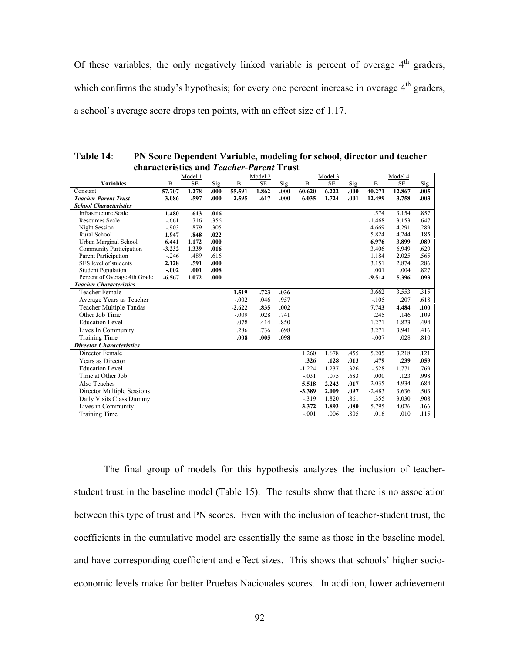Of these variables, the only negatively linked variable is percent of overage  $4<sup>th</sup>$  graders, which confirms the study's hypothesis; for every one percent increase in overage 4<sup>th</sup> graders, a school's average score drops ten points, with an effect size of 1.17.

|                                 | characteristics and <i>Teacher-Parent</i> Trust |           |      |          |           |      |          |         |      |          |           |      |
|---------------------------------|-------------------------------------------------|-----------|------|----------|-----------|------|----------|---------|------|----------|-----------|------|
|                                 |                                                 | Model 1   |      |          | Model 2   |      |          | Model 3 |      |          | Model 4   |      |
| <b>Variables</b>                | B                                               | <b>SE</b> | Sig  | B        | <b>SE</b> | Sig. | B        | SE      | Sig  | B        | <b>SE</b> | Sig  |
| Constant                        | 57.707                                          | 1.278     | .000 | 55.591   | 1.862     | .000 | 60.620   | 6.222   | .000 | 40.271   | 12.867    | .005 |
| <b>Teacher-Parent Trust</b>     | 3.086                                           | .597      | .000 | 2.595    | .617      | .000 | 6.035    | 1.724   | .001 | 12.499   | 3.758     | .003 |
| <b>School Characteristics</b>   |                                                 |           |      |          |           |      |          |         |      |          |           |      |
| <b>Infrastructure Scale</b>     | 1.480                                           | .613      | .016 |          |           |      |          |         |      | .574     | 3.154     | .857 |
| <b>Resources Scale</b>          | $-.661$                                         | .716      | .356 |          |           |      |          |         |      | $-1.468$ | 3.153     | .647 |
| Night Session                   | $-0.903$                                        | .879      | .305 |          |           |      |          |         |      | 4.669    | 4.291     | .289 |
| Rural School                    | 1.947                                           | .848      | .022 |          |           |      |          |         |      | 5.824    | 4.244     | .185 |
| Urban Marginal School           | 6.441                                           | 1.172     | .000 |          |           |      |          |         |      | 6.976    | 3.899     | .089 |
| Community Participation         | $-3.232$                                        | 1.339     | .016 |          |           |      |          |         |      | 3.406    | 6.949     | .629 |
| Parent Participation            | $-.246$                                         | .489      | .616 |          |           |      |          |         |      | 1.184    | 2.025     | .565 |
| SES level of students           | 2.128                                           | .591      | .000 |          |           |      |          |         |      | 3.151    | 2.874     | .286 |
| <b>Student Population</b>       | $-.002$                                         | .001      | .008 |          |           |      |          |         |      | .001     | .004      | .827 |
| Percent of Overage 4th Grade    | $-6.567$                                        | 1.072     | .000 |          |           |      |          |         |      | $-9.514$ | 5.396     | .093 |
| <b>Teacher Characteristics</b>  |                                                 |           |      |          |           |      |          |         |      |          |           |      |
| <b>Teacher Female</b>           |                                                 |           |      | 1.519    | .723      | .036 |          |         |      | 3.662    | 3.553     | .315 |
| Average Years as Teacher        |                                                 |           |      | $-.002$  | .046      | .957 |          |         |      | $-.105$  | .207      | .618 |
| Teacher Multiple Tandas         |                                                 |           |      | $-2.622$ | .835      | .002 |          |         |      | 7.743    | 4.484     | .100 |
| Other Job Time                  |                                                 |           |      | $-.009$  | .028      | .741 |          |         |      | .245     | .146      | .109 |
| <b>Education Level</b>          |                                                 |           |      | .078     | .414      | .850 |          |         |      | 1.271    | 1.823     | .494 |
| Lives In Community              |                                                 |           |      | .286     | .736      | .698 |          |         |      | 3.271    | 3.941     | .416 |
| Training Time                   |                                                 |           |      | .008     | .005      | .098 |          |         |      | $-.007$  | .028      | .810 |
| <b>Director Characteristics</b> |                                                 |           |      |          |           |      |          |         |      |          |           |      |
| Director Female                 |                                                 |           |      |          |           |      | 1.260    | 1.678   | .455 | 5.205    | 3.218     | .121 |
| Years as Director               |                                                 |           |      |          |           |      | .326     | .128    | .013 | .479     | .239      | .059 |
| <b>Education Level</b>          |                                                 |           |      |          |           |      | $-1.224$ | 1.237   | .326 | $-.528$  | 1.771     | .769 |
| Time at Other Job               |                                                 |           |      |          |           |      | $-.031$  | .075    | .683 | .000     | .123      | .998 |
| Also Teaches                    |                                                 |           |      |          |           |      | 5.518    | 2.242   | .017 | 2.035    | 4.934     | .684 |
| Director Multiple Sessions      |                                                 |           |      |          |           |      | $-3.389$ | 2.009   | .097 | $-2.483$ | 3.636     | .503 |
| Daily Visits Class Dummy        |                                                 |           |      |          |           |      | $-319$   | 1.820   | .861 | .355     | 3.030     | .908 |
| Lives in Community              |                                                 |           |      |          |           |      | $-3.372$ | 1.893   | .080 | $-5.795$ | 4.026     | .166 |
| Training Time                   |                                                 |           |      |          |           |      | $-.001$  | .006    | .805 | .016     | .010      | .115 |

**Table 14**: **PN Score Dependent Variable, modeling for school, director and teacher characteristics and** *Teacher-Parent* **Trust**

The final group of models for this hypothesis analyzes the inclusion of teacherstudent trust in the baseline model (Table 15). The results show that there is no association between this type of trust and PN scores. Even with the inclusion of teacher-student trust, the coefficients in the cumulative model are essentially the same as those in the baseline model, and have corresponding coefficient and effect sizes. This shows that schools' higher socioeconomic levels make for better Pruebas Nacionales scores. In addition, lower achievement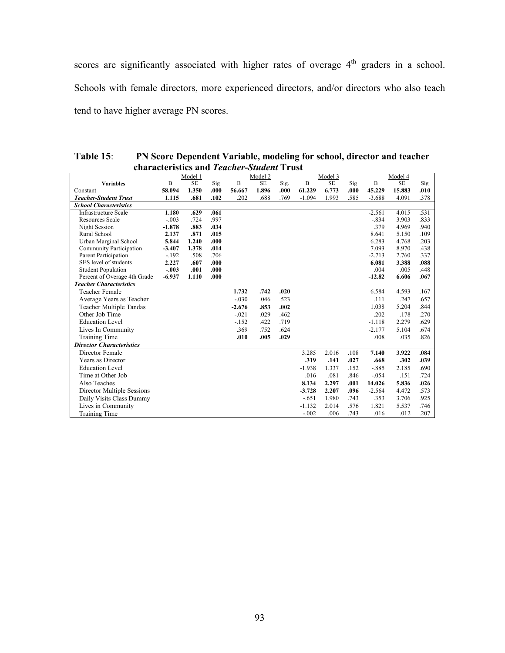scores are significantly associated with higher rates of overage  $4<sup>th</sup>$  graders in a school. Schools with female directors, more experienced directors, and/or directors who also teach tend to have higher average PN scores.

| Table $15$ : | PN Score Dependent Variable, modeling for school, director and teacher |
|--------------|------------------------------------------------------------------------|
|              | characteristics and <i>Teacher-Student</i> Trust                       |

|                                 |          | Model 1   |      |          | Model 2   |      |          | Model 3   |            |          | Model 4   |      |
|---------------------------------|----------|-----------|------|----------|-----------|------|----------|-----------|------------|----------|-----------|------|
| <b>Variables</b>                | B        | <b>SE</b> | Sig  | B        | <b>SE</b> | Sig. | B        | <b>SE</b> | <b>Sig</b> | B        | <b>SE</b> | Sig  |
| Constant                        | 58.094   | 1.350     | .000 | 56.667   | 1.896     | .000 | 61.229   | 6.773     | .000       | 45.229   | 15.883    | .010 |
| <b>Teacher-Student Trust</b>    | 1.115    | .681      | .102 | .202     | .688      | .769 | $-1.094$ | 1.993     | .585       | $-3.688$ | 4.091     | .378 |
| <b>School Characteristics</b>   |          |           |      |          |           |      |          |           |            |          |           |      |
| <b>Infrastructure Scale</b>     | 1.180    | .629      | .061 |          |           |      |          |           |            | $-2.561$ | 4.015     | .531 |
| <b>Resources Scale</b>          | $-.003$  | .724      | .997 |          |           |      |          |           |            | $-.834$  | 3.903     | .833 |
| Night Session                   | $-1.878$ | .883      | .034 |          |           |      |          |           |            | .379     | 4.969     | .940 |
| Rural School                    | 2.137    | .871      | .015 |          |           |      |          |           |            | 8.641    | 5.150     | .109 |
| Urban Marginal School           | 5.844    | 1.240     | .000 |          |           |      |          |           |            | 6.283    | 4.768     | .203 |
| Community Participation         | $-3.407$ | 1.378     | .014 |          |           |      |          |           |            | 7.093    | 8.970     | .438 |
| Parent Participation            | $-.192$  | .508      | .706 |          |           |      |          |           |            | $-2.713$ | 2.760     | .337 |
| SES level of students           | 2.227    | .607      | .000 |          |           |      |          |           |            | 6.081    | 3.388     | .088 |
| <b>Student Population</b>       | $-.003$  | .001      | .000 |          |           |      |          |           |            | .004     | .005      | .448 |
| Percent of Overage 4th Grade    | $-6.937$ | 1.110     | .000 |          |           |      |          |           |            | $-12.82$ | 6.606     | .067 |
| <b>Teacher Characteristics</b>  |          |           |      |          |           |      |          |           |            |          |           |      |
| <b>Teacher Female</b>           |          |           |      | 1.732    | .742      | .020 |          |           |            | 6.584    | 4.593     | .167 |
| Average Years as Teacher        |          |           |      | $-.030$  | .046      | .523 |          |           |            | .111     | .247      | .657 |
| <b>Teacher Multiple Tandas</b>  |          |           |      | $-2.676$ | .853      | .002 |          |           |            | 1.038    | 5.204     | .844 |
| Other Job Time                  |          |           |      | $-.021$  | .029      | .462 |          |           |            | .202     | .178      | .270 |
| <b>Education Level</b>          |          |           |      | $-152$   | .422      | .719 |          |           |            | $-1.118$ | 2.279     | .629 |
| Lives In Community              |          |           |      | .369     | .752      | .624 |          |           |            | $-2.177$ | 5.104     | .674 |
| Training Time                   |          |           |      | .010     | .005      | .029 |          |           |            | .008     | .035      | .826 |
| <b>Director Characteristics</b> |          |           |      |          |           |      |          |           |            |          |           |      |
| Director Female                 |          |           |      |          |           |      | 3.285    | 2.016     | .108       | 7.140    | 3.922     | .084 |
| Years as Director               |          |           |      |          |           |      | .319     | .141      | .027       | .668     | .302      | .039 |
| <b>Education Level</b>          |          |           |      |          |           |      | $-1.938$ | 1.337     | .152       | $-.885$  | 2.185     | .690 |
| Time at Other Job               |          |           |      |          |           |      | .016     | .081      | .846       | $-.054$  | .151      | .724 |
| Also Teaches                    |          |           |      |          |           |      | 8.134    | 2.297     | .001       | 14.026   | 5.836     | .026 |
| Director Multiple Sessions      |          |           |      |          |           |      | $-3.728$ | 2.207     | .096       | $-2.564$ | 4.472     | .573 |
| Daily Visits Class Dummy        |          |           |      |          |           |      | $-.651$  | 1.980     | .743       | .353     | 3.706     | .925 |
| Lives in Community              |          |           |      |          |           |      | $-1.132$ | 2.014     | .576       | 1.821    | 5.537     | .746 |
| <b>Training Time</b>            |          |           |      |          |           |      | $-.002$  | .006      | .743       | .016     | .012      | .207 |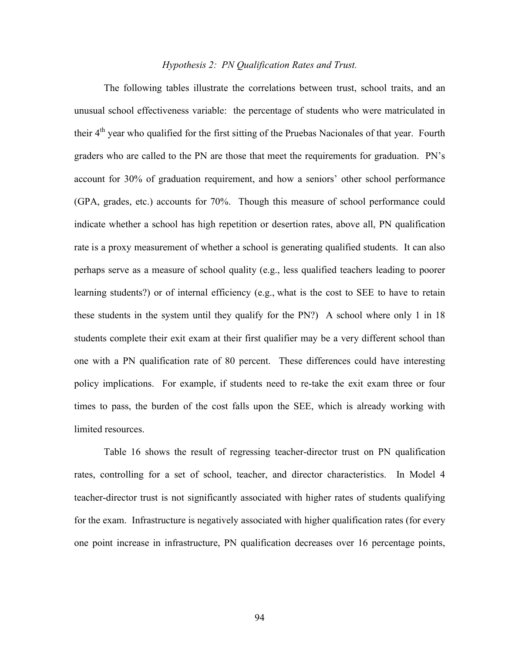# *Hypothesis 2: PN Qualification Rates and Trust.*

The following tables illustrate the correlations between trust, school traits, and an unusual school effectiveness variable: the percentage of students who were matriculated in their 4<sup>th</sup> year who qualified for the first sitting of the Pruebas Nacionales of that year. Fourth graders who are called to the PN are those that meet the requirements for graduation. PN's account for 30% of graduation requirement, and how a seniors' other school performance (GPA, grades, etc.) accounts for 70%. Though this measure of school performance could indicate whether a school has high repetition or desertion rates, above all, PN qualification rate is a proxy measurement of whether a school is generating qualified students. It can also perhaps serve as a measure of school quality (e.g., less qualified teachers leading to poorer learning students?) or of internal efficiency (e.g., what is the cost to SEE to have to retain these students in the system until they qualify for the PN?) A school where only 1 in 18 students complete their exit exam at their first qualifier may be a very different school than one with a PN qualification rate of 80 percent. These differences could have interesting policy implications. For example, if students need to re-take the exit exam three or four times to pass, the burden of the cost falls upon the SEE, which is already working with limited resources.

Table 16 shows the result of regressing teacher-director trust on PN qualification rates, controlling for a set of school, teacher, and director characteristics. In Model 4 teacher-director trust is not significantly associated with higher rates of students qualifying for the exam. Infrastructure is negatively associated with higher qualification rates (for every one point increase in infrastructure, PN qualification decreases over 16 percentage points,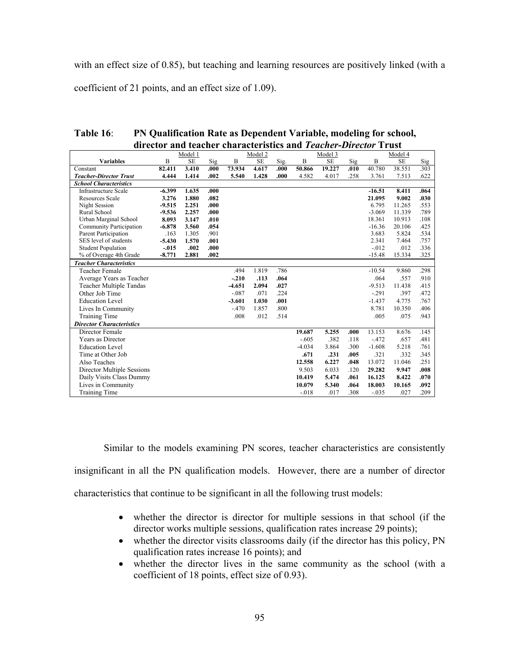with an effect size of 0.85), but teaching and learning resources are positively linked (with a coefficient of 21 points, and an effect size of 1.09).

| Table $16$ : | PN Qualification Rate as Dependent Variable, modeling for school, |
|--------------|-------------------------------------------------------------------|
|              | director and teacher characteristics and Teacher-Director Trust   |

|                                 | Model 1  |           |      | Model 2  |           |      | Model 3  |           |      | Model 4  |           |      |
|---------------------------------|----------|-----------|------|----------|-----------|------|----------|-----------|------|----------|-----------|------|
| <b>Variables</b>                | B        | <b>SE</b> | Sig  | B        | <b>SE</b> | Sig. | B        | <b>SE</b> | Sig  | B        | <b>SE</b> | Sig  |
| Constant                        | 82.411   | 3.410     | .000 | 73.934   | 4.617     | .000 | 50.866   | 19.227    | .010 | 40.780   | 38.551    | .303 |
| <b>Teacher-Director Trust</b>   | 4.444    | 1.414     | .002 | 5.540    | 1.428     | .000 | 4.582    | 4.017     | .258 | 3.761    | 7.513     | .622 |
| <b>School Characteristics</b>   |          |           |      |          |           |      |          |           |      |          |           |      |
| <b>Infrastructure Scale</b>     | $-6.399$ | 1.635     | .000 |          |           |      |          |           |      | $-16.51$ | 8.411     | .064 |
| <b>Resources Scale</b>          | 3.276    | 1.880     | .082 |          |           |      |          |           |      | 21.095   | 9.002     | .030 |
| Night Session                   | $-9.515$ | 2.251     | .000 |          |           |      |          |           |      | 6.795    | 11.265    | .553 |
| Rural School                    | $-9.536$ | 2.257     | .000 |          |           |      |          |           |      | $-3.069$ | 11.339    | .789 |
| Urban Marginal School           | 8.093    | 3.147     | .010 |          |           |      |          |           |      | 18.361   | 10.913    | .108 |
| Community Participation         | $-6.878$ | 3.560     | .054 |          |           |      |          |           |      | $-16.36$ | 20.106    | .425 |
| Parent Participation            | .163     | 1.305     | .901 |          |           |      |          |           |      | 3.683    | 5.824     | .534 |
| SES level of students           | $-5.430$ | 1.570     | .001 |          |           |      |          |           |      | 2.341    | 7.464     | .757 |
| <b>Student Population</b>       | $-.015$  | .002      | .000 |          |           |      |          |           |      | $-.012$  | .012      | .336 |
| % of Overage 4th Grade          | $-8.771$ | 2.881     | .002 |          |           |      |          |           |      | $-15.48$ | 15.334    | .325 |
| <b>Teacher Characteristics</b>  |          |           |      |          |           |      |          |           |      |          |           |      |
| Teacher Female                  |          |           |      | .494     | 1.819     | .786 |          |           |      | $-10.54$ | 9.860     | .298 |
| Average Years as Teacher        |          |           |      | $-.210$  | .113      | .064 |          |           |      | .064     | .557      | .910 |
| Teacher Multiple Tandas         |          |           |      | $-4.651$ | 2.094     | .027 |          |           |      | $-9.513$ | 11.438    | .415 |
| Other Job Time                  |          |           |      | $-.087$  | .071      | .224 |          |           |      | $-.291$  | .397      | .472 |
| <b>Education Level</b>          |          |           |      | $-3.601$ | 1.030     | .001 |          |           |      | $-1.437$ | 4.775     | .767 |
| Lives In Community              |          |           |      | $-.470$  | 1.857     | .800 |          |           |      | 8.781    | 10.350    | .406 |
| Training Time                   |          |           |      | .008     | .012      | .514 |          |           |      | .005     | .075      | .943 |
| <b>Director Characteristics</b> |          |           |      |          |           |      |          |           |      |          |           |      |
| Director Female                 |          |           |      |          |           |      | 19.687   | 5.255     | .000 | 13.153   | 8.676     | .145 |
| Years as Director               |          |           |      |          |           |      | $-.605$  | .382      | .118 | $-.472$  | .657      | .481 |
| <b>Education Level</b>          |          |           |      |          |           |      | $-4.034$ | 3.864     | .300 | $-1.608$ | 5.218     | .761 |
| Time at Other Job               |          |           |      |          |           |      | .671     | .231      | .005 | .321     | .332      | .345 |
| Also Teaches                    |          |           |      |          |           |      | 12.558   | 6.227     | .048 | 13.072   | 11.046    | .251 |
| Director Multiple Sessions      |          |           |      |          |           |      | 9.503    | 6.033     | .120 | 29.282   | 9.947     | .008 |
| Daily Visits Class Dummy        |          |           |      |          |           |      | 10.419   | 5.474     | .061 | 16.125   | 8.422     | .070 |
| Lives in Community              |          |           |      |          |           |      | 10.079   | 5.340     | .064 | 18.003   | 10.165    | .092 |
| Training Time                   |          |           |      |          |           |      | $-0.018$ | .017      | .308 | $-.035$  | .027      | .209 |

Similar to the models examining PN scores, teacher characteristics are consistently insignificant in all the PN qualification models. However, there are a number of director characteristics that continue to be significant in all the following trust models:

- whether the director is director for multiple sessions in that school (if the director works multiple sessions, qualification rates increase 29 points);
- whether the director visits classrooms daily (if the director has this policy, PN qualification rates increase 16 points); and
- whether the director lives in the same community as the school (with a coefficient of 18 points, effect size of 0.93).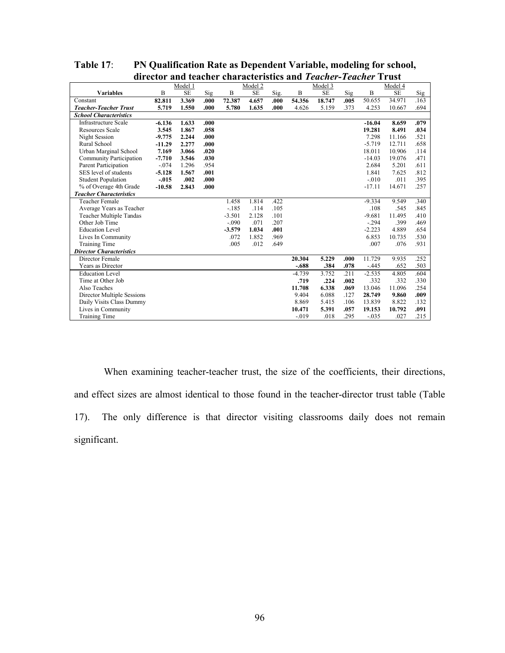|                                 |          | Model 1   |       |          | Model 2   |      |          | Model 3   |      |          | Model 4   |      |  |
|---------------------------------|----------|-----------|-------|----------|-----------|------|----------|-----------|------|----------|-----------|------|--|
| <b>Variables</b>                | B        | <b>SE</b> | Sig   | B        | <b>SE</b> | Sig. | B        | <b>SE</b> | Sig  | B        | <b>SE</b> | Sig  |  |
| Constant                        | 82.811   | 3.369     | .000. | 72.387   | 4.657     | .000 | 54.356   | 18.747    | .005 | 50.655   | 34.971    | .163 |  |
| <b>Teacher-Teacher Trust</b>    | 5.719    | 1.550     | .000. | 5.780    | 1.635     | .000 | 4.626    | 5.159     | .373 | 4.253    | 10.667    | .694 |  |
| <b>School Characteristics</b>   |          |           |       |          |           |      |          |           |      |          |           |      |  |
| <b>Infrastructure Scale</b>     | $-6.136$ | 1.633     | .000  |          |           |      |          |           |      | $-16.04$ | 8.659     | .079 |  |
| <b>Resources Scale</b>          | 3.545    | 1.867     | .058  |          |           |      |          |           |      | 19.281   | 8.491     | .034 |  |
| Night Session                   | $-9.775$ | 2.244     | .000  |          |           |      |          |           |      | 7.298    | 11.166    | .521 |  |
| Rural School                    | $-11.29$ | 2.277     | .000  |          |           |      |          |           |      | $-5.719$ | 12.711    | .658 |  |
| Urban Marginal School           | 7.169    | 3.066     | .020  |          |           |      |          |           |      | 18.011   | 10.906    | .114 |  |
| Community Participation         | $-7.710$ | 3.546     | .030  |          |           |      |          |           |      | $-14.03$ | 19.076    | .471 |  |
| Parent Participation            | $-.074$  | 1.296     | .954  |          |           |      |          |           |      | 2.684    | 5.201     | .611 |  |
| SES level of students           | $-5.128$ | 1.567     | .001  |          |           |      |          |           |      | 1.841    | 7.625     | .812 |  |
| <b>Student Population</b>       | $-.015$  | .002      | .000  |          |           |      |          |           |      | $-.010$  | .011      | .395 |  |
| % of Overage 4th Grade          | $-10.58$ | 2.843     | .000  |          |           |      |          |           |      | $-17.11$ | 14.671    | .257 |  |
| <b>Teacher Characteristics</b>  |          |           |       |          |           |      |          |           |      |          |           |      |  |
| <b>Teacher Female</b>           |          |           |       | 1.458    | 1.814     | .422 |          |           |      | $-9.334$ | 9.549     | .340 |  |
| Average Years as Teacher        |          |           |       | $-185$   | .114      | .105 |          |           |      | .108     | .545      | .845 |  |
| <b>Teacher Multiple Tandas</b>  |          |           |       | $-3.501$ | 2.128     | .101 |          |           |      | $-9.681$ | 11.495    | .410 |  |
| Other Job Time                  |          |           |       | $-.090$  | .071      | .207 |          |           |      | $-.294$  | .399      | .469 |  |
| <b>Education Level</b>          |          |           |       | $-3.579$ | 1.034     | .001 |          |           |      | $-2.223$ | 4.889     | .654 |  |
| Lives In Community              |          |           |       | .072     | 1.852     | .969 |          |           |      | 6.853    | 10.735    | .530 |  |
| <b>Training Time</b>            |          |           |       | .005     | .012      | .649 |          |           |      | .007     | .076      | .931 |  |
| <b>Director Characteristics</b> |          |           |       |          |           |      |          |           |      |          |           |      |  |
| Director Female                 |          |           |       |          |           |      | 20.304   | 5.229     | .000 | 11.729   | 9.935     | .252 |  |
| Years as Director               |          |           |       |          |           |      | $-.688$  | .384      | .078 | $-.445$  | .652      | .503 |  |
| <b>Education Level</b>          |          |           |       |          |           |      | $-4.739$ | 3.752     | .211 | $-2.535$ | 4.805     | .604 |  |
| Time at Other Job               |          |           |       |          |           |      | .719     | .224      | .002 | .332     | .332      | .330 |  |
| Also Teaches                    |          |           |       |          |           |      | 11.708   | 6.338     | .069 | 13.046   | 11.096    | .254 |  |
| Director Multiple Sessions      |          |           |       |          |           |      | 9.404    | 6.088     | .127 | 28.749   | 9.860     | .009 |  |
| Daily Visits Class Dummy        |          |           |       |          |           |      | 8.869    | 5.415     | .106 | 13.839   | 8.822     | .132 |  |
| Lives in Community              |          |           |       |          |           |      | 10.471   | 5.391     | .057 | 19.153   | 10.792    | .091 |  |
| <b>Training Time</b>            |          |           |       |          |           |      | $-.019$  | .018      | .295 | $-.035$  | .027      | .215 |  |

**Table 17**: **PN Qualification Rate as Dependent Variable, modeling for school, director and teacher characteristics and** *Teacher-Teacher* **Trust**

When examining teacher-teacher trust, the size of the coefficients, their directions, and effect sizes are almost identical to those found in the teacher-director trust table (Table 17). The only difference is that director visiting classrooms daily does not remain significant.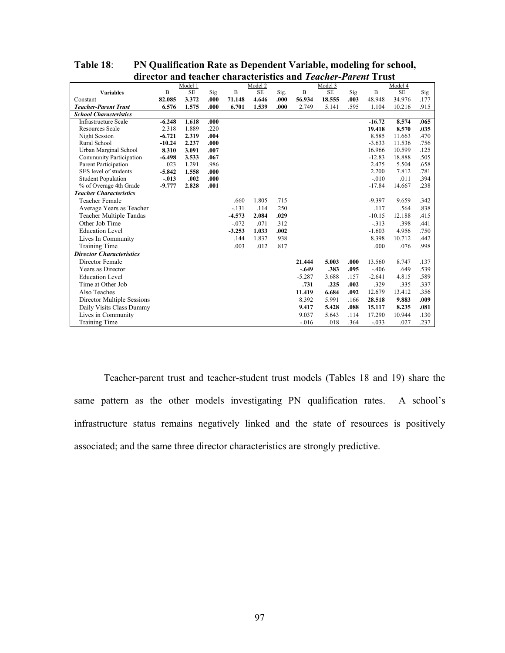|                                 |          | Model 1   |      |              | Model 2   |      |              | Model 3   |      |             | Model 4   |      |
|---------------------------------|----------|-----------|------|--------------|-----------|------|--------------|-----------|------|-------------|-----------|------|
| <b>Variables</b>                | B        | <b>SE</b> | Sig  | $\mathbf{B}$ | <b>SE</b> | Sig. | $\mathbf{B}$ | <b>SE</b> | Sig  | $\mathbf B$ | <b>SE</b> | Sig  |
| Constant                        | 82.085   | 3.372     | .000 | 71.148       | 4.646     | .000 | 56.934       | 18.555    | .003 | 48.948      | 34.976    | .177 |
| <b>Teacher-Parent Trust</b>     | 6.576    | 1.575     | .000 | 6.701        | 1.539     | .000 | 2.749        | 5.141     | .595 | 1.104       | 10.216    | .915 |
| <b>School Characteristics</b>   |          |           |      |              |           |      |              |           |      |             |           |      |
| <b>Infrastructure Scale</b>     | $-6.248$ | 1.618     | .000 |              |           |      |              |           |      | $-16.72$    | 8.574     | .065 |
| <b>Resources Scale</b>          | 2.318    | 1.889     | .220 |              |           |      |              |           |      | 19.418      | 8.570     | .035 |
| Night Session                   | $-6.721$ | 2.319     | .004 |              |           |      |              |           |      | 8.585       | 11.663    | .470 |
| Rural School                    | $-10.24$ | 2.237     | .000 |              |           |      |              |           |      | $-3.633$    | 11.536    | .756 |
| Urban Marginal School           | 8.310    | 3.091     | .007 |              |           |      |              |           |      | 16.966      | 10.599    | .125 |
| Community Participation         | $-6.498$ | 3.533     | .067 |              |           |      |              |           |      | $-12.83$    | 18.888    | .505 |
| Parent Participation            | .023     | 1.291     | .986 |              |           |      |              |           |      | 2.475       | 5.504     | .658 |
| SES level of students           | $-5.842$ | 1.558     | .000 |              |           |      |              |           |      | 2.200       | 7.812     | .781 |
| <b>Student Population</b>       | $-.013$  | .002      | .000 |              |           |      |              |           |      | $-.010$     | .011      | .394 |
| % of Overage 4th Grade          | $-9.777$ | 2.828     | .001 |              |           |      |              |           |      | $-17.84$    | 14.667    | .238 |
| <b>Teacher Characteristics</b>  |          |           |      |              |           |      |              |           |      |             |           |      |
| <b>Teacher Female</b>           |          |           |      | .660         | 1.805     | .715 |              |           |      | $-9.397$    | 9.659     | .342 |
| Average Years as Teacher        |          |           |      | $-131$       | .114      | .250 |              |           |      | .117        | .564      | .838 |
| <b>Teacher Multiple Tandas</b>  |          |           |      | $-4.573$     | 2.084     | .029 |              |           |      | $-10.15$    | 12.188    | .415 |
| Other Job Time                  |          |           |      | $-0.072$     | .071      | .312 |              |           |      | $-313$      | .398      | .441 |
| <b>Education Level</b>          |          |           |      | $-3.253$     | 1.033     | .002 |              |           |      | $-1.603$    | 4.956     | .750 |
| Lives In Community              |          |           |      | .144         | 1.837     | .938 |              |           |      | 8.398       | 10.712    | .442 |
| <b>Training Time</b>            |          |           |      | .003         | .012      | .817 |              |           |      | .000        | .076      | .998 |
| <b>Director Characteristics</b> |          |           |      |              |           |      |              |           |      |             |           |      |
| Director Female                 |          |           |      |              |           |      | 21.444       | 5.003     | .000 | 13.560      | 8.747     | .137 |
| Years as Director               |          |           |      |              |           |      | $-.649$      | .383      | .095 | $-.406$     | .649      | .539 |
| <b>Education Level</b>          |          |           |      |              |           |      | $-5.287$     | 3.688     | .157 | $-2.641$    | 4.815     | .589 |
| Time at Other Job               |          |           |      |              |           |      | .731         | .225      | .002 | .329        | .335      | .337 |
| Also Teaches                    |          |           |      |              |           |      | 11.419       | 6.684     | .092 | 12.679      | 13.412    | .356 |
| Director Multiple Sessions      |          |           |      |              |           |      | 8.392        | 5.991     | .166 | 28.518      | 9.883     | .009 |
| Daily Visits Class Dummy        |          |           |      |              |           |      | 9.417        | 5.428     | .088 | 15.117      | 8.235     | .081 |
| Lives in Community              |          |           |      |              |           |      | 9.037        | 5.643     | .114 | 17.290      | 10.944    | .130 |
| Training Time                   |          |           |      |              |           |      | $-0.016$     | .018      | .364 | $-.033$     | .027      | .237 |

**Table 18**: **PN Qualification Rate as Dependent Variable, modeling for school, director and teacher characteristics and** *Teacher-Parent* **Trust**

Teacher-parent trust and teacher-student trust models (Tables 18 and 19) share the same pattern as the other models investigating PN qualification rates. A school's infrastructure status remains negatively linked and the state of resources is positively associated; and the same three director characteristics are strongly predictive.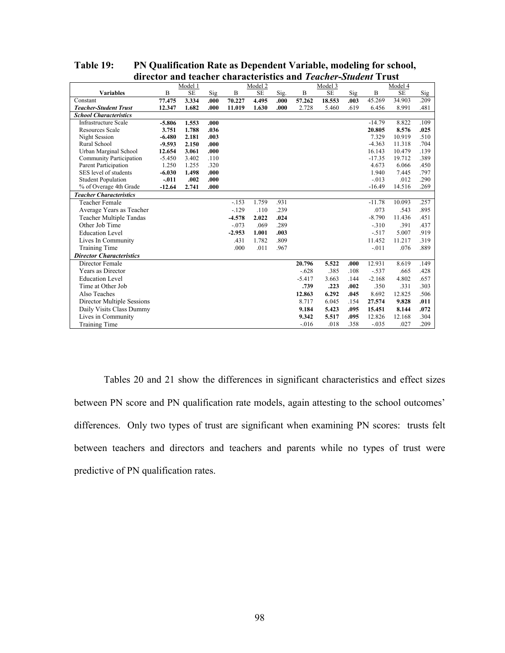|                                 | Model 1  |       |       | Model 2  |       |      | Model 3  |           |      |          | Model 4   |      |
|---------------------------------|----------|-------|-------|----------|-------|------|----------|-----------|------|----------|-----------|------|
| <b>Variables</b>                | B        | SE    | Sig   | B        | SE    | Sig. | B        | <b>SE</b> | Sig  | B        | <b>SE</b> | Sig  |
| Constant                        | 77.475   | 3.334 | .000  | 70.227   | 4.495 | .000 | 57.262   | 18.553    | .003 | 45.269   | 34.903    | .209 |
| <b>Teacher-Student Trust</b>    | 12.347   | 1.682 | .000  | 11.019   | 1.630 | .000 | 2.728    | 5.460     | .619 | 6.456    | 8.991     | .481 |
| <b>School Characteristics</b>   |          |       |       |          |       |      |          |           |      |          |           |      |
| <b>Infrastructure Scale</b>     | $-5.806$ | 1.553 | .000. |          |       |      |          |           |      | $-14.79$ | 8.822     | .109 |
| <b>Resources Scale</b>          | 3.751    | 1.788 | .036  |          |       |      |          |           |      | 20.805   | 8.576     | .025 |
| Night Session                   | $-6.480$ | 2.181 | .003  |          |       |      |          |           |      | 7.329    | 10.919    | .510 |
| Rural School                    | $-9.593$ | 2.150 | .000  |          |       |      |          |           |      | $-4.363$ | 11.318    | .704 |
| Urban Marginal School           | 12.654   | 3.061 | .000  |          |       |      |          |           |      | 16.143   | 10.479    | .139 |
| <b>Community Participation</b>  | $-5.450$ | 3.402 | .110  |          |       |      |          |           |      | $-17.35$ | 19.712    | .389 |
| Parent Participation            | 1.250    | 1.255 | .320  |          |       |      |          |           |      | 4.673    | 6.066     | .450 |
| SES level of students           | $-6.030$ | 1.498 | .000  |          |       |      |          |           |      | 1.940    | 7.445     | .797 |
| <b>Student Population</b>       | $-.011$  | .002  | .000  |          |       |      |          |           |      | $-0.013$ | .012      | .290 |
| % of Overage 4th Grade          | $-12.64$ | 2.741 | .000  |          |       |      |          |           |      | $-16.49$ | 14.516    | .269 |
| <b>Teacher Characteristics</b>  |          |       |       |          |       |      |          |           |      |          |           |      |
| <b>Teacher Female</b>           |          |       |       | $-153$   | 1.759 | .931 |          |           |      | $-11.78$ | 10.093    | .257 |
| Average Years as Teacher        |          |       |       | $-129$   | .110  | .239 |          |           |      | .073     | .543      | .895 |
| <b>Teacher Multiple Tandas</b>  |          |       |       | $-4.578$ | 2.022 | .024 |          |           |      | $-8.790$ | 11.436    | .451 |
| Other Job Time                  |          |       |       | $-.073$  | .069  | .289 |          |           |      | $-310$   | .391      | .437 |
| <b>Education Level</b>          |          |       |       | $-2.953$ | 1.001 | .003 |          |           |      | $-517$   | 5.007     | .919 |
| Lives In Community              |          |       |       | .431     | 1.782 | .809 |          |           |      | 11.452   | 11.217    | .319 |
| Training Time                   |          |       |       | .000     | .011  | .967 |          |           |      | $-.011$  | .076      | .889 |
| <b>Director Characteristics</b> |          |       |       |          |       |      |          |           |      |          |           |      |
| Director Female                 |          |       |       |          |       |      | 20.796   | 5.522     | .000 | 12.931   | 8.619     | .149 |
| Years as Director               |          |       |       |          |       |      | $-.628$  | .385      | .108 | $-.537$  | .665      | .428 |
| <b>Education Level</b>          |          |       |       |          |       |      | $-5.417$ | 3.663     | .144 | $-2.168$ | 4.802     | .657 |
| Time at Other Job               |          |       |       |          |       |      | .739     | .223      | .002 | .350     | .331      | .303 |
| Also Teaches                    |          |       |       |          |       |      | 12.863   | 6.292     | .045 | 8.692    | 12.825    | .506 |
| Director Multiple Sessions      |          |       |       |          |       |      | 8.717    | 6.045     | .154 | 27.574   | 9.828     | .011 |
| Daily Visits Class Dummy        |          |       |       |          |       |      | 9.184    | 5.423     | .095 | 15.451   | 8.144     | .072 |
| Lives in Community              |          |       |       |          |       |      | 9.342    | 5.517     | .095 | 12.826   | 12.168    | .304 |
| <b>Training Time</b>            |          |       |       |          |       |      | $-0.016$ | .018      | .358 | $-.035$  | .027      | .209 |

**Table 19: PN Qualification Rate as Dependent Variable, modeling for school, director and teacher characteristics and** *Teacher-Student* **Trust**

Tables 20 and 21 show the differences in significant characteristics and effect sizes between PN score and PN qualification rate models, again attesting to the school outcomes' differences. Only two types of trust are significant when examining PN scores: trusts felt between teachers and directors and teachers and parents while no types of trust were predictive of PN qualification rates.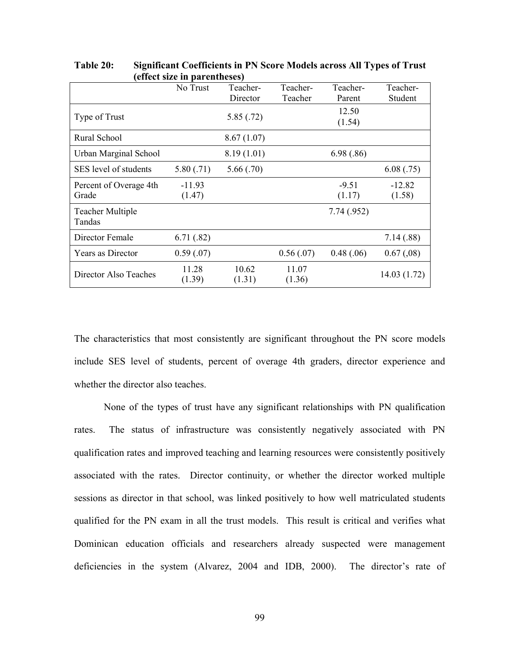|                         | No Trust  | Teacher-   | Teacher-  | Teacher-   | Teacher-    |
|-------------------------|-----------|------------|-----------|------------|-------------|
|                         |           | Director   | Teacher   | Parent     | Student     |
| Type of Trust           |           | 5.85(.72)  |           | 12.50      |             |
|                         |           |            |           | (1.54)     |             |
| Rural School            |           | 8.67(1.07) |           |            |             |
| Urban Marginal School   |           | 8.19(1.01) |           | 6.98(.86)  |             |
| SES level of students   | 5.80(.71) | 5.66(.70)  |           |            | 6.08(.75)   |
| Percent of Overage 4th  | $-11.93$  |            |           | $-9.51$    | $-12.82$    |
| Grade                   | (1.47)    |            |           | (1.17)     | (1.58)      |
| <b>Teacher Multiple</b> |           |            |           | 7.74(.952) |             |
| Tandas                  |           |            |           |            |             |
| Director Female         | 6.71(.82) |            |           |            | 7.14(.88)   |
| Years as Director       | 0.59(.07) |            | 0.56(.07) | 0.48(.06)  | 0.67(0.08)  |
| Director Also Teaches   | 11.28     | 10.62      | 11.07     |            | 14.03(1.72) |
|                         | (1.39)    | (1.31)     | (1.36)    |            |             |

**Table 20: Significant Coefficients in PN Score Models across All Types of Trust (effect size in parentheses)**

The characteristics that most consistently are significant throughout the PN score models include SES level of students, percent of overage 4th graders, director experience and whether the director also teaches.

None of the types of trust have any significant relationships with PN qualification rates. The status of infrastructure was consistently negatively associated with PN qualification rates and improved teaching and learning resources were consistently positively associated with the rates. Director continuity, or whether the director worked multiple sessions as director in that school, was linked positively to how well matriculated students qualified for the PN exam in all the trust models. This result is critical and verifies what Dominican education officials and researchers already suspected were management deficiencies in the system (Alvarez, 2004 and IDB, 2000). The director's rate of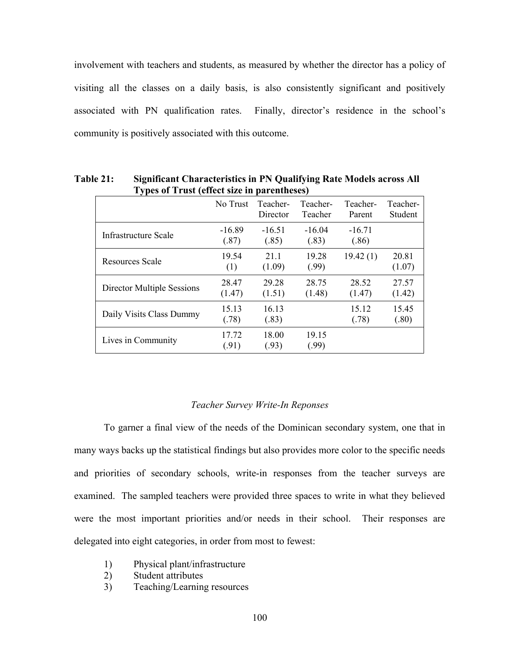involvement with teachers and students, as measured by whether the director has a policy of visiting all the classes on a daily basis, is also consistently significant and positively associated with PN qualification rates. Finally, director's residence in the school's community is positively associated with this outcome.

| $\sim$ , pos of 11 ast (chect size in parentheses) | No Trust          | Teacher-<br>Director | Teacher-<br>Teacher | Teacher-<br>Parent | Teacher-<br>Student |
|----------------------------------------------------|-------------------|----------------------|---------------------|--------------------|---------------------|
| Infrastructure Scale                               | $-16.89$<br>(.87) | $-16.51$<br>(.85)    | $-16.04$<br>(.83)   | $-16.71$<br>(.86)  |                     |
| Resources Scale                                    | 19.54<br>(1)      | 21.1<br>(1.09)       | 19.28<br>(.99)      | 19.42(1)           | 20.81<br>(1.07)     |
| <b>Director Multiple Sessions</b>                  | 28.47<br>(1.47)   | 29.28<br>(1.51)      | 28.75<br>(1.48)     | 28.52<br>(1.47)    | 27.57<br>(1.42)     |
| Daily Visits Class Dummy                           | 15.13<br>(.78)    | 16.13<br>(.83)       |                     | 15.12<br>(.78)     | 15.45<br>(.80)      |
| Lives in Community                                 | 17.72<br>(.91)    | 18.00<br>(.93)       | 19.15<br>(.99)      |                    |                     |

**Table 21: Significant Characteristics in PN Qualifying Rate Models across All Types of Trust (effect size in parentheses)**

### *Teacher Survey Write-In Reponses*

To garner a final view of the needs of the Dominican secondary system, one that in many ways backs up the statistical findings but also provides more color to the specific needs and priorities of secondary schools, write-in responses from the teacher surveys are examined. The sampled teachers were provided three spaces to write in what they believed were the most important priorities and/or needs in their school. Their responses are delegated into eight categories, in order from most to fewest:

- 1) Physical plant/infrastructure
- 2) Student attributes
- 3) Teaching/Learning resources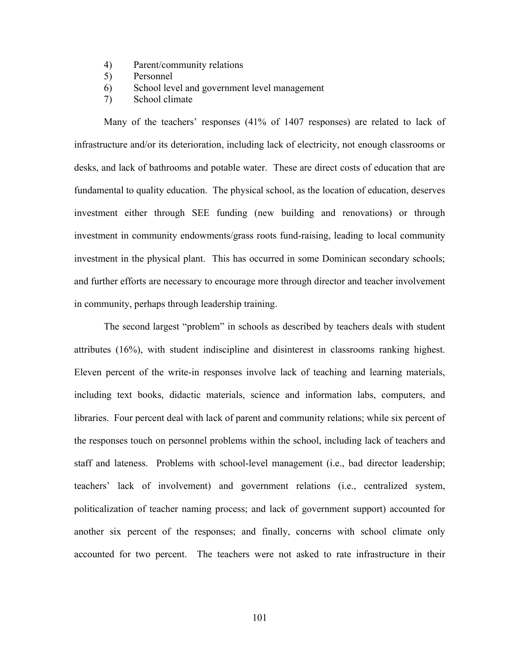- 4) Parent/community relations
- 5) Personnel
- 6) School level and government level management
- 7) School climate

Many of the teachers' responses (41% of 1407 responses) are related to lack of infrastructure and/or its deterioration, including lack of electricity, not enough classrooms or desks, and lack of bathrooms and potable water. These are direct costs of education that are fundamental to quality education. The physical school, as the location of education, deserves investment either through SEE funding (new building and renovations) or through investment in community endowments/grass roots fund-raising, leading to local community investment in the physical plant. This has occurred in some Dominican secondary schools; and further efforts are necessary to encourage more through director and teacher involvement in community, perhaps through leadership training.

The second largest "problem" in schools as described by teachers deals with student attributes (16%), with student indiscipline and disinterest in classrooms ranking highest. Eleven percent of the write-in responses involve lack of teaching and learning materials, including text books, didactic materials, science and information labs, computers, and libraries. Four percent deal with lack of parent and community relations; while six percent of the responses touch on personnel problems within the school, including lack of teachers and staff and lateness. Problems with school-level management (i.e., bad director leadership; teachers' lack of involvement) and government relations (i.e., centralized system, politicalization of teacher naming process; and lack of government support) accounted for another six percent of the responses; and finally, concerns with school climate only accounted for two percent. The teachers were not asked to rate infrastructure in their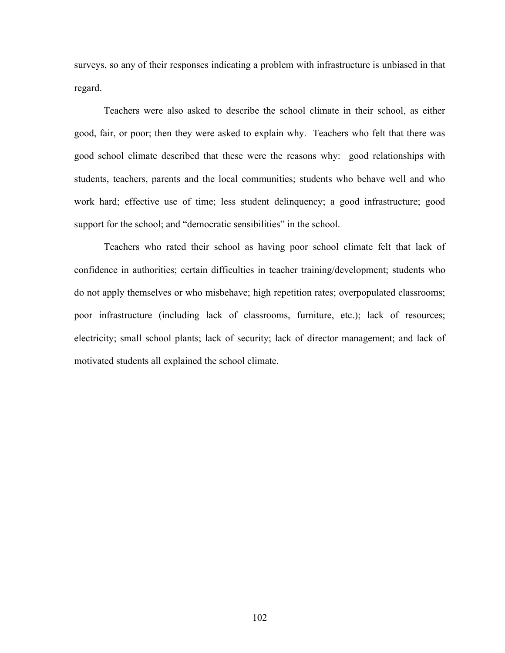surveys, so any of their responses indicating a problem with infrastructure is unbiased in that regard.

Teachers were also asked to describe the school climate in their school, as either good, fair, or poor; then they were asked to explain why. Teachers who felt that there was good school climate described that these were the reasons why: good relationships with students, teachers, parents and the local communities; students who behave well and who work hard; effective use of time; less student delinquency; a good infrastructure; good support for the school; and "democratic sensibilities" in the school.

Teachers who rated their school as having poor school climate felt that lack of confidence in authorities; certain difficulties in teacher training/development; students who do not apply themselves or who misbehave; high repetition rates; overpopulated classrooms; poor infrastructure (including lack of classrooms, furniture, etc.); lack of resources; electricity; small school plants; lack of security; lack of director management; and lack of motivated students all explained the school climate.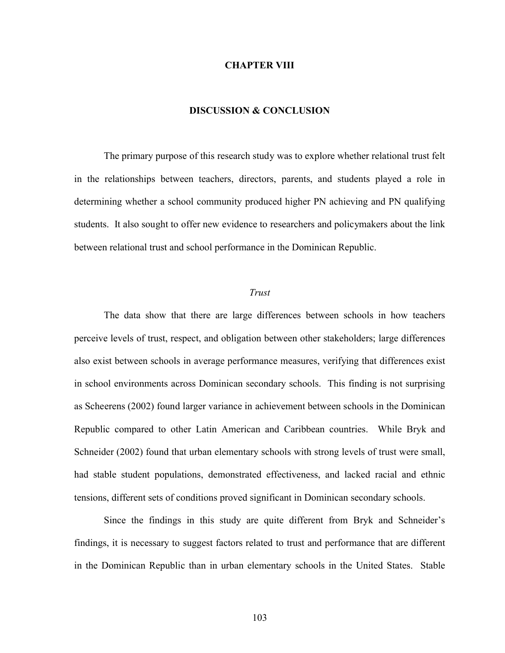### **CHAPTER VIII**

### **DISCUSSION & CONCLUSION**

The primary purpose of this research study was to explore whether relational trust felt in the relationships between teachers, directors, parents, and students played a role in determining whether a school community produced higher PN achieving and PN qualifying students. It also sought to offer new evidence to researchers and policymakers about the link between relational trust and school performance in the Dominican Republic.

### *Trust*

The data show that there are large differences between schools in how teachers perceive levels of trust, respect, and obligation between other stakeholders; large differences also exist between schools in average performance measures, verifying that differences exist in school environments across Dominican secondary schools. This finding is not surprising as Scheerens (2002) found larger variance in achievement between schools in the Dominican Republic compared to other Latin American and Caribbean countries. While Bryk and Schneider (2002) found that urban elementary schools with strong levels of trust were small, had stable student populations, demonstrated effectiveness, and lacked racial and ethnic tensions, different sets of conditions proved significant in Dominican secondary schools.

Since the findings in this study are quite different from Bryk and Schneider's findings, it is necessary to suggest factors related to trust and performance that are different in the Dominican Republic than in urban elementary schools in the United States. Stable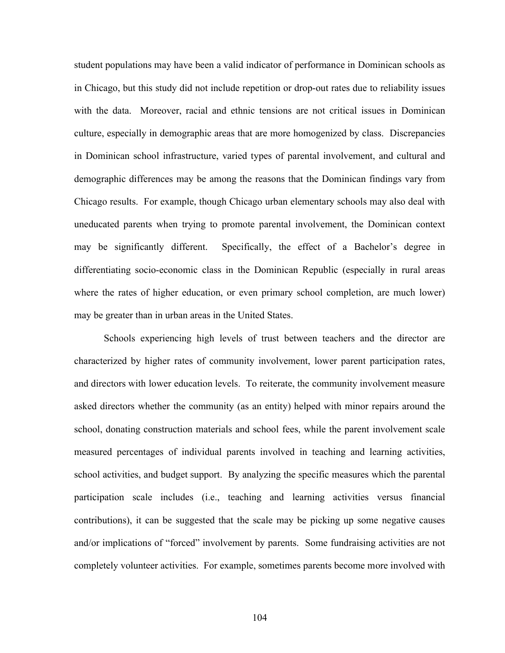student populations may have been a valid indicator of performance in Dominican schools as in Chicago, but this study did not include repetition or drop-out rates due to reliability issues with the data. Moreover, racial and ethnic tensions are not critical issues in Dominican culture, especially in demographic areas that are more homogenized by class. Discrepancies in Dominican school infrastructure, varied types of parental involvement, and cultural and demographic differences may be among the reasons that the Dominican findings vary from Chicago results. For example, though Chicago urban elementary schools may also deal with uneducated parents when trying to promote parental involvement, the Dominican context may be significantly different. Specifically, the effect of a Bachelor's degree in differentiating socio-economic class in the Dominican Republic (especially in rural areas where the rates of higher education, or even primary school completion, are much lower) may be greater than in urban areas in the United States.

Schools experiencing high levels of trust between teachers and the director are characterized by higher rates of community involvement, lower parent participation rates, and directors with lower education levels. To reiterate, the community involvement measure asked directors whether the community (as an entity) helped with minor repairs around the school, donating construction materials and school fees, while the parent involvement scale measured percentages of individual parents involved in teaching and learning activities, school activities, and budget support. By analyzing the specific measures which the parental participation scale includes (i.e., teaching and learning activities versus financial contributions), it can be suggested that the scale may be picking up some negative causes and/or implications of "forced" involvement by parents. Some fundraising activities are not completely volunteer activities. For example, sometimes parents become more involved with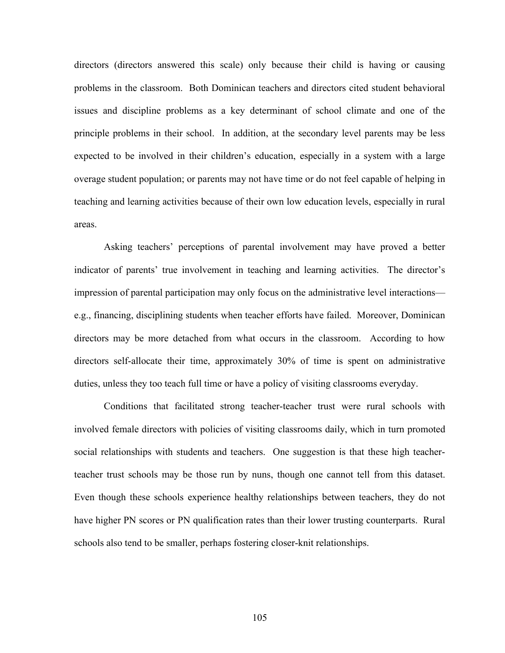directors (directors answered this scale) only because their child is having or causing problems in the classroom. Both Dominican teachers and directors cited student behavioral issues and discipline problems as a key determinant of school climate and one of the principle problems in their school. In addition, at the secondary level parents may be less expected to be involved in their children's education, especially in a system with a large overage student population; or parents may not have time or do not feel capable of helping in teaching and learning activities because of their own low education levels, especially in rural areas.

Asking teachers' perceptions of parental involvement may have proved a better indicator of parents' true involvement in teaching and learning activities. The director's impression of parental participation may only focus on the administrative level interactions e.g., financing, disciplining students when teacher efforts have failed. Moreover, Dominican directors may be more detached from what occurs in the classroom. According to how directors self-allocate their time, approximately 30% of time is spent on administrative duties, unless they too teach full time or have a policy of visiting classrooms everyday.

Conditions that facilitated strong teacher-teacher trust were rural schools with involved female directors with policies of visiting classrooms daily, which in turn promoted social relationships with students and teachers. One suggestion is that these high teacherteacher trust schools may be those run by nuns, though one cannot tell from this dataset. Even though these schools experience healthy relationships between teachers, they do not have higher PN scores or PN qualification rates than their lower trusting counterparts. Rural schools also tend to be smaller, perhaps fostering closer-knit relationships.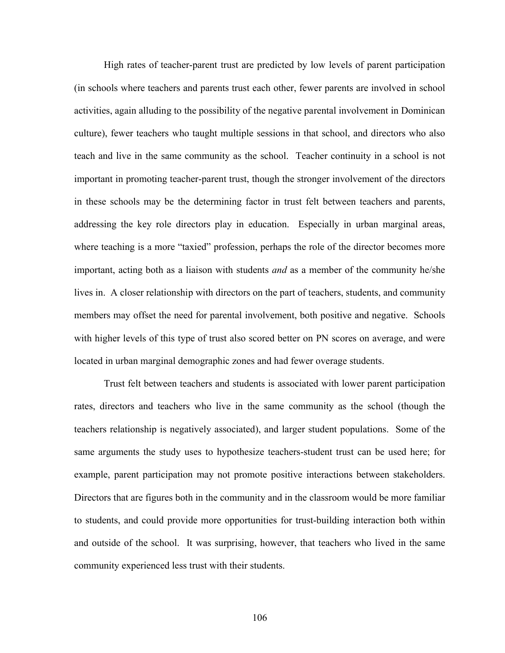High rates of teacher-parent trust are predicted by low levels of parent participation (in schools where teachers and parents trust each other, fewer parents are involved in school activities, again alluding to the possibility of the negative parental involvement in Dominican culture), fewer teachers who taught multiple sessions in that school, and directors who also teach and live in the same community as the school. Teacher continuity in a school is not important in promoting teacher-parent trust, though the stronger involvement of the directors in these schools may be the determining factor in trust felt between teachers and parents, addressing the key role directors play in education. Especially in urban marginal areas, where teaching is a more "taxied" profession, perhaps the role of the director becomes more important, acting both as a liaison with students *and* as a member of the community he/she lives in. A closer relationship with directors on the part of teachers, students, and community members may offset the need for parental involvement, both positive and negative. Schools with higher levels of this type of trust also scored better on PN scores on average, and were located in urban marginal demographic zones and had fewer overage students.

Trust felt between teachers and students is associated with lower parent participation rates, directors and teachers who live in the same community as the school (though the teachers relationship is negatively associated), and larger student populations. Some of the same arguments the study uses to hypothesize teachers-student trust can be used here; for example, parent participation may not promote positive interactions between stakeholders. Directors that are figures both in the community and in the classroom would be more familiar to students, and could provide more opportunities for trust-building interaction both within and outside of the school. It was surprising, however, that teachers who lived in the same community experienced less trust with their students.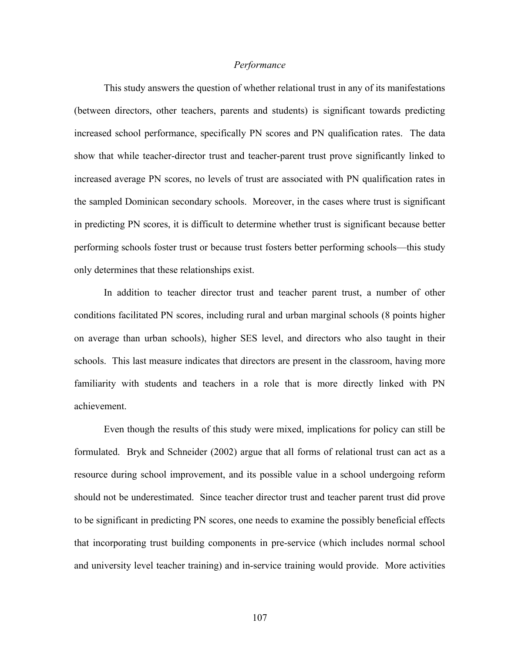#### *Performance*

This study answers the question of whether relational trust in any of its manifestations (between directors, other teachers, parents and students) is significant towards predicting increased school performance, specifically PN scores and PN qualification rates. The data show that while teacher-director trust and teacher-parent trust prove significantly linked to increased average PN scores, no levels of trust are associated with PN qualification rates in the sampled Dominican secondary schools. Moreover, in the cases where trust is significant in predicting PN scores, it is difficult to determine whether trust is significant because better performing schools foster trust or because trust fosters better performing schools—this study only determines that these relationships exist.

In addition to teacher director trust and teacher parent trust, a number of other conditions facilitated PN scores, including rural and urban marginal schools (8 points higher on average than urban schools), higher SES level, and directors who also taught in their schools. This last measure indicates that directors are present in the classroom, having more familiarity with students and teachers in a role that is more directly linked with PN achievement.

Even though the results of this study were mixed, implications for policy can still be formulated. Bryk and Schneider (2002) argue that all forms of relational trust can act as a resource during school improvement, and its possible value in a school undergoing reform should not be underestimated. Since teacher director trust and teacher parent trust did prove to be significant in predicting PN scores, one needs to examine the possibly beneficial effects that incorporating trust building components in pre-service (which includes normal school and university level teacher training) and in-service training would provide. More activities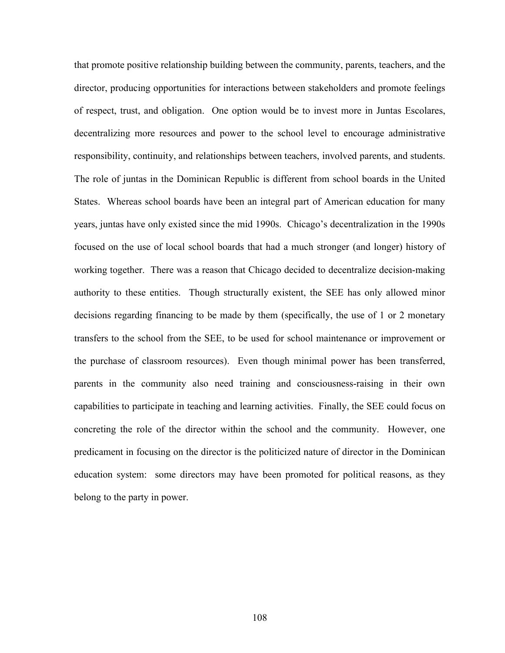that promote positive relationship building between the community, parents, teachers, and the director, producing opportunities for interactions between stakeholders and promote feelings of respect, trust, and obligation. One option would be to invest more in Juntas Escolares, decentralizing more resources and power to the school level to encourage administrative responsibility, continuity, and relationships between teachers, involved parents, and students. The role of juntas in the Dominican Republic is different from school boards in the United States. Whereas school boards have been an integral part of American education for many years, juntas have only existed since the mid 1990s. Chicago's decentralization in the 1990s focused on the use of local school boards that had a much stronger (and longer) history of working together. There was a reason that Chicago decided to decentralize decision-making authority to these entities. Though structurally existent, the SEE has only allowed minor decisions regarding financing to be made by them (specifically, the use of 1 or 2 monetary transfers to the school from the SEE, to be used for school maintenance or improvement or the purchase of classroom resources). Even though minimal power has been transferred, parents in the community also need training and consciousness-raising in their own capabilities to participate in teaching and learning activities. Finally, the SEE could focus on concreting the role of the director within the school and the community. However, one predicament in focusing on the director is the politicized nature of director in the Dominican education system: some directors may have been promoted for political reasons, as they belong to the party in power.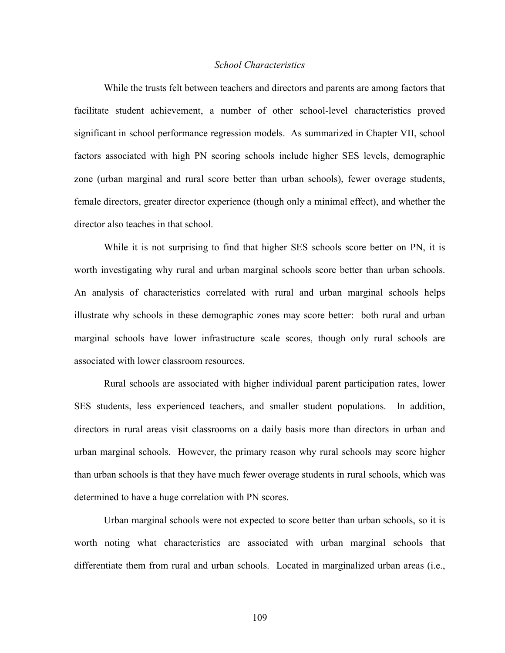### *School Characteristics*

While the trusts felt between teachers and directors and parents are among factors that facilitate student achievement, a number of other school-level characteristics proved significant in school performance regression models. As summarized in Chapter VII, school factors associated with high PN scoring schools include higher SES levels, demographic zone (urban marginal and rural score better than urban schools), fewer overage students, female directors, greater director experience (though only a minimal effect), and whether the director also teaches in that school.

While it is not surprising to find that higher SES schools score better on PN, it is worth investigating why rural and urban marginal schools score better than urban schools. An analysis of characteristics correlated with rural and urban marginal schools helps illustrate why schools in these demographic zones may score better: both rural and urban marginal schools have lower infrastructure scale scores, though only rural schools are associated with lower classroom resources.

Rural schools are associated with higher individual parent participation rates, lower SES students, less experienced teachers, and smaller student populations. In addition, directors in rural areas visit classrooms on a daily basis more than directors in urban and urban marginal schools. However, the primary reason why rural schools may score higher than urban schools is that they have much fewer overage students in rural schools, which was determined to have a huge correlation with PN scores.

Urban marginal schools were not expected to score better than urban schools, so it is worth noting what characteristics are associated with urban marginal schools that differentiate them from rural and urban schools. Located in marginalized urban areas (i.e.,

109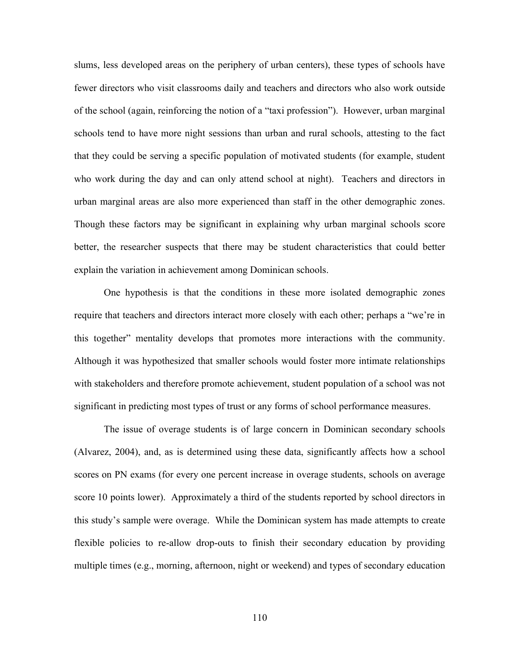slums, less developed areas on the periphery of urban centers), these types of schools have fewer directors who visit classrooms daily and teachers and directors who also work outside of the school (again, reinforcing the notion of a "taxi profession"). However, urban marginal schools tend to have more night sessions than urban and rural schools, attesting to the fact that they could be serving a specific population of motivated students (for example, student who work during the day and can only attend school at night). Teachers and directors in urban marginal areas are also more experienced than staff in the other demographic zones. Though these factors may be significant in explaining why urban marginal schools score better, the researcher suspects that there may be student characteristics that could better explain the variation in achievement among Dominican schools.

One hypothesis is that the conditions in these more isolated demographic zones require that teachers and directors interact more closely with each other; perhaps a "we're in this together" mentality develops that promotes more interactions with the community. Although it was hypothesized that smaller schools would foster more intimate relationships with stakeholders and therefore promote achievement, student population of a school was not significant in predicting most types of trust or any forms of school performance measures.

The issue of overage students is of large concern in Dominican secondary schools (Alvarez, 2004), and, as is determined using these data, significantly affects how a school scores on PN exams (for every one percent increase in overage students, schools on average score 10 points lower). Approximately a third of the students reported by school directors in this study's sample were overage. While the Dominican system has made attempts to create flexible policies to re-allow drop-outs to finish their secondary education by providing multiple times (e.g., morning, afternoon, night or weekend) and types of secondary education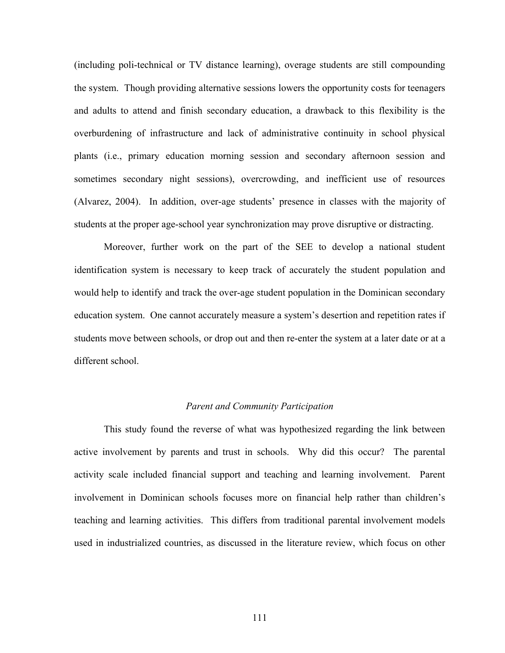(including poli-technical or TV distance learning), overage students are still compounding the system. Though providing alternative sessions lowers the opportunity costs for teenagers and adults to attend and finish secondary education, a drawback to this flexibility is the overburdening of infrastructure and lack of administrative continuity in school physical plants (i.e., primary education morning session and secondary afternoon session and sometimes secondary night sessions), overcrowding, and inefficient use of resources (Alvarez, 2004). In addition, over-age students' presence in classes with the majority of students at the proper age-school year synchronization may prove disruptive or distracting.

Moreover, further work on the part of the SEE to develop a national student identification system is necessary to keep track of accurately the student population and would help to identify and track the over-age student population in the Dominican secondary education system. One cannot accurately measure a system's desertion and repetition rates if students move between schools, or drop out and then re-enter the system at a later date or at a different school.

### *Parent and Community Participation*

This study found the reverse of what was hypothesized regarding the link between active involvement by parents and trust in schools. Why did this occur? The parental activity scale included financial support and teaching and learning involvement. Parent involvement in Dominican schools focuses more on financial help rather than children's teaching and learning activities. This differs from traditional parental involvement models used in industrialized countries, as discussed in the literature review, which focus on other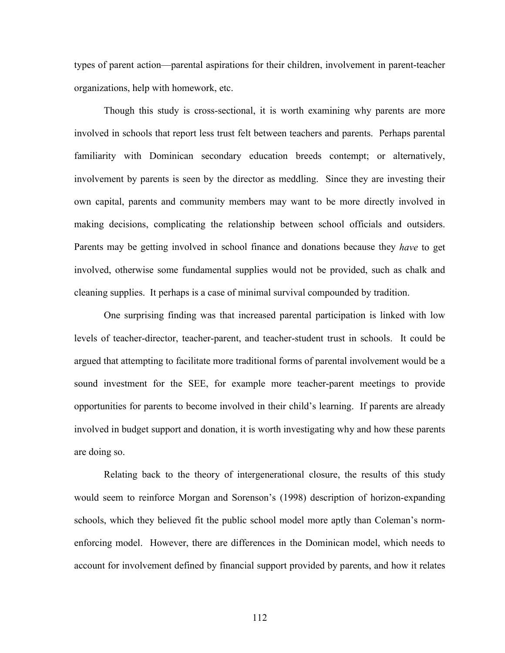types of parent action—parental aspirations for their children, involvement in parent-teacher organizations, help with homework, etc.

Though this study is cross-sectional, it is worth examining why parents are more involved in schools that report less trust felt between teachers and parents. Perhaps parental familiarity with Dominican secondary education breeds contempt; or alternatively, involvement by parents is seen by the director as meddling. Since they are investing their own capital, parents and community members may want to be more directly involved in making decisions, complicating the relationship between school officials and outsiders. Parents may be getting involved in school finance and donations because they *have* to get involved, otherwise some fundamental supplies would not be provided, such as chalk and cleaning supplies. It perhaps is a case of minimal survival compounded by tradition.

One surprising finding was that increased parental participation is linked with low levels of teacher-director, teacher-parent, and teacher-student trust in schools. It could be argued that attempting to facilitate more traditional forms of parental involvement would be a sound investment for the SEE, for example more teacher-parent meetings to provide opportunities for parents to become involved in their child's learning. If parents are already involved in budget support and donation, it is worth investigating why and how these parents are doing so.

Relating back to the theory of intergenerational closure, the results of this study would seem to reinforce Morgan and Sorenson's (1998) description of horizon-expanding schools, which they believed fit the public school model more aptly than Coleman's normenforcing model. However, there are differences in the Dominican model, which needs to account for involvement defined by financial support provided by parents, and how it relates

112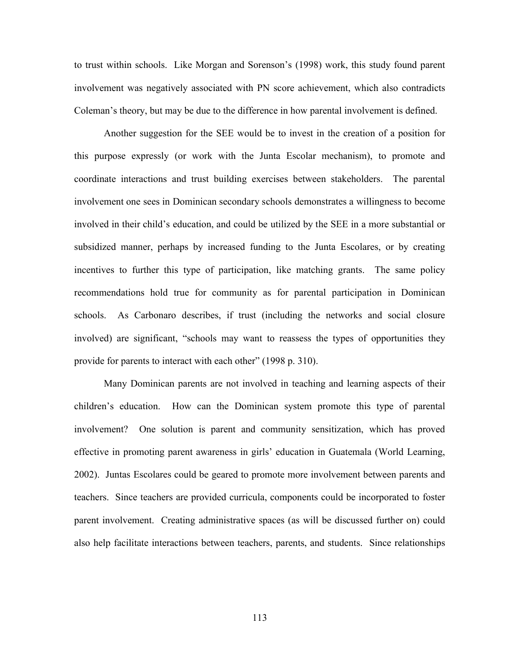to trust within schools. Like Morgan and Sorenson's (1998) work, this study found parent involvement was negatively associated with PN score achievement, which also contradicts Coleman's theory, but may be due to the difference in how parental involvement is defined.

Another suggestion for the SEE would be to invest in the creation of a position for this purpose expressly (or work with the Junta Escolar mechanism), to promote and coordinate interactions and trust building exercises between stakeholders. The parental involvement one sees in Dominican secondary schools demonstrates a willingness to become involved in their child's education, and could be utilized by the SEE in a more substantial or subsidized manner, perhaps by increased funding to the Junta Escolares, or by creating incentives to further this type of participation, like matching grants. The same policy recommendations hold true for community as for parental participation in Dominican schools. As Carbonaro describes, if trust (including the networks and social closure involved) are significant, "schools may want to reassess the types of opportunities they provide for parents to interact with each other" (1998 p. 310).

Many Dominican parents are not involved in teaching and learning aspects of their children's education. How can the Dominican system promote this type of parental involvement? One solution is parent and community sensitization, which has proved effective in promoting parent awareness in girls' education in Guatemala (World Learning, 2002). Juntas Escolares could be geared to promote more involvement between parents and teachers. Since teachers are provided curricula, components could be incorporated to foster parent involvement. Creating administrative spaces (as will be discussed further on) could also help facilitate interactions between teachers, parents, and students. Since relationships

113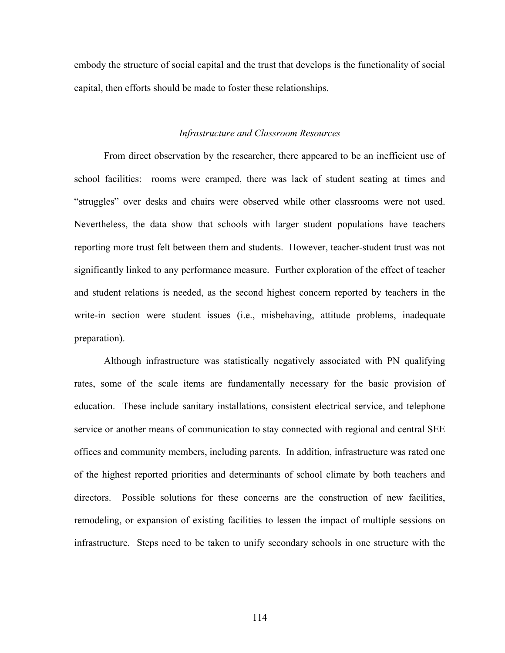embody the structure of social capital and the trust that develops is the functionality of social capital, then efforts should be made to foster these relationships.

### *Infrastructure and Classroom Resources*

From direct observation by the researcher, there appeared to be an inefficient use of school facilities: rooms were cramped, there was lack of student seating at times and "struggles" over desks and chairs were observed while other classrooms were not used. Nevertheless, the data show that schools with larger student populations have teachers reporting more trust felt between them and students. However, teacher-student trust was not significantly linked to any performance measure. Further exploration of the effect of teacher and student relations is needed, as the second highest concern reported by teachers in the write-in section were student issues (i.e., misbehaving, attitude problems, inadequate preparation).

Although infrastructure was statistically negatively associated with PN qualifying rates, some of the scale items are fundamentally necessary for the basic provision of education. These include sanitary installations, consistent electrical service, and telephone service or another means of communication to stay connected with regional and central SEE offices and community members, including parents. In addition, infrastructure was rated one of the highest reported priorities and determinants of school climate by both teachers and directors. Possible solutions for these concerns are the construction of new facilities, remodeling, or expansion of existing facilities to lessen the impact of multiple sessions on infrastructure. Steps need to be taken to unify secondary schools in one structure with the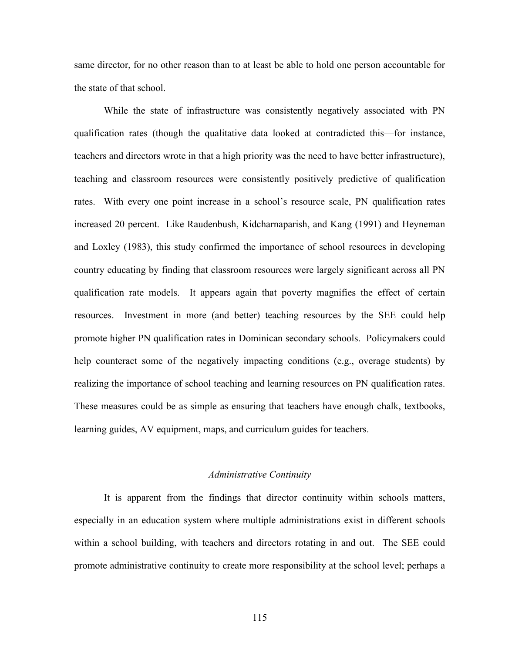same director, for no other reason than to at least be able to hold one person accountable for the state of that school.

While the state of infrastructure was consistently negatively associated with PN qualification rates (though the qualitative data looked at contradicted this—for instance, teachers and directors wrote in that a high priority was the need to have better infrastructure), teaching and classroom resources were consistently positively predictive of qualification rates. With every one point increase in a school's resource scale, PN qualification rates increased 20 percent. Like Raudenbush, Kidcharnaparish, and Kang (1991) and Heyneman and Loxley (1983), this study confirmed the importance of school resources in developing country educating by finding that classroom resources were largely significant across all PN qualification rate models. It appears again that poverty magnifies the effect of certain resources. Investment in more (and better) teaching resources by the SEE could help promote higher PN qualification rates in Dominican secondary schools. Policymakers could help counteract some of the negatively impacting conditions (e.g., overage students) by realizing the importance of school teaching and learning resources on PN qualification rates. These measures could be as simple as ensuring that teachers have enough chalk, textbooks, learning guides, AV equipment, maps, and curriculum guides for teachers.

### *Administrative Continuity*

It is apparent from the findings that director continuity within schools matters, especially in an education system where multiple administrations exist in different schools within a school building, with teachers and directors rotating in and out. The SEE could promote administrative continuity to create more responsibility at the school level; perhaps a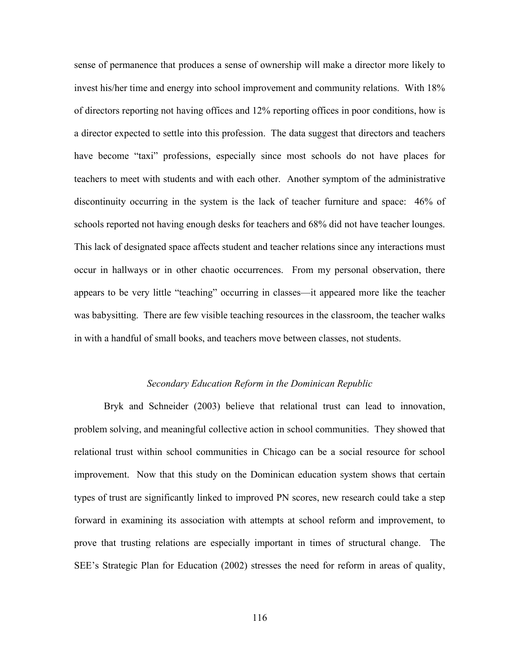sense of permanence that produces a sense of ownership will make a director more likely to invest his/her time and energy into school improvement and community relations. With 18% of directors reporting not having offices and 12% reporting offices in poor conditions, how is a director expected to settle into this profession. The data suggest that directors and teachers have become "taxi" professions, especially since most schools do not have places for teachers to meet with students and with each other. Another symptom of the administrative discontinuity occurring in the system is the lack of teacher furniture and space: 46% of schools reported not having enough desks for teachers and 68% did not have teacher lounges. This lack of designated space affects student and teacher relations since any interactions must occur in hallways or in other chaotic occurrences. From my personal observation, there appears to be very little "teaching" occurring in classes—it appeared more like the teacher was babysitting. There are few visible teaching resources in the classroom, the teacher walks in with a handful of small books, and teachers move between classes, not students.

### *Secondary Education Reform in the Dominican Republic*

Bryk and Schneider (2003) believe that relational trust can lead to innovation, problem solving, and meaningful collective action in school communities. They showed that relational trust within school communities in Chicago can be a social resource for school improvement. Now that this study on the Dominican education system shows that certain types of trust are significantly linked to improved PN scores, new research could take a step forward in examining its association with attempts at school reform and improvement, to prove that trusting relations are especially important in times of structural change. The SEE's Strategic Plan for Education (2002) stresses the need for reform in areas of quality,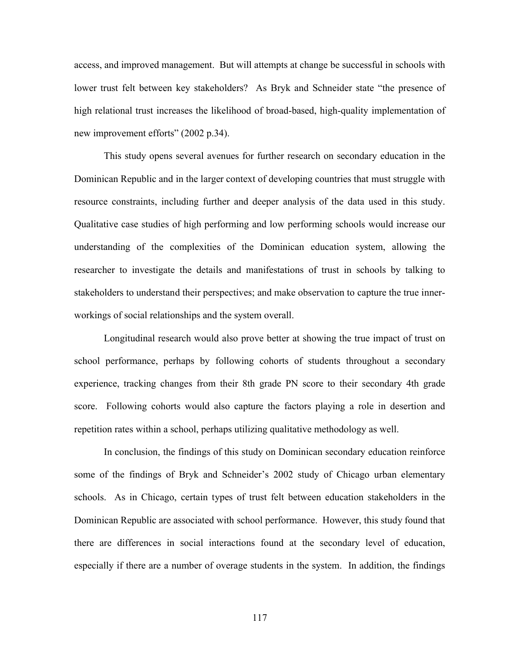access, and improved management. But will attempts at change be successful in schools with lower trust felt between key stakeholders? As Bryk and Schneider state "the presence of high relational trust increases the likelihood of broad-based, high-quality implementation of new improvement efforts" (2002 p.34).

This study opens several avenues for further research on secondary education in the Dominican Republic and in the larger context of developing countries that must struggle with resource constraints, including further and deeper analysis of the data used in this study. Qualitative case studies of high performing and low performing schools would increase our understanding of the complexities of the Dominican education system, allowing the researcher to investigate the details and manifestations of trust in schools by talking to stakeholders to understand their perspectives; and make observation to capture the true innerworkings of social relationships and the system overall.

Longitudinal research would also prove better at showing the true impact of trust on school performance, perhaps by following cohorts of students throughout a secondary experience, tracking changes from their 8th grade PN score to their secondary 4th grade score. Following cohorts would also capture the factors playing a role in desertion and repetition rates within a school, perhaps utilizing qualitative methodology as well.

In conclusion, the findings of this study on Dominican secondary education reinforce some of the findings of Bryk and Schneider's 2002 study of Chicago urban elementary schools. As in Chicago, certain types of trust felt between education stakeholders in the Dominican Republic are associated with school performance. However, this study found that there are differences in social interactions found at the secondary level of education, especially if there are a number of overage students in the system. In addition, the findings

117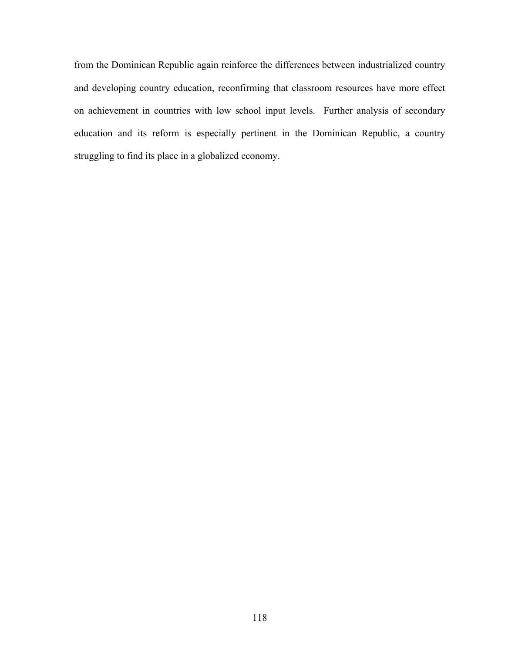from the Dominican Republic again reinforce the differences between industrialized country and developing country education, reconfirming that classroom resources have more effect on achievement in countries with low school input levels. Further analysis of secondary education and its reform is especially pertinent in the Dominican Republic, a country struggling to find its place in a globalized economy.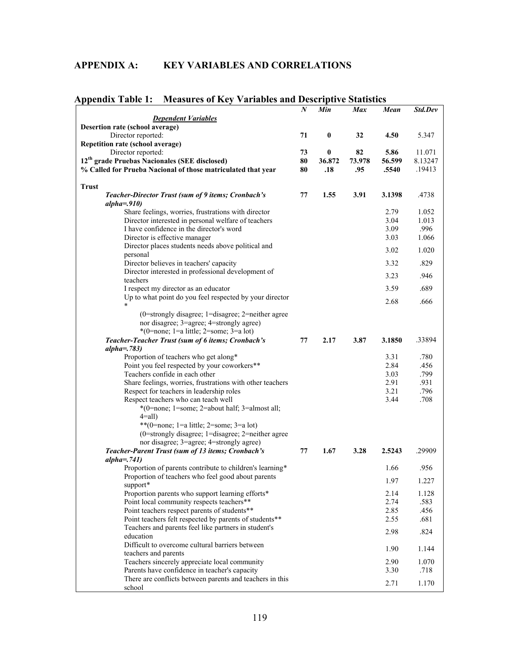# **APPENDIX A: KEY VARIABLES AND CORRELATIONS**

| Спиіл таріс ІІ<br><b>THERMIES OF INCY</b><br>v ariavics aliu Desc | $\boldsymbol{N}$ | Min       | прите энцизис<br><b>Max</b> | Mean   | Std.Dev |
|-------------------------------------------------------------------|------------------|-----------|-----------------------------|--------|---------|
| <b>Dependent Variables</b>                                        |                  |           |                             |        |         |
| Desertion rate (school average)                                   |                  |           |                             |        |         |
| Director reported:                                                | 71               | $\pmb{0}$ | 32                          | 4.50   | 5.347   |
| Repetition rate (school average)                                  |                  |           |                             |        |         |
| Director reported:                                                | 73               | 0         | 82                          | 5.86   | 11.071  |
| 12 <sup>th</sup> grade Pruebas Nacionales (SEE disclosed)         | 80               | 36.872    | 73.978                      | 56.599 | 8.13247 |
| % Called for Prueba Nacional of those matriculated that year      | 80               | .18       | .95                         | .5540  | .19413  |
|                                                                   |                  |           |                             |        |         |
| <b>Trust</b>                                                      |                  |           |                             |        |         |
| Teacher-Director Trust (sum of 9 items; Cronbach's                | 77               | 1.55      | 3.91                        | 3.1398 | .4738   |
| $alpha = .910)$                                                   |                  |           |                             |        |         |
| Share feelings, worries, frustrations with director               |                  |           |                             | 2.79   | 1.052   |
| Director interested in personal welfare of teachers               |                  |           |                             | 3.04   | 1.013   |
| I have confidence in the director's word                          |                  |           |                             | 3.09   | .996    |
| Director is effective manager                                     |                  |           |                             | 3.03   | 1.066   |
| Director places students needs above political and                |                  |           |                             |        |         |
| personal                                                          |                  |           |                             | 3.02   | 1.020   |
| Director believes in teachers' capacity                           |                  |           |                             | 3.32   | .829    |
| Director interested in professional development of                |                  |           |                             |        |         |
| teachers                                                          |                  |           |                             | 3.23   | .946    |
| I respect my director as an educator                              |                  |           |                             | 3.59   | .689    |
| Up to what point do you feel respected by your director           |                  |           |                             |        |         |
|                                                                   |                  |           |                             | 2.68   | .666    |
| $(0=$ strongly disagree; 1=disagree; 2=neither agree              |                  |           |                             |        |         |
| nor disagree; 3=agree; 4=strongly agree)                          |                  |           |                             |        |         |
| $*(0=none; 1=a little; 2=some; 3=a lot)$                          |                  |           |                             |        |         |
| Teacher-Teacher Trust (sum of 6 items; Cronbach's                 | 77               | 2.17      | 3.87                        | 3.1850 | .33894  |
| alpha= $.783$ )                                                   |                  |           |                             |        |         |
| Proportion of teachers who get along*                             |                  |           |                             | 3.31   | .780    |
| Point you feel respected by your coworkers**                      |                  |           |                             | 2.84   | .456    |
| Teachers confide in each other                                    |                  |           |                             | 3.03   | .799    |
| Share feelings, worries, frustrations with other teachers         |                  |           |                             | 2.91   | .931    |
| Respect for teachers in leadership roles                          |                  |           |                             | 3.21   | .796    |
| Respect teachers who can teach well                               |                  |           |                             | 3.44   | .708    |
| *(0=none; 1=some; 2=about half; 3=almost all;                     |                  |           |                             |        |         |
| $4=all$ )                                                         |                  |           |                             |        |         |
| **(0=none; 1=a little; 2=some; 3=a lot)                           |                  |           |                             |        |         |
| (0=strongly disagree; 1=disagree; 2=neither agree                 |                  |           |                             |        |         |
| nor disagree; 3=agree; 4=strongly agree)                          |                  |           |                             |        |         |
| Teacher-Parent Trust (sum of 13 items; Cronbach's                 | 77               | 1.67      | 3.28                        | 2.5243 | .29909  |
| alpha= $.741$ )                                                   |                  |           |                             |        |         |
| Proportion of parents contribute to children's learning*          |                  |           |                             | 1.66   | .956    |
| Proportion of teachers who feel good about parents                |                  |           |                             |        |         |
| support*                                                          |                  |           |                             | 1.97   | 1.227   |
| Proportion parents who support learning efforts*                  |                  |           |                             | 2.14   | 1.128   |
| Point local community respects teachers**                         |                  |           |                             | 2.74   | .583    |
| Point teachers respect parents of students**                      |                  |           |                             | 2.85   | .456    |
| Point teachers felt respected by parents of students**            |                  |           |                             | 2.55   | .681    |
| Teachers and parents feel like partners in student's              |                  |           |                             |        |         |
| education                                                         |                  |           |                             | 2.98   | .824    |
| Difficult to overcome cultural barriers between                   |                  |           |                             |        |         |
| teachers and parents                                              |                  |           |                             | 1.90   | 1.144   |
| Teachers sincerely appreciate local community                     |                  |           |                             | 2.90   | 1.070   |
| Parents have confidence in teacher's capacity                     |                  |           |                             | 3.30   | .718    |
| There are conflicts between parents and teachers in this          |                  |           |                             |        |         |
| school                                                            |                  |           |                             | 2.71   | 1.170   |

### **Appendix Table 1: Measures of Key Variables and Descriptive Statistics**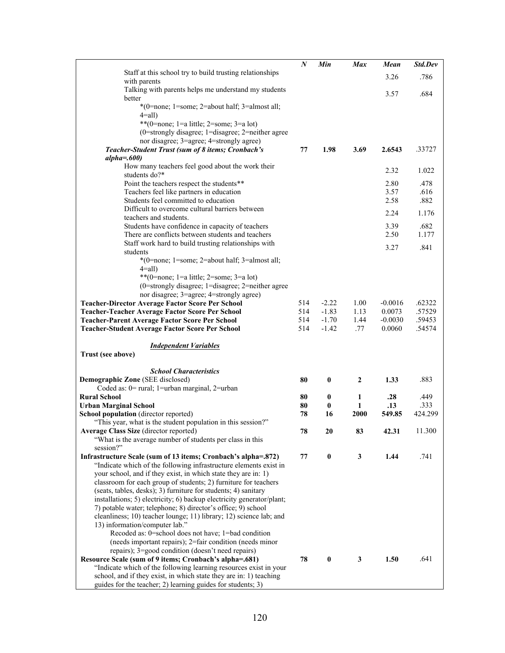|                                                                                                                                         | $\boldsymbol{N}$ | Min                  | <b>Max</b>   | Mean          | Std.Dev          |
|-----------------------------------------------------------------------------------------------------------------------------------------|------------------|----------------------|--------------|---------------|------------------|
| Staff at this school try to build trusting relationships                                                                                |                  |                      |              | 3.26          | .786             |
| with parents<br>Talking with parents helps me understand my students                                                                    |                  |                      |              |               |                  |
| better                                                                                                                                  |                  |                      |              | 3.57          | .684             |
| *(0=none; 1=some; 2=about half; 3=almost all;                                                                                           |                  |                      |              |               |                  |
| $4=all$ )                                                                                                                               |                  |                      |              |               |                  |
| **(0=none; 1=a little; 2=some; 3=a lot)                                                                                                 |                  |                      |              |               |                  |
| $(0=$ strongly disagree; 1=disagree; 2=neither agree                                                                                    |                  |                      |              |               |                  |
| nor disagree; 3=agree; 4=strongly agree)                                                                                                |                  |                      |              |               | .33727           |
| Teacher-Student Trust (sum of 8 items; Cronbach's<br>$alpha=600$                                                                        | 77               | 1.98                 | 3.69         | 2.6543        |                  |
| How many teachers feel good about the work their                                                                                        |                  |                      |              |               |                  |
| students do?*                                                                                                                           |                  |                      |              | 2.32          | 1.022            |
| Point the teachers respect the students**                                                                                               |                  |                      |              | 2.80          | .478             |
| Teachers feel like partners in education                                                                                                |                  |                      |              | 3.57          | .616             |
| Students feel committed to education<br>Difficult to overcome cultural barriers between                                                 |                  |                      |              | 2.58          | .882             |
| teachers and students.                                                                                                                  |                  |                      |              | 2.24          | 1.176            |
| Students have confidence in capacity of teachers                                                                                        |                  |                      |              | 3.39          | .682             |
| There are conflicts between students and teachers                                                                                       |                  |                      |              | 2.50          | 1.177            |
| Staff work hard to build trusting relationships with                                                                                    |                  |                      |              | 3.27          | .841             |
| students                                                                                                                                |                  |                      |              |               |                  |
| *(0=none; 1=some; 2=about half; 3=almost all;                                                                                           |                  |                      |              |               |                  |
| $4=all$ )<br>**(0=none; 1=a little; 2=some; 3=a lot)                                                                                    |                  |                      |              |               |                  |
| $(0=$ strongly disagree; 1=disagree; 2=neither agree                                                                                    |                  |                      |              |               |                  |
| nor disagree; 3=agree; 4=strongly agree)                                                                                                |                  |                      |              |               |                  |
| <b>Teacher-Director Average Factor Score Per School</b>                                                                                 | 514              | $-2.22$              | 1.00         | $-0.0016$     | .62322           |
| Teacher-Teacher Average Factor Score Per School                                                                                         | 514              | $-1.83$              | 1.13         | 0.0073        | .57529           |
| Teacher-Parent Average Factor Score Per School                                                                                          | 514              | $-1.70$              | 1.44         | $-0.0030$     | .59453<br>.54574 |
| Teacher-Student Average Factor Score Per School                                                                                         |                  |                      |              |               |                  |
|                                                                                                                                         | 514              | $-1.42$              | .77          | 0.0060        |                  |
|                                                                                                                                         |                  |                      |              |               |                  |
| <b>Independent Variables</b><br>Trust (see above)                                                                                       |                  |                      |              |               |                  |
|                                                                                                                                         |                  |                      |              |               |                  |
| <b>School Characteristics</b>                                                                                                           |                  |                      |              |               |                  |
| Demographic Zone (SEE disclosed)                                                                                                        | 80               | $\bf{0}$             | $\mathbf{2}$ | 1.33          | .883             |
| Coded as: 0= rural; 1=urban marginal, 2=urban                                                                                           |                  |                      |              |               |                  |
| <b>Rural School</b>                                                                                                                     | 80<br>80         | $\bf{0}$<br>$\bf{0}$ | 1<br>1       | .28           | .449<br>.333     |
| <b>Urban Marginal School</b><br>School population (director reported)                                                                   | 78               | 16                   | 2000         | .13<br>549.85 | 424.299          |
| "This year, what is the student population in this session?"                                                                            |                  |                      |              |               |                  |
| Average Class Size (director reported)                                                                                                  | 78               | 20                   | 83           | 42.31         | 11.300           |
| "What is the average number of students per class in this                                                                               |                  |                      |              |               |                  |
| session?"                                                                                                                               |                  |                      |              |               |                  |
| Infrastructure Scale (sum of 13 items; Cronbach's alpha=.872)                                                                           | 77               | $\bf{0}$             | $\mathbf{3}$ | 1.44          | .741             |
| "Indicate which of the following infrastructure elements exist in<br>your school, and if they exist, in which state they are in: 1)     |                  |                      |              |               |                  |
| classroom for each group of students; 2) furniture for teachers                                                                         |                  |                      |              |               |                  |
| (seats, tables, desks); 3) furniture for students; 4) sanitary                                                                          |                  |                      |              |               |                  |
| installations; 5) electricity; 6) backup electricity generator/plant;                                                                   |                  |                      |              |               |                  |
| 7) potable water; telephone; 8) director's office; 9) school                                                                            |                  |                      |              |               |                  |
| cleanliness; 10) teacher lounge; 11) library; 12) science lab; and<br>13) information/computer lab."                                    |                  |                      |              |               |                  |
| Recoded as: 0=school does not have; 1=bad condition                                                                                     |                  |                      |              |               |                  |
| (needs important repairs); 2=fair condition (needs minor                                                                                |                  |                      |              |               |                  |
| repairs); 3=good condition (doesn't need repairs)                                                                                       |                  |                      |              |               |                  |
| Resource Scale (sum of 9 items; Cronbach's alpha=.681)                                                                                  | 78               | $\pmb{0}$            | 3            | 1.50          | .641             |
| "Indicate which of the following learning resources exist in your<br>school, and if they exist, in which state they are in: 1) teaching |                  |                      |              |               |                  |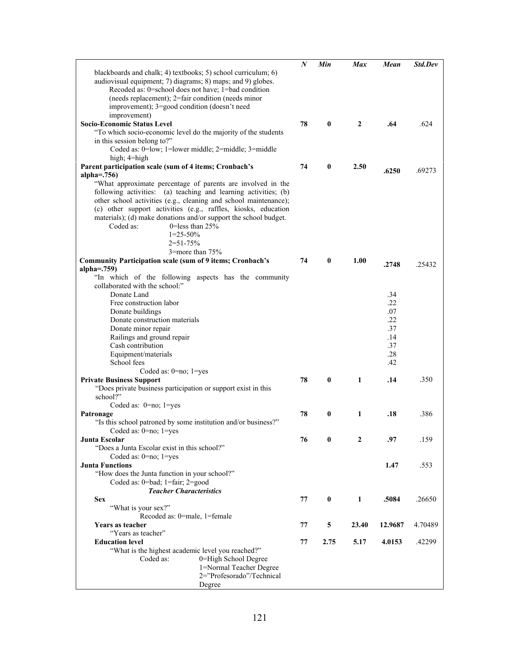|                                                                  | $\boldsymbol{N}$ | Min      | <b>Max</b>   | Mean    | <b>Std.Dev</b> |
|------------------------------------------------------------------|------------------|----------|--------------|---------|----------------|
| blackboards and chalk; 4) textbooks; 5) school curriculum; 6)    |                  |          |              |         |                |
| audiovisual equipment; 7) diagrams; 8) maps; and 9) globes.      |                  |          |              |         |                |
| Recoded as: 0=school does not have; 1=bad condition              |                  |          |              |         |                |
| (needs replacement); 2=fair condition (needs minor               |                  |          |              |         |                |
| improvement); 3=good condition (doesn't need                     |                  |          |              |         |                |
| improvement)                                                     |                  |          |              |         |                |
| Socio-Economic Status Level                                      | 78               | $\bf{0}$ | $\mathbf{2}$ | .64     | .624           |
| "To which socio-economic level do the majority of the students   |                  |          |              |         |                |
| in this session belong to?"                                      |                  |          |              |         |                |
|                                                                  |                  |          |              |         |                |
| Coded as: 0=low; 1=lower middle; 2=middle; 3=middle              |                  |          |              |         |                |
| high; 4=high                                                     |                  |          |              |         |                |
| Parent participation scale (sum of 4 items; Cronbach's           | 74               | $\bf{0}$ | 2.50         | .6250   | .69273         |
| alpha= $.756$ )                                                  |                  |          |              |         |                |
| "What approximate percentage of parents are involved in the      |                  |          |              |         |                |
| following activities: (a) teaching and learning activities; (b)  |                  |          |              |         |                |
| other school activities (e.g., cleaning and school maintenance); |                  |          |              |         |                |
| (c) other support activities (e.g., raffles, kiosks, education   |                  |          |              |         |                |
| materials); (d) make donations and/or support the school budget. |                  |          |              |         |                |
| 0=less than $25%$<br>Coded as:                                   |                  |          |              |         |                |
| $1=25-50%$                                                       |                  |          |              |         |                |
| $2 = 51 - 75%$                                                   |                  |          |              |         |                |
| 3=more than 75%                                                  |                  |          |              |         |                |
| <b>Community Participation scale (sum of 9 items; Cronbach's</b> | 74               | $\bf{0}$ | 1.00         |         |                |
| alpha= $.759$ )                                                  |                  |          |              | .2748   | .25432         |
| "In which of the following aspects has the community             |                  |          |              |         |                |
| collaborated with the school:"                                   |                  |          |              |         |                |
|                                                                  |                  |          |              |         |                |
| Donate Land                                                      |                  |          |              | .34     |                |
| Free construction labor                                          |                  |          |              | .22     |                |
| Donate buildings                                                 |                  |          |              | .07     |                |
| Donate construction materials                                    |                  |          |              | .22     |                |
| Donate minor repair                                              |                  |          |              | .37     |                |
| Railings and ground repair                                       |                  |          |              | .14     |                |
| Cash contribution                                                |                  |          |              | .37     |                |
| Equipment/materials                                              |                  |          |              | .28     |                |
| School fees                                                      |                  |          |              | .42     |                |
| Coded as: 0=no; 1=yes                                            |                  |          |              |         |                |
| <b>Private Business Support</b>                                  | 78               | $\bf{0}$ | 1            | .14     | .350           |
| "Does private business participation or support exist in this    |                  |          |              |         |                |
| school?"                                                         |                  |          |              |         |                |
| Coded as: $0=no$ ; $1=yes$                                       |                  |          |              |         |                |
| Patronage                                                        | 78               | $\bf{0}$ | 1            | .18     | .386           |
| "Is this school patroned by some institution and/or business?"   |                  |          |              |         |                |
|                                                                  |                  |          |              |         |                |
| Coded as: $0=no$ ; $1=yes$                                       |                  |          |              |         | .159           |
| Junta Escolar                                                    | 76               | 0        | 2            | .97     |                |
| "Does a Junta Escolar exist in this school?"                     |                  |          |              |         |                |
| Coded as: $0=no$ ; $1=yes$                                       |                  |          |              |         |                |
| <b>Junta Functions</b>                                           |                  |          |              | 1.47    | .553           |
| "How does the Junta function in your school?"                    |                  |          |              |         |                |
| Coded as: 0=bad; 1=fair; 2=good                                  |                  |          |              |         |                |
| <b>Teacher Characteristics</b>                                   |                  |          |              |         |                |
| <b>Sex</b>                                                       | 77               | $\bf{0}$ | 1            | .5084   | .26650         |
| "What is your sex?"                                              |                  |          |              |         |                |
| Recoded as: 0=male, 1=female                                     |                  |          |              |         |                |
| Years as teacher                                                 | 77               | 5        | 23.40        | 12.9687 | 4.70489        |
| "Years as teacher"                                               |                  |          |              |         |                |
| <b>Education level</b>                                           | 77               | 2.75     | 5.17         | 4.0153  | .42299         |
| "What is the highest academic level you reached?"                |                  |          |              |         |                |
| 0=High School Degree<br>Coded as:                                |                  |          |              |         |                |
| 1=Normal Teacher Degree                                          |                  |          |              |         |                |
| 2="Profesorado"/Technical                                        |                  |          |              |         |                |
| Degree                                                           |                  |          |              |         |                |
|                                                                  |                  |          |              |         |                |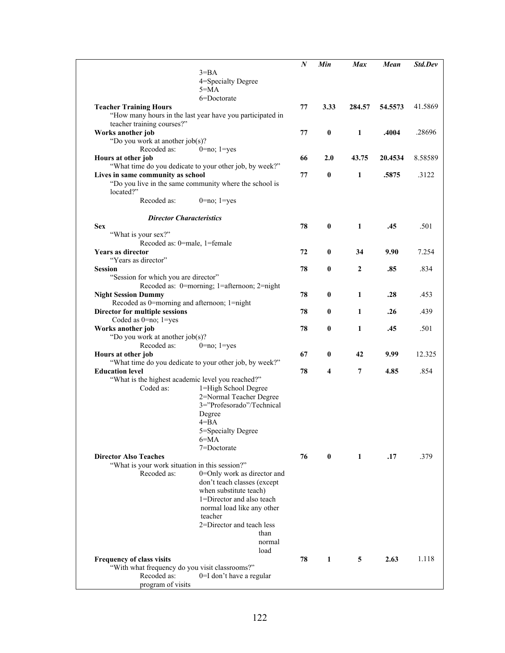| 4=Specialty Degree<br>$5 = MA$<br>6=Doctorate<br>77<br>3.33<br>41.5869<br><b>Teacher Training Hours</b><br>284.57<br>54.5573<br>"How many hours in the last year have you participated in<br>teacher training courses?"<br>$\pmb{0}$<br>$\mathbf{1}$<br>Works another job<br>.4004<br>77<br>.28696<br>"Do you work at another job(s)?<br>Recoded as:<br>$0 = no$ ; $1 = yes$<br>2.0<br>43.75<br>Hours at other job<br>66<br>20.4534<br>8.58589<br>"What time do you dedicate to your other job, by week?"<br>Lives in same community as school<br>77<br>0<br>1<br>.5875<br>3122<br>"Do you live in the same community where the school is<br>located?"<br>Recoded as:<br>$0 = no$ ; $1 = yes$<br><b>Director Characteristics</b><br>78<br>$\bf{0}$<br><b>Sex</b><br>1<br>.501<br>.45<br>"What is your sex?"<br>Recoded as: 0=male, 1=female<br>7.254<br><b>Years as director</b><br>72<br>$\bf{0}$<br>34<br>9.90<br>"Years as director"<br>.834<br><b>Session</b><br>78<br>$\bf{0}$<br>2<br>.85<br>"Session for which you are director"<br>Recoded as: 0=morning; 1=afternoon; 2=night<br>.453<br>78<br>$\bf{0}$<br>1<br><b>Night Session Dummy</b><br>.28<br>Recoded as 0=morning and afternoon; 1=night<br>.439<br>Director for multiple sessions<br>1<br>78<br>$\bf{0}$<br>.26<br>Coded as 0=no; 1=yes<br>Works another job<br>78<br>$\bf{0}$<br>1<br>.501<br>.45<br>"Do you work at another job(s)?<br>Recoded as:<br>$0=no; 1=yes$<br>67<br>$\bf{0}$<br>42<br>9.99<br>12.325<br>Hours at other job<br>"What time do you dedicate to your other job, by week?"<br><b>Education level</b><br>78<br>4<br>7<br>4.85<br>.854<br>"What is the highest academic level you reached?"<br>Coded as:<br>1=High School Degree<br>2=Normal Teacher Degree<br>3="Profesorado"/Technical<br>Degree<br>4=BA<br>5=Specialty Degree<br>6=MA<br>7=Doctorate<br><b>Director Also Teaches</b><br>.379<br>76<br>$\mathbf{0}$<br>1<br>.17<br>"What is your work situation in this session?"<br>Recoded as:<br>0=Only work as director and<br>don't teach classes (except<br>when substitute teach)<br>1=Director and also teach<br>normal load like any other<br>teacher<br>2=Director and teach less<br>than<br>normal<br>load<br>78<br>$\mathbf{1}$<br>2.63<br>Frequency of class visits<br>5<br>1.118<br>"With what frequency do you visit classrooms?"<br>Recoded as:<br>0=I don't have a regular |                   |          | N | Min | <b>Max</b> | Mean | Std.Dev |
|-------------------------------------------------------------------------------------------------------------------------------------------------------------------------------------------------------------------------------------------------------------------------------------------------------------------------------------------------------------------------------------------------------------------------------------------------------------------------------------------------------------------------------------------------------------------------------------------------------------------------------------------------------------------------------------------------------------------------------------------------------------------------------------------------------------------------------------------------------------------------------------------------------------------------------------------------------------------------------------------------------------------------------------------------------------------------------------------------------------------------------------------------------------------------------------------------------------------------------------------------------------------------------------------------------------------------------------------------------------------------------------------------------------------------------------------------------------------------------------------------------------------------------------------------------------------------------------------------------------------------------------------------------------------------------------------------------------------------------------------------------------------------------------------------------------------------------------------------------------------------------------------------------------------------------------------------------------------------------------------------------------------------------------------------------------------------------------------------------------------------------------------------------------------------------------------------------------------------------------------------------------------------------------------------------------------------------------------------------------------------------------|-------------------|----------|---|-----|------------|------|---------|
|                                                                                                                                                                                                                                                                                                                                                                                                                                                                                                                                                                                                                                                                                                                                                                                                                                                                                                                                                                                                                                                                                                                                                                                                                                                                                                                                                                                                                                                                                                                                                                                                                                                                                                                                                                                                                                                                                                                                                                                                                                                                                                                                                                                                                                                                                                                                                                                     |                   | $3 = BA$ |   |     |            |      |         |
|                                                                                                                                                                                                                                                                                                                                                                                                                                                                                                                                                                                                                                                                                                                                                                                                                                                                                                                                                                                                                                                                                                                                                                                                                                                                                                                                                                                                                                                                                                                                                                                                                                                                                                                                                                                                                                                                                                                                                                                                                                                                                                                                                                                                                                                                                                                                                                                     |                   |          |   |     |            |      |         |
|                                                                                                                                                                                                                                                                                                                                                                                                                                                                                                                                                                                                                                                                                                                                                                                                                                                                                                                                                                                                                                                                                                                                                                                                                                                                                                                                                                                                                                                                                                                                                                                                                                                                                                                                                                                                                                                                                                                                                                                                                                                                                                                                                                                                                                                                                                                                                                                     |                   |          |   |     |            |      |         |
|                                                                                                                                                                                                                                                                                                                                                                                                                                                                                                                                                                                                                                                                                                                                                                                                                                                                                                                                                                                                                                                                                                                                                                                                                                                                                                                                                                                                                                                                                                                                                                                                                                                                                                                                                                                                                                                                                                                                                                                                                                                                                                                                                                                                                                                                                                                                                                                     |                   |          |   |     |            |      |         |
|                                                                                                                                                                                                                                                                                                                                                                                                                                                                                                                                                                                                                                                                                                                                                                                                                                                                                                                                                                                                                                                                                                                                                                                                                                                                                                                                                                                                                                                                                                                                                                                                                                                                                                                                                                                                                                                                                                                                                                                                                                                                                                                                                                                                                                                                                                                                                                                     |                   |          |   |     |            |      |         |
|                                                                                                                                                                                                                                                                                                                                                                                                                                                                                                                                                                                                                                                                                                                                                                                                                                                                                                                                                                                                                                                                                                                                                                                                                                                                                                                                                                                                                                                                                                                                                                                                                                                                                                                                                                                                                                                                                                                                                                                                                                                                                                                                                                                                                                                                                                                                                                                     |                   |          |   |     |            |      |         |
|                                                                                                                                                                                                                                                                                                                                                                                                                                                                                                                                                                                                                                                                                                                                                                                                                                                                                                                                                                                                                                                                                                                                                                                                                                                                                                                                                                                                                                                                                                                                                                                                                                                                                                                                                                                                                                                                                                                                                                                                                                                                                                                                                                                                                                                                                                                                                                                     |                   |          |   |     |            |      |         |
|                                                                                                                                                                                                                                                                                                                                                                                                                                                                                                                                                                                                                                                                                                                                                                                                                                                                                                                                                                                                                                                                                                                                                                                                                                                                                                                                                                                                                                                                                                                                                                                                                                                                                                                                                                                                                                                                                                                                                                                                                                                                                                                                                                                                                                                                                                                                                                                     |                   |          |   |     |            |      |         |
|                                                                                                                                                                                                                                                                                                                                                                                                                                                                                                                                                                                                                                                                                                                                                                                                                                                                                                                                                                                                                                                                                                                                                                                                                                                                                                                                                                                                                                                                                                                                                                                                                                                                                                                                                                                                                                                                                                                                                                                                                                                                                                                                                                                                                                                                                                                                                                                     |                   |          |   |     |            |      |         |
|                                                                                                                                                                                                                                                                                                                                                                                                                                                                                                                                                                                                                                                                                                                                                                                                                                                                                                                                                                                                                                                                                                                                                                                                                                                                                                                                                                                                                                                                                                                                                                                                                                                                                                                                                                                                                                                                                                                                                                                                                                                                                                                                                                                                                                                                                                                                                                                     |                   |          |   |     |            |      |         |
|                                                                                                                                                                                                                                                                                                                                                                                                                                                                                                                                                                                                                                                                                                                                                                                                                                                                                                                                                                                                                                                                                                                                                                                                                                                                                                                                                                                                                                                                                                                                                                                                                                                                                                                                                                                                                                                                                                                                                                                                                                                                                                                                                                                                                                                                                                                                                                                     |                   |          |   |     |            |      |         |
|                                                                                                                                                                                                                                                                                                                                                                                                                                                                                                                                                                                                                                                                                                                                                                                                                                                                                                                                                                                                                                                                                                                                                                                                                                                                                                                                                                                                                                                                                                                                                                                                                                                                                                                                                                                                                                                                                                                                                                                                                                                                                                                                                                                                                                                                                                                                                                                     |                   |          |   |     |            |      |         |
|                                                                                                                                                                                                                                                                                                                                                                                                                                                                                                                                                                                                                                                                                                                                                                                                                                                                                                                                                                                                                                                                                                                                                                                                                                                                                                                                                                                                                                                                                                                                                                                                                                                                                                                                                                                                                                                                                                                                                                                                                                                                                                                                                                                                                                                                                                                                                                                     |                   |          |   |     |            |      |         |
|                                                                                                                                                                                                                                                                                                                                                                                                                                                                                                                                                                                                                                                                                                                                                                                                                                                                                                                                                                                                                                                                                                                                                                                                                                                                                                                                                                                                                                                                                                                                                                                                                                                                                                                                                                                                                                                                                                                                                                                                                                                                                                                                                                                                                                                                                                                                                                                     |                   |          |   |     |            |      |         |
|                                                                                                                                                                                                                                                                                                                                                                                                                                                                                                                                                                                                                                                                                                                                                                                                                                                                                                                                                                                                                                                                                                                                                                                                                                                                                                                                                                                                                                                                                                                                                                                                                                                                                                                                                                                                                                                                                                                                                                                                                                                                                                                                                                                                                                                                                                                                                                                     |                   |          |   |     |            |      |         |
|                                                                                                                                                                                                                                                                                                                                                                                                                                                                                                                                                                                                                                                                                                                                                                                                                                                                                                                                                                                                                                                                                                                                                                                                                                                                                                                                                                                                                                                                                                                                                                                                                                                                                                                                                                                                                                                                                                                                                                                                                                                                                                                                                                                                                                                                                                                                                                                     |                   |          |   |     |            |      |         |
|                                                                                                                                                                                                                                                                                                                                                                                                                                                                                                                                                                                                                                                                                                                                                                                                                                                                                                                                                                                                                                                                                                                                                                                                                                                                                                                                                                                                                                                                                                                                                                                                                                                                                                                                                                                                                                                                                                                                                                                                                                                                                                                                                                                                                                                                                                                                                                                     |                   |          |   |     |            |      |         |
|                                                                                                                                                                                                                                                                                                                                                                                                                                                                                                                                                                                                                                                                                                                                                                                                                                                                                                                                                                                                                                                                                                                                                                                                                                                                                                                                                                                                                                                                                                                                                                                                                                                                                                                                                                                                                                                                                                                                                                                                                                                                                                                                                                                                                                                                                                                                                                                     |                   |          |   |     |            |      |         |
|                                                                                                                                                                                                                                                                                                                                                                                                                                                                                                                                                                                                                                                                                                                                                                                                                                                                                                                                                                                                                                                                                                                                                                                                                                                                                                                                                                                                                                                                                                                                                                                                                                                                                                                                                                                                                                                                                                                                                                                                                                                                                                                                                                                                                                                                                                                                                                                     |                   |          |   |     |            |      |         |
|                                                                                                                                                                                                                                                                                                                                                                                                                                                                                                                                                                                                                                                                                                                                                                                                                                                                                                                                                                                                                                                                                                                                                                                                                                                                                                                                                                                                                                                                                                                                                                                                                                                                                                                                                                                                                                                                                                                                                                                                                                                                                                                                                                                                                                                                                                                                                                                     |                   |          |   |     |            |      |         |
|                                                                                                                                                                                                                                                                                                                                                                                                                                                                                                                                                                                                                                                                                                                                                                                                                                                                                                                                                                                                                                                                                                                                                                                                                                                                                                                                                                                                                                                                                                                                                                                                                                                                                                                                                                                                                                                                                                                                                                                                                                                                                                                                                                                                                                                                                                                                                                                     |                   |          |   |     |            |      |         |
|                                                                                                                                                                                                                                                                                                                                                                                                                                                                                                                                                                                                                                                                                                                                                                                                                                                                                                                                                                                                                                                                                                                                                                                                                                                                                                                                                                                                                                                                                                                                                                                                                                                                                                                                                                                                                                                                                                                                                                                                                                                                                                                                                                                                                                                                                                                                                                                     |                   |          |   |     |            |      |         |
|                                                                                                                                                                                                                                                                                                                                                                                                                                                                                                                                                                                                                                                                                                                                                                                                                                                                                                                                                                                                                                                                                                                                                                                                                                                                                                                                                                                                                                                                                                                                                                                                                                                                                                                                                                                                                                                                                                                                                                                                                                                                                                                                                                                                                                                                                                                                                                                     |                   |          |   |     |            |      |         |
|                                                                                                                                                                                                                                                                                                                                                                                                                                                                                                                                                                                                                                                                                                                                                                                                                                                                                                                                                                                                                                                                                                                                                                                                                                                                                                                                                                                                                                                                                                                                                                                                                                                                                                                                                                                                                                                                                                                                                                                                                                                                                                                                                                                                                                                                                                                                                                                     |                   |          |   |     |            |      |         |
|                                                                                                                                                                                                                                                                                                                                                                                                                                                                                                                                                                                                                                                                                                                                                                                                                                                                                                                                                                                                                                                                                                                                                                                                                                                                                                                                                                                                                                                                                                                                                                                                                                                                                                                                                                                                                                                                                                                                                                                                                                                                                                                                                                                                                                                                                                                                                                                     |                   |          |   |     |            |      |         |
|                                                                                                                                                                                                                                                                                                                                                                                                                                                                                                                                                                                                                                                                                                                                                                                                                                                                                                                                                                                                                                                                                                                                                                                                                                                                                                                                                                                                                                                                                                                                                                                                                                                                                                                                                                                                                                                                                                                                                                                                                                                                                                                                                                                                                                                                                                                                                                                     |                   |          |   |     |            |      |         |
|                                                                                                                                                                                                                                                                                                                                                                                                                                                                                                                                                                                                                                                                                                                                                                                                                                                                                                                                                                                                                                                                                                                                                                                                                                                                                                                                                                                                                                                                                                                                                                                                                                                                                                                                                                                                                                                                                                                                                                                                                                                                                                                                                                                                                                                                                                                                                                                     |                   |          |   |     |            |      |         |
|                                                                                                                                                                                                                                                                                                                                                                                                                                                                                                                                                                                                                                                                                                                                                                                                                                                                                                                                                                                                                                                                                                                                                                                                                                                                                                                                                                                                                                                                                                                                                                                                                                                                                                                                                                                                                                                                                                                                                                                                                                                                                                                                                                                                                                                                                                                                                                                     |                   |          |   |     |            |      |         |
|                                                                                                                                                                                                                                                                                                                                                                                                                                                                                                                                                                                                                                                                                                                                                                                                                                                                                                                                                                                                                                                                                                                                                                                                                                                                                                                                                                                                                                                                                                                                                                                                                                                                                                                                                                                                                                                                                                                                                                                                                                                                                                                                                                                                                                                                                                                                                                                     |                   |          |   |     |            |      |         |
|                                                                                                                                                                                                                                                                                                                                                                                                                                                                                                                                                                                                                                                                                                                                                                                                                                                                                                                                                                                                                                                                                                                                                                                                                                                                                                                                                                                                                                                                                                                                                                                                                                                                                                                                                                                                                                                                                                                                                                                                                                                                                                                                                                                                                                                                                                                                                                                     |                   |          |   |     |            |      |         |
|                                                                                                                                                                                                                                                                                                                                                                                                                                                                                                                                                                                                                                                                                                                                                                                                                                                                                                                                                                                                                                                                                                                                                                                                                                                                                                                                                                                                                                                                                                                                                                                                                                                                                                                                                                                                                                                                                                                                                                                                                                                                                                                                                                                                                                                                                                                                                                                     |                   |          |   |     |            |      |         |
|                                                                                                                                                                                                                                                                                                                                                                                                                                                                                                                                                                                                                                                                                                                                                                                                                                                                                                                                                                                                                                                                                                                                                                                                                                                                                                                                                                                                                                                                                                                                                                                                                                                                                                                                                                                                                                                                                                                                                                                                                                                                                                                                                                                                                                                                                                                                                                                     |                   |          |   |     |            |      |         |
|                                                                                                                                                                                                                                                                                                                                                                                                                                                                                                                                                                                                                                                                                                                                                                                                                                                                                                                                                                                                                                                                                                                                                                                                                                                                                                                                                                                                                                                                                                                                                                                                                                                                                                                                                                                                                                                                                                                                                                                                                                                                                                                                                                                                                                                                                                                                                                                     |                   |          |   |     |            |      |         |
|                                                                                                                                                                                                                                                                                                                                                                                                                                                                                                                                                                                                                                                                                                                                                                                                                                                                                                                                                                                                                                                                                                                                                                                                                                                                                                                                                                                                                                                                                                                                                                                                                                                                                                                                                                                                                                                                                                                                                                                                                                                                                                                                                                                                                                                                                                                                                                                     |                   |          |   |     |            |      |         |
|                                                                                                                                                                                                                                                                                                                                                                                                                                                                                                                                                                                                                                                                                                                                                                                                                                                                                                                                                                                                                                                                                                                                                                                                                                                                                                                                                                                                                                                                                                                                                                                                                                                                                                                                                                                                                                                                                                                                                                                                                                                                                                                                                                                                                                                                                                                                                                                     |                   |          |   |     |            |      |         |
|                                                                                                                                                                                                                                                                                                                                                                                                                                                                                                                                                                                                                                                                                                                                                                                                                                                                                                                                                                                                                                                                                                                                                                                                                                                                                                                                                                                                                                                                                                                                                                                                                                                                                                                                                                                                                                                                                                                                                                                                                                                                                                                                                                                                                                                                                                                                                                                     |                   |          |   |     |            |      |         |
|                                                                                                                                                                                                                                                                                                                                                                                                                                                                                                                                                                                                                                                                                                                                                                                                                                                                                                                                                                                                                                                                                                                                                                                                                                                                                                                                                                                                                                                                                                                                                                                                                                                                                                                                                                                                                                                                                                                                                                                                                                                                                                                                                                                                                                                                                                                                                                                     |                   |          |   |     |            |      |         |
|                                                                                                                                                                                                                                                                                                                                                                                                                                                                                                                                                                                                                                                                                                                                                                                                                                                                                                                                                                                                                                                                                                                                                                                                                                                                                                                                                                                                                                                                                                                                                                                                                                                                                                                                                                                                                                                                                                                                                                                                                                                                                                                                                                                                                                                                                                                                                                                     |                   |          |   |     |            |      |         |
|                                                                                                                                                                                                                                                                                                                                                                                                                                                                                                                                                                                                                                                                                                                                                                                                                                                                                                                                                                                                                                                                                                                                                                                                                                                                                                                                                                                                                                                                                                                                                                                                                                                                                                                                                                                                                                                                                                                                                                                                                                                                                                                                                                                                                                                                                                                                                                                     |                   |          |   |     |            |      |         |
|                                                                                                                                                                                                                                                                                                                                                                                                                                                                                                                                                                                                                                                                                                                                                                                                                                                                                                                                                                                                                                                                                                                                                                                                                                                                                                                                                                                                                                                                                                                                                                                                                                                                                                                                                                                                                                                                                                                                                                                                                                                                                                                                                                                                                                                                                                                                                                                     |                   |          |   |     |            |      |         |
|                                                                                                                                                                                                                                                                                                                                                                                                                                                                                                                                                                                                                                                                                                                                                                                                                                                                                                                                                                                                                                                                                                                                                                                                                                                                                                                                                                                                                                                                                                                                                                                                                                                                                                                                                                                                                                                                                                                                                                                                                                                                                                                                                                                                                                                                                                                                                                                     |                   |          |   |     |            |      |         |
|                                                                                                                                                                                                                                                                                                                                                                                                                                                                                                                                                                                                                                                                                                                                                                                                                                                                                                                                                                                                                                                                                                                                                                                                                                                                                                                                                                                                                                                                                                                                                                                                                                                                                                                                                                                                                                                                                                                                                                                                                                                                                                                                                                                                                                                                                                                                                                                     |                   |          |   |     |            |      |         |
|                                                                                                                                                                                                                                                                                                                                                                                                                                                                                                                                                                                                                                                                                                                                                                                                                                                                                                                                                                                                                                                                                                                                                                                                                                                                                                                                                                                                                                                                                                                                                                                                                                                                                                                                                                                                                                                                                                                                                                                                                                                                                                                                                                                                                                                                                                                                                                                     |                   |          |   |     |            |      |         |
|                                                                                                                                                                                                                                                                                                                                                                                                                                                                                                                                                                                                                                                                                                                                                                                                                                                                                                                                                                                                                                                                                                                                                                                                                                                                                                                                                                                                                                                                                                                                                                                                                                                                                                                                                                                                                                                                                                                                                                                                                                                                                                                                                                                                                                                                                                                                                                                     |                   |          |   |     |            |      |         |
|                                                                                                                                                                                                                                                                                                                                                                                                                                                                                                                                                                                                                                                                                                                                                                                                                                                                                                                                                                                                                                                                                                                                                                                                                                                                                                                                                                                                                                                                                                                                                                                                                                                                                                                                                                                                                                                                                                                                                                                                                                                                                                                                                                                                                                                                                                                                                                                     |                   |          |   |     |            |      |         |
|                                                                                                                                                                                                                                                                                                                                                                                                                                                                                                                                                                                                                                                                                                                                                                                                                                                                                                                                                                                                                                                                                                                                                                                                                                                                                                                                                                                                                                                                                                                                                                                                                                                                                                                                                                                                                                                                                                                                                                                                                                                                                                                                                                                                                                                                                                                                                                                     |                   |          |   |     |            |      |         |
|                                                                                                                                                                                                                                                                                                                                                                                                                                                                                                                                                                                                                                                                                                                                                                                                                                                                                                                                                                                                                                                                                                                                                                                                                                                                                                                                                                                                                                                                                                                                                                                                                                                                                                                                                                                                                                                                                                                                                                                                                                                                                                                                                                                                                                                                                                                                                                                     |                   |          |   |     |            |      |         |
|                                                                                                                                                                                                                                                                                                                                                                                                                                                                                                                                                                                                                                                                                                                                                                                                                                                                                                                                                                                                                                                                                                                                                                                                                                                                                                                                                                                                                                                                                                                                                                                                                                                                                                                                                                                                                                                                                                                                                                                                                                                                                                                                                                                                                                                                                                                                                                                     |                   |          |   |     |            |      |         |
|                                                                                                                                                                                                                                                                                                                                                                                                                                                                                                                                                                                                                                                                                                                                                                                                                                                                                                                                                                                                                                                                                                                                                                                                                                                                                                                                                                                                                                                                                                                                                                                                                                                                                                                                                                                                                                                                                                                                                                                                                                                                                                                                                                                                                                                                                                                                                                                     |                   |          |   |     |            |      |         |
|                                                                                                                                                                                                                                                                                                                                                                                                                                                                                                                                                                                                                                                                                                                                                                                                                                                                                                                                                                                                                                                                                                                                                                                                                                                                                                                                                                                                                                                                                                                                                                                                                                                                                                                                                                                                                                                                                                                                                                                                                                                                                                                                                                                                                                                                                                                                                                                     |                   |          |   |     |            |      |         |
|                                                                                                                                                                                                                                                                                                                                                                                                                                                                                                                                                                                                                                                                                                                                                                                                                                                                                                                                                                                                                                                                                                                                                                                                                                                                                                                                                                                                                                                                                                                                                                                                                                                                                                                                                                                                                                                                                                                                                                                                                                                                                                                                                                                                                                                                                                                                                                                     |                   |          |   |     |            |      |         |
|                                                                                                                                                                                                                                                                                                                                                                                                                                                                                                                                                                                                                                                                                                                                                                                                                                                                                                                                                                                                                                                                                                                                                                                                                                                                                                                                                                                                                                                                                                                                                                                                                                                                                                                                                                                                                                                                                                                                                                                                                                                                                                                                                                                                                                                                                                                                                                                     |                   |          |   |     |            |      |         |
|                                                                                                                                                                                                                                                                                                                                                                                                                                                                                                                                                                                                                                                                                                                                                                                                                                                                                                                                                                                                                                                                                                                                                                                                                                                                                                                                                                                                                                                                                                                                                                                                                                                                                                                                                                                                                                                                                                                                                                                                                                                                                                                                                                                                                                                                                                                                                                                     |                   |          |   |     |            |      |         |
|                                                                                                                                                                                                                                                                                                                                                                                                                                                                                                                                                                                                                                                                                                                                                                                                                                                                                                                                                                                                                                                                                                                                                                                                                                                                                                                                                                                                                                                                                                                                                                                                                                                                                                                                                                                                                                                                                                                                                                                                                                                                                                                                                                                                                                                                                                                                                                                     |                   |          |   |     |            |      |         |
|                                                                                                                                                                                                                                                                                                                                                                                                                                                                                                                                                                                                                                                                                                                                                                                                                                                                                                                                                                                                                                                                                                                                                                                                                                                                                                                                                                                                                                                                                                                                                                                                                                                                                                                                                                                                                                                                                                                                                                                                                                                                                                                                                                                                                                                                                                                                                                                     |                   |          |   |     |            |      |         |
|                                                                                                                                                                                                                                                                                                                                                                                                                                                                                                                                                                                                                                                                                                                                                                                                                                                                                                                                                                                                                                                                                                                                                                                                                                                                                                                                                                                                                                                                                                                                                                                                                                                                                                                                                                                                                                                                                                                                                                                                                                                                                                                                                                                                                                                                                                                                                                                     | program of visits |          |   |     |            |      |         |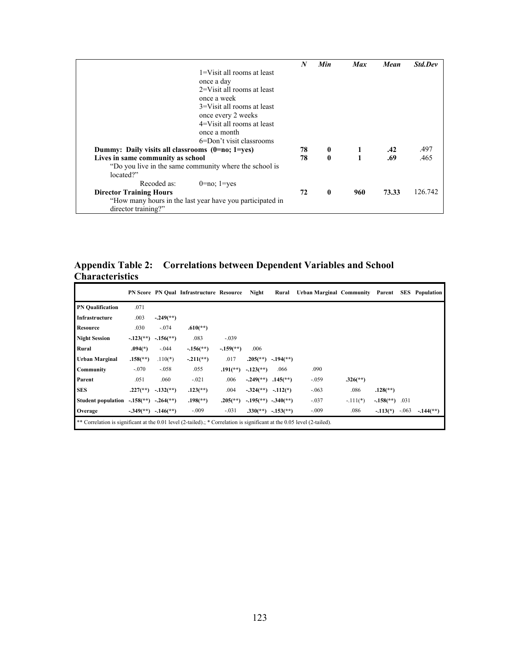|                                                           | N  | Min          | <b>Max</b> | Mean  | Std.Dev |
|-----------------------------------------------------------|----|--------------|------------|-------|---------|
| 1=Visit all rooms at least                                |    |              |            |       |         |
| once a day                                                |    |              |            |       |         |
| $2=V$ is all rooms at least                               |    |              |            |       |         |
| once a week                                               |    |              |            |       |         |
| 3=Visit all rooms at least                                |    |              |            |       |         |
| once every 2 weeks                                        |    |              |            |       |         |
| 4=Visit all rooms at least                                |    |              |            |       |         |
| once a month                                              |    |              |            |       |         |
| 6=Don't visit classrooms                                  |    |              |            |       |         |
| Dummy: Daily visits all classrooms (0=no; 1=yes)          | 78 | $\bf{0}$     | 1          | .42   | .497    |
| Lives in same community as school                         | 78 | $\theta$     |            | .69   | .465    |
| "Do you live in the same community where the school is    |    |              |            |       |         |
| located?"                                                 |    |              |            |       |         |
| Recoded as:<br>$0=no$ ; $1=ves$                           |    |              |            |       |         |
| <b>Director Training Hours</b>                            | 72 | $\mathbf{0}$ | 960        | 73.33 | 126.742 |
| "How many hours in the last year have you participated in |    |              |            |       |         |
| director training?"                                       |    |              |            |       |         |

**Appendix Table 2: Correlations between Dependent Variables and School Characteristics**

|                                                                                                                         |                          |                             | <b>PN Score PN Qual Infrastructure Resource</b> |                          | Night                                | Rural                                             | Urban Marginal Community Parent |                          |                               |         | <b>SES</b> Population   |
|-------------------------------------------------------------------------------------------------------------------------|--------------------------|-----------------------------|-------------------------------------------------|--------------------------|--------------------------------------|---------------------------------------------------|---------------------------------|--------------------------|-------------------------------|---------|-------------------------|
| <b>PN</b> Qualification                                                                                                 | .071                     |                             |                                                 |                          |                                      |                                                   |                                 |                          |                               |         |                         |
| Infrastructure                                                                                                          | .003                     | $-.249$ <sup>**</sup> )     |                                                 |                          |                                      |                                                   |                                 |                          |                               |         |                         |
| <b>Resource</b>                                                                                                         | .030                     | $-.074$                     | $.610(**)$                                      |                          |                                      |                                                   |                                 |                          |                               |         |                         |
| <b>Night Session</b>                                                                                                    | $-.123(*)$               | $-156$ <sup>**</sup> )      | .083                                            | $-.039$                  |                                      |                                                   |                                 |                          |                               |         |                         |
| Rural                                                                                                                   | $.094(*)$                | $-.044$                     | $-.156$ <sup>**</sup> )                         | $-159$ <sup>**</sup> )   | .006                                 |                                                   |                                 |                          |                               |         |                         |
| <b>Urban Marginal</b>                                                                                                   | $.158$ <sup>(**)</sup> ) | $.110(*)$                   | $-.211(**)$                                     | .017                     | $.205$ <sup>(**</sup> )              | $-.194$ <sup>**</sup> )                           |                                 |                          |                               |         |                         |
| Community                                                                                                               | $-.070$                  | $-.058$                     | .055                                            | $.191$ <sup>(**)</sup> ) | $-123$ <sup>**</sup> )               | .066                                              | .090                            |                          |                               |         |                         |
| Parent                                                                                                                  | .051                     | .060                        | $-.021$                                         | .006                     | $-.249$ <sup>**</sup> )              | $.145$ <sup>**</sup> )                            | $-0.59$                         | $.326$ <sup>(**)</sup> ) |                               |         |                         |
| <b>SES</b>                                                                                                              | $.227$ <sup>(**)</sup> ) | $-132$ <sup>(**)</sup> )    | $.123$ <sup>(**)</sup> )                        | .004                     | $-.324$ <sup>(**</sup> ) $-.112$ (*) |                                                   | $-063$                          | .086                     | $.128$ <sup>(**)</sup> )      |         |                         |
| <b>Student population</b>                                                                                               | $-.158$ <sup>(**</sup> ) | $-.264$ <sup>(**)</sup> )   | $.198$ <sup>(**)</sup> )                        | $.205$ <sup>(**)</sup> ) |                                      | $-0.195$ <sup>**</sup> ) $-0.340$ <sup>**</sup> ) | $-0.037$                        | $-.111(*)$               | $-0.158$ <sup>**</sup> ) .031 |         |                         |
| Overage                                                                                                                 |                          | $-0.349$ (**) $-0.146$ (**) | $-.009$                                         | $-.031$                  | $.330^{(*)}$                         | $-.153$ <sup>**</sup> )                           | $-.009$                         | .086                     | $-113(*)$                     | $-.063$ | $-.144$ <sup>(**)</sup> |
| ** Correlation is significant at the 0.01 level (2-tailed).; * Correlation is significant at the 0.05 level (2-tailed). |                          |                             |                                                 |                          |                                      |                                                   |                                 |                          |                               |         |                         |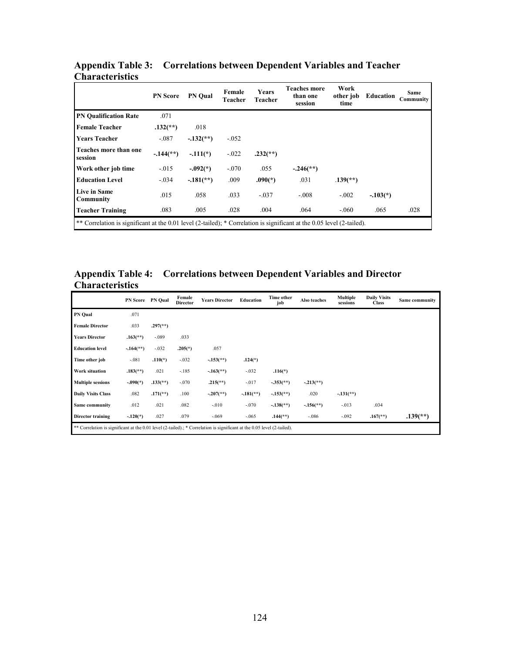|                                                                                                                        | <b>PN</b> Score          | <b>PN</b> Oual         | Female<br>Teacher | <b>Years</b><br>Teacher  | <b>Teaches more</b><br>than one<br>session | Work<br>other job<br>time | <b>Education</b> | <b>Same</b><br>Community |
|------------------------------------------------------------------------------------------------------------------------|--------------------------|------------------------|-------------------|--------------------------|--------------------------------------------|---------------------------|------------------|--------------------------|
| <b>PN Qualification Rate</b>                                                                                           | .071                     |                        |                   |                          |                                            |                           |                  |                          |
| <b>Female Teacher</b>                                                                                                  | $.132$ <sup>**</sup> )   | .018                   |                   |                          |                                            |                           |                  |                          |
| <b>Years Teacher</b>                                                                                                   | $-.087$                  | $-132$ <sup>**</sup> ) | $-0.052$          |                          |                                            |                           |                  |                          |
| Teaches more than one<br>session                                                                                       | $-144$ <sup>(**)</sup> ) | $-.111(*)$             | $-.022$           | $.232$ <sup>(**)</sup> ) |                                            |                           |                  |                          |
| Work other job time                                                                                                    | $-.015$                  | $-.092(*)$             | $-.070$           | .055                     | $-.246$ <sup>**</sup> )                    |                           |                  |                          |
| <b>Education Level</b>                                                                                                 | $-.034$                  | $-181$ <sup>**</sup> ) | .009              | $.090(*)$                | .031                                       | $.139$ <sup>**</sup> )    |                  |                          |
| Live in Same<br>Community                                                                                              | .015                     | .058                   | .033              | $-.037$                  | $-.008$                                    | $-.002$                   | $-.103(*)$       |                          |
| <b>Teacher Training</b>                                                                                                | .083                     | .005                   | .028              | .004                     | .064                                       | $-.060$                   | .065             | .028                     |
| ** Correlation is significant at the 0.01 level (2-tailed); * Correlation is significant at the 0.05 level (2-tailed). |                          |                        |                   |                          |                                            |                           |                  |                          |

### **Appendix Table 3: Correlations between Dependent Variables and Teacher Characteristics**

**Appendix Table 4: Correlations between Dependent Variables and Director Characteristics**

|                           |                                                                                                                         | PN Score PN Qual         | Female<br><b>Director</b> | <b>Years Director</b>   | Education              | Time other<br>job        | Also teaches           | Multiple<br>sessions   | <b>Daily Visits</b><br><b>Class</b> | Same community           |
|---------------------------|-------------------------------------------------------------------------------------------------------------------------|--------------------------|---------------------------|-------------------------|------------------------|--------------------------|------------------------|------------------------|-------------------------------------|--------------------------|
| <b>PN Qual</b>            | .071                                                                                                                    |                          |                           |                         |                        |                          |                        |                        |                                     |                          |
| <b>Female Director</b>    | .033                                                                                                                    | $.297$ <sup>(**)</sup> ) |                           |                         |                        |                          |                        |                        |                                     |                          |
| <b>Years Director</b>     | $.163$ <sup>**</sup> )                                                                                                  | $-.089$                  | .033                      |                         |                        |                          |                        |                        |                                     |                          |
| <b>Education level</b>    | $-164$ <sup>**</sup> )                                                                                                  | $-.032$                  | $.205(*)$                 | .057                    |                        |                          |                        |                        |                                     |                          |
| Time other job            | $-.081$                                                                                                                 | $.110(*)$                | $-.032$                   | $-153$ <sup>**</sup> )  | $.124(*)$              |                          |                        |                        |                                     |                          |
| Work situation            | $.183$ <sup>**</sup> )                                                                                                  | .021                     | $-.185$                   | $-.163$ <sup>**</sup> ) | $-.032$                | $.116(*)$                |                        |                        |                                     |                          |
| <b>Multiple sessions</b>  | $-.090(*)$                                                                                                              | $.133$ <sup>(**</sup> )  | $-.070$                   | $.215$ <sup>**</sup> )  | $-.017$                | $-.353$ <sup>(**</sup> ) | $-.213(**)$            |                        |                                     |                          |
| <b>Daily Visits Class</b> | .082                                                                                                                    | $.171$ <sup>(**)</sup> ) | .100                      | $-.207$ <sup>**</sup> ) | $-181$ <sup>**</sup> ) | $-153$ <sup>**</sup> )   | .020                   | $-131$ <sup>**</sup> ) |                                     |                          |
| Same community            | .012                                                                                                                    | .021                     | .082                      | $-.010$                 | $-.070$                | $-138$ <sup>**</sup> )   | $-156$ <sup>**</sup> ) | $-013$                 | .034                                |                          |
| Director training         | $-.120(*)$                                                                                                              | .027                     | .079                      | $-.069$                 | $-.065$                | $.144$ <sup>(**)</sup> ) | $-.086$                | $-.092$                | $.167$ <sup>**</sup> )              | $.139$ <sup>(**)</sup> ) |
|                           | ** Correlation is significant at the 0.01 level (2-tailed).; * Correlation is significant at the 0.05 level (2-tailed). |                          |                           |                         |                        |                          |                        |                        |                                     |                          |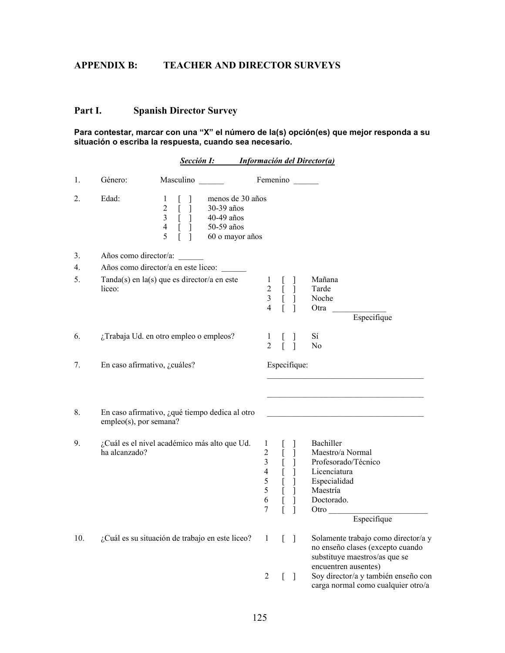# **APPENDIX B: TEACHER AND DIRECTOR SURVEYS**

## **Part I. Spanish Director Survey**

#### **Para contestar, marcar con una "X" el número de la(s) opción(es) que mejor responda a su situación o escriba la respuesta, cuando sea necesario.**

|     |                        | Sección I:                                                                                                                                                                                                                  |                                                                                                     |                              | <b>Información del Director(a)</b>                                                                                                    |
|-----|------------------------|-----------------------------------------------------------------------------------------------------------------------------------------------------------------------------------------------------------------------------|-----------------------------------------------------------------------------------------------------|------------------------------|---------------------------------------------------------------------------------------------------------------------------------------|
| 1.  | Género:                | Masculino                                                                                                                                                                                                                   |                                                                                                     | Femenino                     |                                                                                                                                       |
| 2.  | Edad:                  | menos de 30 años<br>1<br>$\overline{2}$<br>$\overline{L}$<br>30-39 años<br>$\mathfrak{Z}$<br>$\begin{bmatrix} 1 \\ 1 \\ 1 \end{bmatrix}$<br>40-49 años<br>$\overline{4}$<br>50-59 años<br>$\overline{5}$<br>60 o mayor años |                                                                                                     |                              |                                                                                                                                       |
| 3.  | Años como director/a:  |                                                                                                                                                                                                                             |                                                                                                     |                              |                                                                                                                                       |
| 4.  |                        | Años como director/a en este liceo:                                                                                                                                                                                         |                                                                                                     |                              |                                                                                                                                       |
| 5.  | liceo:                 | $Tanda(s)$ en $la(s)$ que es director/a en este                                                                                                                                                                             | 1<br>$\overline{c}$<br>$\mathfrak{Z}$<br>$\overline{4}$                                             | $\frac{1}{L}$<br>Ī<br>$[\ ]$ | Mañana<br>Tarde<br>Noche<br>Otra<br>Especifique                                                                                       |
| 6.  |                        | ¿Trabaja Ud. en otro empleo o empleos?                                                                                                                                                                                      | $\perp$<br>$\overline{2}$                                                                           |                              | Sí<br>No                                                                                                                              |
| 7.  |                        | En caso afirmativo, ¿cuáles?                                                                                                                                                                                                |                                                                                                     | Especifique:                 |                                                                                                                                       |
| 8.  | empleo(s), por semana? | En caso afirmativo, ¿qué tiempo dedica al otro                                                                                                                                                                              |                                                                                                     |                              |                                                                                                                                       |
| 9.  | ha alcanzado?          | ¿Cuál es el nivel académico más alto que Ud.                                                                                                                                                                                | $\mathbf{1}$<br>$\sqrt{2}$<br>$\mathfrak{Z}$<br>$\overline{4}$<br>$\mathfrak s$<br>5<br>6<br>$\tau$ | Ţ<br>[                       | Bachiller<br>Maestro/a Normal<br>Profesorado/Técnico<br>Licenciatura<br>Especialidad<br>Maestría<br>Doctorado.<br>Otro<br>Especifique |
| 10. |                        | ¿Cuál es su situación de trabajo en este liceo?                                                                                                                                                                             | 1                                                                                                   | L<br>-1                      | Solamente trabajo como director/a y<br>no enseño clases (excepto cuando<br>substituye maestros/as que se                              |
|     |                        |                                                                                                                                                                                                                             | 2                                                                                                   | $\mathbf{r}$<br>$\perp$      | encuentren ausentes)<br>Soy director/a y también enseño con<br>carga normal como cualquier otro/a                                     |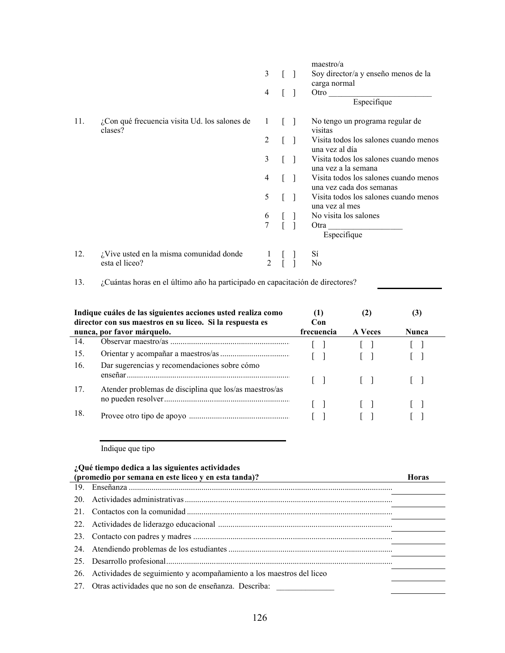|     |                                                          |                |  | maestro/a                                                         |
|-----|----------------------------------------------------------|----------------|--|-------------------------------------------------------------------|
|     |                                                          | 3              |  | Soy director/a y enseño menos de la                               |
|     |                                                          |                |  | carga normal                                                      |
|     |                                                          | $\overline{4}$ |  | Otro                                                              |
|     |                                                          |                |  | Especifique                                                       |
| 11. | ¿Con qué frecuencia visita Ud. los salones de<br>clases? | 1              |  | No tengo un programa regular de<br>visitas                        |
|     |                                                          | 2              |  | Visita todos los salones cuando menos<br>una vez al día           |
|     |                                                          | 3              |  | Visita todos los salones cuando menos<br>una vez a la semana      |
|     |                                                          | 4              |  | Visita todos los salones cuando menos<br>una vez cada dos semanas |
|     |                                                          | 5              |  | Visita todos los salones cuando menos<br>una vez al mes           |
|     |                                                          |                |  | No visita los salones                                             |
|     |                                                          | $\frac{6}{7}$  |  | Otra<br>Especifique                                               |
| 12. | $i$ Vive usted en la misma comunidad donde               |                |  | Sí                                                                |
|     | esta el liceo?                                           |                |  | N <sub>0</sub>                                                    |

13. ¿Cuántas horas en el último año ha participado en capacitación de directores?

|     | Indique cuáles de las siguientes acciones usted realiza como<br>director con sus maestros en su liceo. Si la respuesta es | (1)<br>Con |                | (J.          |
|-----|---------------------------------------------------------------------------------------------------------------------------|------------|----------------|--------------|
|     | nunca, por favor márquelo.                                                                                                | frecuencia | <b>A</b> Veces | <b>Nunca</b> |
| 14. |                                                                                                                           |            |                |              |
| 15. |                                                                                                                           |            |                |              |
| 16. | Dar sugerencias y recomendaciones sobre cómo                                                                              |            |                |              |
| 17. | Atender problemas de disciplina que los/as maestros/as                                                                    |            | $\Box$         |              |
|     |                                                                                                                           |            |                |              |
| 18. |                                                                                                                           |            |                |              |

Indique que tipo

| ¿Qué tiempo dedica a las siguientes actividades |                                                                      |              |  |  |  |  |
|-------------------------------------------------|----------------------------------------------------------------------|--------------|--|--|--|--|
|                                                 | (promedio por semana en este liceo y en esta tanda)?                 | <b>Horas</b> |  |  |  |  |
| 19.                                             |                                                                      |              |  |  |  |  |
| 20                                              |                                                                      |              |  |  |  |  |
| 21                                              |                                                                      |              |  |  |  |  |
| 22.                                             |                                                                      |              |  |  |  |  |
| 23.                                             |                                                                      |              |  |  |  |  |
| 24.                                             |                                                                      |              |  |  |  |  |
|                                                 |                                                                      |              |  |  |  |  |
| 26.                                             | Actividades de seguimiento y acompañamiento a los maestros del liceo |              |  |  |  |  |
| 27.                                             | Otras actividades que no son de enseñanza. Describa:                 |              |  |  |  |  |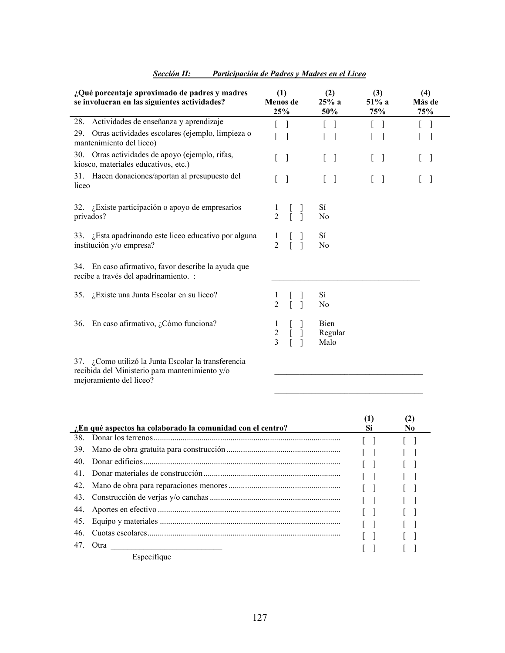| ¿Qué porcentaje aproximado de padres y madres<br>se involucran en las siguientes actividades?         | (1)<br>Menos de<br>25%                     | (2)<br>25% a<br>50%               | (3)<br>$51\%$ a<br>75% | (4)<br>Más de<br>75%                  |
|-------------------------------------------------------------------------------------------------------|--------------------------------------------|-----------------------------------|------------------------|---------------------------------------|
| 28. Actividades de enseñanza y aprendizaje                                                            |                                            |                                   |                        |                                       |
| Otras actividades escolares (ejemplo, limpieza o<br>29.<br>mantenimiento del liceo)                   | $\overline{\phantom{a}}$                   | $\overline{1}$                    |                        |                                       |
| 30. Otras actividades de apoyo (ejemplo, rifas,<br>kiosco, materiales educativos, etc.)               | - 1<br>L                                   | $\begin{bmatrix} 1 \end{bmatrix}$ | $\frac{1}{2}$<br>L     | $\begin{bmatrix} 1 & 1 \end{bmatrix}$ |
| 31. Hacen donaciones/aportan al presupuesto del<br>liceo                                              | $\lceil$<br>L                              | $\begin{bmatrix} 1 \end{bmatrix}$ | L<br>$\lceil$          | L                                     |
| 32. ¿Existe participación o apoyo de empresarios<br>privados?                                         | $\mathbf{I}$<br>$\overline{2}$<br>$\Gamma$ | Sí<br>N <sub>0</sub>              |                        |                                       |
| 33. ¿Esta apadrinando este liceo educativo por alguna<br>institución y/o empresa?                     | $\mathbf{I}$<br>$\overline{2}$             | Sí<br>N <sub>0</sub>              |                        |                                       |
| 34. En caso afirmativo, favor describe la ayuda que<br>recibe a través del apadrinamiento. :          |                                            |                                   |                        |                                       |
| 35. ¿Existe una Junta Escolar en su liceo?                                                            | $\mathbf{I}$<br>$\overline{2}$             | Sí<br>N <sub>0</sub>              |                        |                                       |
| En caso afirmativo, ¿Cómo funciona?<br>36.                                                            | $\mathbf{I}$<br>$\frac{2}{3}$              | Bien<br>Regular<br>Malo           |                        |                                       |
| 37. ¿Como utilizó la Junta Escolar la transferencia<br>recibida del Ministerio para mantenimiento y/o |                                            |                                   |                        |                                       |

### *Sección II: Participación de Padres y Madres en el Liceo*

recibida del Ministerio para mantenimiento y/o mejoramiento del liceo?

|     | En qué aspectos ha colaborado la comunidad con el centro? | Sí | No. |
|-----|-----------------------------------------------------------|----|-----|
| 38  |                                                           |    |     |
| 39. |                                                           |    |     |
| 40  |                                                           |    |     |
| 41  |                                                           |    |     |
| 42. |                                                           |    |     |
| 43. |                                                           |    |     |
| 44. |                                                           |    |     |
| 45. |                                                           |    |     |
| 46. |                                                           |    |     |
| 47. | Otra                                                      |    |     |
|     | Especifique                                               |    |     |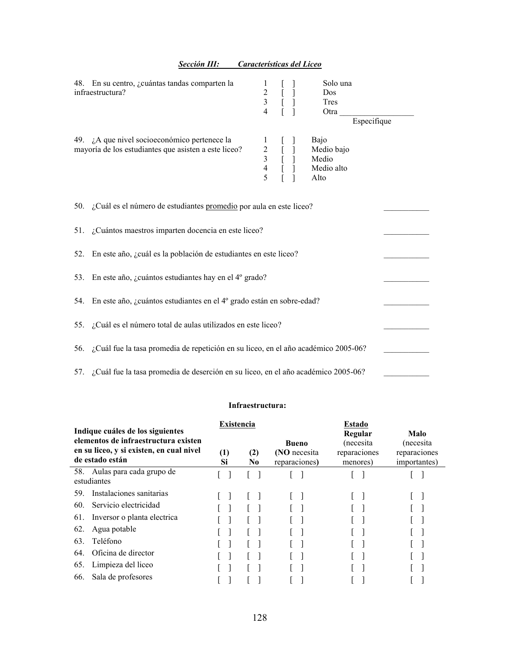|     | 48. En su centro, ¿cuántas tandas comparten la<br>infraestructura?                                          | $\begin{array}{c} 1 \\ 2 \\ 3 \\ 4 \end{array}$ | $\begin{bmatrix} 1 & 1 \\ 1 & 1 \\ 1 & 1 \end{bmatrix}$                                       | Solo una<br>Dos<br>Tres<br>Otra<br>Especifique    |  |
|-----|-------------------------------------------------------------------------------------------------------------|-------------------------------------------------|-----------------------------------------------------------------------------------------------|---------------------------------------------------|--|
|     | 49. $\lambda$ que nivel socioeconómico pertenece la<br>mayoría de los estudiantes que asisten a este liceo? |                                                 | $\begin{array}{cc} 1 & [ & ] \\ 2 & [ & ] \\ 3 & [ & ] \\ 4 & [ & ] \\ 5 & [ & ] \end{array}$ | Bajo<br>Medio bajo<br>Medio<br>Medio alto<br>Alto |  |
|     | 50. ¿Cuál es el número de estudiantes promedio por aula en este liceo?                                      |                                                 |                                                                                               |                                                   |  |
|     | 51. ¿Cuántos maestros imparten docencia en este liceo?                                                      |                                                 |                                                                                               |                                                   |  |
| 52. | En este año, ¿cuál es la población de estudiantes en este liceo?                                            |                                                 |                                                                                               |                                                   |  |
|     | 53. En este año, ¿cuántos estudiantes hay en el 4º grado?                                                   |                                                 |                                                                                               |                                                   |  |
|     | 54. En este año, ¿cuántos estudiantes en el 4º grado están en sobre-edad?                                   |                                                 |                                                                                               |                                                   |  |
|     | 55. ¿Cuál es el número total de aulas utilizados en este liceo?                                             |                                                 |                                                                                               |                                                   |  |
|     | 56. ¿Cuál fue la tasa promedia de repetición en su liceo, en el año académico 2005-06?                      |                                                 |                                                                                               |                                                   |  |
|     | 57. ¿Cuál fue la tasa promedia de deserción en su liceo, en el año académico 2005-06?                       |                                                 |                                                                                               |                                                   |  |

*Sección III: Características del Liceo*

#### **Infraestructura:**

| Indique cuáles de los siguientes<br>elementos de infraestructura existen<br>en su liceo, y si existen, en cual nivel<br>de estado están | Existencia<br>$\left(1\right)$<br>Si | (2)<br>N0 | <b>Bueno</b><br>(NO necesita<br>reparaciones) | <b>Estado</b><br>Regular<br>(necesita)<br>reparaciones<br>menores) | Malo<br>(necesita)<br>reparaciones<br>importantes) |
|-----------------------------------------------------------------------------------------------------------------------------------------|--------------------------------------|-----------|-----------------------------------------------|--------------------------------------------------------------------|----------------------------------------------------|
| 58. Aulas para cada grupo de<br>estudiantes                                                                                             |                                      |           |                                               |                                                                    |                                                    |
| Instalaciones sanitarias<br>59.                                                                                                         |                                      |           |                                               |                                                                    |                                                    |
| Servicio electricidad<br>60.                                                                                                            |                                      |           |                                               |                                                                    |                                                    |
| Inversor o planta electrica<br>61.                                                                                                      |                                      |           |                                               |                                                                    |                                                    |
| 62.<br>Agua potable                                                                                                                     |                                      |           |                                               |                                                                    |                                                    |
| Teléfono<br>63.                                                                                                                         |                                      |           |                                               |                                                                    |                                                    |
| Oficina de director<br>64.                                                                                                              |                                      |           |                                               |                                                                    |                                                    |
| Limpieza del liceo<br>65.                                                                                                               |                                      |           |                                               |                                                                    |                                                    |
| Sala de profesores<br>66.                                                                                                               |                                      |           |                                               |                                                                    |                                                    |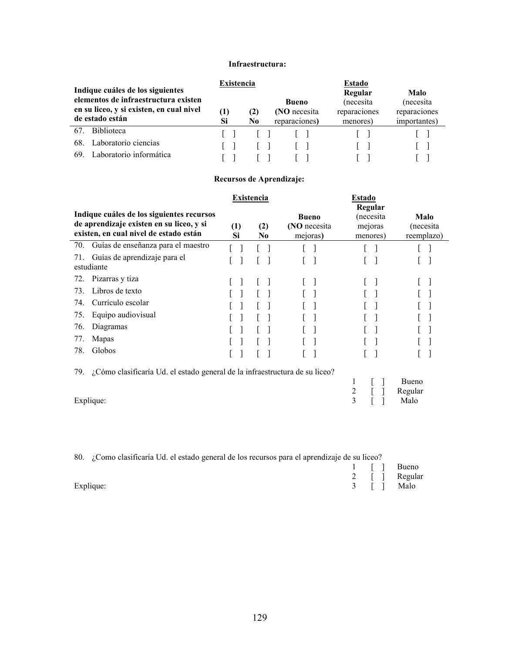#### **Infraestructura:**

| Indique cuáles de los siguientes<br>elementos de infraestructura existen<br>en su liceo, y si existen, en cual nivel<br>de estado están | $\rm(1)$<br>Si | <b>Existencia</b><br>Bueno<br>(NO necesita<br>(2)<br>reparaciones)<br>No |  | Estado<br>Malo<br>Regular<br>(necesita<br>(necesita)<br>reparaciones<br>reparaciones<br>importantes)<br>menores) |  |  |
|-----------------------------------------------------------------------------------------------------------------------------------------|----------------|--------------------------------------------------------------------------|--|------------------------------------------------------------------------------------------------------------------|--|--|
| Biblioteca<br>67.                                                                                                                       |                |                                                                          |  |                                                                                                                  |  |  |
| Laboratorio ciencias<br>68.<br>Laboratorio informática<br>69                                                                            |                |                                                                          |  |                                                                                                                  |  |  |

### **Recursos de Aprendizaje:**

|                                                                                                                                 |           | <b>Existencia</b>     |                                          | <b>Estado</b>                               |                                 |
|---------------------------------------------------------------------------------------------------------------------------------|-----------|-----------------------|------------------------------------------|---------------------------------------------|---------------------------------|
| Indique cuáles de los siguientes recursos<br>de aprendizaje existen en su liceo, y si<br>existen, en cual nivel de estado están | (1)<br>Si | (2)<br>N <sub>0</sub> | <b>Bueno</b><br>(NO necesita<br>mejoras) | Regular<br>(necesita<br>mejoras<br>menores) | Malo<br>(necesita<br>reemplazo) |
| Guías de enseñanza para el maestro<br>70.                                                                                       |           |                       |                                          |                                             |                                 |
| Guías de aprendizaje para el<br>71.<br>estudiante                                                                               |           |                       |                                          |                                             |                                 |
| Pizarras y tiza<br>72.                                                                                                          |           |                       |                                          |                                             |                                 |
| Libros de texto<br>73.                                                                                                          |           |                       |                                          |                                             |                                 |
| Currículo escolar<br>74.                                                                                                        |           |                       |                                          |                                             |                                 |
| Equipo audiovisual<br>75.                                                                                                       |           |                       |                                          |                                             |                                 |
| Diagramas<br>76.                                                                                                                |           |                       |                                          |                                             |                                 |
| Mapas<br>77.                                                                                                                    |           |                       |                                          |                                             |                                 |
| Globos<br>78.                                                                                                                   |           |                       |                                          |                                             |                                 |
| ¿Cómo clasificaría Ud. el estado general de la infraestructura de su liceo?<br>79.                                              |           |                       |                                          |                                             |                                 |
|                                                                                                                                 |           |                       |                                          | 1<br>2                                      | Bueno<br>Regular                |
| Explique:                                                                                                                       |           |                       |                                          | 3                                           | Malo                            |

| 80. ¿Como clasificaría Ud. el estado general de los recursos para el aprendizaje de su liceo? |  |            |               |  |  |  |
|-----------------------------------------------------------------------------------------------|--|------------|---------------|--|--|--|
|                                                                                               |  |            | 1 [ ] Bueno   |  |  |  |
|                                                                                               |  |            | 2 [ ] Regular |  |  |  |
| Explique:                                                                                     |  | 3 [ ] Malo |               |  |  |  |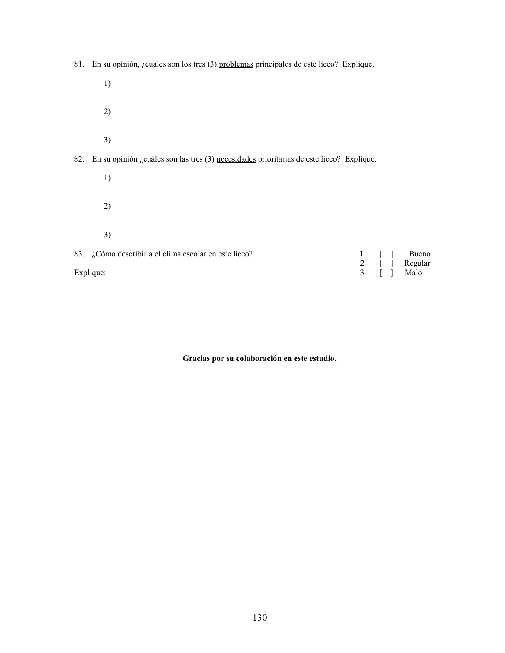81. En su opinión, ¿cuáles son los tres (3) problemas principales de este liceo? Explique. 1) 2) 3) 82. En su opinión ¿cuáles son las tres (3) necesidades prioritarias de este liceo? Explique. 1) 2) 3) 83.  $i$ Cómo describiría el clima escolar en este liceo?<br>
Explique:  $\begin{array}{ccc} 1 & [ & ] & B$ ueno<br>  $2 & [ & ] & Regular \\ 3 & [ & ] & Malo \end{array}$ Regular<br>Malo Explique: 3 [ ] Malo

**Gracias por su colaboración en este estudio.**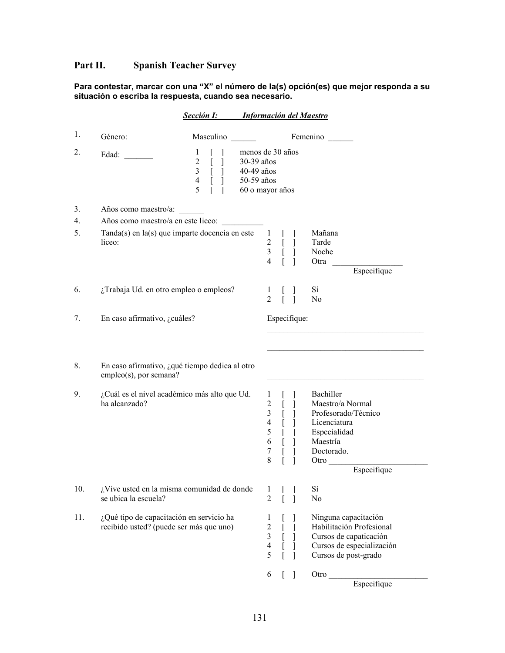# **Part II. Spanish Teacher Survey**

#### **Para contestar, marcar con una "X" el número de la(s) opción(es) que mejor responda a su situación o escriba la respuesta, cuando sea necesario.**

|     |                                                                                     | <b>Sección I:</b>                                                                                     | <b>Información del Maestro</b>                                                                                                                        |                                                                                                                                       |
|-----|-------------------------------------------------------------------------------------|-------------------------------------------------------------------------------------------------------|-------------------------------------------------------------------------------------------------------------------------------------------------------|---------------------------------------------------------------------------------------------------------------------------------------|
| 1.  | Género:                                                                             | Masculino                                                                                             |                                                                                                                                                       | Femenino                                                                                                                              |
| 2.  | Edad:                                                                               | 1<br>$\boldsymbol{2}$<br>$\mathbf{r}$<br>$\overline{L}$<br>$\mathfrak{Z}$<br>$\overline{4}$<br>[<br>5 | menos de 30 años<br>30-39 años<br>40-49 años<br>50-59 años<br>60 o mayor años                                                                         |                                                                                                                                       |
| 3.  | Años como maestro/a:                                                                |                                                                                                       |                                                                                                                                                       |                                                                                                                                       |
| 4.  |                                                                                     | Años como maestro/a en este liceo:                                                                    |                                                                                                                                                       |                                                                                                                                       |
| 5.  | liceo:                                                                              | Tanda(s) en la(s) que imparte docencia en este                                                        | $\mathbf{1}$<br>I.<br>$\frac{2}{3}$<br>$\left[ \right]$<br>$\mathbf{I}$<br>$\lbrack$<br>$\overline{4}$                                                | Mañana<br>Tarde<br>Noche<br>Otra<br>Especifique                                                                                       |
| 6.  | ¿Trabaja Ud. en otro empleo o empleos?                                              |                                                                                                       | $\mathbf{I}$<br>$\overline{2}$                                                                                                                        | Sí<br>N <sub>0</sub>                                                                                                                  |
| 7.  | En caso afirmativo, ¿cuáles?                                                        |                                                                                                       | Especifique:                                                                                                                                          |                                                                                                                                       |
| 8.  | empleo(s), por semana?                                                              | En caso afirmativo, ¿qué tiempo dedica al otro                                                        |                                                                                                                                                       |                                                                                                                                       |
| 9.  | ha alcanzado?                                                                       | ¿Cuál es el nivel académico más alto que Ud.                                                          | $\mathbf{1}$<br>$\overline{c}$<br>L<br>$\overline{\mathbf{3}}$<br>[<br>$\overline{4}$<br>$\lbrack$<br>5<br>[<br>6<br>$\tau$<br>8<br>L<br>$\mathbf{I}$ | Bachiller<br>Maestro/a Normal<br>Profesorado/Técnico<br>Licenciatura<br>Especialidad<br>Maestría<br>Doctorado.<br>Otro<br>Especifique |
| 10. | se ubica la escuela?                                                                | ¿Vive usted en la misma comunidad de donde                                                            | 1<br>2                                                                                                                                                | Sí<br>No                                                                                                                              |
| 11. | ¿Qué tipo de capacitación en servicio ha<br>recibido usted? (puede ser más que uno) |                                                                                                       | 1<br>$\overline{c}$<br>$\begin{bmatrix} 1 \\ 1 \end{bmatrix}$<br>$\overline{\mathbf{3}}$<br>$\overline{\mathbf{4}}$<br>[<br>5<br>ſ<br>1               | Ninguna capacitación<br>Habilitación Profesional<br>Cursos de capaticación<br>Cursos de especialización<br>Cursos de post-grado       |
|     |                                                                                     |                                                                                                       | 6<br>L<br>-1                                                                                                                                          | Otro<br>Especifique                                                                                                                   |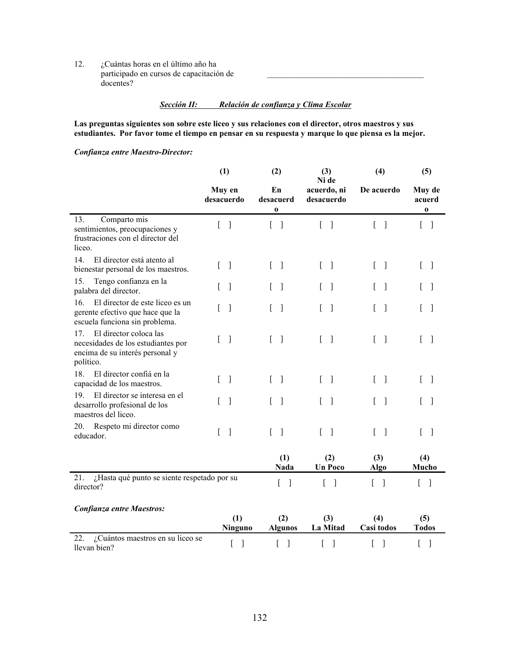12. ¿Cuántas horas en el último año ha participado en cursos de capacitación de docentes?

### *Sección II: Relación de confianza y Clima Escolar*

 $\mathcal{L}_\text{max}$ 

**Las preguntas siguientes son sobre este liceo y sus relaciones con el director, otros maestros y sus estudiantes. Por favor tome el tiempo en pensar en su respuesta y marque lo que piensa es la mejor.**

*Confianza entre Maestro-Director:*

|                                                                                                                                 | (1)                                 | (2)                               |                                    | (4)                                  | (5)                               |  |
|---------------------------------------------------------------------------------------------------------------------------------|-------------------------------------|-----------------------------------|------------------------------------|--------------------------------------|-----------------------------------|--|
|                                                                                                                                 | Muy en<br>desacuerdo                | En<br>desacuerd<br>$\bf{0}$       | Ni de<br>acuerdo, ni<br>desacuerdo | De acuerdo                           | Muy de<br>acuerd<br>$\bf o$       |  |
| 13.<br>Comparto mis<br>sentimientos, preocupaciones y<br>frustraciones con el director del<br>liceo.                            | $\Gamma$<br>$\Box$                  | $\begin{bmatrix} 1 \end{bmatrix}$ | $\begin{bmatrix} 1 \end{bmatrix}$  | $\begin{bmatrix} 1 \end{bmatrix}$    | $\begin{bmatrix} 1 \end{bmatrix}$ |  |
| 14<br>El director está atento al<br>bienestar personal de los maestros.                                                         | $\overline{\phantom{a}}$<br>L       | $\begin{bmatrix} 1 \end{bmatrix}$ | $\begin{bmatrix} 1 \end{bmatrix}$  | $\Gamma$<br>$\overline{\phantom{a}}$ | $\lceil \; \rceil$                |  |
| 15.<br>Tengo confianza en la<br>palabra del director.                                                                           | $\lceil$                            | $\lceil$<br>L                     | $\begin{bmatrix} 1 \end{bmatrix}$  | L                                    |                                   |  |
| El director de este liceo es un<br>16.<br>gerente efectivo que hace que la<br>escuela funciona sin problema.                    | $\lceil$<br>L                       | $\lceil$<br>L                     | - 1<br>L                           | $\mathbf{1}$<br>L                    | $\mathbf{L}$<br>$\Box$            |  |
| El director coloca las<br>17 <sub>1</sub><br>necesidades de los estudiantes por<br>encima de su interés personal y<br>político. | $\lceil$<br>L                       | $\begin{bmatrix} 1 \end{bmatrix}$ | $[\ ]$                             | $\overline{\phantom{a}}$<br>L        | $\Box$                            |  |
| 18.<br>El director confiá en la<br>capacidad de los maestros.                                                                   | $\Box$<br>L                         | $[\ ]$                            | $[\quad]$                          | $\mathbf{I}$<br>$\mathbf{r}$         | $\Box$                            |  |
| El director se interesa en el<br>19.<br>desarrollo profesional de los<br>maestros del liceo.                                    | $\overline{\phantom{a}}$<br>L       | $\lceil$<br>L                     | $\begin{bmatrix} 1 \end{bmatrix}$  | $\overline{\phantom{a}}$<br>L        | $\lceil \; \rceil$                |  |
| Respeto mi director como<br>20.<br>educador.                                                                                    | $\Gamma$<br>$\Box$                  | $[\ ]$                            | $[\ ]$                             | $\mathbf{r}$<br>$\lceil$             | $[\ ]$                            |  |
|                                                                                                                                 |                                     | (1)<br><b>Nada</b>                | (2)<br><b>Un Poco</b>              | (3)<br>Algo                          | (4)<br>Mucho                      |  |
| ¿Hasta qué punto se siente respetado por su<br>21.<br>director?                                                                 |                                     | $\overline{a}$<br>$\lceil$        | $\overline{\phantom{a}}$<br>L      | $[\quad]$                            | $\overline{L}$<br>-1              |  |
| <b>Confianza entre Maestros:</b>                                                                                                | (1)<br><b>Ninguno</b>               | (2)<br><b>Algunos</b>             | (3)<br>La Mitad                    | (4)<br>Casi todos                    | (5)<br><b>Todos</b>               |  |
| 22.<br>¿Cuántos maestros en su liceo se<br>llevan bien?                                                                         | $\begin{array}{c} \end{array}$<br>[ | $\mathbf{I}$<br>L                 | ]<br>[                             | $\lceil$<br>L                        | $\mathbf{I}$<br>L                 |  |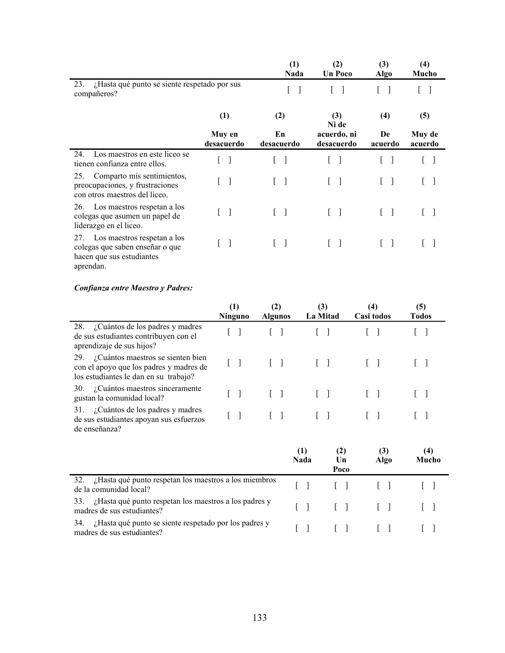|                                                                                                                 |                      | (1)<br>Nada              | (2)<br><b>Un Poco</b>     | (3)<br>Algo   | (4)<br>Mucho      |
|-----------------------------------------------------------------------------------------------------------------|----------------------|--------------------------|---------------------------|---------------|-------------------|
| ¿Hasta qué punto se siente respetado por sus<br>23.<br>compañeros?                                              |                      |                          |                           |               |                   |
|                                                                                                                 | (1)                  | (2)                      | (3)<br>Ni de              | (4)           | (5)               |
|                                                                                                                 | Muy en<br>desacuerdo | En<br>desacuerdo         | acuerdo, ni<br>desacuerdo | De<br>acuerdo | Muy de<br>acuerdo |
| Los maestros en este liceo se<br>24.<br>tienen confianza entre ellos.                                           |                      |                          |                           |               |                   |
| Comparto mis sentimientos,<br>25.<br>preocupaciones, y frustraciones<br>con otros maestros del liceo.           | 1                    | $\Box$                   |                           |               |                   |
| Los maestros respetan a los<br>26.<br>colegas que asumen un papel de<br>liderazgo en el liceo.                  | $\mathbf{1}$         | $\overline{\phantom{a}}$ |                           |               |                   |
| Los maestros respetan a los<br>27.<br>colegas que saben enseñar o que<br>hacen que sus estudiantes<br>aprendan. | $\mathbf{1}$         |                          |                           |               |                   |

# *Confianza entre Maestro y Padres:*

|                                                                                                                              | (1)<br>Ninguno | (2)<br><b>Algunos</b>                 | (3)<br>La Mitad                   | (4)<br>Casi todos                 | (5)<br><b>Todos</b> |
|------------------------------------------------------------------------------------------------------------------------------|----------------|---------------------------------------|-----------------------------------|-----------------------------------|---------------------|
| 28. ¿Cuántos de los padres y madres<br>de sus estudiantes contribuyen con el<br>aprendizaje de sus hijos?                    |                |                                       | $\begin{bmatrix} 1 \end{bmatrix}$ |                                   |                     |
| ¿Cuántos maestros se sienten bien<br>29.<br>con el apoyo que los padres y madres de<br>los estudiantes le dan en su trabajo? | $\lceil$<br>L  | $\begin{bmatrix} 1 & 1 \end{bmatrix}$ | $\begin{bmatrix} 1 \end{bmatrix}$ | $\begin{bmatrix} 1 \end{bmatrix}$ |                     |
| ¿Cuántos maestros sinceramente<br>30.<br>gustan la comunidad local?                                                          |                | $\begin{bmatrix} 1 \end{bmatrix}$     | $\begin{bmatrix} 1 \end{bmatrix}$ |                                   |                     |
| ¿Cuántos de los padres y madres<br>31.<br>de sus estudiantes apoyan sus esfuerzos<br>de enseñanza?                           |                | $\Box$                                |                                   |                                   |                     |
|                                                                                                                              |                |                                       | (1)<br>Nada                       | (3)<br>(2)<br>Un<br>Algo<br>Poco  | (4)<br>Mucho        |
| ¿Hasta qué punto respetan los maestros a los miembros<br>32.<br>de la comunidad local?                                       |                |                                       |                                   |                                   |                     |
| ¿Hasta qué punto respetan los maestros a los padres y<br>33.<br>madres de sus estudiantes?                                   |                |                                       |                                   |                                   |                     |

34. *i* Hasta qué punto se siente respetado por los padres y [ ] [ ] [ ] [ ] [ ]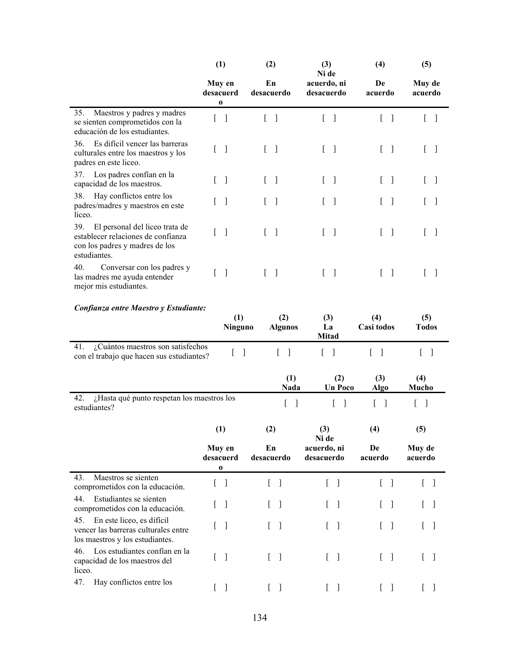|                                                                                                                               | (1)                             | (2)                               | (3)<br>Ni de                                   | (4)           | (5)               |
|-------------------------------------------------------------------------------------------------------------------------------|---------------------------------|-----------------------------------|------------------------------------------------|---------------|-------------------|
|                                                                                                                               | Muy en<br>desacuerd<br>$\bf{0}$ | En<br>desacuerdo                  | acuerdo, ni<br>desacuerdo                      | De<br>acuerdo | Muy de<br>acuerdo |
| Maestros y padres y madres<br>35.<br>se sienten comprometidos con la<br>educación de los estudiantes.                         |                                 | 1                                 | $\overline{\phantom{a}}$                       |               |                   |
| Es difícil vencer las barreras<br>36.<br>culturales entre los maestros y los<br>padres en este liceo.                         | 1                               | $\begin{bmatrix} & \end{bmatrix}$ | $\begin{bmatrix} 1 & 1 \\ 1 & 1 \end{bmatrix}$ |               |                   |
| Los padres confían en la<br>37.<br>capacidad de los maestros.                                                                 | ]                               | $[\quad]$                         | $\begin{bmatrix} & \end{bmatrix}$              |               |                   |
| Hay conflictos entre los<br>38.<br>padres/madres y maestros en este<br>liceo.                                                 |                                 | $\mathbf{I}$                      | $\overline{\phantom{a}}$                       |               |                   |
| El personal del liceo trata de<br>39.<br>establecer relaciones de confianza<br>con los padres y madres de los<br>estudiantes. | 1                               | $\mathbf{1}$                      | $\begin{bmatrix} 1 \end{bmatrix}$              |               |                   |
| 40.<br>Conversar con los padres y<br>las madres me ayuda entender<br>mejor mis estudiantes.                                   |                                 |                                   | $\begin{bmatrix} & \\ & \end{bmatrix}$         |               |                   |

### *Confianza entre Maestro y Estudiante:*

|                                                                                                             | (1)<br><b>Ninguno</b>           | (2)<br><b>Algunos</b>             | (3)<br>La<br><b>Mitad</b>         | (4)<br>Casi todos                 | (5)<br><b>Todos</b>               |  |
|-------------------------------------------------------------------------------------------------------------|---------------------------------|-----------------------------------|-----------------------------------|-----------------------------------|-----------------------------------|--|
| ¿Cuántos maestros son satisfechos<br>41.<br>con el trabajo que hacen sus estudiantes?                       |                                 | $[\ ]$                            |                                   |                                   |                                   |  |
|                                                                                                             |                                 | (1)<br>Nada                       | (2)<br><b>Un Poco</b>             | (3)<br><b>Algo</b>                | (4)<br>Mucho                      |  |
| ¿Hasta qué punto respetan los maestros los<br>42.<br>estudiantes?                                           |                                 | Ĺ<br>$\mathbf{I}$                 | [<br>1                            | Ĺ<br>1                            | ſ<br>$\mathbf{I}$                 |  |
|                                                                                                             | (1)                             | (2)                               | (3)<br>Ni de                      | (4)                               | (5)                               |  |
|                                                                                                             | Muy en<br>desacuerd<br>$\bf{0}$ | En<br>desacuerdo                  | acuerdo, ni<br>desacuerdo         | De<br>acuerdo                     | Muy de<br>acuerdo                 |  |
| Maestros se sienten<br>43.<br>comprometidos con la educación.                                               | 1                               | $\begin{bmatrix} 1 \end{bmatrix}$ | $\begin{bmatrix} 1 \end{bmatrix}$ | $\begin{bmatrix} 1 \end{bmatrix}$ | $\begin{bmatrix} 1 \end{bmatrix}$ |  |
| Estudiantes se sienten<br>44.<br>comprometidos con la educación.                                            | $\mathbf{I}$                    | $\begin{bmatrix} 1 \end{bmatrix}$ | $\begin{bmatrix} 1 \end{bmatrix}$ | $\begin{bmatrix} 1 \end{bmatrix}$ | L                                 |  |
| En este liceo, es difícil<br>45.<br>vencer las barreras culturales entre<br>los maestros y los estudiantes. | 1                               | $\begin{bmatrix} 1 \end{bmatrix}$ | $[\ ]$                            | $\lceil$ $\rceil$                 | $\begin{bmatrix} 1 \end{bmatrix}$ |  |
| Los estudiantes confían en la<br>46.<br>capacidad de los maestros del<br>liceo.                             | $\mathbf{I}$                    | $\begin{bmatrix} 1 \end{bmatrix}$ | $\begin{bmatrix} 1 \end{bmatrix}$ | $\begin{bmatrix} 1 \end{bmatrix}$ | $\begin{bmatrix} 1 \end{bmatrix}$ |  |
| 47.<br>Hay conflictos entre los                                                                             | 1<br>L                          | $\begin{bmatrix} 1 \end{bmatrix}$ | $\lceil$<br>L                     | $[\ ]$                            | L                                 |  |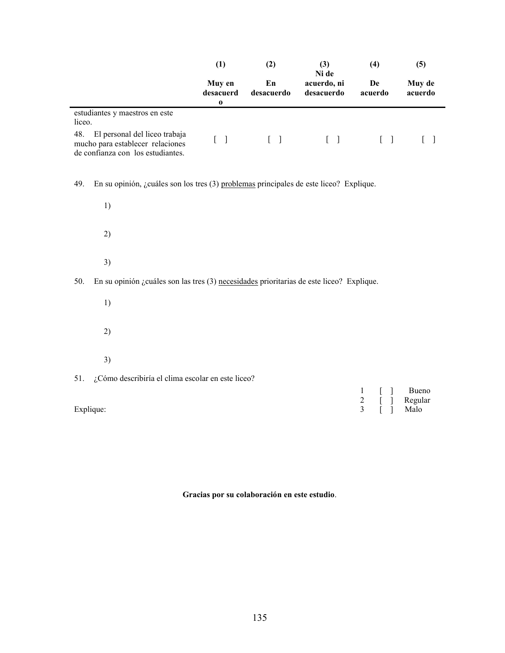|                                                                                                               | (1)                             | (2)              | (3)<br>Ni de                      | (4)                | (5)                          |  |
|---------------------------------------------------------------------------------------------------------------|---------------------------------|------------------|-----------------------------------|--------------------|------------------------------|--|
|                                                                                                               | Muy en<br>desacuerd<br>$\bf{0}$ | En<br>desacuerdo | acuerdo, ni<br>desacuerdo         | De<br>acuerdo      | Muy de<br>acuerdo            |  |
| estudiantes y maestros en este<br>liceo.                                                                      |                                 |                  |                                   |                    |                              |  |
| 48.<br>El personal del liceo trabaja<br>mucho para establecer relaciones<br>de confianza con los estudiantes. | $[\ ]$                          | $[\ ]$           | $\begin{bmatrix} 1 \end{bmatrix}$ | $[\ ]$             | $\mathbf{r}$<br>$\mathbf{I}$ |  |
| En su opinión, ¿cuáles son los tres (3) problemas principales de este liceo? Explique.<br>49.                 |                                 |                  |                                   |                    |                              |  |
| 1)                                                                                                            |                                 |                  |                                   |                    |                              |  |
| 2)                                                                                                            |                                 |                  |                                   |                    |                              |  |
| 3)                                                                                                            |                                 |                  |                                   |                    |                              |  |
| 50.<br>En su opinión $\zeta$ cuáles son las tres (3) necesidades prioritarias de este liceo? Explique.        |                                 |                  |                                   |                    |                              |  |
| 1)                                                                                                            |                                 |                  |                                   |                    |                              |  |
| 2)                                                                                                            |                                 |                  |                                   |                    |                              |  |
| 3)                                                                                                            |                                 |                  |                                   |                    |                              |  |
| ¿Cómo describiría el clima escolar en este liceo?<br>51.                                                      |                                 |                  |                                   |                    |                              |  |
| Explique:                                                                                                     |                                 |                  |                                   | 1<br>$\frac{2}{3}$ | Bueno<br>Regular<br>Malo     |  |

**Gracias por su colaboración en este estudio**.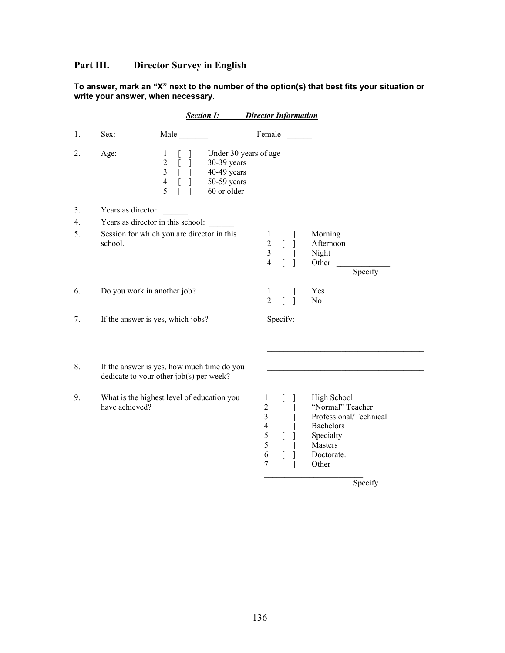# **Part III. Director Survey in English**

|                                    | To answer, mark an "X" next to the number of the option(s) that best fits your situation or |
|------------------------------------|---------------------------------------------------------------------------------------------|
| write your answer, when necessary. |                                                                                             |

|    |                                   | <b>Section I:</b>                                                                                                                                                                                                                                                          | <b>Director Information</b>                                                                                                             |                                                                                                                       |
|----|-----------------------------------|----------------------------------------------------------------------------------------------------------------------------------------------------------------------------------------------------------------------------------------------------------------------------|-----------------------------------------------------------------------------------------------------------------------------------------|-----------------------------------------------------------------------------------------------------------------------|
| 1. | Sex:                              | Male                                                                                                                                                                                                                                                                       | Female                                                                                                                                  |                                                                                                                       |
| 2. | Age:                              | Under 30 years of age<br>1<br>L<br>$\begin{array}{c} 2 \\ 3 \\ 4 \\ 5 \end{array}$<br>-<br>-<br>-<br>-<br>-<br>-<br>-<br><br>-<br><br><br><br><br><br><br><br><br><br><br><br><br><br><br><br><br><br><br><br><br>30-39 years<br>40-49 years<br>50-59 years<br>60 or older |                                                                                                                                         |                                                                                                                       |
| 3. | Years as director:                |                                                                                                                                                                                                                                                                            |                                                                                                                                         |                                                                                                                       |
| 4. | Years as director in this school: |                                                                                                                                                                                                                                                                            |                                                                                                                                         |                                                                                                                       |
| 5. | school.                           | Session for which you are director in this                                                                                                                                                                                                                                 | $\mathbf{1}$<br>l<br>$\frac{2}{3}$<br>$\mathbf{r}$<br>$\lbrack$<br>$\overline{4}$<br>$\overline{a}$                                     | Morning<br>Afternoon<br>Night<br>Other<br>Specify                                                                     |
| 6. | Do you work in another job?       |                                                                                                                                                                                                                                                                            | 1<br>$\overline{2}$<br>1                                                                                                                | Yes<br>N <sub>o</sub>                                                                                                 |
| 7. |                                   | If the answer is yes, which jobs?                                                                                                                                                                                                                                          | Specify:                                                                                                                                |                                                                                                                       |
| 8. |                                   | If the answer is yes, how much time do you<br>dedicate to your other job(s) per week?                                                                                                                                                                                      |                                                                                                                                         |                                                                                                                       |
| 9. | have achieved?                    | What is the highest level of education you                                                                                                                                                                                                                                 | $\mathbf{1}$<br>$\overline{2}$<br>$\overline{\mathbf{3}}$<br>[<br>$\overline{4}$<br>ſ<br>$\mathfrak s$<br>[<br>5<br>6<br>$\overline{7}$ | High School<br>"Normal" Teacher<br>Professional/Technical<br>Bachelors<br>Specialty<br>Masters<br>Doctorate.<br>Other |

Specify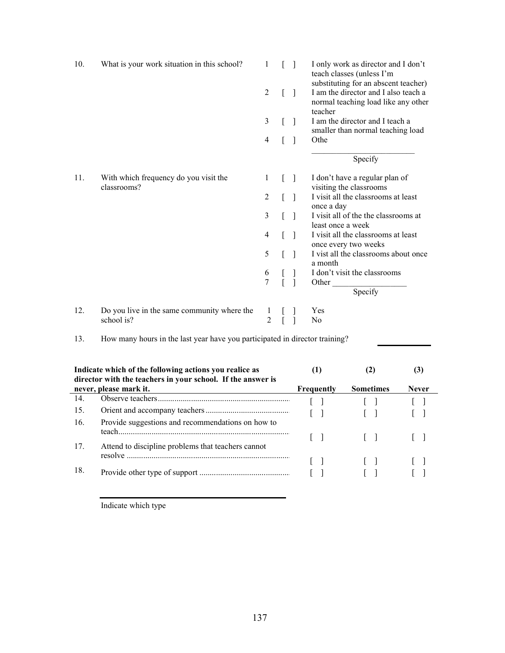| 10. | What is your work situation in this school?               | 1              |  | I only work as director and I don't<br>teach classes (unless I'm<br>substituting for an abscent teacher) |
|-----|-----------------------------------------------------------|----------------|--|----------------------------------------------------------------------------------------------------------|
|     |                                                           | 2              |  | I am the director and I also teach a<br>normal teaching load like any other<br>teacher                   |
|     |                                                           | 3              |  | I am the director and I teach a<br>smaller than normal teaching load                                     |
|     |                                                           | 4              |  | Othe                                                                                                     |
|     |                                                           |                |  | Specify                                                                                                  |
| 11. | With which frequency do you visit the<br>classrooms?      | 1              |  | I don't have a regular plan of<br>visiting the classrooms                                                |
|     |                                                           | $\overline{2}$ |  | I visit all the classrooms at least<br>once a day                                                        |
|     |                                                           | 3              |  | I visit all of the the classrooms at<br>least once a week                                                |
|     |                                                           | 4              |  | I visit all the classrooms at least<br>once every two weeks                                              |
|     |                                                           | 5              |  | I vist all the classrooms about once<br>a month                                                          |
|     |                                                           | 6              |  | I don't visit the classrooms                                                                             |
|     |                                                           | $\overline{7}$ |  | Other<br>Specify                                                                                         |
| 12. | Do you live in the same community where the<br>school is? | 1<br>2         |  | Yes<br>N <sub>0</sub>                                                                                    |

13. How many hours in the last year have you participated in director training?

| Indicate which of the following actions you realice as<br>director with the teachers in your school. If the answer is |                                                    |              |                  | 3            |  |
|-----------------------------------------------------------------------------------------------------------------------|----------------------------------------------------|--------------|------------------|--------------|--|
|                                                                                                                       | never, please mark it.                             | Frequently   | <b>Sometimes</b> | <b>Never</b> |  |
| 14.                                                                                                                   |                                                    |              |                  |              |  |
| 15.                                                                                                                   |                                                    | $\Box$       |                  |              |  |
| 16.                                                                                                                   | Provide suggestions and recommendations on how to  | $\mathbf{1}$ | $\mathbf{1}$     |              |  |
| 17.                                                                                                                   | Attend to discipline problems that teachers cannot |              |                  |              |  |
| 18.                                                                                                                   |                                                    | $\mathbf{1}$ |                  |              |  |
|                                                                                                                       |                                                    |              |                  |              |  |

Indicate which type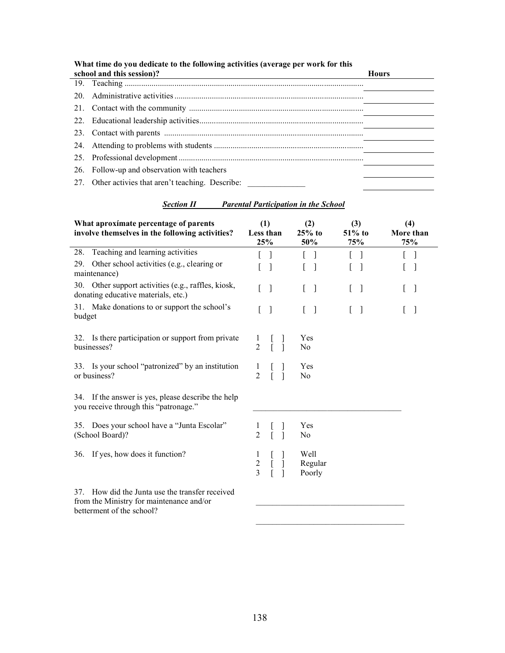| What time do you dedicate to the following activities (average per work for this<br>school and this session)? | <b>Hours</b> |
|---------------------------------------------------------------------------------------------------------------|--------------|
|                                                                                                               |              |
|                                                                                                               |              |
|                                                                                                               |              |
|                                                                                                               |              |
|                                                                                                               |              |
|                                                                                                               |              |
|                                                                                                               |              |
| 26. Follow-up and observation with teachers                                                                   |              |
| 27. Other activies that aren't teaching. Describe:                                                            |              |

### *Section II Parental Participation in the School*

| What aproximate percentage of parents<br>involve themselves in the following activities?       | (1)<br>Less than<br>25%                 | (2)<br>$25%$ to<br>50%                | (3)<br>$51\%$ to<br>75% | (4)<br>More than<br>75% |
|------------------------------------------------------------------------------------------------|-----------------------------------------|---------------------------------------|-------------------------|-------------------------|
| Teaching and learning activities<br>28.                                                        |                                         |                                       |                         |                         |
| Other school activities (e.g., clearing or<br>29.<br>maintenance)                              |                                         |                                       |                         | H                       |
| 30. Other support activities (e.g., raffles, kiosk,<br>donating educative materials, etc.)     | L<br>$\Box$                             | $\begin{bmatrix} 1 & 1 \end{bmatrix}$ | L<br>$\lceil$           | $\lceil$                |
| 31. Make donations to or support the school's<br>budget                                        | L<br>-1                                 | $\begin{bmatrix} 1 \end{bmatrix}$     | $\lceil$<br>L           | -1                      |
| 32. Is there participation or support from private<br>businesses?                              | 1<br>$\overline{2}$                     | Yes<br>No                             |                         |                         |
| 33. Is your school "patronized" by an institution<br>or business?                              | 1<br>$\overline{2}$                     | Yes<br>No                             |                         |                         |
| 34. If the answer is yes, please describe the help<br>you receive through this "patronage."    |                                         |                                       |                         |                         |
| 35. Does your school have a "Junta Escolar"<br>(School Board)?                                 | 1<br>$\overline{2}$                     | Yes<br>No                             |                         |                         |
| If yes, how does it function?<br>36.                                                           | 1<br>$\boldsymbol{2}$<br>$\overline{3}$ | Well<br>Regular<br>Poorly             |                         |                         |
| How did the Junta use the transfer received<br>37.<br>from the Ministry for maintenance and/or |                                         |                                       |                         |                         |

from the Ministry for maintenance and/or betterment of the school?

\_\_\_\_\_\_\_\_\_\_\_\_\_\_\_\_\_\_\_\_\_\_\_\_\_\_\_\_\_\_\_\_\_\_\_\_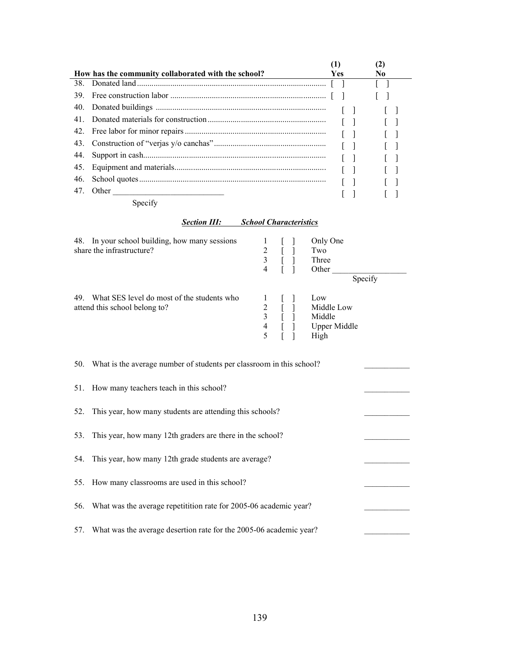|     |                                                     |            | 12  |  |
|-----|-----------------------------------------------------|------------|-----|--|
|     | How has the community collaborated with the school? | <b>Yes</b> | No. |  |
| 38  |                                                     |            |     |  |
| 39. |                                                     |            |     |  |
| 40. |                                                     |            |     |  |
| 41  |                                                     |            |     |  |
| 42. |                                                     |            |     |  |
| 43. |                                                     |            |     |  |
| 44. |                                                     |            |     |  |
| 45. |                                                     |            |     |  |
| 46. |                                                     |            |     |  |
| 47. | Other                                               |            |     |  |
|     |                                                     |            |     |  |

Specify

## *Section III: School Characteristics*

| 48. In your school building, how many sessions    |                | Only One            |
|---------------------------------------------------|----------------|---------------------|
| share the infrastructure?                         |                | Two                 |
|                                                   |                | Three               |
|                                                   | 4              | Other               |
|                                                   |                | Specify             |
| 49.<br>What SES level do most of the students who |                | Low                 |
| attend this school belong to?                     |                | Middle Low          |
|                                                   |                | Middle              |
|                                                   | $\overline{4}$ | <b>Upper Middle</b> |
|                                                   |                | High                |

|     | 50. What is the average number of students per classroom in this school? |  |
|-----|--------------------------------------------------------------------------|--|
|     | 51. How many teachers teach in this school?                              |  |
| 52. | This year, how many students are attending this schools?                 |  |
| 53. | This year, how many 12th graders are there in the school?                |  |
| 54. | This year, how many 12th grade students are average?                     |  |
|     | 55. How many classrooms are used in this school?                         |  |
| 56. | What was the average repetitition rate for 2005-06 academic year?        |  |
| 57. | What was the average desertion rate for the 2005-06 academic year?       |  |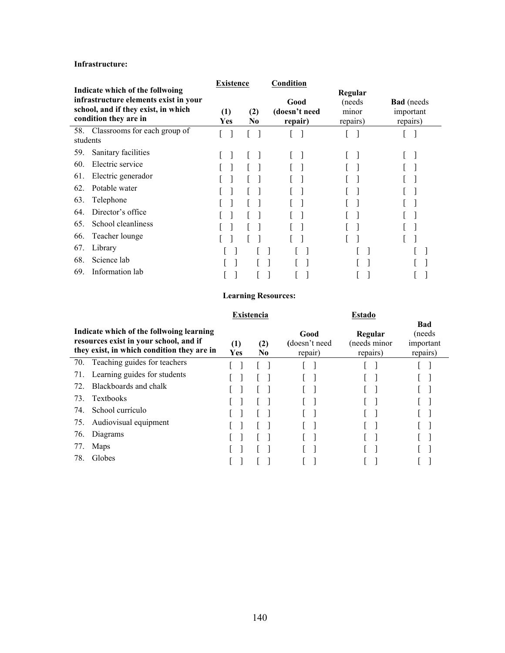### **Infrastructure:**

|                                                                                                                                          | <b>Existence</b>             |            | Condition |                                  |                                         |                                            |
|------------------------------------------------------------------------------------------------------------------------------------------|------------------------------|------------|-----------|----------------------------------|-----------------------------------------|--------------------------------------------|
| Indicate which of the follwoing<br>infrastructure elements exist in your<br>school, and if they exist, in which<br>condition they are in |                              | (1)<br>Yes | (2)<br>No | Good<br>(doesn't need<br>repair) | Regular<br>(needs)<br>minor<br>repairs) | <b>Bad</b> (needs<br>important<br>repairs) |
| 58.<br>students                                                                                                                          | Classrooms for each group of |            |           |                                  |                                         |                                            |
| 59.                                                                                                                                      | Sanitary facilities          |            |           |                                  |                                         |                                            |
| Electric service<br>60.                                                                                                                  |                              |            |           |                                  |                                         |                                            |
| 61.                                                                                                                                      | Electric generador           |            |           |                                  |                                         |                                            |
| Potable water<br>62.                                                                                                                     |                              |            |           |                                  |                                         |                                            |
| Telephone<br>63.                                                                                                                         |                              |            |           |                                  |                                         |                                            |
| 64.                                                                                                                                      | Director's office            |            |           |                                  |                                         |                                            |
| 65.                                                                                                                                      | School cleanliness           |            |           |                                  |                                         |                                            |
| Teacher lounge<br>66.                                                                                                                    |                              |            |           |                                  |                                         |                                            |
| Library<br>67.                                                                                                                           |                              |            |           |                                  |                                         |                                            |
| Science lab<br>68.                                                                                                                       |                              |            |           |                                  |                                         |                                            |
| Information lab<br>69.                                                                                                                   |                              |            |           |                                  |                                         |                                            |

## **Learning Resources:**

|                                                                                                                                  |                              |            | <b>Existencia</b> |                                  |                                     |                                         |
|----------------------------------------------------------------------------------------------------------------------------------|------------------------------|------------|-------------------|----------------------------------|-------------------------------------|-----------------------------------------|
| Indicate which of the follwoing learning<br>resources exist in your school, and if<br>they exist, in which condition they are in |                              | (1)<br>Yes | (2)<br>No.        | Good<br>(doesn't need<br>repair) | Regular<br>(needs minor<br>repairs) | Bad<br>(needs)<br>important<br>repairs) |
| 70.                                                                                                                              | Teaching guides for teachers |            |                   |                                  |                                     |                                         |
| 71.                                                                                                                              | Learning guides for students |            |                   |                                  |                                     |                                         |
| 72.                                                                                                                              | Blackboards and chalk        |            |                   |                                  |                                     |                                         |
| 73.                                                                                                                              | <b>Textbooks</b>             |            |                   |                                  |                                     |                                         |
| 74.                                                                                                                              | School currículo             |            |                   |                                  |                                     |                                         |
| 75.                                                                                                                              | Audiovisual equipment        |            |                   |                                  |                                     |                                         |
| 76.                                                                                                                              | Diagrams                     |            |                   |                                  |                                     |                                         |
| 77.                                                                                                                              | Maps                         |            |                   |                                  |                                     |                                         |
| 78.                                                                                                                              | Globes                       |            |                   |                                  |                                     |                                         |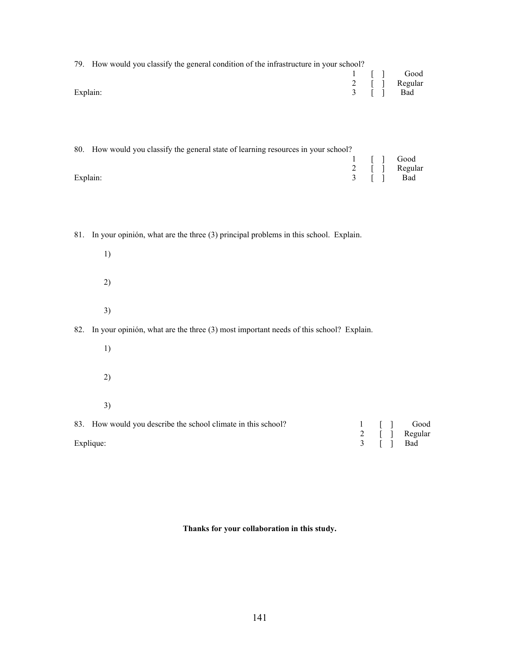| 79. How would you classify the general condition of the infrastructure in your school? |           |               |
|----------------------------------------------------------------------------------------|-----------|---------------|
|                                                                                        |           | $1 \mid$ Good |
|                                                                                        |           | 2 [ ] Regular |
| Explain:                                                                               | 3 [ ] Bad |               |

| 80. How would you classify the general state of learning resources in your school? |  |  |               |  |  |  |  |  |
|------------------------------------------------------------------------------------|--|--|---------------|--|--|--|--|--|
|                                                                                    |  |  | 1 [ ] Good    |  |  |  |  |  |
|                                                                                    |  |  | 2 [ ] Regular |  |  |  |  |  |
| Explain:                                                                           |  |  | 3 [ ] Bad     |  |  |  |  |  |

81. In your opinión, what are the three (3) principal problems in this school. Explain.

1) 2) 3)

82. In your opinión, what are the three (3) most important needs of this school? Explain.

1) 2) 3)

83. How would you describe the school climate in this school?<br>  $\begin{array}{ccc}\n1 & [ & ] & \text{Good} \\
2 & [ & ] & \text{Regular} \\
3 & [ & ] & \text{Bad}\n\end{array}$ 2 [ ] Regular Explique: 3 [ ] Bad

**Thanks for your collaboration in this study.**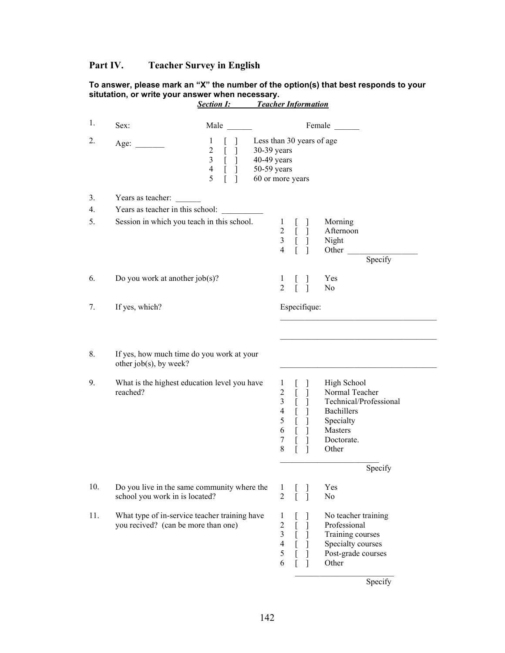# **Part IV. Teacher Survey in English**

#### **To answer, please mark an "X" the number of the option(s) that best responds to your situtation, or write your answer when necessary.**

| 1.  | Sex:                                                                                 | Male                                                                                                                                    |                                                                                              |                                                                                       |                                                          |                                             | Female                                                                                                               |
|-----|--------------------------------------------------------------------------------------|-----------------------------------------------------------------------------------------------------------------------------------------|----------------------------------------------------------------------------------------------|---------------------------------------------------------------------------------------|----------------------------------------------------------|---------------------------------------------|----------------------------------------------------------------------------------------------------------------------|
| 2.  | Age:                                                                                 | 1<br>$\overline{2}$<br>[<br>1<br>$\mathfrak{Z}$<br>$[\ ]$<br>$\overline{4}$<br>$\begin{bmatrix} 1 \end{bmatrix}$<br>5<br>$\overline{1}$ | Less than 30 years of age<br>30-39 years<br>40-49 years<br>$50-59$ years<br>60 or more years |                                                                                       |                                                          |                                             |                                                                                                                      |
| 3.  | Years as teacher:                                                                    |                                                                                                                                         |                                                                                              |                                                                                       |                                                          |                                             |                                                                                                                      |
| 4.  | Years as teacher in this school:                                                     |                                                                                                                                         |                                                                                              |                                                                                       |                                                          |                                             |                                                                                                                      |
| 5.  | Session in which you teach in this school.                                           |                                                                                                                                         |                                                                                              | $\mathbf{1}$<br>$\overline{2}$<br>$\mathfrak{Z}$<br>$\overline{4}$                    | $\mathbb{L}$<br>$\mathbf{r}$<br>$\overline{a}$           | I<br>1<br>1                                 | Morning<br>Afternoon<br>Night<br>Other<br>Specify                                                                    |
| 6.  | Do you work at another $job(s)$ ?                                                    |                                                                                                                                         |                                                                                              | 1<br>2                                                                                | L                                                        | $\overline{\phantom{a}}$                    | Yes<br>N <sub>o</sub>                                                                                                |
| 7.  | If yes, which?                                                                       |                                                                                                                                         |                                                                                              |                                                                                       |                                                          | Especifique:                                |                                                                                                                      |
| 8.  | If yes, how much time do you work at your<br>other $job(s)$ , by week?               |                                                                                                                                         |                                                                                              |                                                                                       |                                                          |                                             |                                                                                                                      |
| 9.  | What is the highest education level you have<br>reached?                             |                                                                                                                                         |                                                                                              | 1<br>$\overline{2}$<br>$\overline{3}$<br>$\overline{\mathcal{L}}$<br>5<br>6<br>7<br>8 | $\mathbf{r}$<br>$\Gamma$<br>$\mathbf{r}$<br>$\mathbf{r}$ | $\mathbf{I}$<br>$\mathsf{I}$<br>1<br>1<br>1 | High School<br>Normal Teacher<br>Technical/Professional<br>Bachillers<br>Specialty<br>Masters<br>Doctorate.<br>Other |
|     |                                                                                      |                                                                                                                                         |                                                                                              |                                                                                       |                                                          |                                             | Specify                                                                                                              |
| 10. | Do you live in the same community where the<br>school you work in is located?        |                                                                                                                                         |                                                                                              | 1<br>2                                                                                |                                                          |                                             | Yes<br>No                                                                                                            |
| 11. | What type of in-service teacher training have<br>you recived? (can be more than one) |                                                                                                                                         |                                                                                              | 1<br>$\overline{c}$<br>$\mathfrak{Z}$<br>$\overline{\mathcal{L}}$<br>5<br>6           | L                                                        | $\overline{1}$                              | No teacher training<br>Professional<br>Training courses<br>Specialty courses<br>Post-grade courses<br>Other          |

*Section I: Teacher Information* 

**Specify**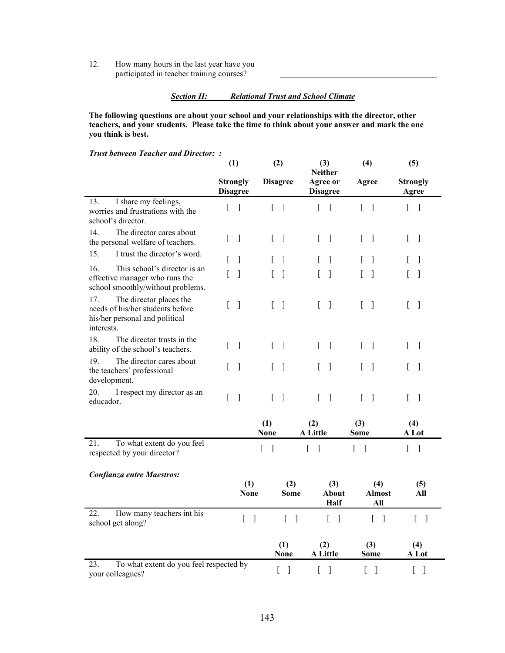12. How many hours in the last year have you participated in teacher training courses?

### *Section II: Relational Trust and School Climate*

**The following questions are about your school and your relationships with the director, other teachers, and your students. Please take the time to think about your answer and mark the one you think is best.** 

*Trust between Teacher and Director: :*

| usi between Teacher and Director. .                                                                                | (1)                                |                          | (2)                        |                                      | (3)<br><b>Neither</b>                      | (4)                               | (5)                                        |  |
|--------------------------------------------------------------------------------------------------------------------|------------------------------------|--------------------------|----------------------------|--------------------------------------|--------------------------------------------|-----------------------------------|--------------------------------------------|--|
|                                                                                                                    | <b>Strongly</b><br><b>Disagree</b> |                          |                            | <b>Disagree</b>                      | <b>Agree or</b><br><b>Disagree</b>         | Agree                             | <b>Strongly</b><br>Agree                   |  |
| I share my feelings,<br>13.<br>worries and frustrations with the<br>school's director.                             | $\begin{bmatrix} 1 \end{bmatrix}$  |                          |                            | $\lceil \; \rceil$                   | $\lceil \; \rceil$                         | $\lceil \; \rceil$                | $\begin{bmatrix} 1 \end{bmatrix}$          |  |
| 14.<br>The director cares about<br>the personal welfare of teachers.                                               | $\mathbf{r}$                       | $\overline{\phantom{a}}$ | $\Gamma$                   | $\mathbf{I}$                         | $\Gamma$<br>$\mathbf{1}$                   | L<br>$\lceil$                     | $\Gamma$<br>$\mathbf{1}$                   |  |
| 15.<br>I trust the director's word.                                                                                | L                                  | $\mathbf{I}$             | L                          | 1                                    | 1<br>L                                     | 1                                 | 1                                          |  |
| 16.<br>This school's director is an<br>effective manager who runs the<br>school smoothly/without problems.         | L                                  | $\overline{\phantom{a}}$ | L                          | $\mathbf{1}$                         | $\mathbf{1}$<br>L                          | $\overline{\phantom{a}}$          | $\mathbf{I}$                               |  |
| 17.<br>The director places the<br>needs of his/her students before<br>his/her personal and political<br>interests. | L                                  | $\mathbf{I}$             | L                          | $\mathbf{I}$                         | $\Gamma$<br>$\mathbf{1}$                   | L<br>$\lceil$                     | $\mathbf{I}$<br>$\Gamma$                   |  |
| 18.<br>The director trusts in the<br>ability of the school's teachers.                                             | L                                  | $\overline{\phantom{a}}$ | $\Gamma$                   | $\mathbf{I}$                         | $\overline{\phantom{a}}$<br>$\overline{ }$ | [<br>$\lceil$                     | L<br>$\lceil$                              |  |
| 19.<br>The director cares about<br>the teachers' professional<br>development.                                      | L                                  | $\overline{\phantom{a}}$ | L                          | $\overline{\phantom{a}}$             | $\overline{\phantom{a}}$<br>L              | ſ<br>$\overline{\phantom{a}}$     | $\mathbf{1}$<br>L                          |  |
| 20.<br>I respect my director as an<br>educador.                                                                    | $\Gamma$                           | $\overline{\phantom{a}}$ | $\Gamma$                   | $\mathbf{I}$                         | $\Gamma$<br>$\overline{\phantom{a}}$       | L<br>$\lceil$                     | $\lceil$<br>L                              |  |
|                                                                                                                    |                                    |                          | (1)<br><b>None</b>         |                                      | (2)<br>A Little                            | $(3)$<br><b>Some</b>              | (4)<br>A Lot                               |  |
| 21.<br>To what extent do you feel<br>respected by your director?                                                   |                                    |                          | $\overline{[}$<br>$\lceil$ |                                      | ſ<br>$\mathbf{I}$                          | [<br>$\overline{\phantom{a}}$     | $\overline{L}$<br>$\overline{\phantom{a}}$ |  |
| Confianza entre Maestros:                                                                                          |                                    |                          |                            |                                      |                                            |                                   |                                            |  |
|                                                                                                                    |                                    | (1)<br><b>None</b>       |                            | (2)<br><b>Some</b>                   | (3)<br>About<br><b>Half</b>                | (4)<br><b>Almost</b><br>All       | (5)<br>All                                 |  |
| How many teachers int his<br>22.<br>school get along?                                                              |                                    | $[\ ]$                   |                            | $\begin{bmatrix} 1 \end{bmatrix}$    | $\overline{\phantom{a}}$<br>L              | $\begin{bmatrix} 1 \end{bmatrix}$ | $\begin{bmatrix} 1 \end{bmatrix}$          |  |
|                                                                                                                    |                                    |                          |                            | (1)<br><b>None</b>                   | (2)<br>A Little                            | (3)<br>Some                       | (4)<br>A Lot                               |  |
| 23.<br>To what extent do you feel respected by<br>your colleagues?                                                 |                                    |                          |                            | $\left.\rule{0pt}{10pt}\right]$<br>L | $\mathbf{I}$<br>[                          | [<br>]                            | L<br>$\mathbf{I}$                          |  |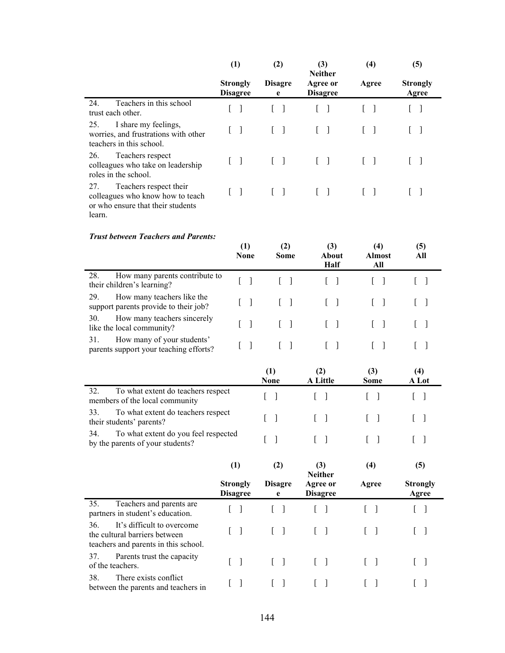|                                                                                                                  | (1)                                | (2)                                    | (3)<br><b>Neither</b>             | (4)                               | (5)                           |
|------------------------------------------------------------------------------------------------------------------|------------------------------------|----------------------------------------|-----------------------------------|-----------------------------------|-------------------------------|
|                                                                                                                  | <b>Strongly</b><br><b>Disagree</b> | <b>Disagre</b><br>e                    | Agree or<br><b>Disagree</b>       | Agree                             | <b>Strongly</b><br>Agree      |
| Teachers in this school<br>24.<br>trust each other.                                                              | L<br>-1                            | $\mathbf{L}$<br>$\mathbf{1}$           | L                                 | $\begin{bmatrix} 1 \end{bmatrix}$ | L                             |
| 25.<br>I share my feelings,<br>worries, and frustrations with other<br>teachers in this school.                  | $\mathbf{I}$<br>L                  | L<br>]                                 | L<br>$\mathbf{I}$                 | $\mathbf{I}$<br>L                 | L<br>$\perp$                  |
| 26.<br>Teachers respect<br>colleagues who take on leadership<br>roles in the school.                             | $\mathbf{I}$<br>L                  | $\mathbf{I}$<br>L                      | L<br>$\mathbf{1}$                 | $\mathbf{1}$<br>L                 | L<br>$\mathbf{I}$             |
| 27.<br>Teachers respect their<br>colleagues who know how to teach<br>or who ensure that their students<br>learn. | -1<br>L                            | L<br>$\mathbf{I}$                      | $\mathbf{1}$<br>$\mathbf{L}$      | $\mathbf{1}$<br>$\mathbf{r}$      | -1<br>L                       |
| <b>Trust between Teachers and Parents:</b>                                                                       | (1)<br><b>None</b>                 | (2)<br><b>Some</b>                     | (3)<br>About<br>Half              | (4)<br><b>Almost</b><br>All       | (5)<br>All                    |
| 28.<br>How many parents contribute to<br>their children's learning?                                              | L<br>$\mathbf{I}$                  | $\sqrt{ }$<br>$\overline{\phantom{a}}$ | L<br>$\overline{\phantom{a}}$     | L<br>- 1                          | L<br>$\overline{\phantom{a}}$ |
| 29.<br>How many teachers like the<br>support parents provide to their job?                                       | -1                                 | -1                                     | $\mathbf{I}$                      | $\mathbf{I}$                      |                               |
| 30.<br>How many teachers sincerely<br>like the local community?                                                  | $\lceil$                           | $\Box$<br>L                            | L                                 | - 1                               |                               |
| 31.<br>How many of your students'<br>parents support your teaching efforts?                                      | $\lceil$                           | $\Gamma$<br>$\lceil$                   | L<br>-1                           | L<br>$\mathbf{1}$                 | L<br>-1                       |
|                                                                                                                  |                                    | (1)<br><b>None</b>                     | (2)<br>A Little                   | (3)<br><b>Some</b>                | (4)<br>A Lot                  |
| 32.<br>To what extent do teachers respect<br>members of the local community                                      |                                    | L<br>1                                 | L<br>1                            |                                   | L<br>-1                       |
| 33.<br>To what extent do teachers respect<br>their students' parents?                                            |                                    | $\mathbf{I}$<br>L                      | J<br>L                            |                                   |                               |
| 34.<br>To what extent do you feel respected<br>by the parents of your students?                                  |                                    | L<br>$\mathbf{I}$                      | L<br>- 1                          | L<br>-1                           | L<br>$\perp$                  |
|                                                                                                                  | (1)                                | (2)                                    | (3)<br><b>Neither</b>             | (4)                               | (5)                           |
|                                                                                                                  | <b>Strongly</b><br><b>Disagree</b> | <b>Disagre</b><br>e                    | Agree or<br><b>Disagree</b>       | Agree                             | <b>Strongly</b><br>Agree      |
| Teachers and parents are<br>35.<br>partners in student's education.                                              | L<br>-1                            | $\mathbf{L}$<br>$\lceil$               | $\begin{bmatrix} 1 \end{bmatrix}$ | $\left[ \right]$<br>$\lceil$      | L<br>$\mathbf{I}$             |
| 36.<br>It's difficult to overcome<br>the cultural barriers between<br>teachers and parents in this school.       | L<br>$\lceil$                      | L<br>$\mathbf{I}$                      | $[\ ]$                            | L<br>$\lceil$                     | L<br>-1                       |
| 37.<br>Parents trust the capacity<br>of the teachers.                                                            | L<br>$\lceil$                      | L<br>$\mathbf{I}$                      | $\begin{bmatrix} 1 \end{bmatrix}$ | $\begin{bmatrix} 1 \end{bmatrix}$ | L<br>-1                       |
| 38.<br>There exists conflict<br>between the parents and teachers in                                              | L<br>$\lceil$                      | L<br>$\mathbf{I}$                      | $\begin{bmatrix} 1 \end{bmatrix}$ | $\left[ \right]$<br>$\frac{1}{2}$ | L<br>$\overline{\phantom{a}}$ |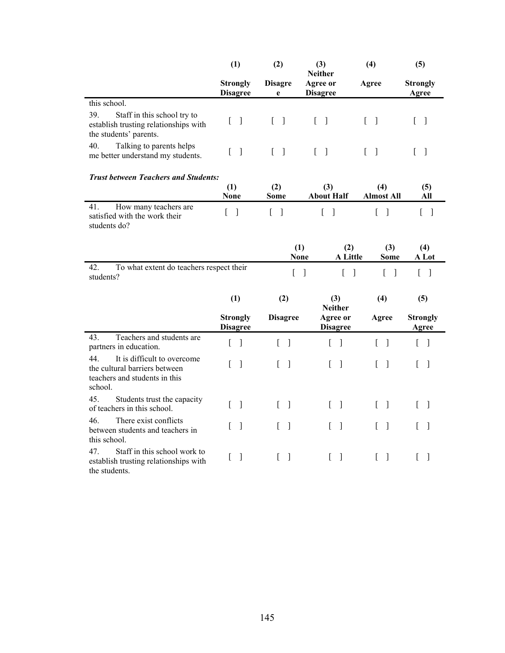|                                                                                                                 | (1)                                | (2)                                  | (3)<br><b>Neither</b>                        | (4)                                      | (5)                                          |  |
|-----------------------------------------------------------------------------------------------------------------|------------------------------------|--------------------------------------|----------------------------------------------|------------------------------------------|----------------------------------------------|--|
|                                                                                                                 | <b>Strongly</b><br><b>Disagree</b> | <b>Disagre</b><br>e                  | Agree or<br><b>Disagree</b>                  | Agree                                    | <b>Strongly</b><br>Agree                     |  |
| this school.                                                                                                    |                                    |                                      |                                              |                                          |                                              |  |
| 39.<br>Staff in this school try to<br>establish trusting relationships with<br>the students' parents.           | L<br>$\mathbf{I}$                  | L<br>$\mathbf{I}$                    | $\overline{\phantom{a}}$<br>$\Gamma$         | L<br>$\mathbf{I}$                        | L<br>1                                       |  |
| 40.<br>Talking to parents helps<br>me better understand my students.                                            | ſ<br>$\mathbf{I}$                  | $\Gamma$<br>$\overline{\phantom{a}}$ | $\overline{\phantom{a}}$<br>L                | [<br>$\lceil$                            | L<br>$\mathbf{1}$                            |  |
| <b>Trust between Teachers and Students:</b>                                                                     |                                    |                                      |                                              |                                          |                                              |  |
|                                                                                                                 | (1)<br><b>None</b>                 | (2)<br><b>Some</b>                   | (3)<br><b>About Half</b>                     | (4)<br><b>Almost All</b>                 | (5)<br>All                                   |  |
| 41.<br>How many teachers are<br>satisfied with the work their<br>students do?                                   | $\mathbf{r}$<br>$\Box$             | $\begin{bmatrix} 1 \end{bmatrix}$    | $\overline{\phantom{a}}$<br>L                | $\lceil$<br>L                            | $\begin{bmatrix} 1 \end{bmatrix}$            |  |
|                                                                                                                 |                                    |                                      | (1)<br>(2)<br><b>A</b> Little<br><b>None</b> | (3)<br><b>Some</b>                       | (4)<br>A Lot                                 |  |
| To what extent do teachers respect their<br>42.<br>students?                                                    |                                    | [                                    | [<br>$\overline{\phantom{a}}$<br>$\lceil$    | $\begin{bmatrix} 1 \end{bmatrix}$        | $\begin{bmatrix} 1 \end{bmatrix}$            |  |
|                                                                                                                 | (1)                                | (2)                                  | (3)<br><b>Neither</b>                        | (4)                                      | (5)                                          |  |
|                                                                                                                 | <b>Strongly</b><br><b>Disagree</b> | <b>Disagree</b>                      | Agree or<br><b>Disagree</b>                  | Agree                                    | <b>Strongly</b><br>Agree                     |  |
| Teachers and students are<br>43.<br>partners in education.                                                      | L<br>$\overline{\phantom{a}}$      | L<br>- 1                             | $\mathbf{r}$<br>$\lceil$                     | L<br>-1                                  | $\overline{\phantom{a}}$<br>$\left[ \right]$ |  |
| 44.<br>It is difficult to overcome<br>the cultural barriers between<br>teachers and students in this<br>school. | ſ<br>1                             | 1<br>L                               | $\mathbf{I}$<br>L                            | L<br>$\overline{\phantom{a}}$            | 1<br>L                                       |  |
| 45.<br>Students trust the capacity<br>of teachers in this school.                                               | L<br>$\mathbf{I}$                  | L<br>$\overline{\phantom{a}}$        | $\mathbf{I}$<br>$\overline{L}$               | $\mathbf{r}$<br>$\overline{\phantom{a}}$ | $\Gamma$<br>$\overline{\phantom{a}}$         |  |
| There exist conflicts<br>46.<br>between students and teachers in<br>this school.                                | $\mathbf{I}$<br>L                  | L<br>$\overline{\phantom{a}}$        | $\mathbf{I}$<br>L                            | ſ<br>$\overline{\phantom{a}}$            | L<br>1                                       |  |
| 47.<br>Staff in this school work to<br>establish trusting relationships with<br>the students.                   | ſ<br>$\mathbf{I}$                  | L<br>]                               | L<br>]                                       | L<br>1                                   | L<br>1                                       |  |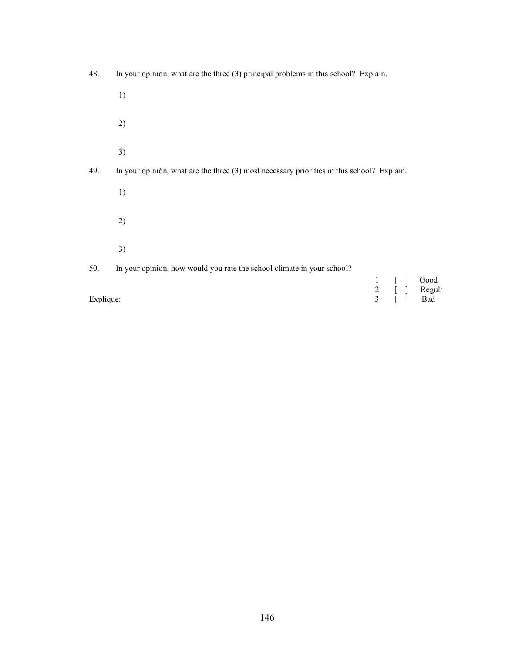| 48.       | In your opinion, what are the three $(3)$ principal problems in this school? Explain.      |  |  |  |                                                        |  |  |  |
|-----------|--------------------------------------------------------------------------------------------|--|--|--|--------------------------------------------------------|--|--|--|
|           | 1)                                                                                         |  |  |  |                                                        |  |  |  |
|           | 2)                                                                                         |  |  |  |                                                        |  |  |  |
|           | 3)                                                                                         |  |  |  |                                                        |  |  |  |
| 49.       | In your opinion, what are the three (3) most necessary priorities in this school? Explain. |  |  |  |                                                        |  |  |  |
|           | 1)                                                                                         |  |  |  |                                                        |  |  |  |
|           | 2)                                                                                         |  |  |  |                                                        |  |  |  |
|           | 3)                                                                                         |  |  |  |                                                        |  |  |  |
| 50.       | In your opinion, how would you rate the school climate in your school?                     |  |  |  |                                                        |  |  |  |
| Explique: |                                                                                            |  |  |  | Good<br>1 [ ] Good<br>2 [ ] Regula<br>3 [ ] Bad<br>Bad |  |  |  |
|           |                                                                                            |  |  |  |                                                        |  |  |  |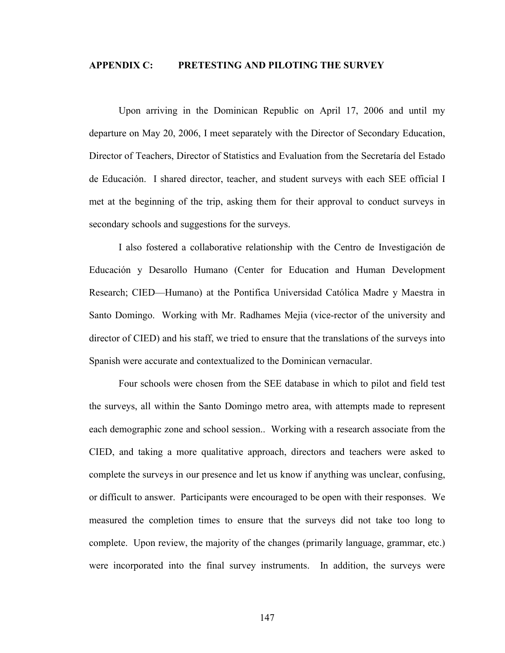### **APPENDIX C: PRETESTING AND PILOTING THE SURVEY**

Upon arriving in the Dominican Republic on April 17, 2006 and until my departure on May 20, 2006, I meet separately with the Director of Secondary Education, Director of Teachers, Director of Statistics and Evaluation from the Secretaría del Estado de Educación. I shared director, teacher, and student surveys with each SEE official I met at the beginning of the trip, asking them for their approval to conduct surveys in secondary schools and suggestions for the surveys.

I also fostered a collaborative relationship with the Centro de Investigación de Educación y Desarollo Humano (Center for Education and Human Development Research; CIED—Humano) at the Pontifica Universidad Católica Madre y Maestra in Santo Domingo. Working with Mr. Radhames Mejia (vice-rector of the university and director of CIED) and his staff, we tried to ensure that the translations of the surveys into Spanish were accurate and contextualized to the Dominican vernacular.

Four schools were chosen from the SEE database in which to pilot and field test the surveys, all within the Santo Domingo metro area, with attempts made to represent each demographic zone and school session.. Working with a research associate from the CIED, and taking a more qualitative approach, directors and teachers were asked to complete the surveys in our presence and let us know if anything was unclear, confusing, or difficult to answer. Participants were encouraged to be open with their responses. We measured the completion times to ensure that the surveys did not take too long to complete. Upon review, the majority of the changes (primarily language, grammar, etc.) were incorporated into the final survey instruments. In addition, the surveys were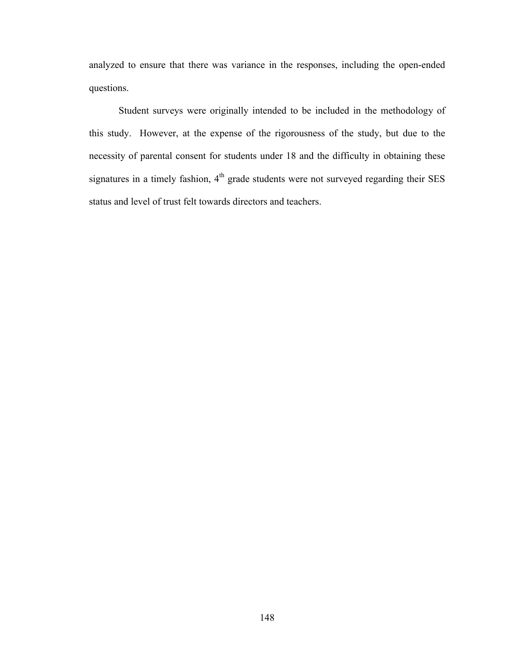analyzed to ensure that there was variance in the responses, including the open-ended questions.

Student surveys were originally intended to be included in the methodology of this study. However, at the expense of the rigorousness of the study, but due to the necessity of parental consent for students under 18 and the difficulty in obtaining these signatures in a timely fashion,  $4<sup>th</sup>$  grade students were not surveyed regarding their SES status and level of trust felt towards directors and teachers.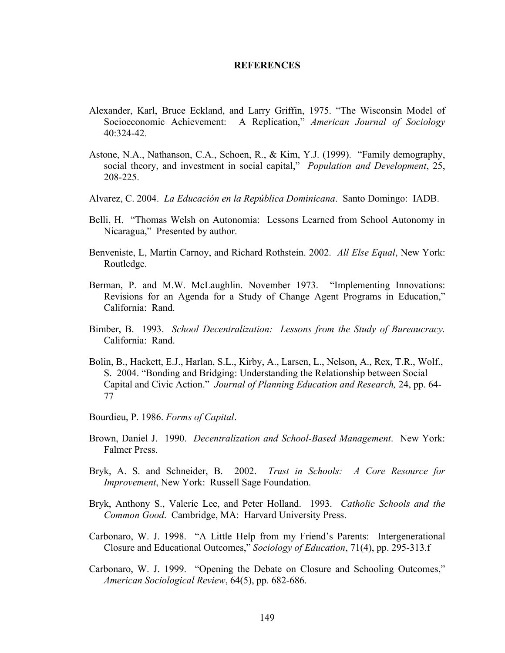### **REFERENCES**

- Alexander, Karl, Bruce Eckland, and Larry Griffin, 1975. "The Wisconsin Model of Socioeconomic Achievement: A Replication," *American Journal of Sociology*  $40.324 - 42$
- Astone, N.A., Nathanson, C.A., Schoen, R., & Kim, Y.J. (1999). "Family demography, social theory, and investment in social capital," *Population and Development*, 25, 208-225.
- Alvarez, C. 2004. *La Educación en la República Dominicana*. Santo Domingo: IADB.
- Belli, H. "Thomas Welsh on Autonomia: Lessons Learned from School Autonomy in Nicaragua," Presented by author.
- Benveniste, L, Martin Carnoy, and Richard Rothstein. 2002. *All Else Equal*, New York: Routledge.
- Berman, P. and M.W. McLaughlin. November 1973. "Implementing Innovations: Revisions for an Agenda for a Study of Change Agent Programs in Education," California: Rand.
- Bimber, B. 1993. *School Decentralization: Lessons from the Study of Bureaucracy.* California: Rand.
- Bolin, B., Hackett, E.J., Harlan, S.L., Kirby, A., Larsen, L., Nelson, A., Rex, T.R., Wolf., S. 2004. "Bonding and Bridging: Understanding the Relationship between Social Capital and Civic Action." *Journal of Planning Education and Research,* 24, pp. 64- 77
- Bourdieu, P. 1986. *Forms of Capital*.
- Brown, Daniel J. 1990. *Decentralization and School-Based Management*. New York: Falmer Press.
- Bryk, A. S. and Schneider, B. 2002. *Trust in Schools: A Core Resource for Improvement*, New York: Russell Sage Foundation.
- Bryk, Anthony S., Valerie Lee, and Peter Holland. 1993. *Catholic Schools and the Common Good*. Cambridge, MA: Harvard University Press.
- Carbonaro, W. J. 1998. "A Little Help from my Friend's Parents: Intergenerational Closure and Educational Outcomes," *Sociology of Education*, 71(4), pp. 295-313.f
- Carbonaro, W. J. 1999. "Opening the Debate on Closure and Schooling Outcomes," *American Sociological Review*, 64(5), pp. 682-686.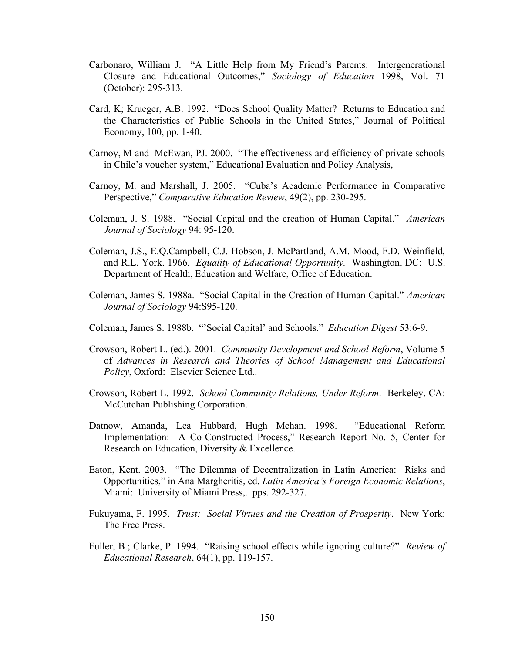- Carbonaro, William J. "A Little Help from My Friend's Parents: Intergenerational Closure and Educational Outcomes," *Sociology of Education* 1998, Vol. 71 (October): 295-313.
- Card, K; Krueger, A.B. 1992. "Does School Quality Matter? Returns to Education and the Characteristics of Public Schools in the United States," Journal of Political Economy, 100, pp. 1-40.
- Carnoy, M and McEwan, PJ. 2000. "The effectiveness and efficiency of private schools in Chile's voucher system," Educational Evaluation and Policy Analysis,
- Carnoy, M. and Marshall, J. 2005. "Cuba's Academic Performance in Comparative Perspective," *Comparative Education Review*, 49(2), pp. 230-295.
- Coleman, J. S. 1988. "Social Capital and the creation of Human Capital." *American Journal of Sociology* 94: 95-120.
- Coleman, J.S., E.Q.Campbell, C.J. Hobson, J. McPartland, A.M. Mood, F.D. Weinfield, and R.L. York. 1966. *Equality of Educational Opportunity.* Washington, DC: U.S. Department of Health, Education and Welfare, Office of Education.
- Coleman, James S. 1988a. "Social Capital in the Creation of Human Capital." *American Journal of Sociology* 94:S95-120.
- Coleman, James S. 1988b. "'Social Capital' and Schools." *Education Digest* 53:6-9.
- Crowson, Robert L. (ed.). 2001. *Community Development and School Reform*, Volume 5 of *Advances in Research and Theories of School Management and Educational Policy*, Oxford: Elsevier Science Ltd..
- Crowson, Robert L. 1992. *School-Community Relations, Under Reform*. Berkeley, CA: McCutchan Publishing Corporation.
- Datnow, Amanda, Lea Hubbard, Hugh Mehan. 1998. "Educational Reform Implementation: A Co-Constructed Process," Research Report No. 5, Center for Research on Education, Diversity & Excellence.
- Eaton, Kent. 2003. "The Dilemma of Decentralization in Latin America: Risks and Opportunities," in Ana Margheritis, ed. *Latin America's Foreign Economic Relations*, Miami: University of Miami Press,. pps. 292-327.
- Fukuyama, F. 1995. *Trust: Social Virtues and the Creation of Prosperity*. New York: The Free Press.
- Fuller, B.; Clarke, P. 1994. "Raising school effects while ignoring culture?" *Review of Educational Research*, 64(1), pp. 119-157.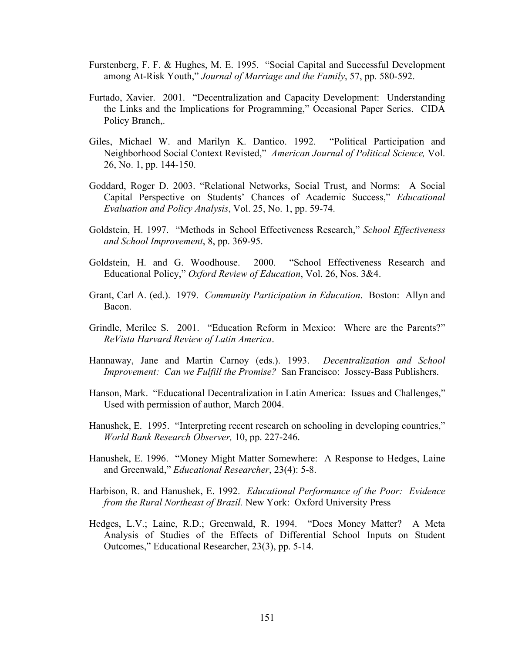- Furstenberg, F. F. & Hughes, M. E. 1995. "Social Capital and Successful Development among At-Risk Youth," *Journal of Marriage and the Family*, 57, pp. 580-592.
- Furtado, Xavier. 2001. "Decentralization and Capacity Development: Understanding the Links and the Implications for Programming," Occasional Paper Series. CIDA Policy Branch,.
- Giles, Michael W. and Marilyn K. Dantico. 1992. "Political Participation and Neighborhood Social Context Revisted," *American Journal of Political Science,* Vol. 26, No. 1, pp. 144-150.
- Goddard, Roger D. 2003. "Relational Networks, Social Trust, and Norms: A Social Capital Perspective on Students' Chances of Academic Success," *Educational Evaluation and Policy Analysis*, Vol. 25, No. 1, pp. 59-74.
- Goldstein, H. 1997. "Methods in School Effectiveness Research," *School Effectiveness and School Improvement*, 8, pp. 369-95.
- Goldstein, H. and G. Woodhouse. 2000. "School Effectiveness Research and Educational Policy," *Oxford Review of Education*, Vol. 26, Nos. 3&4.
- Grant, Carl A. (ed.). 1979. *Community Participation in Education*. Boston: Allyn and Bacon.
- Grindle, Merilee S. 2001. "Education Reform in Mexico: Where are the Parents?" *ReVista Harvard Review of Latin America*.
- Hannaway, Jane and Martin Carnoy (eds.). 1993. *Decentralization and School Improvement: Can we Fulfill the Promise?* San Francisco: Jossey-Bass Publishers.
- Hanson, Mark. "Educational Decentralization in Latin America: Issues and Challenges," Used with permission of author, March 2004.
- Hanushek, E. 1995. "Interpreting recent research on schooling in developing countries," *World Bank Research Observer,* 10, pp. 227-246.
- Hanushek, E. 1996. "Money Might Matter Somewhere: A Response to Hedges, Laine and Greenwald," *Educational Researcher*, 23(4): 5-8.
- Harbison, R. and Hanushek, E. 1992. *Educational Performance of the Poor: Evidence from the Rural Northeast of Brazil.* New York: Oxford University Press
- Hedges, L.V.; Laine, R.D.; Greenwald, R. 1994. "Does Money Matter? A Meta Analysis of Studies of the Effects of Differential School Inputs on Student Outcomes," Educational Researcher, 23(3), pp. 5-14.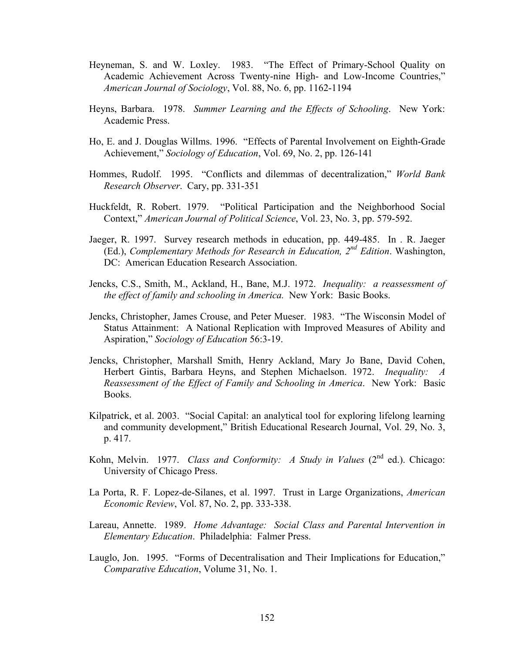- Heyneman, S. and W. Loxley. 1983. "The Effect of Primary-School Quality on Academic Achievement Across Twenty-nine High- and Low-Income Countries," *American Journal of Sociology*, Vol. 88, No. 6, pp. 1162-1194
- Heyns, Barbara. 1978. *Summer Learning and the Effects of Schooling*. New York: Academic Press.
- Ho, E. and J. Douglas Willms. 1996. "Effects of Parental Involvement on Eighth-Grade Achievement," *Sociology of Education*, Vol. 69, No. 2, pp. 126-141
- Hommes, Rudolf. 1995. "Conflicts and dilemmas of decentralization," *World Bank Research Observer*. Cary, pp. 331-351
- Huckfeldt, R. Robert. 1979. "Political Participation and the Neighborhood Social Context," *American Journal of Political Science*, Vol. 23, No. 3, pp. 579-592.
- Jaeger, R. 1997. Survey research methods in education, pp. 449-485. In . R. Jaeger (Ed.), *Complementary Methods for Research in Education, 2nd Edition*. Washington, DC: American Education Research Association.
- Jencks, C.S., Smith, M., Ackland, H., Bane, M.J. 1972. *Inequality: a reassessment of the effect of family and schooling in America.* New York: Basic Books.
- Jencks, Christopher, James Crouse, and Peter Mueser. 1983. "The Wisconsin Model of Status Attainment: A National Replication with Improved Measures of Ability and Aspiration," *Sociology of Education* 56:3-19.
- Jencks, Christopher, Marshall Smith, Henry Ackland, Mary Jo Bane, David Cohen, Herbert Gintis, Barbara Heyns, and Stephen Michaelson. 1972. *Inequality: A Reassessment of the Effect of Family and Schooling in America*. New York: Basic Books.
- Kilpatrick, et al. 2003. "Social Capital: an analytical tool for exploring lifelong learning and community development," British Educational Research Journal, Vol. 29, No. 3, p. 417.
- Kohn, Melvin. 1977. *Class and Conformity: A Study in Values* (2<sup>nd</sup> ed.). Chicago: University of Chicago Press.
- La Porta, R. F. Lopez-de-Silanes, et al. 1997. Trust in Large Organizations, *American Economic Review*, Vol. 87, No. 2, pp. 333-338.
- Lareau, Annette. 1989. *Home Advantage: Social Class and Parental Intervention in Elementary Education*. Philadelphia: Falmer Press.
- Lauglo, Jon. 1995. "Forms of Decentralisation and Their Implications for Education," *Comparative Education*, Volume 31, No. 1.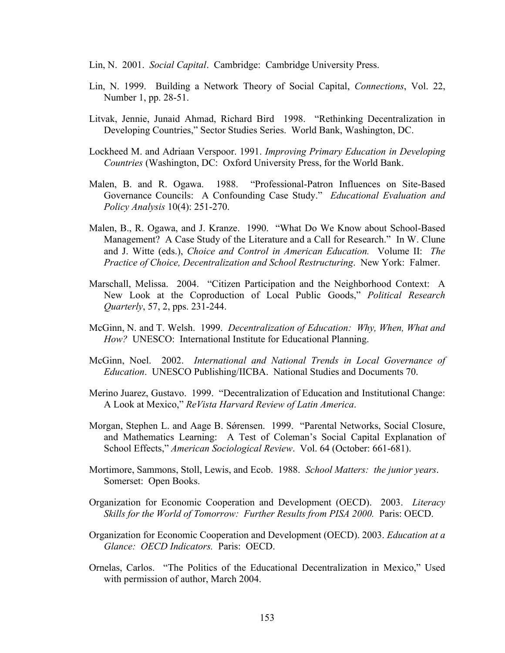Lin, N. 2001. *Social Capital*. Cambridge: Cambridge University Press.

- Lin, N. 1999. Building a Network Theory of Social Capital, *Connections*, Vol. 22, Number 1, pp. 28-51.
- Litvak, Jennie, Junaid Ahmad, Richard Bird 1998. "Rethinking Decentralization in Developing Countries," Sector Studies Series. World Bank, Washington, DC.
- Lockheed M. and Adriaan Verspoor. 1991. *Improving Primary Education in Developing Countries* (Washington, DC: Oxford University Press, for the World Bank.
- Malen, B. and R. Ogawa. 1988. "Professional-Patron Influences on Site-Based Governance Councils: A Confounding Case Study." *Educational Evaluation and Policy Analysis* 10(4): 251-270.
- Malen, B., R. Ogawa, and J. Kranze. 1990. "What Do We Know about School-Based Management? A Case Study of the Literature and a Call for Research." In W. Clune and J. Witte (eds.), *Choice and Control in American Education.* Volume II: *The Practice of Choice, Decentralization and School Restructuring*. New York: Falmer.
- Marschall, Melissa. 2004. "Citizen Participation and the Neighborhood Context: A New Look at the Coproduction of Local Public Goods," *Political Research Quarterly*, 57, 2, pps. 231-244.
- McGinn, N. and T. Welsh. 1999. *Decentralization of Education: Why, When, What and How?* UNESCO: International Institute for Educational Planning.
- McGinn, Noel. 2002. *International and National Trends in Local Governance of Education*. UNESCO Publishing/IICBA. National Studies and Documents 70.
- Merino Juarez, Gustavo. 1999. "Decentralization of Education and Institutional Change: A Look at Mexico," *ReVista Harvard Review of Latin America*.
- Morgan, Stephen L. and Aage B. Sǿrensen. 1999. "Parental Networks, Social Closure, and Mathematics Learning: A Test of Coleman's Social Capital Explanation of School Effects," *American Sociological Review*. Vol. 64 (October: 661-681).
- Mortimore, Sammons, Stoll, Lewis, and Ecob. 1988. *School Matters: the junior years*. Somerset: Open Books.
- Organization for Economic Cooperation and Development (OECD). 2003. *Literacy Skills for the World of Tomorrow: Further Results from PISA 2000. Paris: OECD.*
- Organization for Economic Cooperation and Development (OECD). 2003. *Education at a Glance: OECD Indicators.* Paris: OECD.
- Ornelas, Carlos. "The Politics of the Educational Decentralization in Mexico," Used with permission of author, March 2004.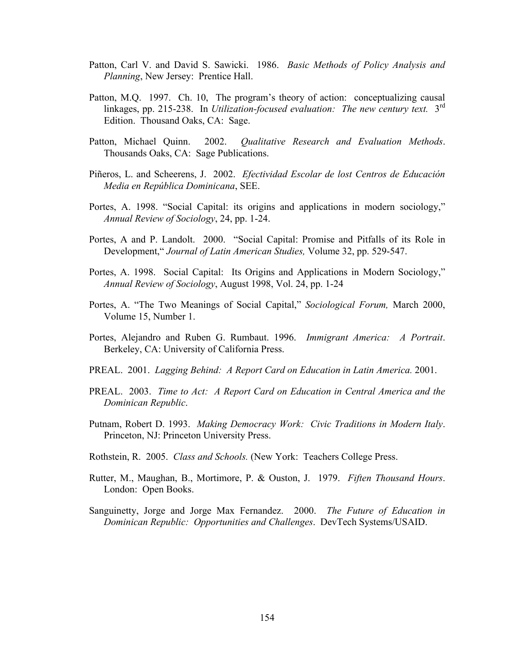- Patton, Carl V. and David S. Sawicki. 1986. *Basic Methods of Policy Analysis and Planning*, New Jersey: Prentice Hall.
- Patton, M.Q. 1997. Ch. 10, The program's theory of action: conceptualizing causal linkages, pp. 215-238. In *Utilization-focused evaluation: The new century text.* 3rd Edition. Thousand Oaks, CA: Sage.
- Patton, Michael Quinn. 2002. *Qualitative Research and Evaluation Methods*. Thousands Oaks, CA: Sage Publications.
- Piñeros, L. and Scheerens, J. 2002. *Efectividad Escolar de lost Centros de Educación Media en República Dominicana*, SEE.
- Portes, A. 1998. "Social Capital: its origins and applications in modern sociology," *Annual Review of Sociology*, 24, pp. 1-24.
- Portes, A and P. Landolt. 2000. "Social Capital: Promise and Pitfalls of its Role in Development," *Journal of Latin American Studies,* Volume 32, pp. 529-547.
- Portes, A. 1998. Social Capital: Its Origins and Applications in Modern Sociology," *Annual Review of Sociology*, August 1998, Vol. 24, pp. 1-24
- Portes, A. "The Two Meanings of Social Capital," *Sociological Forum,* March 2000, Volume 15, Number 1.
- Portes, Alejandro and Ruben G. Rumbaut. 1996. *Immigrant America: A Portrait*. Berkeley, CA: University of California Press.
- PREAL. 2001. *Lagging Behind: A Report Card on Education in Latin America.* 2001.
- PREAL. 2003. *Time to Act: A Report Card on Education in Central America and the Dominican Republic*.
- Putnam, Robert D. 1993. *Making Democracy Work: Civic Traditions in Modern Italy*. Princeton, NJ: Princeton University Press.
- Rothstein, R. 2005. *Class and Schools.* (New York: Teachers College Press.
- Rutter, M., Maughan, B., Mortimore, P. & Ouston, J. 1979. *Fiften Thousand Hours*. London: Open Books.
- Sanguinetty, Jorge and Jorge Max Fernandez. 2000. *The Future of Education in Dominican Republic: Opportunities and Challenges*. DevTech Systems/USAID.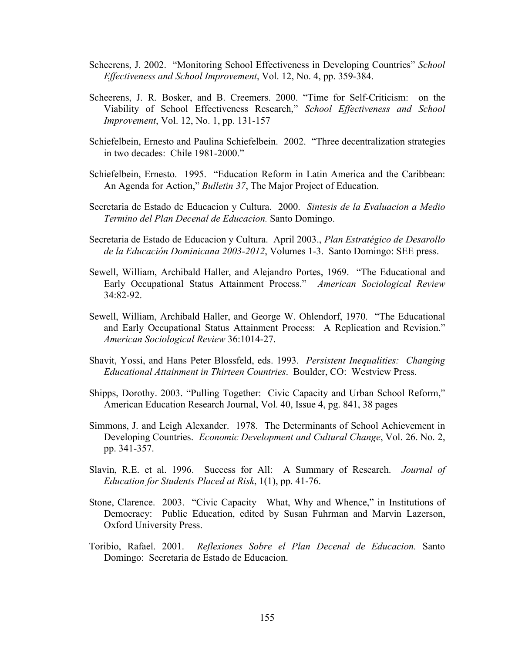- Scheerens, J. 2002. "Monitoring School Effectiveness in Developing Countries" *School Effectiveness and School Improvement*, Vol. 12, No. 4, pp. 359-384.
- Scheerens, J. R. Bosker, and B. Creemers. 2000. "Time for Self-Criticism: on the Viability of School Effectiveness Research," *School Effectiveness and School Improvement*, Vol. 12, No. 1, pp. 131-157
- Schiefelbein, Ernesto and Paulina Schiefelbein. 2002. "Three decentralization strategies in two decades: Chile 1981-2000."
- Schiefelbein, Ernesto. 1995. "Education Reform in Latin America and the Caribbean: An Agenda for Action," *Bulletin 37*, The Major Project of Education.
- Secretaria de Estado de Educacion y Cultura. 2000. *Sintesis de la Evaluacion a Medio Termino del Plan Decenal de Educacion.* Santo Domingo.
- Secretaria de Estado de Educacion y Cultura. April 2003., *Plan Estratégico de Desarollo de la Educación Dominicana 2003-2012*, Volumes 1-3. Santo Domingo: SEE press.
- Sewell, William, Archibald Haller, and Alejandro Portes, 1969. "The Educational and Early Occupational Status Attainment Process." *American Sociological Review* 34:82-92.
- Sewell, William, Archibald Haller, and George W. Ohlendorf, 1970. "The Educational and Early Occupational Status Attainment Process: A Replication and Revision." *American Sociological Review* 36:1014-27.
- Shavit, Yossi, and Hans Peter Blossfeld, eds. 1993. *Persistent Inequalities: Changing Educational Attainment in Thirteen Countries*. Boulder, CO: Westview Press.
- Shipps, Dorothy. 2003. "Pulling Together: Civic Capacity and Urban School Reform," American Education Research Journal, Vol. 40, Issue 4, pg. 841, 38 pages
- Simmons, J. and Leigh Alexander. 1978. The Determinants of School Achievement in Developing Countries. *Economic Development and Cultural Change*, Vol. 26. No. 2, pp. 341-357.
- Slavin, R.E. et al. 1996. Success for All: A Summary of Research. *Journal of Education for Students Placed at Risk*, 1(1), pp. 41-76.
- Stone, Clarence. 2003. "Civic Capacity—What, Why and Whence," in Institutions of Democracy: Public Education, edited by Susan Fuhrman and Marvin Lazerson, Oxford University Press.
- Toribio, Rafael. 2001. *Reflexiones Sobre el Plan Decenal de Educacion.* Santo Domingo: Secretaria de Estado de Educacion.